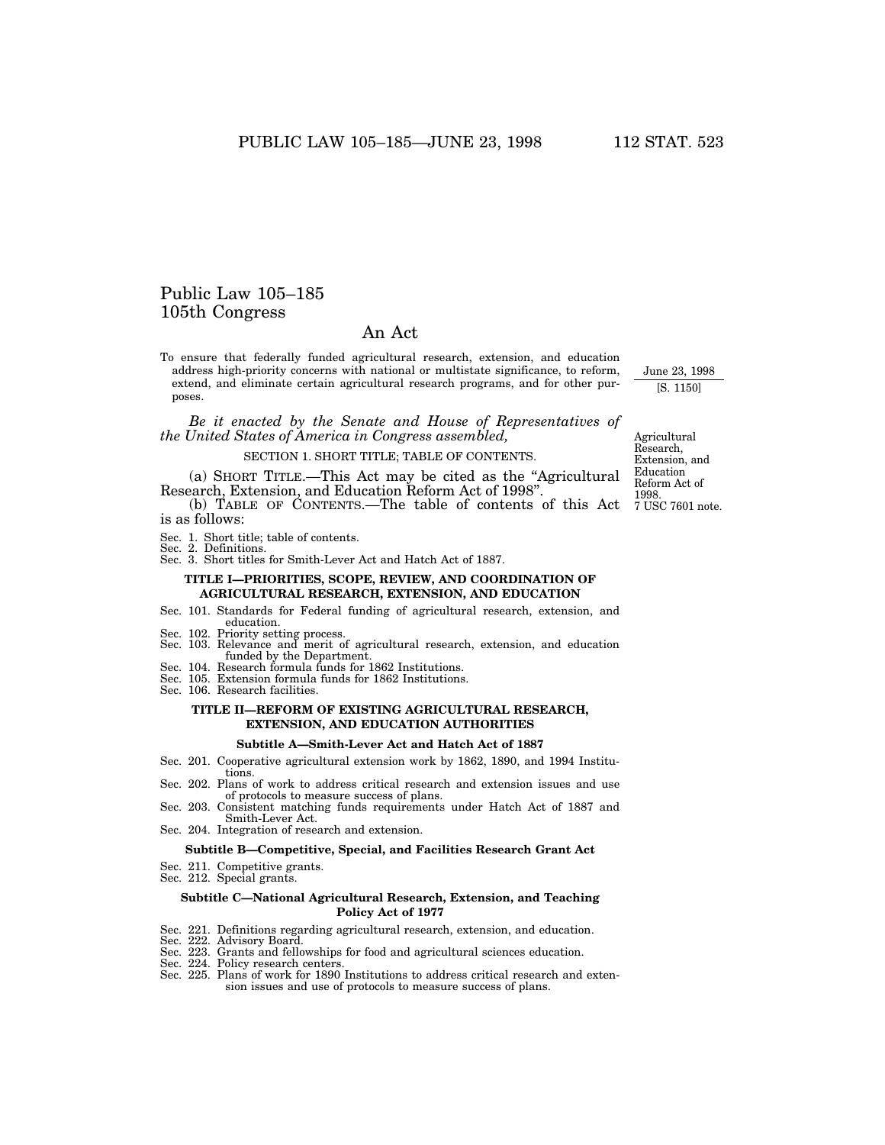# Public Law 105–185 105th Congress

# An Act

To ensure that federally funded agricultural research, extension, and education address high-priority concerns with national or multistate significance, to reform, extend, and eliminate certain agricultural research programs, and for other purposes.

*Be it enacted by the Senate and House of Representatives of the United States of America in Congress assembled,* 

#### SECTION 1. SHORT TITLE; TABLE OF CONTENTS.

(a) SHORT TITLE.—This Act may be cited as the ''Agricultural Research, Extension, and Education Reform Act of 1998''.

(b) TABLE OF CONTENTS.—The table of contents of this Act is as follows:

- Sec. 1. Short title; table of contents.
- Sec. 2. Definitions.
- Sec. 3. Short titles for Smith-Lever Act and Hatch Act of 1887.

# **TITLE I—PRIORITIES, SCOPE, REVIEW, AND COORDINATION OF AGRICULTURAL RESEARCH, EXTENSION, AND EDUCATION**

- Sec. 101. Standards for Federal funding of agricultural research, extension, and education.
- 
- Sec. 102. Priority setting process. Sec. 103. Relevance and merit of agricultural research, extension, and education funded by the Department. Sec. 104. Research formula funds for 1862 Institutions.
- Sec. 105. Extension formula funds for 1862 Institutions.
- Sec. 106. Research facilities.

# **TITLE II—REFORM OF EXISTING AGRICULTURAL RESEARCH, EXTENSION, AND EDUCATION AUTHORITIES**

#### **Subtitle A—Smith-Lever Act and Hatch Act of 1887**

- Sec. 201. Cooperative agricultural extension work by 1862, 1890, and 1994 Institutions.
- Sec. 202. Plans of work to address critical research and extension issues and use of protocols to measure success of plans.
- Sec. 203. Consistent matching funds requirements under Hatch Act of 1887 and Smith-Lever Act. Sec. 204. Integration of research and extension.

#### **Subtitle B—Competitive, Special, and Facilities Research Grant Act**

- Sec. 211. Competitive grants.
- Sec. 212. Special grants.

#### **Subtitle C—National Agricultural Research, Extension, and Teaching Policy Act of 1977**

- Sec. 221. Definitions regarding agricultural research, extension, and education. Sec. 222. Advisory Board.
- 
- Sec. 223. Grants and fellowships for food and agricultural sciences education. Sec. 224. Policy research centers.
- 
- Sec. 225. Plans of work for 1890 Institutions to address critical research and extension issues and use of protocols to measure success of plans.

Agricultural Research, Extension, and Education Reform Act of 1998. 7 USC 7601 note.

June 23, 1998 [S. 1150]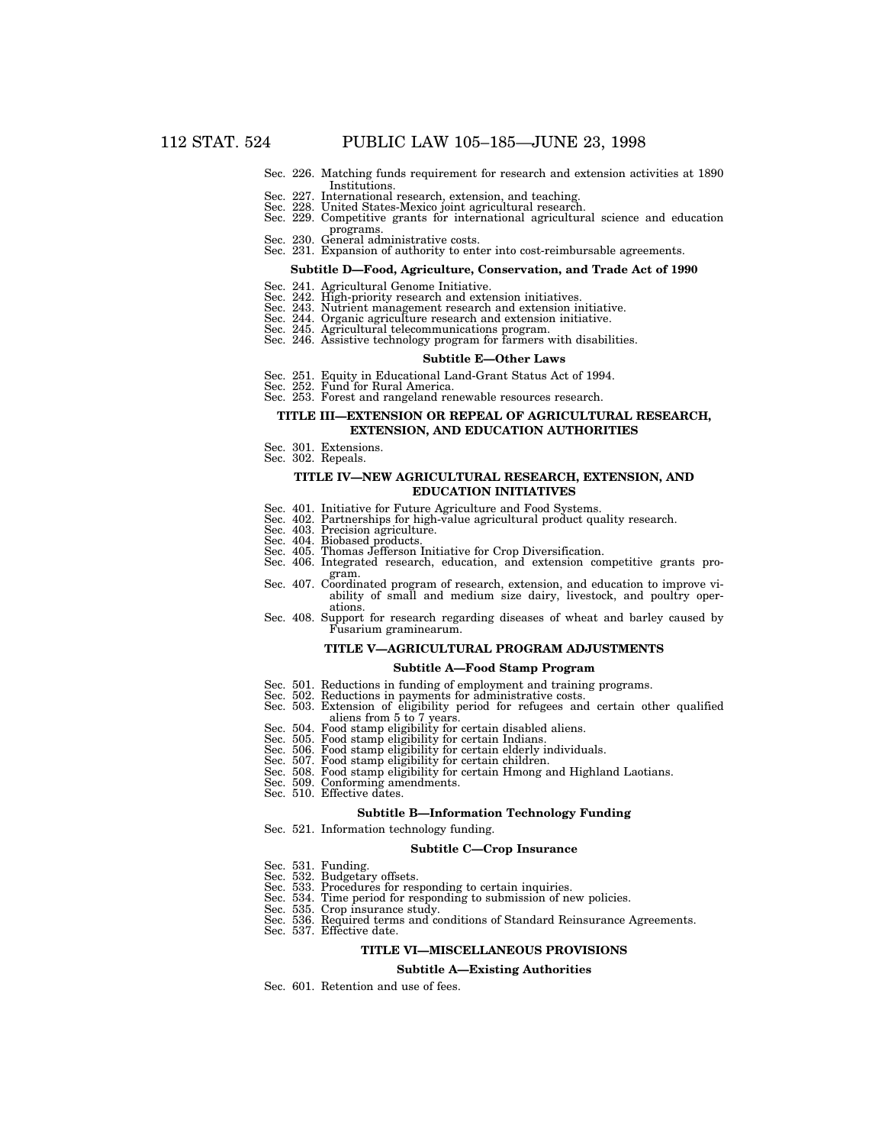- Sec. 226. Matching funds requirement for research and extension activities at 1890 Institutions.
- 
- Sec. 227. International research, extension, and teaching. Sec. 228. United States-Mexico joint agricultural research. Sec. 229. Competitive grants for international agricultural science and education programs.<br>Sec. 230. General administrative costs.
- 
- Sec. 231. Expansion of authority to enter into cost-reimbursable agreements.

#### **Subtitle D—Food, Agriculture, Conservation, and Trade Act of 1990**

- Sec. 241. Agricultural Genome Initiative.
- 
- Sec. 242. High-priority research and extension initiatives. Sec. 243. Nutrient management research and extension initiative. Sec. 244. Organic agriculture research and extension initiative.
- 
- Sec. 245. Agricultural telecommunications program. Sec. 246. Assistive technology program for farmers with disabilities.

#### **Subtitle E—Other Laws**

- Sec. 251. Equity in Educational Land-Grant Status Act of 1994. Sec. 252. Fund for Rural America.
- 
- Sec. 253. Forest and rangeland renewable resources research.

#### **TITLE III—EXTENSION OR REPEAL OF AGRICULTURAL RESEARCH, EXTENSION, AND EDUCATION AUTHORITIES**

- Sec. 301. Extensions.
- Sec. 302. Repeals.

#### **TITLE IV—NEW AGRICULTURAL RESEARCH, EXTENSION, AND EDUCATION INITIATIVES**

- 
- Sec. 401. Initiative for Future Agriculture and Food Systems. Sec. 402. Partnerships for high-value agricultural product quality research.
- Sec. 403. Precision agriculture.
- Sec. 404. Biobased products.
- 
- Sec. 405. Thomas Jefferson Initiative for Crop Diversification. Sec. 406. Integrated research, education, and extension competitive grants program. Sec. 407. Coordinated program of research, extension, and education to improve vi-
- ability of small and medium size dairy, livestock, and poultry operations.
- Sec. 408. Support for research regarding diseases of wheat and barley caused by Fusarium graminearum.

#### **TITLE V—AGRICULTURAL PROGRAM ADJUSTMENTS**

#### **Subtitle A—Food Stamp Program**

- 
- 
- Sec. 501. Reductions in funding of employment and training programs. Sec. 502. Reductions in payments for administrative costs. Sec. 503. Extension of eligibility period for refugees and certain other qualified aliens from 5 to 7 years.<br>Sec. 504. Food stamp eligibility for certain disabled aliens.
	-
	- Sec. 505. Food stamp eligibility for certain Indians.
	-
	-
	- Sec. 506. Food stamp eligibility for certain elderly individuals.<br>Sec. 507. Food stamp eligibility for certain children.<br>Sec. 508. Food stamp eligibility for certain Hmong and Highland Laotians.<br>Sec. 509. Conforming amendm
	- Sec. 510. Effective dates.
		- **Subtitle B—Information Technology Funding**

# Sec. 521. Information technology funding.

# **Subtitle C—Crop Insurance**

- Sec. 531. Funding.
- Sec. 532. Budgetary offsets.
- 
- Sec. 533. Procedures for responding to certain inquiries. Sec. 534. Time period for responding to submission of new policies.
- Sec. 535. Crop insurance study.
- Sec. 536. Required terms and conditions of Standard Reinsurance Agreements.
- Sec. 537. Effective date.

#### **TITLE VI—MISCELLANEOUS PROVISIONS**

#### **Subtitle A—Existing Authorities**

Sec. 601. Retention and use of fees.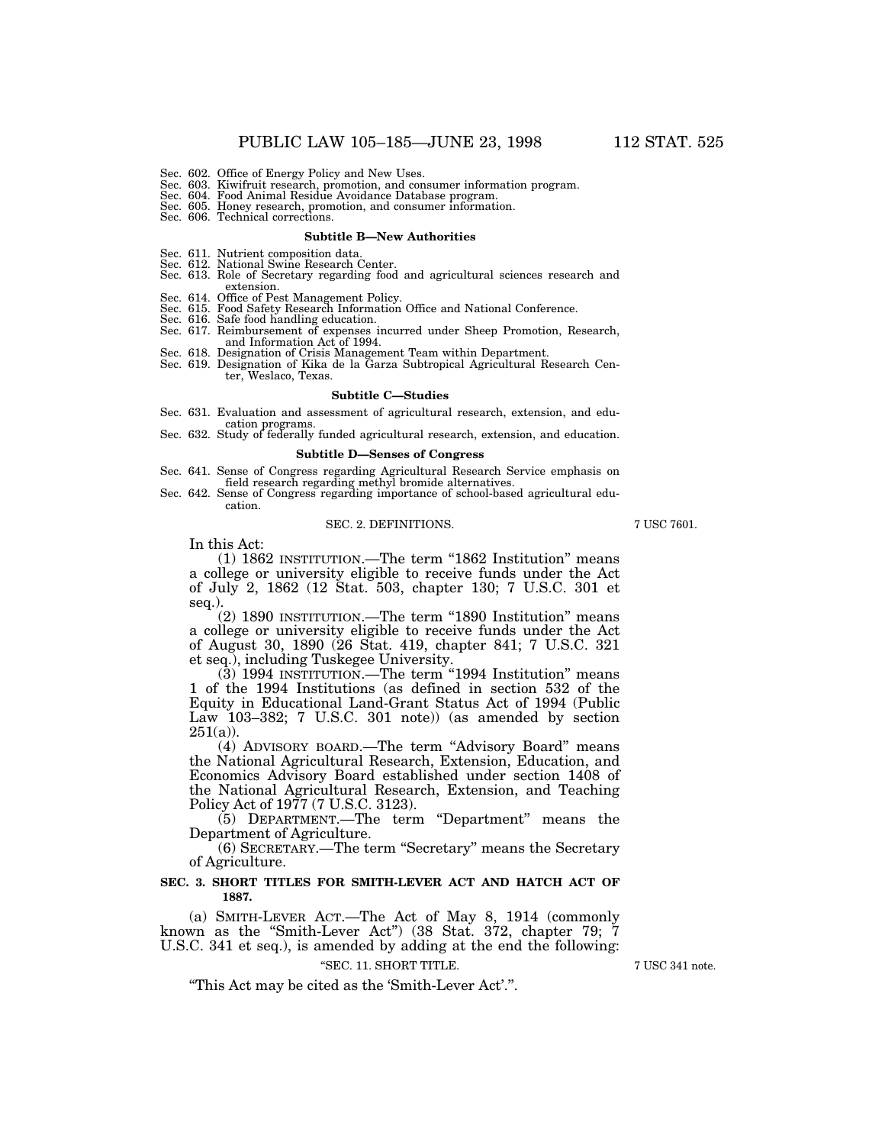- Sec. 603. Kiwifruit research, promotion, and consumer information program. Sec. 604. Food Animal Residue Avoidance Database program.
- 
- Sec. 605. Honey research, promotion, and consumer information. Sec. 606. Technical corrections.
- 

#### **Subtitle B—New Authorities**

- Sec. 611. Nutrient composition data. Sec. 612. National Swine Research Center.
- 
- Sec. 613. Role of Secretary regarding food and agricultural sciences research and extension.
- Sec. 614. Office of Pest Management Policy.
- Sec. 615. Food Safety Research Information Office and National Conference. Sec. 616. Safe food handling education.
- 
- Sec. 617. Reimbursement of expenses incurred under Sheep Promotion, Research, and Information Act of 1994.
- Sec. 618. Designation of Crisis Management Team within Department.
- Sec. 619. Designation of Kika de la Garza Subtropical Agricultural Research Center, Weslaco, Texas.

#### **Subtitle C—Studies**

- Sec. 631. Evaluation and assessment of agricultural research, extension, and education programs.
- Sec. 632. Study of federally funded agricultural research, extension, and education.

#### **Subtitle D—Senses of Congress**

- Sec. 641. Sense of Congress regarding Agricultural Research Service emphasis on
- field research regarding methyl bromide alternatives. Sec. 642. Sense of Congress regarding importance of school-based agricultural education.

# SEC. 2. DEFINITIONS. 7 USC 7601.

In this Act:

(1) 1862 INSTITUTION.—The term "1862 Institution" means a college or university eligible to receive funds under the Act of July 2, 1862 (12 Stat. 503, chapter 130; 7 U.S.C. 301 et seq.).

(2) 1890 INSTITUTION.—The term ''1890 Institution'' means a college or university eligible to receive funds under the Act of August 30, 1890 (26 Stat. 419, chapter 841; 7 U.S.C. 321 et seq.), including Tuskegee University.

(3) 1994 INSTITUTION.—The term ''1994 Institution'' means 1 of the 1994 Institutions (as defined in section 532 of the Equity in Educational Land-Grant Status Act of 1994 (Public Law 103–382; 7 U.S.C. 301 note)) (as amended by section  $251(a)$ ).

(4) ADVISORY BOARD.—The term ''Advisory Board'' means the National Agricultural Research, Extension, Education, and Economics Advisory Board established under section 1408 of the National Agricultural Research, Extension, and Teaching Policy Act of 1977 (7 U.S.C. 3123).

(5) DEPARTMENT.—The term "Department" means the Department of Agriculture.

(6) SECRETARY.—The term ''Secretary'' means the Secretary of Agriculture.

### **SEC. 3. SHORT TITLES FOR SMITH-LEVER ACT AND HATCH ACT OF 1887.**

(a) SMITH-LEVER ACT.—The Act of May 8, 1914 (commonly known as the ''Smith-Lever Act'') (38 Stat. 372, chapter 79; 7 U.S.C. 341 et seq.), is amended by adding at the end the following:

#### ''SEC. 11. SHORT TITLE. 7 USC 341 note.

''This Act may be cited as the 'Smith-Lever Act'.''.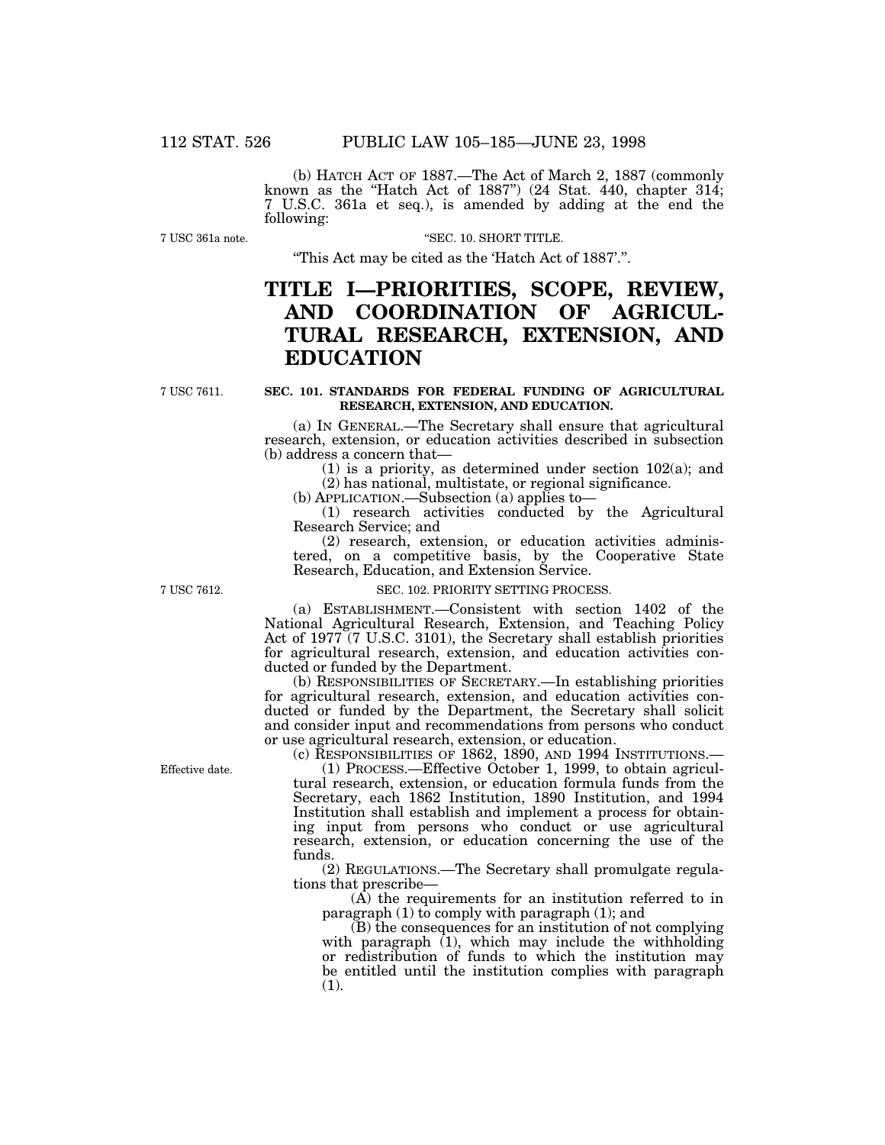(b) HATCH ACT OF 1887.—The Act of March 2, 1887 (commonly known as the "Hatch Act of 1887") (24 Stat.  $440$ , chapter  $314$ ; 7 U.S.C. 361a et seq.), is amended by adding at the end the following:

7 USC 361a note.

"SEC. 10. SHORT TITLE.

''This Act may be cited as the 'Hatch Act of 1887'.''.

# **TITLE I—PRIORITIES, SCOPE, REVIEW, AND COORDINATION OF AGRICUL-TURAL RESEARCH, EXTENSION, AND EDUCATION**

7 USC 7611.

### **SEC. 101. STANDARDS FOR FEDERAL FUNDING OF AGRICULTURAL RESEARCH, EXTENSION, AND EDUCATION.**

(a) IN GENERAL.—The Secretary shall ensure that agricultural research, extension, or education activities described in subsection (b) address a concern that—

(1) is a priority, as determined under section 102(a); and (2) has national, multistate, or regional significance.

(b) APPLICATION.—Subsection (a) applies to—

(1) research activities conducted by the Agricultural Research Service; and<br>
(2) research, extension, or education activities adminis-

tered, on a competitive basis, by the Cooperative State Research, Education, and Extension Service.

#### SEC. 102. PRIORITY SETTING PROCESS.

(a) ESTABLISHMENT.—Consistent with section 1402 of the National Agricultural Research, Extension, and Teaching Policy Act of 1977 (7 U.S.C. 3101), the Secretary shall establish priorities for agricultural research, extension, and education activities conducted or funded by the Department.

(b) RESPONSIBILITIES OF SECRETARY.—In establishing priorities for agricultural research, extension, and education activities conducted or funded by the Department, the Secretary shall solicit and consider input and recommendations from persons who conduct or use agricultural research, extension, or education.

Effective date.

(c) RESPONSIBILITIES OF 1862, 1890, AND 1994 INSTITUTIONS.—

(1) PROCESS.—Effective October 1, 1999, to obtain agricultural research, extension, or education formula funds from the Secretary, each 1862 Institution, 1890 Institution, and 1994 Institution shall establish and implement a process for obtaining input from persons who conduct or use agricultural research, extension, or education concerning the use of the funds.

(2) REGULATIONS.—The Secretary shall promulgate regulations that prescribe—

(A) the requirements for an institution referred to in paragraph  $(1)$  to comply with paragraph  $(1)$ ; and

(B) the consequences for an institution of not complying with paragraph (1), which may include the withholding or redistribution of funds to which the institution may be entitled until the institution complies with paragraph (1).

7 USC 7612.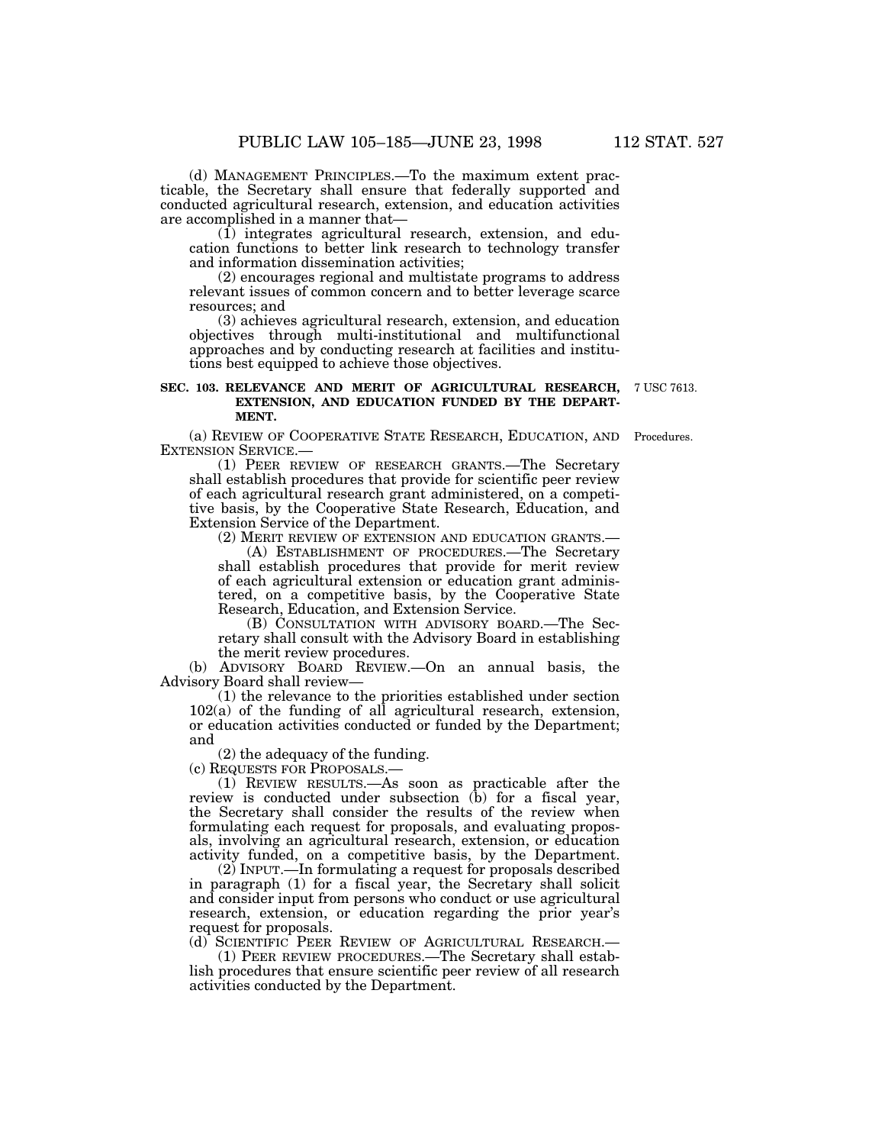(d) MANAGEMENT PRINCIPLES.—To the maximum extent prac- ticable, the Secretary shall ensure that federally supported and conducted agricultural research, extension, and education activities are accomplished in a manner that—

 $(1)$  integrates agricultural research, extension, and education functions to better link research to technology transfer and information dissemination activities;

(2) encourages regional and multistate programs to address relevant issues of common concern and to better leverage scarce resources; and

(3) achieves agricultural research, extension, and education objectives through multi-institutional and multifunctional approaches and by conducting research at facilities and institutions best equipped to achieve those objectives.

# **SEC. 103. RELEVANCE AND MERIT OF AGRICULTURAL RESEARCH,** 7 USC 7613. **EXTENSION, AND EDUCATION FUNDED BY THE DEPART-MENT.**

(a) REVIEW OF COOPERATIVE STATE RESEARCH, EDUCATION, AND Procedures. EXTENSION SERVICE.—

(1) PEER REVIEW OF RESEARCH GRANTS.—The Secretary shall establish procedures that provide for scientific peer review of each agricultural research grant administered, on a competitive basis, by the Cooperative State Research, Education, and Extension Service of the Department.

(2) MERIT REVIEW OF EXTENSION AND EDUCATION GRANTS.—

(A) ESTABLISHMENT OF PROCEDURES.—The Secretary shall establish procedures that provide for merit review of each agricultural extension or education grant administered, on a competitive basis, by the Cooperative State Research, Education, and Extension Service.

(B) CONSULTATION WITH ADVISORY BOARD.—The Secretary shall consult with the Advisory Board in establishing the merit review procedures.

(b) ADVISORY BOARD REVIEW.—On an annual basis, the Advisory Board shall review—

(1) the relevance to the priorities established under section 102(a) of the funding of all agricultural research, extension, or education activities conducted or funded by the Department; and

(2) the adequacy of the funding.

(c) REQUESTS FOR PROPOSALS.—

(1) REVIEW RESULTS.—As soon as practicable after the review is conducted under subsection (b) for a fiscal year, the Secretary shall consider the results of the review when formulating each request for proposals, and evaluating proposals, involving an agricultural research, extension, or education activity funded, on a competitive basis, by the Department.

(2) INPUT.—In formulating a request for proposals described in paragraph (1) for a fiscal year, the Secretary shall solicit and consider input from persons who conduct or use agricultural research, extension, or education regarding the prior year's request for proposals.

(d) SCIENTIFIC PEER REVIEW OF AGRICULTURAL RESEARCH.—

(1) PEER REVIEW PROCEDURES.—The Secretary shall establish procedures that ensure scientific peer review of all research activities conducted by the Department.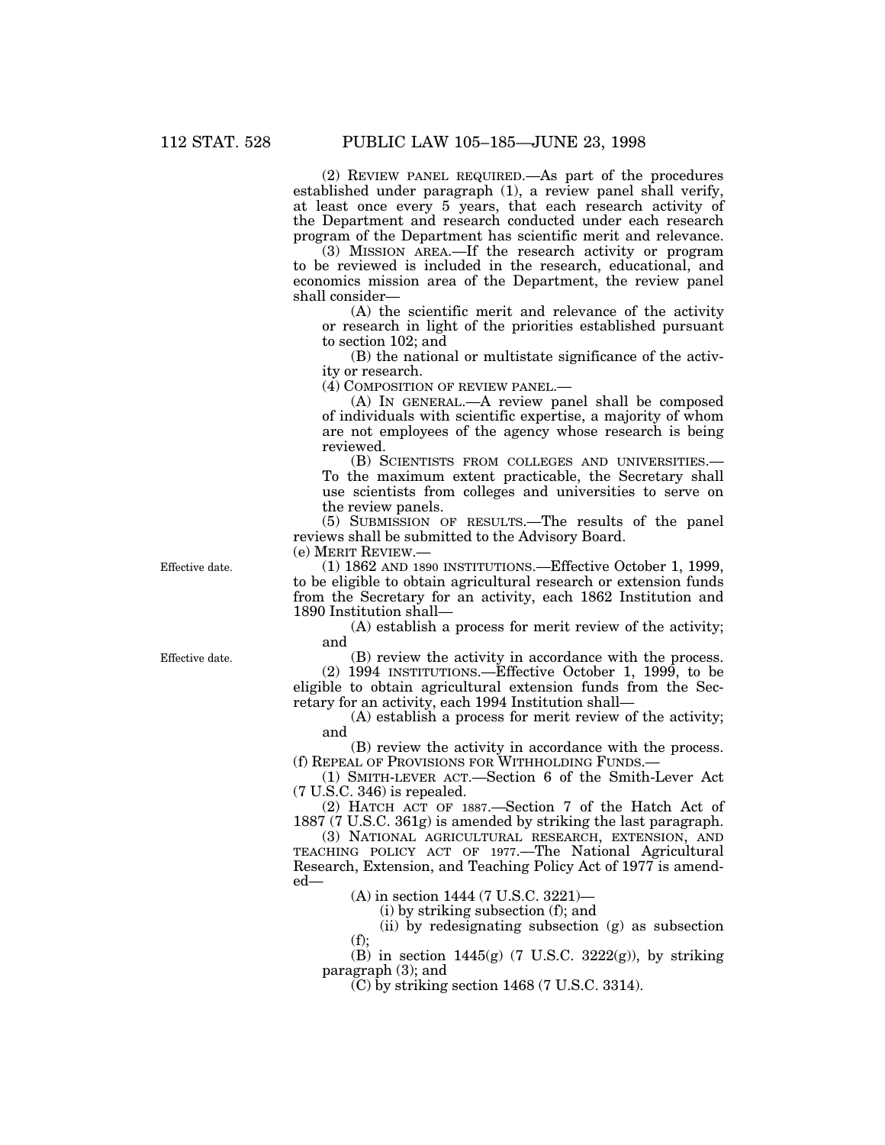(2) REVIEW PANEL REQUIRED.—As part of the procedures established under paragraph (1), a review panel shall verify, at least once every 5 years, that each research activity of the Department and research conducted under each research program of the Department has scientific merit and relevance.

(3) MISSION AREA.—If the research activity or program to be reviewed is included in the research, educational, and economics mission area of the Department, the review panel shall consider—

(A) the scientific merit and relevance of the activity or research in light of the priorities established pursuant to section 102; and

(B) the national or multistate significance of the activity or research.

(4) COMPOSITION OF REVIEW PANEL.—

(A) IN GENERAL.—A review panel shall be composed of individuals with scientific expertise, a majority of whom are not employees of the agency whose research is being reviewed.

(B) SCIENTISTS FROM COLLEGES AND UNIVERSITIES.— To the maximum extent practicable, the Secretary shall use scientists from colleges and universities to serve on the review panels.

(5) SUBMISSION OF RESULTS.—The results of the panel reviews shall be submitted to the Advisory Board.

(e) MERIT REVIEW.—

Effective date. (1) 1862 AND 1890 INSTITUTIONS.—Effective October 1, 1999, to be eligible to obtain agricultural research or extension funds from the Secretary for an activity, each 1862 Institution and 1890 Institution shall—

> (A) establish a process for merit review of the activity; and

Effective date. (B) review the activity in accordance with the process.

(2) 1994 INSTITUTIONS.—Effective October 1, 1999, to be eligible to obtain agricultural extension funds from the Secretary for an activity, each 1994 Institution shall—

(A) establish a process for merit review of the activity; and

(B) review the activity in accordance with the process. (f) REPEAL OF PROVISIONS FOR WITHHOLDING FUNDS.—

(1) SMITH-LEVER ACT.—Section 6 of the Smith-Lever Act (7 U.S.C. 346) is repealed.

(2) HATCH ACT OF 1887.—Section 7 of the Hatch Act of 1887 (7 U.S.C. 361g) is amended by striking the last paragraph.

(3) NATIONAL AGRICULTURAL RESEARCH, EXTENSION, AND TEACHING POLICY ACT OF 1977.—The National Agricultural Research, Extension, and Teaching Policy Act of 1977 is amended—

(A) in section 1444 (7 U.S.C. 3221)—

(i) by striking subsection (f); and

(ii) by redesignating subsection (g) as subsection  $(f)$ :

(B) in section  $1445(g)$  (7 U.S.C.  $3222(g)$ ), by striking paragraph (3); and

(C) by striking section 1468 (7 U.S.C. 3314).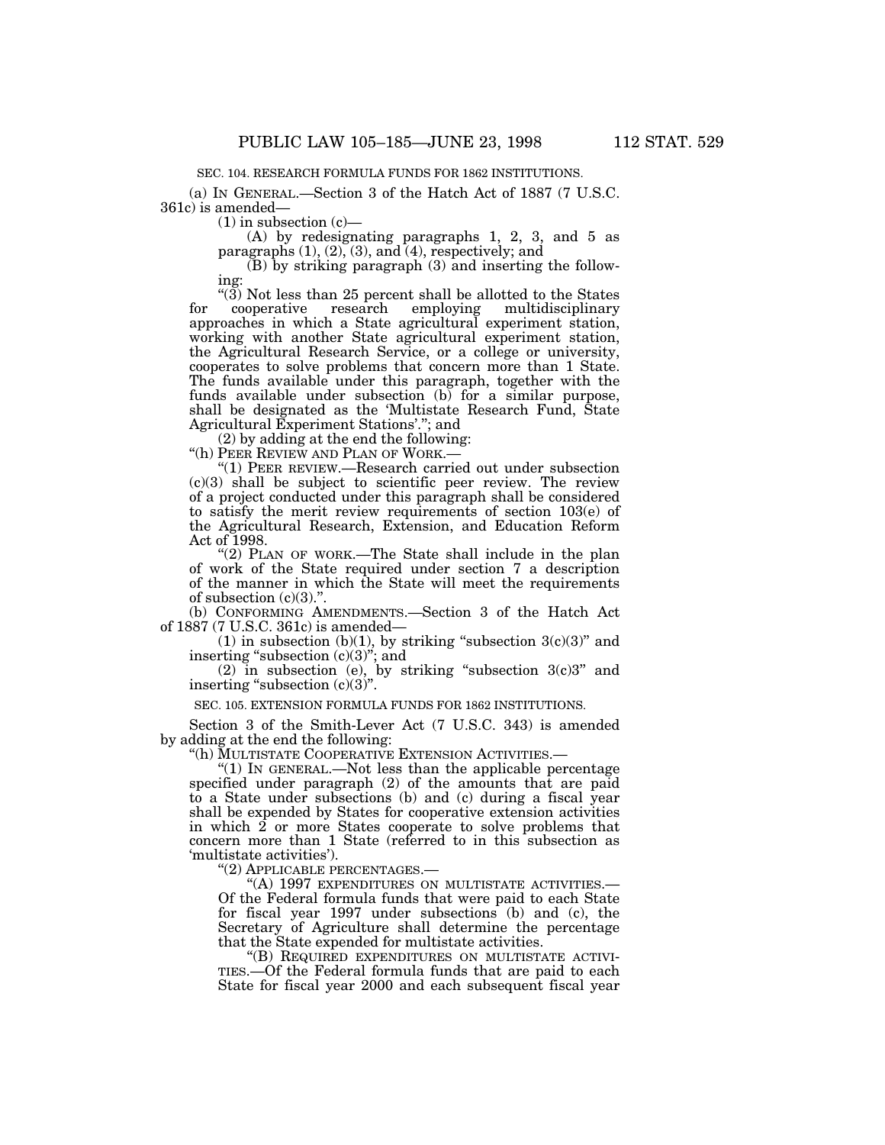SEC. 104. RESEARCH FORMULA FUNDS FOR 1862 INSTITUTIONS.

(a) IN GENERAL.—Section 3 of the Hatch Act of 1887 (7 U.S.C. 361c) is amended—

 $(1)$  in subsection  $(c)$ —

(A) by redesignating paragraphs 1, 2, 3, and 5 as paragraphs (1), (2), (3), and (4), respectively; and

(B) by striking paragraph (3) and inserting the following:

 $\frac{1}{2}$  (3) Not less than 25 percent shall be allotted to the States cooperative research employing multidisciplinary for cooperative research employing multidisciplinary approaches in which a State agricultural experiment station, working with another State agricultural experiment station, the Agricultural Research Service, or a college or university, cooperates to solve problems that concern more than 1 State. The funds available under this paragraph, together with the funds available under subsection (b) for a similar purpose, shall be designated as the 'Multistate Research Fund, State Agricultural Experiment Stations'.''; and

(2) by adding at the end the following:

''(h) PEER REVIEW AND PLAN OF WORK.—

''(1) PEER REVIEW.—Research carried out under subsection  $(c)(3)$  shall be subject to scientific peer review. The review of a project conducted under this paragraph shall be considered to satisfy the merit review requirements of section 103(e) of the Agricultural Research, Extension, and Education Reform Act of 1998.

" $(2)$  PLAN OF WORK.—The State shall include in the plan of work of the State required under section 7 a description of the manner in which the State will meet the requirements of subsection  $(c)(3)$ .".

(b) CONFORMING AMENDMENTS.—Section 3 of the Hatch Act of 1887 (7 U.S.C. 361c) is amended—

(1) in subsection (b)(1), by striking "subsection  $3(c)(3)$ " and inserting "subsection (c)(3)"; and

(2) in subsection (e), by striking "subsection  $3(c)3$ " and inserting "subsection  $(c)(3)$ ".

SEC. 105. EXTENSION FORMULA FUNDS FOR 1862 INSTITUTIONS.

Section 3 of the Smith-Lever Act (7 U.S.C. 343) is amended by adding at the end the following:

''(h) MULTISTATE COOPERATIVE EXTENSION ACTIVITIES.—

" $(1)$  In GENERAL.—Not less than the applicable percentage specified under paragraph (2) of the amounts that are paid to a State under subsections (b) and (c) during a fiscal year shall be expended by States for cooperative extension activities in which 2 or more States cooperate to solve problems that concern more than 1 State (referred to in this subsection as 'multistate activities').

''(2) APPLICABLE PERCENTAGES.—

''(A) 1997 EXPENDITURES ON MULTISTATE ACTIVITIES.— Of the Federal formula funds that were paid to each State for fiscal year 1997 under subsections (b) and (c), the Secretary of Agriculture shall determine the percentage that the State expended for multistate activities.

''(B) REQUIRED EXPENDITURES ON MULTISTATE ACTIVI-TIES.—Of the Federal formula funds that are paid to each State for fiscal year 2000 and each subsequent fiscal year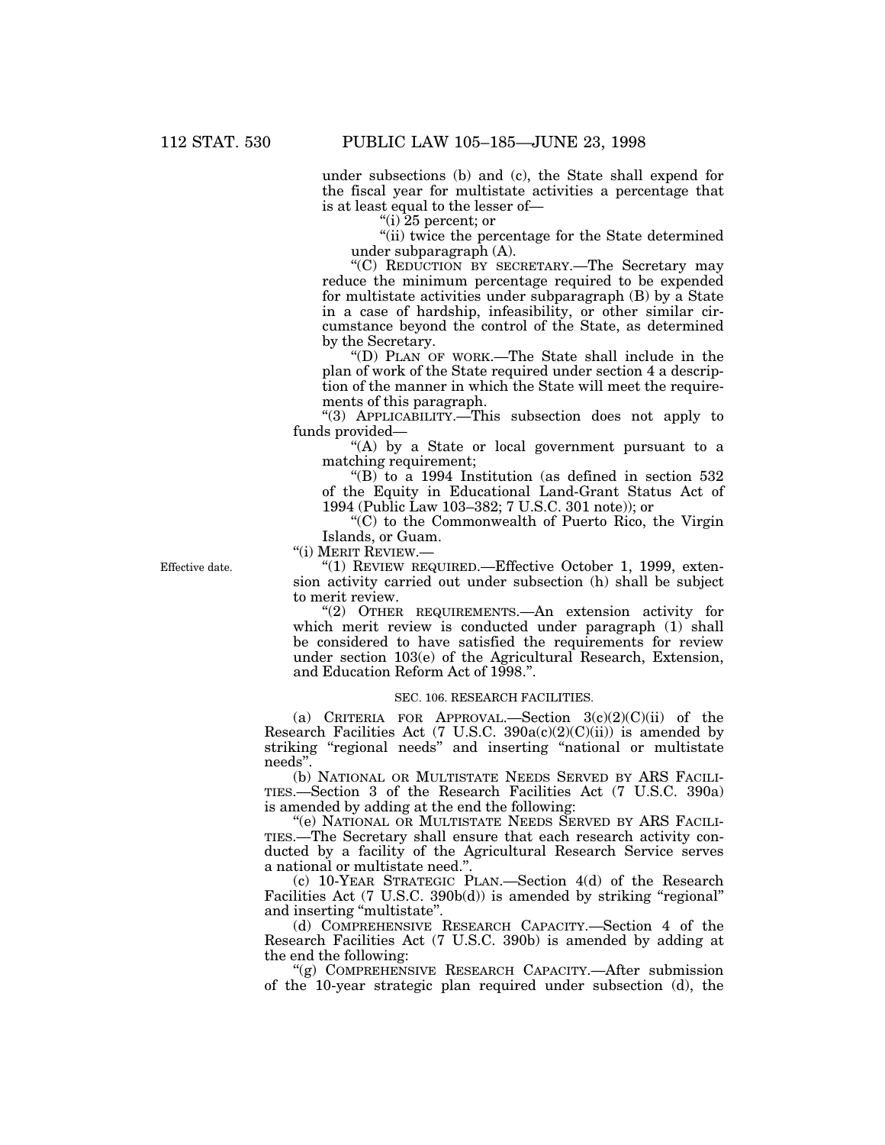under subsections (b) and (c), the State shall expend for the fiscal year for multistate activities a percentage that is at least equal to the lesser of—

''(i) 25 percent; or

''(ii) twice the percentage for the State determined under subparagraph (A).

''(C) REDUCTION BY SECRETARY.—The Secretary may reduce the minimum percentage required to be expended for multistate activities under subparagraph (B) by a State in a case of hardship, infeasibility, or other similar circumstance beyond the control of the State, as determined by the Secretary.

''(D) PLAN OF WORK.—The State shall include in the plan of work of the State required under section 4 a description of the manner in which the State will meet the requirements of this paragraph.

''(3) APPLICABILITY.—This subsection does not apply to funds provided—

"(A) by a State or local government pursuant to a matching requirement;

''(B) to a 1994 Institution (as defined in section 532 of the Equity in Educational Land-Grant Status Act of 1994 (Public Law 103–382; 7 U.S.C. 301 note)); or

''(C) to the Commonwealth of Puerto Rico, the Virgin Islands, or Guam.

''(i) MERIT REVIEW.—

Effective date. "(1) REVIEW REQUIRED.—Effective October 1, 1999, extension activity carried out under subsection (h) shall be subject to merit review.

> ''(2) OTHER REQUIREMENTS.—An extension activity for which merit review is conducted under paragraph (1) shall be considered to have satisfied the requirements for review under section 103(e) of the Agricultural Research, Extension, and Education Reform Act of 1998.''.

# SEC. 106. RESEARCH FACILITIES.

(a) CRITERIA FOR APPROVAL.—Section  $3(c)(2)(C)(ii)$  of the Research Facilities Act  $(7 \text{ U.S.C. } 390a(c)(2)(C)(ii))$  is amended by striking "regional needs" and inserting "national or multistate needs''.

(b) NATIONAL OR MULTISTATE NEEDS SERVED BY ARS FACILI-TIES.—Section 3 of the Research Facilities Act (7 U.S.C. 390a) is amended by adding at the end the following:

''(e) NATIONAL OR MULTISTATE NEEDS SERVED BY ARS FACILI-TIES.—The Secretary shall ensure that each research activity conducted by a facility of the Agricultural Research Service serves a national or multistate need."

(c) 10-YEAR STRATEGIC PLAN.—Section 4(d) of the Research Facilities Act (7 U.S.C. 390b(d)) is amended by striking "regional" and inserting "multistate".

(d) COMPREHENSIVE RESEARCH CAPACITY.—Section 4 of the Research Facilities Act (7 U.S.C. 390b) is amended by adding at the end the following:

"(g) COMPREHENSIVE RESEARCH CAPACITY.—After submission of the 10-year strategic plan required under subsection (d), the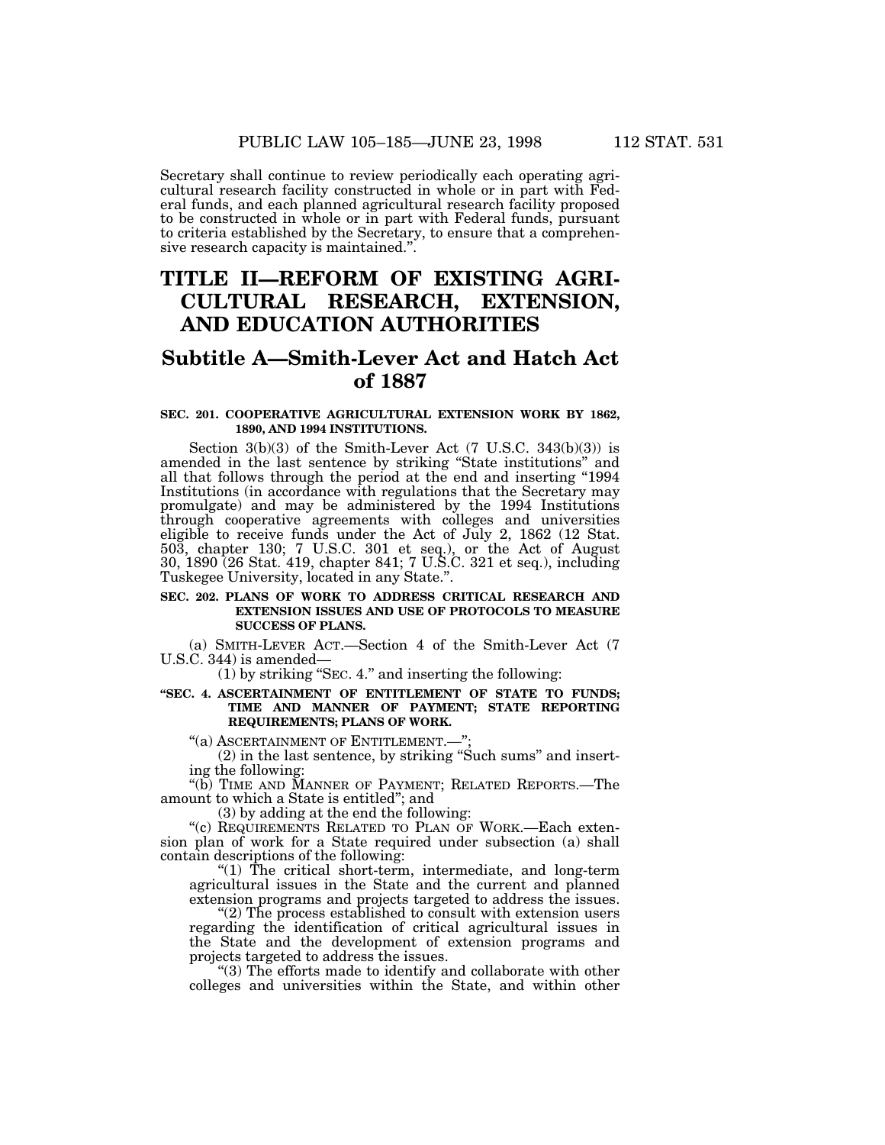Secretary shall continue to review periodically each operating agri- cultural research facility constructed in whole or in part with Fed- eral funds, and each planned agricultural research facility proposed to be constructed in whole or in part with Federal funds, pursuant to criteria established by the Secretary, to ensure that a comprehen- sive research capacity is maintained.''.

# **TITLE II—REFORM OF EXISTING AGRI-CULTURAL RESEARCH, EXTENSION, AND EDUCATION AUTHORITIES**

# **Subtitle A—Smith-Lever Act and Hatch Act of 1887**

## **SEC. 201. COOPERATIVE AGRICULTURAL EXTENSION WORK BY 1862, 1890, AND 1994 INSTITUTIONS.**

Section 3(b)(3) of the Smith-Lever Act (7 U.S.C. 343(b)(3)) is amended in the last sentence by striking ''State institutions'' and all that follows through the period at the end and inserting "1994 Institutions (in accordance with regulations that the Secretary may promulgate) and may be administered by the 1994 Institutions through cooperative agreements with colleges and universities eligible to receive funds under the Act of July 2, 1862 (12 Stat. 503, chapter 130; 7 U.S.C. 301 et seq.), or the Act of August 30, 1890 (26 Stat. 419, chapter 841; 7 U.S.C. 321 et seq.), including Tuskegee University, located in any State.''.

# **SEC. 202. PLANS OF WORK TO ADDRESS CRITICAL RESEARCH AND EXTENSION ISSUES AND USE OF PROTOCOLS TO MEASURE SUCCESS OF PLANS.**

(a) SMITH-LEVER ACT.—Section 4 of the Smith-Lever Act (7 U.S.C. 344) is amended—

(1) by striking ''SEC. 4.'' and inserting the following:

# **''SEC. 4. ASCERTAINMENT OF ENTITLEMENT OF STATE TO FUNDS; TIME AND MANNER OF PAYMENT; STATE REPORTING REQUIREMENTS; PLANS OF WORK.**

''(a) ASCERTAINMENT OF ENTITLEMENT.—'';

 $(2)$  in the last sentence, by striking "Such sums" and insert- ing the following:

"(b) TIME AND MANNER OF PAYMENT; RELATED REPORTS.—The amount to which a State is entitled''; and

(3) by adding at the end the following:<br>"(c) REQUIREMENTS RELATED TO PLAN OF WORK.—Each extension plan of work for a State required under subsection (a) shall contain descriptions of the following:

''(1) The critical short-term, intermediate, and long-term agricultural issues in the State and the current and planned extension programs and projects targeted to address the issues.

 $(2)$  The process established to consult with extension users regarding the identification of critical agricultural issues in the State and the development of extension programs and projects targeted to address the issues.

''(3) The efforts made to identify and collaborate with other colleges and universities within the State, and within other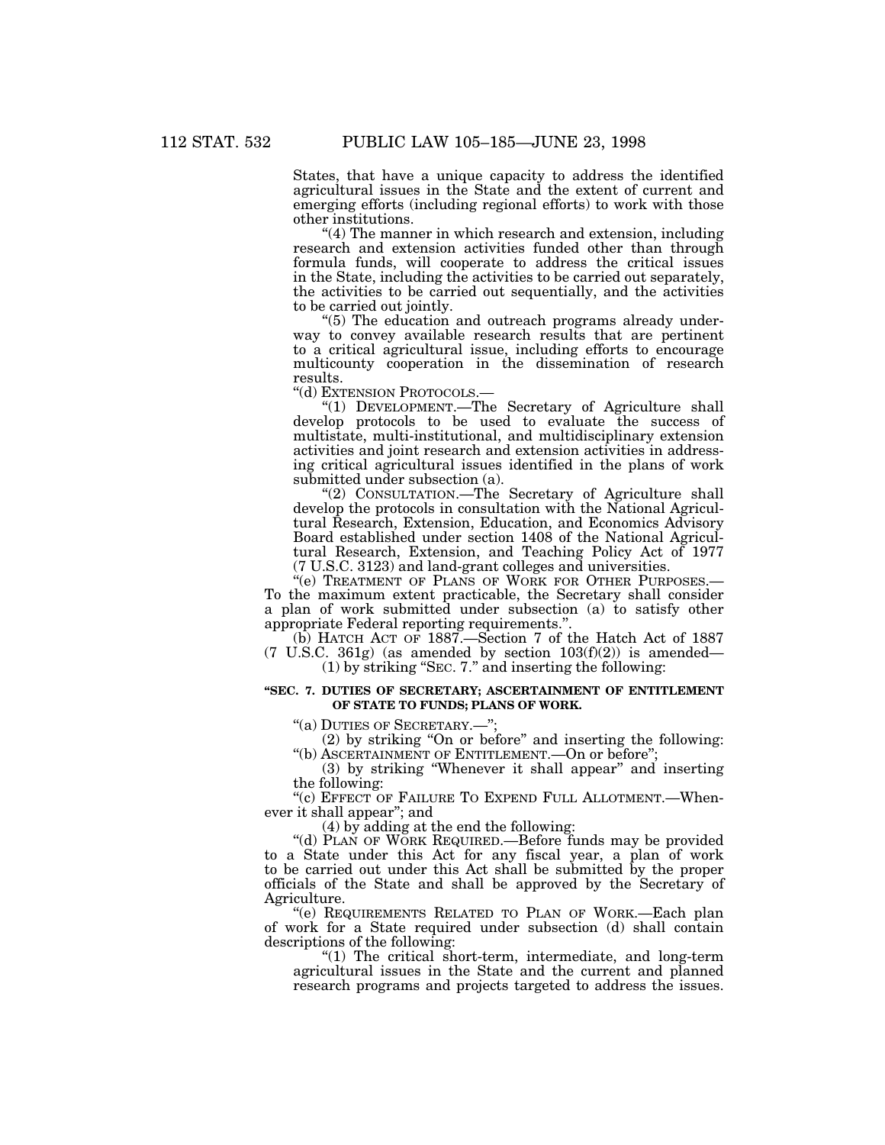States, that have a unique capacity to address the identified agricultural issues in the State and the extent of current and emerging efforts (including regional efforts) to work with those other institutions.

''(4) The manner in which research and extension, including research and extension activities funded other than through formula funds, will cooperate to address the critical issues in the State, including the activities to be carried out separately, the activities to be carried out sequentially, and the activities to be carried out jointly.

''(5) The education and outreach programs already underway to convey available research results that are pertinent to a critical agricultural issue, including efforts to encourage multicounty cooperation in the dissemination of research results.

''(d) EXTENSION PROTOCOLS.—

''(1) DEVELOPMENT.—The Secretary of Agriculture shall develop protocols to be used to evaluate the success of multistate, multi-institutional, and multidisciplinary extension activities and joint research and extension activities in addressing critical agricultural issues identified in the plans of work submitted under subsection (a).

"(2) CONSULTATION.—The Secretary of Agriculture shall develop the protocols in consultation with the National Agricultural Research, Extension, Education, and Economics Advisory Board established under section 1408 of the National Agricultural Research, Extension, and Teaching Policy Act of 1977 (7 U.S.C. 3123) and land-grant colleges and universities.

''(e) TREATMENT OF PLANS OF WORK FOR OTHER PURPOSES.— To the maximum extent practicable, the Secretary shall consider a plan of work submitted under subsection (a) to satisfy other appropriate Federal reporting requirements.''.

(b) HATCH ACT OF 1887.—Section 7 of the Hatch Act of 1887  $(7 \text{ U.S.C. } 361 \text{g})$  (as amended by section  $103 \text{ (f)}(2)$ ) is amended—

(1) by striking ''SEC. 7.'' and inserting the following:

# **''SEC. 7. DUTIES OF SECRETARY; ASCERTAINMENT OF ENTITLEMENT OF STATE TO FUNDS; PLANS OF WORK.**

''(a) DUTIES OF SECRETARY.—'';

(2) by striking ''On or before'' and inserting the following: ''(b) ASCERTAINMENT OF ENTITLEMENT.—On or before'';

(3) by striking ''Whenever it shall appear'' and inserting the following:

''(c) EFFECT OF FAILURE TO EXPEND FULL ALLOTMENT.—Whenever it shall appear''; and

(4) by adding at the end the following:

''(d) PLAN OF WORK REQUIRED.—Before funds may be provided to a State under this Act for any fiscal year, a plan of work to be carried out under this Act shall be submitted by the proper officials of the State and shall be approved by the Secretary of Agriculture.

''(e) REQUIREMENTS RELATED TO PLAN OF WORK.—Each plan of work for a State required under subsection (d) shall contain descriptions of the following:

 $(1)$  The critical short-term, intermediate, and long-term agricultural issues in the State and the current and planned research programs and projects targeted to address the issues.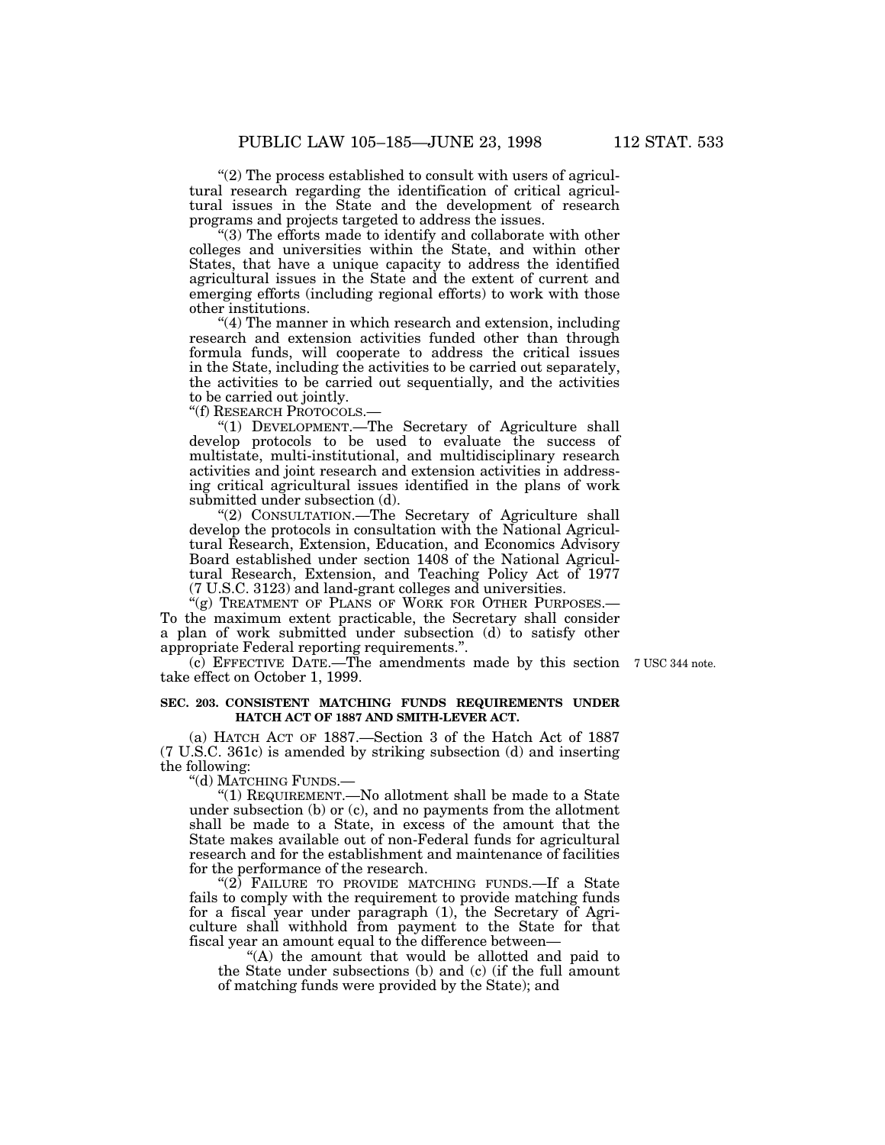"(2) The process established to consult with users of agricultural research regarding the identification of critical agricultural issues in the State and the development of research programs and projects targeted to address the issues.

''(3) The efforts made to identify and collaborate with other colleges and universities within the State, and within other States, that have a unique capacity to address the identified agricultural issues in the State and the extent of current and emerging efforts (including regional efforts) to work with those other institutions.

''(4) The manner in which research and extension, including research and extension activities funded other than through formula funds, will cooperate to address the critical issues in the State, including the activities to be carried out separately, the activities to be carried out sequentially, and the activities to be carried out jointly.

''(f) RESEARCH PROTOCOLS.—

"(1) DEVELOPMENT.—The Secretary of Agriculture shall develop protocols to be used to evaluate the success of multistate, multi-institutional, and multidisciplinary research activities and joint research and extension activities in addressing critical agricultural issues identified in the plans of work submitted under subsection (d).

"(2) CONSULTATION.-The Secretary of Agriculture shall develop the protocols in consultation with the National Agricultural Research, Extension, Education, and Economics Advisory Board established under section 1408 of the National Agricultural Research, Extension, and Teaching Policy Act of 1977 (7 U.S.C. 3123) and land-grant colleges and universities.

"(g) TREATMENT OF PLANS OF WORK FOR OTHER PURPOSES.-To the maximum extent practicable, the Secretary shall consider a plan of work submitted under subsection (d) to satisfy other appropriate Federal reporting requirements.''.

(c) EFFECTIVE DATE.—The amendments made by this section 7 USC 344 note. take effect on October 1, 1999.

# **SEC. 203. CONSISTENT MATCHING FUNDS REQUIREMENTS UNDER HATCH ACT OF 1887 AND SMITH-LEVER ACT.**

(a) HATCH ACT OF 1887.—Section 3 of the Hatch Act of 1887 (7 U.S.C. 361c) is amended by striking subsection (d) and inserting the following:

''(d) MATCHING FUNDS.—

''(1) REQUIREMENT.—No allotment shall be made to a State under subsection (b) or (c), and no payments from the allotment shall be made to a State, in excess of the amount that the State makes available out of non-Federal funds for agricultural research and for the establishment and maintenance of facilities for the performance of the research.

" $(2)$  FAILURE TO PROVIDE MATCHING FUNDS.—If a State fails to comply with the requirement to provide matching funds for a fiscal year under paragraph (1), the Secretary of Agriculture shall withhold from payment to the State for that fiscal year an amount equal to the difference between—

"(A) the amount that would be allotted and paid to the State under subsections (b) and (c) (if the full amount of matching funds were provided by the State); and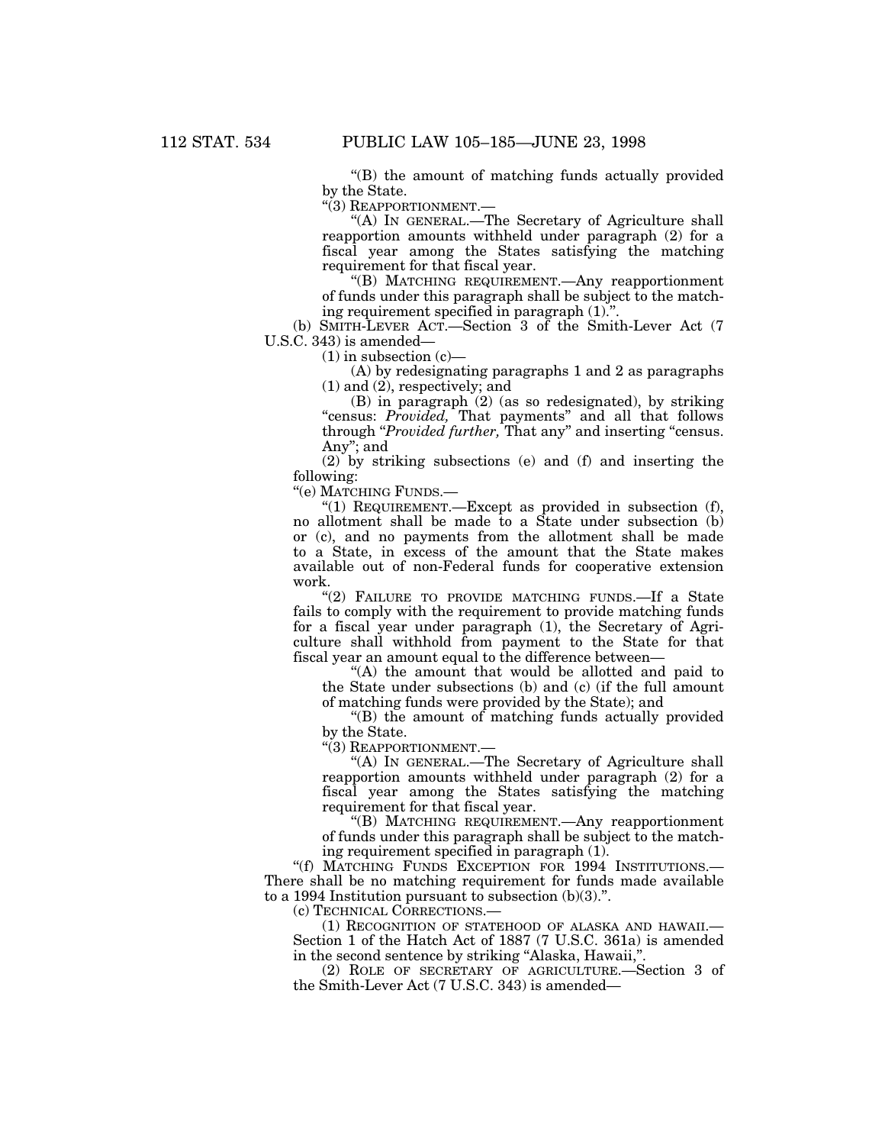''(B) the amount of matching funds actually provided by the State.

"(3) REAPPORTIONMENT.—

''(A) IN GENERAL.—The Secretary of Agriculture shall reapportion amounts withheld under paragraph (2) for a fiscal year among the States satisfying the matching requirement for that fiscal year.

''(B) MATCHING REQUIREMENT.—Any reapportionment of funds under this paragraph shall be subject to the matching requirement specified in paragraph (1).''.

(b) SMITH-LEVER ACT.—Section 3 of the Smith-Lever Act (7 U.S.C. 343) is amended—

 $(1)$  in subsection  $(c)$ —

(A) by redesignating paragraphs 1 and 2 as paragraphs (1) and (2), respectively; and

(B) in paragraph (2) (as so redesignated), by striking ''census: *Provided,* That payments'' and all that follows through "*Provided further*, That any" and inserting "census. Any''; and

(2) by striking subsections (e) and (f) and inserting the following:

''(e) MATCHING FUNDS.—

"(1) REQUIREMENT.—Except as provided in subsection  $(f)$ , no allotment shall be made to a State under subsection (b) or (c), and no payments from the allotment shall be made to a State, in excess of the amount that the State makes available out of non-Federal funds for cooperative extension work.

"(2) FAILURE TO PROVIDE MATCHING FUNDS.—If a State fails to comply with the requirement to provide matching funds for a fiscal year under paragraph (1), the Secretary of Agriculture shall withhold from payment to the State for that fiscal year an amount equal to the difference between—

"(A) the amount that would be allotted and paid to the State under subsections (b) and (c) (if the full amount of matching funds were provided by the State); and

''(B) the amount of matching funds actually provided by the State.

"(3) REAPPORTIONMENT.-

''(A) IN GENERAL.—The Secretary of Agriculture shall reapportion amounts withheld under paragraph (2) for a fiscal year among the States satisfying the matching requirement for that fiscal year.

''(B) MATCHING REQUIREMENT.—Any reapportionment of funds under this paragraph shall be subject to the matching requirement specified in paragraph (1).

''(f) MATCHING FUNDS EXCEPTION FOR 1994 INSTITUTIONS.— There shall be no matching requirement for funds made available to a 1994 Institution pursuant to subsection  $(b)(3)$ .".

(c) TECHNICAL CORRECTIONS.—

(1) RECOGNITION OF STATEHOOD OF ALASKA AND HAWAII.— Section 1 of the Hatch Act of 1887 (7 U.S.C. 361a) is amended in the second sentence by striking "Alaska, Hawaii,".

(2) ROLE OF SECRETARY OF AGRICULTURE.—Section 3 of the Smith-Lever Act (7 U.S.C. 343) is amended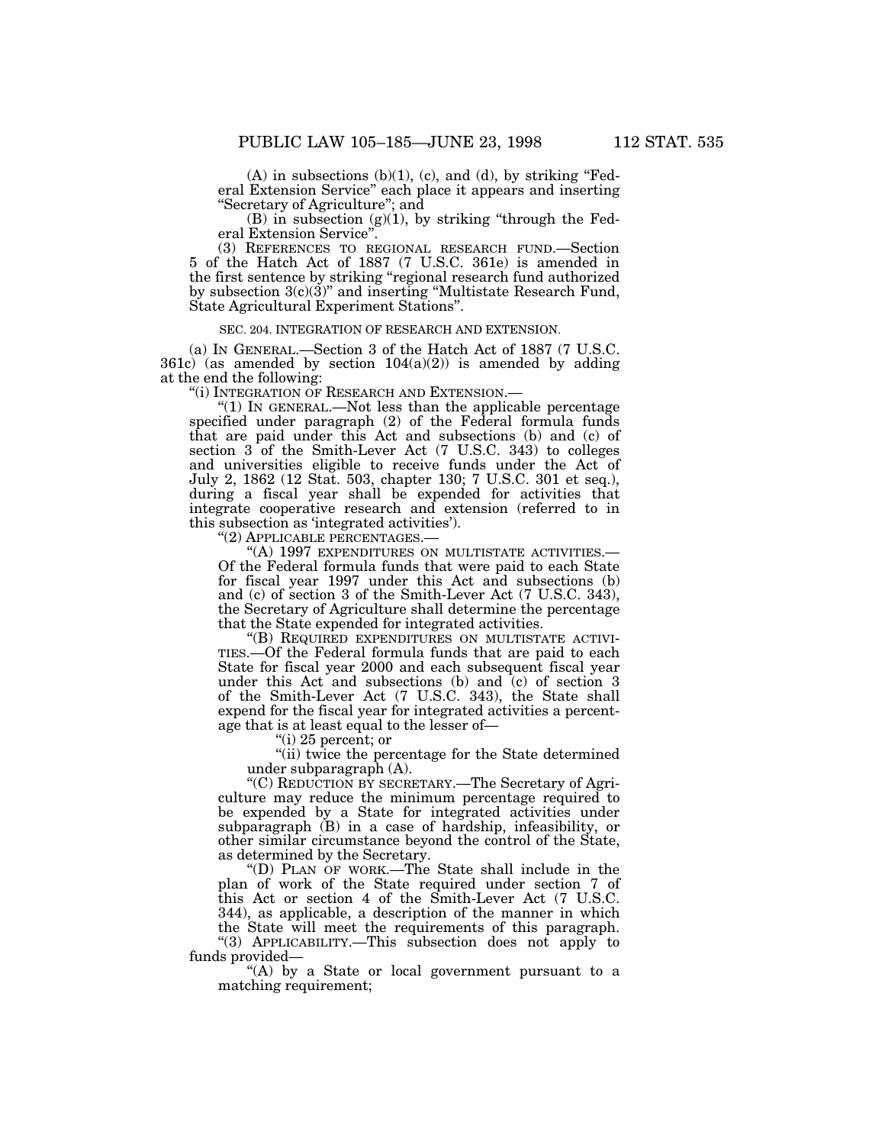$(A)$  in subsections  $(b)(1)$ ,  $(c)$ , and  $(d)$ , by striking "Federal Extension Service" each place it appears and inserting ''Secretary of Agriculture''; and

 $(B)$  in subsection  $(g)(1)$ , by striking "through the Federal Extension Service''.

(3) REFERENCES TO REGIONAL RESEARCH FUND.—Section 5 of the Hatch Act of 1887 (7 U.S.C. 361e) is amended in the first sentence by striking ''regional research fund authorized by subsection  $3(c)(3)$ " and inserting "Multistate Research Fund, State Agricultural Experiment Stations''.

### SEC. 204. INTEGRATION OF RESEARCH AND EXTENSION.

(a) IN GENERAL.—Section 3 of the Hatch Act of 1887 (7 U.S.C. 361c) (as amended by section  $104(a)(2)$ ) is amended by adding at the end the following:

''(i) INTEGRATION OF RESEARCH AND EXTENSION.—

" $(1)$  In GENERAL.—Not less than the applicable percentage specified under paragraph (2) of the Federal formula funds that are paid under this Act and subsections (b) and (c) of section 3 of the Smith-Lever Act (7 U.S.C. 343) to colleges and universities eligible to receive funds under the Act of July 2, 1862 (12 Stat. 503, chapter 130; 7 U.S.C. 301 et seq.), during a fiscal year shall be expended for activities that integrate cooperative research and extension (referred to in this subsection as 'integrated activities').

''(2) APPLICABLE PERCENTAGES.—

''(A) 1997 EXPENDITURES ON MULTISTATE ACTIVITIES.— Of the Federal formula funds that were paid to each State for fiscal year 1997 under this Act and subsections (b) and (c) of section 3 of the Smith-Lever Act (7 U.S.C. 343), the Secretary of Agriculture shall determine the percentage that the State expended for integrated activities.

''(B) REQUIRED EXPENDITURES ON MULTISTATE ACTIVI-TIES.—Of the Federal formula funds that are paid to each State for fiscal year 2000 and each subsequent fiscal year under this Act and subsections (b) and  $(c)$  of section 3 of the Smith-Lever Act (7 U.S.C. 343), the State shall expend for the fiscal year for integrated activities a percentage that is at least equal to the lesser of—

''(i) 25 percent; or

''(ii) twice the percentage for the State determined under subparagraph (A).

''(C) REDUCTION BY SECRETARY.—The Secretary of Agriculture may reduce the minimum percentage required to be expended by a State for integrated activities under subparagraph (B) in a case of hardship, infeasibility, or other similar circumstance beyond the control of the State, as determined by the Secretary.

''(D) PLAN OF WORK.—The State shall include in the plan of work of the State required under section 7 of this Act or section 4 of the Smith-Lever Act (7 U.S.C. 344), as applicable, a description of the manner in which the State will meet the requirements of this paragraph. ''(3) APPLICABILITY.—This subsection does not apply to

funds provided—

''(A) by a State or local government pursuant to a matching requirement;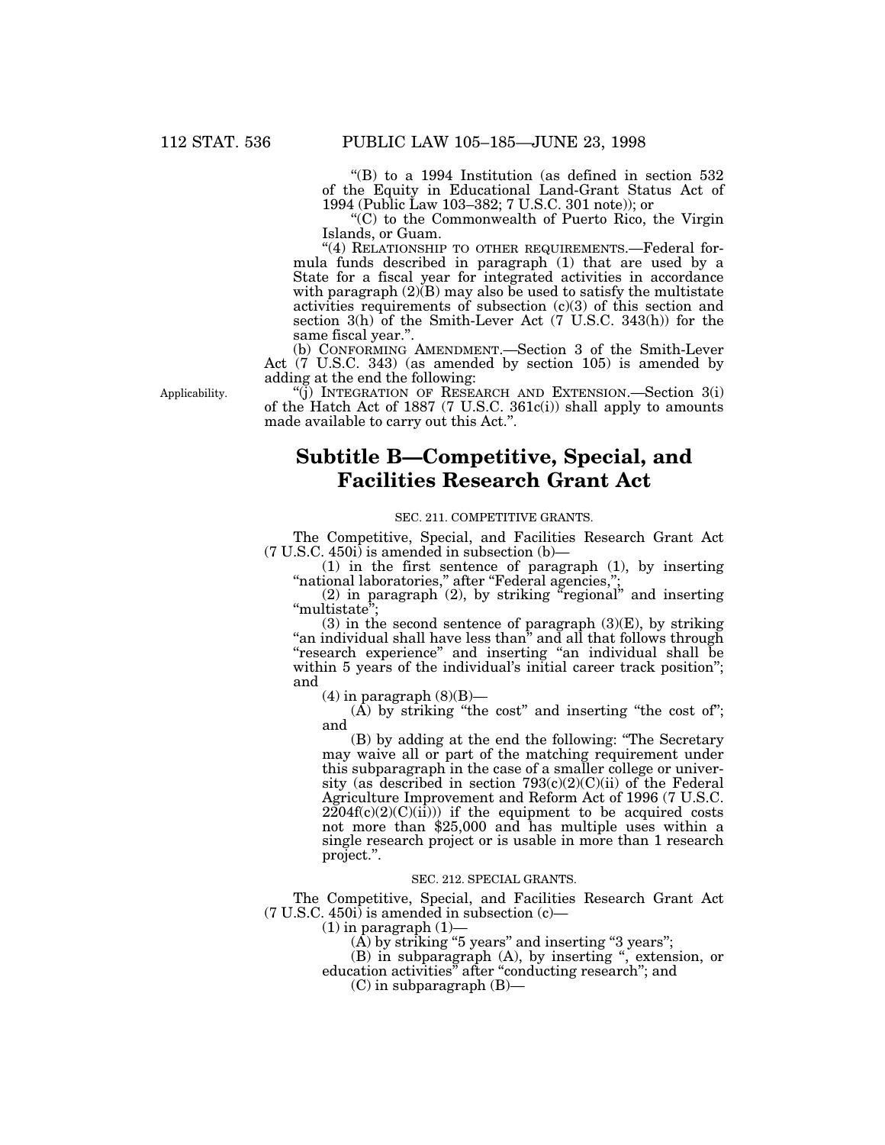''(B) to a 1994 Institution (as defined in section 532 of the Equity in Educational Land-Grant Status Act of 1994 (Public Law 103–382; 7 U.S.C. 301 note)); or

''(C) to the Commonwealth of Puerto Rico, the Virgin Islands, or Guam.

"(4) RELATIONSHIP TO OTHER REQUIREMENTS.—Federal formula funds described in paragraph (1) that are used by a State for a fiscal year for integrated activities in accordance with paragraph  $(2)(B)$  may also be used to satisfy the multistate activities requirements of subsection (c)(3) of this section and section 3(h) of the Smith-Lever Act (7 U.S.C. 343(h)) for the same fiscal year.''.

(b) CONFORMING AMENDMENT.—Section 3 of the Smith-Lever Act (7 U.S.C. 343) (as amended by section 105) is amended by adding at the end the following:

''(j) INTEGRATION OF RESEARCH AND EXTENSION.—Section 3(i) of the Hatch Act of 1887 (7 U.S.C. 361c(i)) shall apply to amounts made available to carry out this Act.''.

# **Subtitle B—Competitive, Special, and Facilities Research Grant Act**

# SEC. 211. COMPETITIVE GRANTS.

The Competitive, Special, and Facilities Research Grant Act  $(7 \text{ U.S.C. } 450i)$  is amended in subsection  $(b)$ —

(1) in the first sentence of paragraph (1), by inserting ''national laboratories,'' after ''Federal agencies,'';

(2) in paragraph (2), by striking ''regional'' and inserting "multistate";

(3) in the second sentence of paragraph  $(3)(E)$ , by striking "an individual shall have less than" and all that follows through ''research experience'' and inserting ''an individual shall be within 5 years of the individual's initial career track position''; and

 $(4)$  in paragraph  $(8)(B)$ —

 $(A)$  by striking "the cost" and inserting "the cost of"; and

(B) by adding at the end the following: ''The Secretary may waive all or part of the matching requirement under this subparagraph in the case of a smaller college or university (as described in section 793(c)(2)(C)(ii) of the Federal Agriculture Improvement and Reform Act of 1996 (7 U.S.C.  $2204f(c)(2)(C)(ii))$  if the equipment to be acquired costs not more than \$25,000 and has multiple uses within a single research project or is usable in more than 1 research project.''.

#### SEC. 212. SPECIAL GRANTS.

The Competitive, Special, and Facilities Research Grant Act (7 U.S.C. 450i) is amended in subsection (c)—

 $(1)$  in paragraph  $(1)$ –

 $(A)$  by striking "5 years" and inserting "3 years";

(B) in subparagraph (A), by inserting '', extension, or education activities'' after ''conducting research''; and

(C) in subparagraph (B)—

Applicability.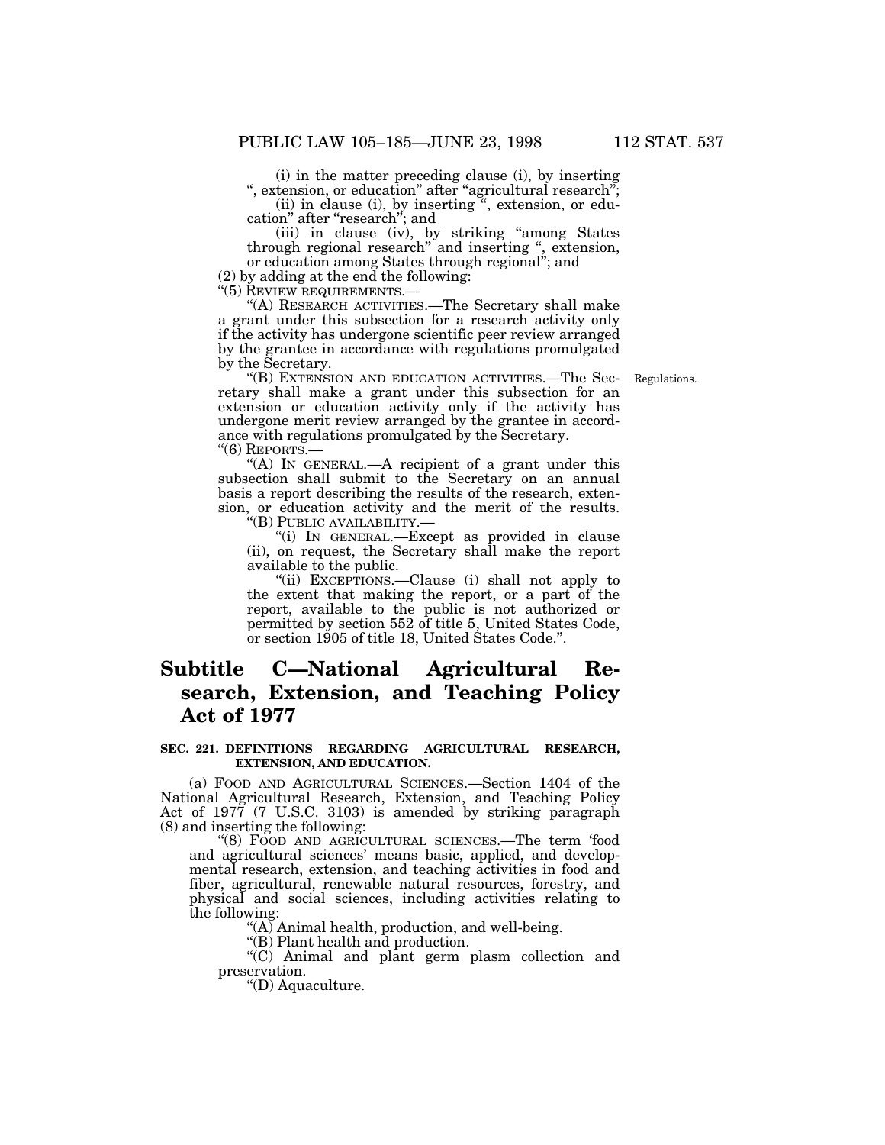(i) in the matter preceding clause (i), by inserting ", extension, or education" after "agricultural research";

(ii) in clause (i), by inserting '', extension, or edu- cation'' after ''research''; and

(iii) in clause (iv), by striking ''among States through regional research'' and inserting '', extension, or education among States through regional''; and

 $(2)$  by adding at the end the following:

"(5) REVIEW REQUIREMENTS.—

''(A) RESEARCH ACTIVITIES.—The Secretary shall make a grant under this subsection for a research activity only if the activity has undergone scientific peer review arranged by the grantee in accordance with regulations promulgated by the Secretary.

Regulations.

''(B) EXTENSION AND EDUCATION ACTIVITIES.—The Secretary shall make a grant under this subsection for an extension or education activity only if the activity has undergone merit review arranged by the grantee in accordance with regulations promulgated by the Secretary. ''(6) REPORTS.—

"(A) In GENERAL.—A recipient of a grant under this subsection shall submit to the Secretary on an annual basis a report describing the results of the research, extension, or education activity and the merit of the results.

''(B) PUBLIC AVAILABILITY.—

''(i) IN GENERAL.—Except as provided in clause (ii), on request, the Secretary shall make the report available to the public.

''(ii) EXCEPTIONS.—Clause (i) shall not apply to the extent that making the report, or a part of the report, available to the public is not authorized or permitted by section 552 of title 5, United States Code, or section 1905 of title 18, United States Code.''.

# **Subtitle C—National Agricultural Research, Extension, and Teaching Policy Act of 1977**

## **SEC. 221. DEFINITIONS REGARDING AGRICULTURAL RESEARCH, EXTENSION, AND EDUCATION.**

(a) FOOD AND AGRICULTURAL SCIENCES.—Section 1404 of the National Agricultural Research, Extension, and Teaching Policy Act of 1977 (7 U.S.C. 3103) is amended by striking paragraph (8) and inserting the following:

''(8) FOOD AND AGRICULTURAL SCIENCES.—The term 'food and agricultural sciences' means basic, applied, and developmental research, extension, and teaching activities in food and fiber, agricultural, renewable natural resources, forestry, and physical and social sciences, including activities relating to the following:

 $(A)$  Animal health, production, and well-being.

''(B) Plant health and production.

''(C) Animal and plant germ plasm collection and preservation.

''(D) Aquaculture.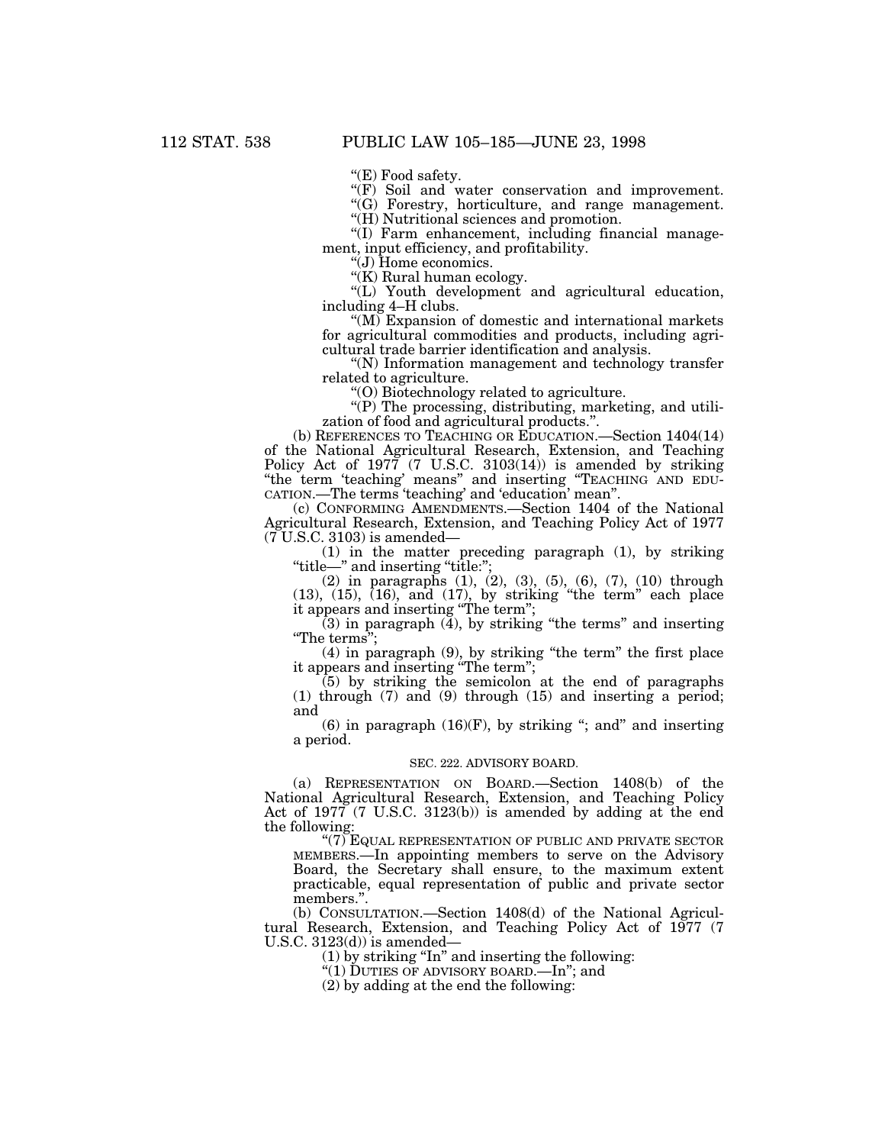"(E) Food safety.

"(F) Soil and water conservation and improvement.

''(G) Forestry, horticulture, and range management.

''(H) Nutritional sciences and promotion.

''(I) Farm enhancement, including financial management, input efficiency, and profitability.

''(J) Home economics.

"(K) Rural human ecology.

''(L) Youth development and agricultural education, including 4–H clubs.

"(M) Expansion of domestic and international markets for agricultural commodities and products, including agricultural trade barrier identification and analysis.

''(N) Information management and technology transfer related to agriculture.

''(O) Biotechnology related to agriculture.

"(P) The processing, distributing, marketing, and utilization of food and agricultural products.''.

(b) REFERENCES TO TEACHING OR EDUCATION.—Section 1404(14) of the National Agricultural Research, Extension, and Teaching Policy Act of 1977 (7 U.S.C. 3103(14)) is amended by striking ''the term 'teaching' means'' and inserting ''TEACHING AND EDU-CATION.—The terms 'teaching' and 'education' mean''.

(c) CONFORMING AMENDMENTS.—Section 1404 of the National Agricultural Research, Extension, and Teaching Policy Act of 1977 (7 U.S.C. 3103) is amended—

(1) in the matter preceding paragraph (1), by striking "title—" and inserting "title:";

(2) in paragraphs (1), (2), (3), (5), (6), (7), (10) through  $(13)$ ,  $(15)$ ,  $(16)$ , and  $(17)$ , by striking "the term" each place it appears and inserting ''The term'';

(3) in paragraph (4), by striking ''the terms'' and inserting ''The terms'';

(4) in paragraph (9), by striking ''the term'' the first place it appears and inserting ''The term'';

 $(5)$  by striking the semicolon at the end of paragraphs (1) through (7) and (9) through (15) and inserting a period; and

 $(6)$  in paragraph  $(16)(F)$ , by striking "; and" and inserting a period.

#### SEC. 222. ADVISORY BOARD.

(a) REPRESENTATION ON BOARD.—Section 1408(b) of the National Agricultural Research, Extension, and Teaching Policy Act of 1977 (7 U.S.C. 3123(b)) is amended by adding at the end the following:

"(7) EQUAL REPRESENTATION OF PUBLIC AND PRIVATE SECTOR MEMBERS.—In appointing members to serve on the Advisory Board, the Secretary shall ensure, to the maximum extent practicable, equal representation of public and private sector members.''.

(b) CONSULTATION.—Section 1408(d) of the National Agricultural Research, Extension, and Teaching Policy Act of 1977 (7 U.S.C.  $3123(d)$  is amended–

(1) by striking ''In'' and inserting the following:

''(1) DUTIES OF ADVISORY BOARD.—In''; and

(2) by adding at the end the following: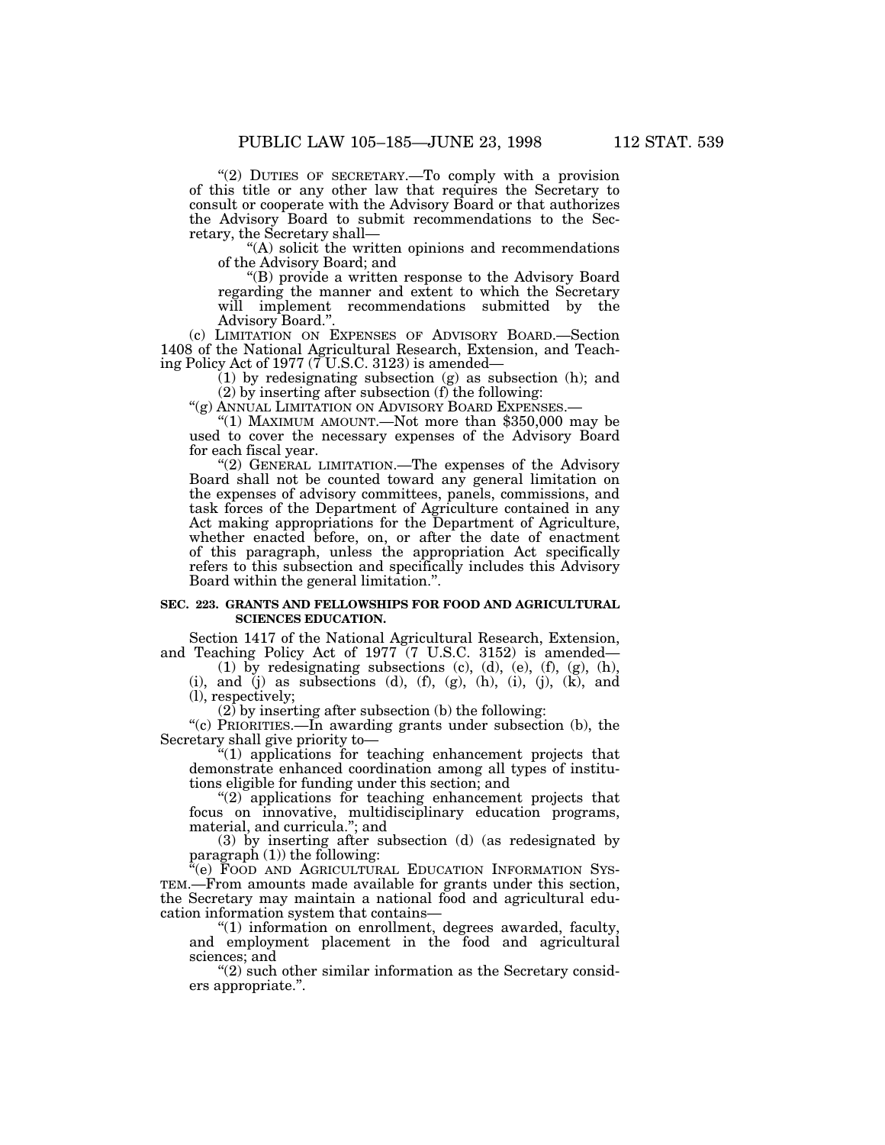"(2) DUTIES OF SECRETARY.—To comply with a provision of this title or any other law that requires the Secretary to consult or cooperate with the Advisory Board or that authorizes the Advisory Board to submit recommendations to the Secretary, the Secretary shall—

''(A) solicit the written opinions and recommendations of the Advisory Board; and

''(B) provide a written response to the Advisory Board regarding the manner and extent to which the Secretary will implement recommendations submitted by the Advisory Board.''.

(c) LIMITATION ON EXPENSES OF ADVISORY BOARD.—Section 1408 of the National Agricultural Research, Extension, and Teaching Policy Act of 1977 (7 U.S.C. 3123) is amended—

 $(1)$  by redesignating subsection  $(g)$  as subsection  $(h)$ ; and

(2) by inserting after subsection (f) the following:

''(g) ANNUAL LIMITATION ON ADVISORY BOARD EXPENSES.—

"(1) MAXIMUM AMOUNT.—Not more than  $$350,000$  may be used to cover the necessary expenses of the Advisory Board for each fiscal year.

"(2) GENERAL LIMITATION.—The expenses of the Advisory Board shall not be counted toward any general limitation on the expenses of advisory committees, panels, commissions, and task forces of the Department of Agriculture contained in any Act making appropriations for the Department of Agriculture, whether enacted before, on, or after the date of enactment of this paragraph, unless the appropriation Act specifically refers to this subsection and specifically includes this Advisory Board within the general limitation.''.

# **SEC. 223. GRANTS AND FELLOWSHIPS FOR FOOD AND AGRICULTURAL SCIENCES EDUCATION.**

Section 1417 of the National Agricultural Research, Extension, and Teaching Policy Act of 1977 (7 U.S.C. 3152) is amended—

(1) by redesignating subsections  $(c)$ ,  $(d)$ ,  $(e)$ ,  $(f)$ ,  $(g)$ ,  $(h)$ , (i), and (j) as subsections (d),  $(f)$ ,  $(g)$ ,  $(h)$ ,  $(i)$ ,  $(j)$ ,  $(k)$ , and (l), respectively;

 $(2)$  by inserting after subsection (b) the following:

"(c) PRIORITIES.—In awarding grants under subsection (b), the Secretary shall give priority to—

''(1) applications for teaching enhancement projects that demonstrate enhanced coordination among all types of institutions eligible for funding under this section; and

 $(2)$  applications for teaching enhancement projects that focus on innovative, multidisciplinary education programs, material, and curricula.''; and

(3) by inserting after subsection (d) (as redesignated by paragraph (1)) the following:

'(e) FOOD AND AGRICULTURAL EDUCATION INFORMATION SYS-TEM.—From amounts made available for grants under this section, the Secretary may maintain a national food and agricultural education information system that contains—

''(1) information on enrollment, degrees awarded, faculty, and employment placement in the food and agricultural sciences; and

" $(2)$  such other similar information as the Secretary considers appropriate.''.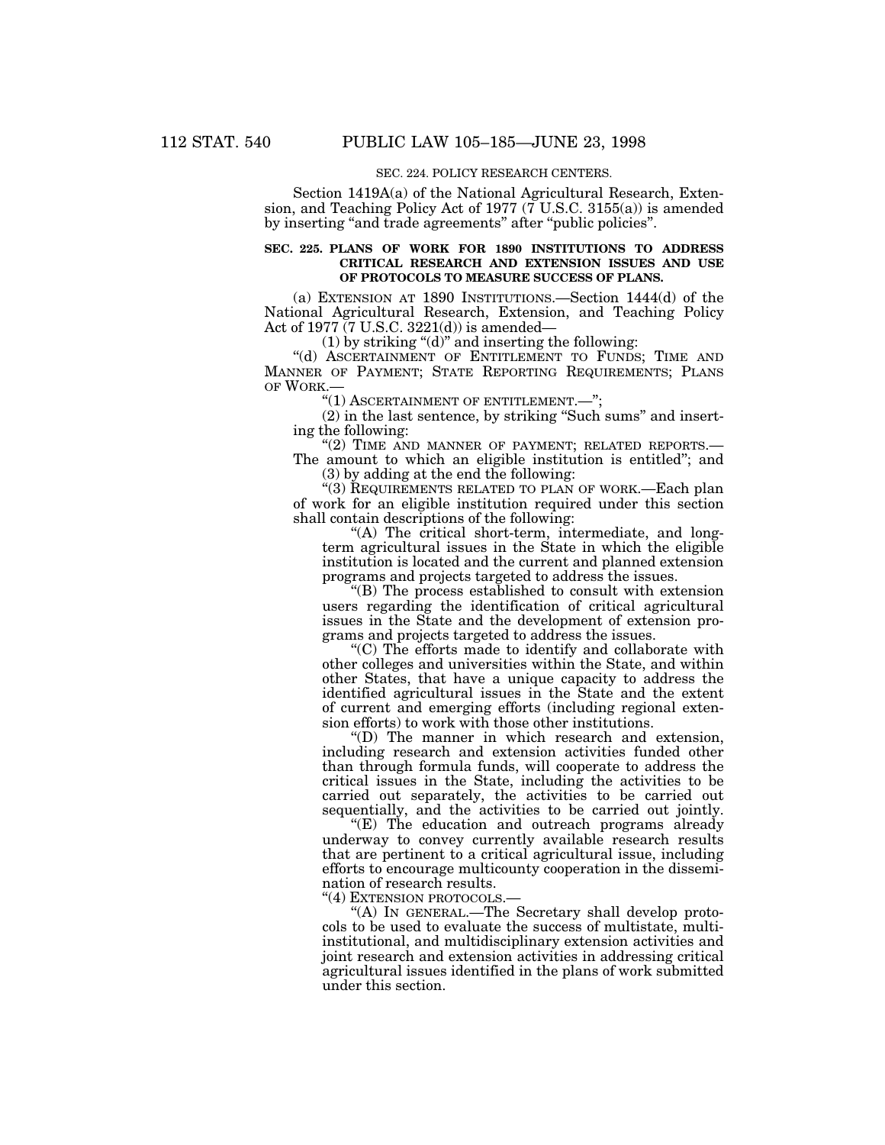# SEC. 224. POLICY RESEARCH CENTERS.

Section 1419A(a) of the National Agricultural Research, Extension, and Teaching Policy Act of 1977 ( $\overline{7}$  U.S.C. 3155(a)) is amended by inserting "and trade agreements" after "public policies".

# **SEC. 225. PLANS OF WORK FOR 1890 INSTITUTIONS TO ADDRESS CRITICAL RESEARCH AND EXTENSION ISSUES AND USE OF PROTOCOLS TO MEASURE SUCCESS OF PLANS.**

(a) EXTENSION AT 1890 INSTITUTIONS.—Section 1444(d) of the National Agricultural Research, Extension, and Teaching Policy Act of 1977 (7 U.S.C. 3221(d)) is amended—

(1) by striking " $(d)$ " and inserting the following:

"(d) ASCERTAINMENT OF ENTITLEMENT TO FUNDS; TIME AND MANNER OF PAYMENT; STATE REPORTING REQUIREMENTS; PLANS OF WORK.—

''(1) ASCERTAINMENT OF ENTITLEMENT.—'';

(2) in the last sentence, by striking ''Such sums'' and inserting the following:

"(2) TIME AND MANNER OF PAYMENT; RELATED REPORTS.-

The amount to which an eligible institution is entitled''; and (3) by adding at the end the following:

''(3) REQUIREMENTS RELATED TO PLAN OF WORK.—Each plan of work for an eligible institution required under this section shall contain descriptions of the following:

"(A) The critical short-term, intermediate, and longterm agricultural issues in the State in which the eligible institution is located and the current and planned extension programs and projects targeted to address the issues.

''(B) The process established to consult with extension users regarding the identification of critical agricultural issues in the State and the development of extension programs and projects targeted to address the issues.

''(C) The efforts made to identify and collaborate with other colleges and universities within the State, and within other States, that have a unique capacity to address the identified agricultural issues in the State and the extent of current and emerging efforts (including regional extension efforts) to work with those other institutions.

''(D) The manner in which research and extension, including research and extension activities funded other than through formula funds, will cooperate to address the critical issues in the State, including the activities to be carried out separately, the activities to be carried out sequentially, and the activities to be carried out jointly.

''(E) The education and outreach programs already underway to convey currently available research results that are pertinent to a critical agricultural issue, including efforts to encourage multicounty cooperation in the dissemination of research results.

"(4) EXTENSION PROTOCOLS.-

''(A) IN GENERAL.—The Secretary shall develop protocols to be used to evaluate the success of multistate, multiinstitutional, and multidisciplinary extension activities and joint research and extension activities in addressing critical agricultural issues identified in the plans of work submitted under this section.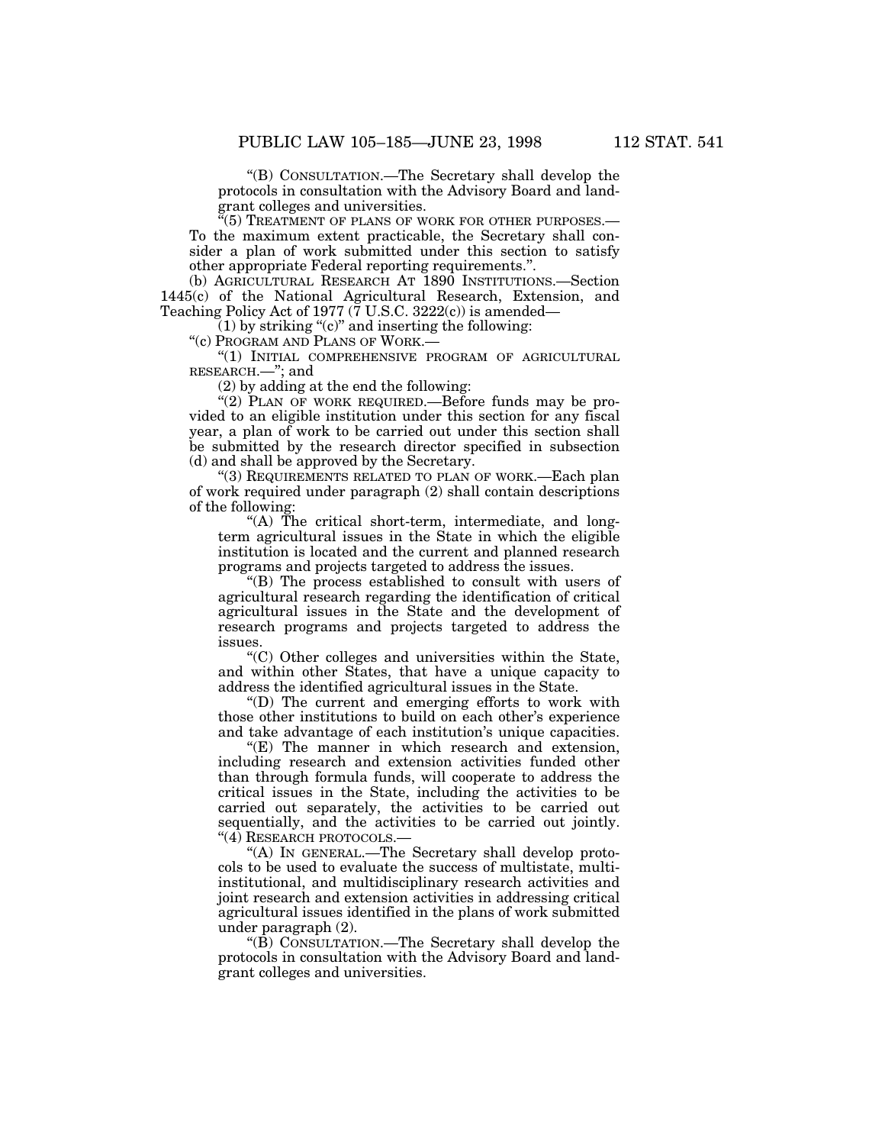''(B) CONSULTATION.—The Secretary shall develop the protocols in consultation with the Advisory Board and landgrant colleges and universities.

''(5) TREATMENT OF PLANS OF WORK FOR OTHER PURPOSES.— To the maximum extent practicable, the Secretary shall consider a plan of work submitted under this section to satisfy other appropriate Federal reporting requirements.''.

(b) AGRICULTURAL RESEARCH AT 1890 INSTITUTIONS.—Section 1445(c) of the National Agricultural Research, Extension, and Teaching Policy Act of 1977 ( $\tilde{7}$  U.S.C. 3222(c)) is amended—

 $(1)$  by striking "(c)" and inserting the following:

''(c) PROGRAM AND PLANS OF WORK.—

''(1) INITIAL COMPREHENSIVE PROGRAM OF AGRICULTURAL RESEARCH.—''; and

(2) by adding at the end the following:

"(2) PLAN OF WORK REQUIRED.—Before funds may be provided to an eligible institution under this section for any fiscal year, a plan of work to be carried out under this section shall be submitted by the research director specified in subsection (d) and shall be approved by the Secretary.

''(3) REQUIREMENTS RELATED TO PLAN OF WORK.—Each plan of work required under paragraph (2) shall contain descriptions of the following:

"(A) The critical short-term, intermediate, and longterm agricultural issues in the State in which the eligible institution is located and the current and planned research programs and projects targeted to address the issues.

''(B) The process established to consult with users of agricultural research regarding the identification of critical agricultural issues in the State and the development of research programs and projects targeted to address the issues.

''(C) Other colleges and universities within the State, and within other States, that have a unique capacity to address the identified agricultural issues in the State.

''(D) The current and emerging efforts to work with those other institutions to build on each other's experience and take advantage of each institution's unique capacities.

 $E(E)$  The manner in which research and extension, including research and extension activities funded other than through formula funds, will cooperate to address the critical issues in the State, including the activities to be carried out separately, the activities to be carried out sequentially, and the activities to be carried out jointly. "(4) RESEARCH PROTOCOLS.-

''(A) IN GENERAL.—The Secretary shall develop protocols to be used to evaluate the success of multistate, multiinstitutional, and multidisciplinary research activities and joint research and extension activities in addressing critical agricultural issues identified in the plans of work submitted under paragraph (2).

''(B) CONSULTATION.—The Secretary shall develop the protocols in consultation with the Advisory Board and landgrant colleges and universities.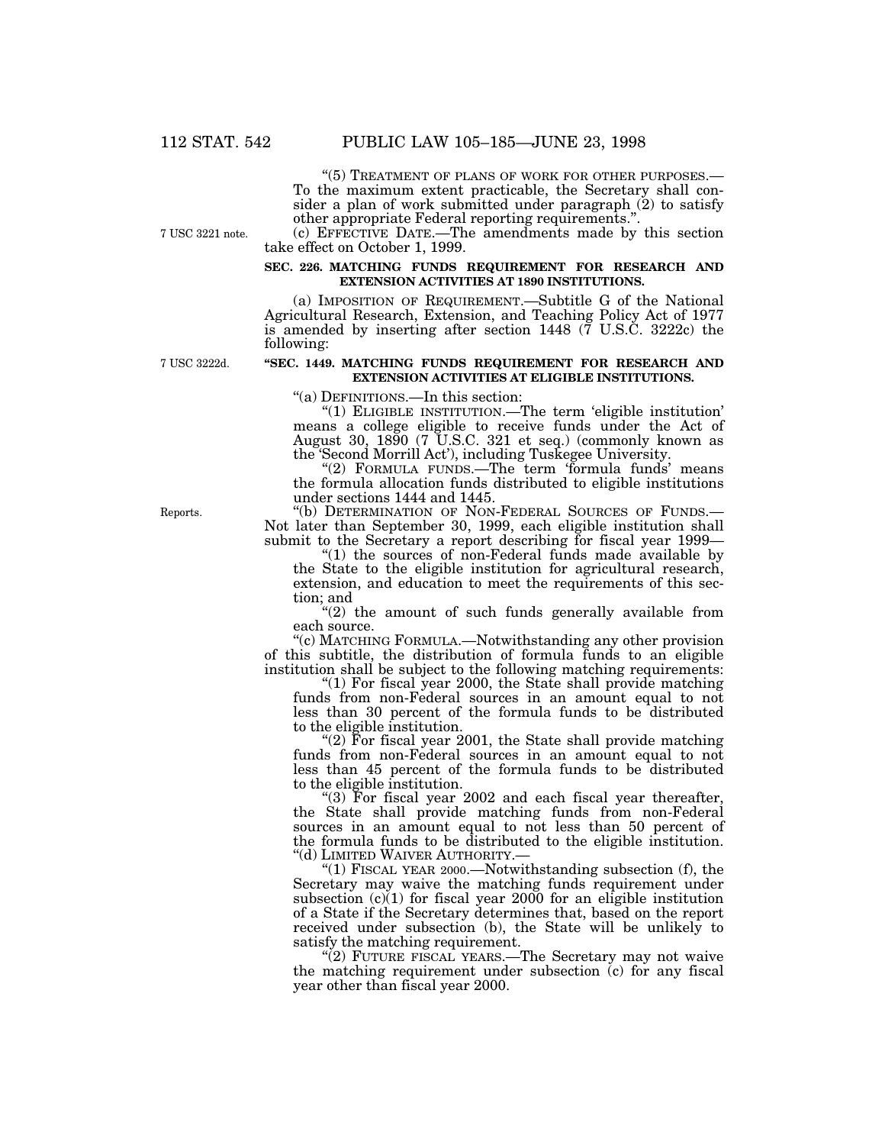''(5) TREATMENT OF PLANS OF WORK FOR OTHER PURPOSES.— To the maximum extent practicable, the Secretary shall con- sider a plan of work submitted under paragraph (2) to satisfy other appropriate Federal reporting requirements.''.

7 USC 3221 note.

(c) EFFECTIVE DATE.—The amendments made by this section take effect on October 1, 1999.

#### **SEC. 226. MATCHING FUNDS REQUIREMENT FOR RESEARCH AND EXTENSION ACTIVITIES AT 1890 INSTITUTIONS.**

(a) IMPOSITION OF REQUIREMENT.—Subtitle G of the National Agricultural Research, Extension, and Teaching Policy Act of 1977 is amended by inserting after section 1448 (7 U.S.C. 3222c) the following:

7 USC 3222d.

## **''SEC. 1449. MATCHING FUNDS REQUIREMENT FOR RESEARCH AND EXTENSION ACTIVITIES AT ELIGIBLE INSTITUTIONS.**

''(a) DEFINITIONS.—In this section:

''(1) ELIGIBLE INSTITUTION.—The term 'eligible institution' means a college eligible to receive funds under the Act of August 30, 1890 (7 U.S.C. 321 et seq.) (commonly known as the 'Second Morrill Act'), including Tuskegee University.

"(2) FORMULA FUNDS.—The term 'formula funds' means the formula allocation funds distributed to eligible institutions under sections 1444 and 1445.<br>"(b) DETERMINATION OF NON-FEDERAL SOURCES OF FUNDS.-

Not later than September 30, 1999, each eligible institution shall submit to the Secretary a report describing for fiscal year 1999—

''(1) the sources of non-Federal funds made available by the State to the eligible institution for agricultural research, extension, and education to meet the requirements of this sec- tion; and

"(2) the amount of such funds generally available from each source.

''(c) MATCHING FORMULA.—Notwithstanding any other provision of this subtitle, the distribution of formula funds to an eligible institution shall be subject to the following matching requirements:

"(1) For fiscal year 2000, the State shall provide matching funds from non-Federal sources in an amount equal to not less than 30 percent of the formula funds to be distributed to the eligible institution.

"(2) For fiscal year 2001, the State shall provide matching funds from non-Federal sources in an amount equal to not less than 45 percent of the formula funds to be distributed to the eligible institution.

"(3) For fiscal year 2002 and each fiscal year thereafter, the State shall provide matching funds from non-Federal sources in an amount equal to not less than 50 percent of the formula funds to be distributed to the eligible institution.<br>"(d) LIMITED WAIVER AUTHORITY.—

"(1) FISCAL YEAR 2000.—Notwithstanding subsection (f), the Secretary may waive the matching funds requirement under subsection  $(c)(1)$  for fiscal year 2000 for an eligible institution of a State if the Secretary determines that, based on the report received under subsection (b), the State will be unlikely to satisfy the matching requirement.

"(2) FUTURE FISCAL YEARS.—The Secretary may not waive the matching requirement under subsection (c) for any fiscal year other than fiscal year 2000.

Reports.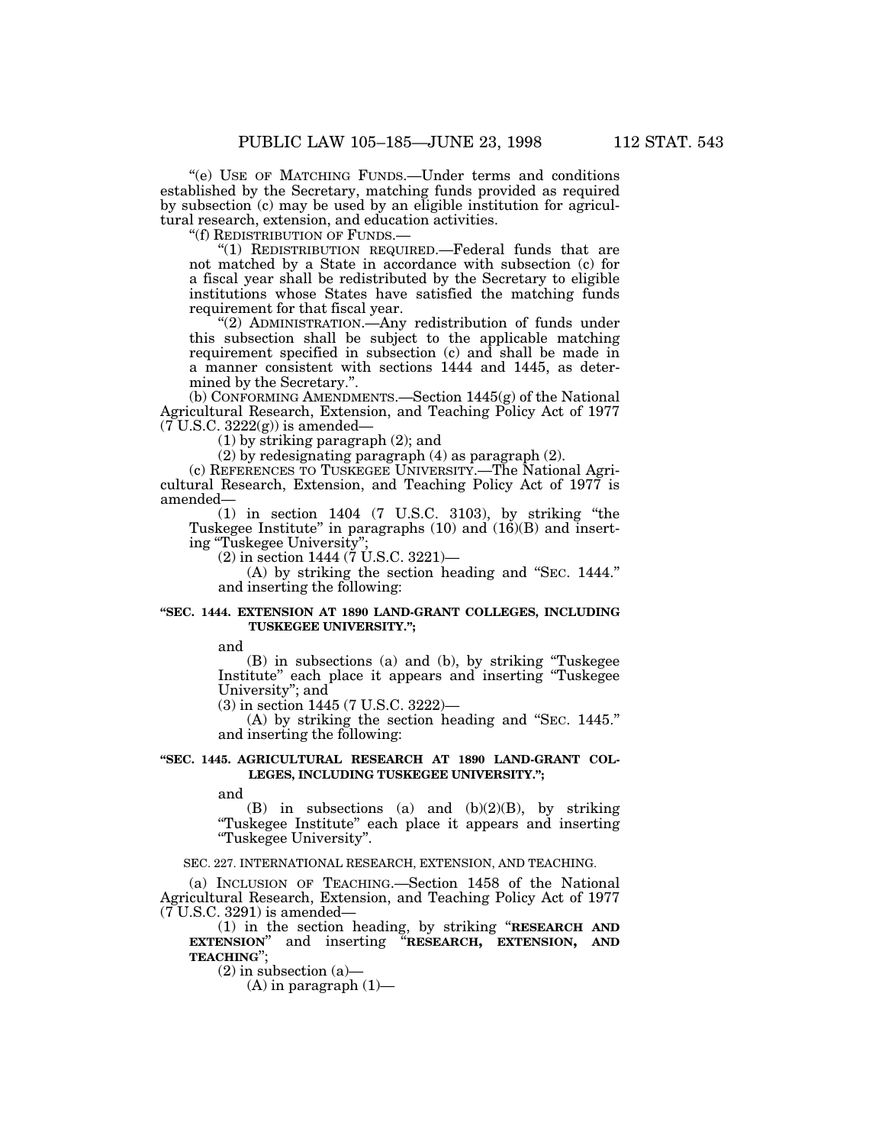''(e) USE OF MATCHING FUNDS.—Under terms and conditions established by the Secretary, matching funds provided as required by subsection (c) may be used by an eligible institution for agricultural research, extension, and education activities.

''(f) REDISTRIBUTION OF FUNDS.—

"(1) REDISTRIBUTION REQUIRED.—Federal funds that are not matched by a State in accordance with subsection (c) for a fiscal year shall be redistributed by the Secretary to eligible institutions whose States have satisfied the matching funds requirement for that fiscal year.

"(2) ADMINISTRATION.—Any redistribution of funds under this subsection shall be subject to the applicable matching requirement specified in subsection (c) and shall be made in a manner consistent with sections 1444 and 1445, as determined by the Secretary.''.

(b) CONFORMING AMENDMENTS.—Section 1445(g) of the National Agricultural Research, Extension, and Teaching Policy Act of 1977  $(7 \text{ U.S.C. } 3222(g))$  is amended—

(1) by striking paragraph (2); and

(2) by redesignating paragraph (4) as paragraph (2).

(c) REFERENCES TO TUSKEGEE UNIVERSITY.—The National Agricultural Research, Extension, and Teaching Policy Act of 1977 is amended—

(1) in section 1404 (7 U.S.C. 3103), by striking ''the Tuskegee Institute" in paragraphs  $(10)$  and  $(16)(B)$  and inserting ''Tuskegee University'';

 $(2)$  in section 1444 ( $\overline{7}$  U.S.C. 3221)—

(A) by striking the section heading and ''SEC. 1444.'' and inserting the following:

#### **''SEC. 1444. EXTENSION AT 1890 LAND-GRANT COLLEGES, INCLUDING TUSKEGEE UNIVERSITY.'';**

and

(B) in subsections (a) and (b), by striking ''Tuskegee Institute'' each place it appears and inserting ''Tuskegee University''; and

(3) in section 1445 (7 U.S.C. 3222)—

(A) by striking the section heading and ''SEC. 1445.'' and inserting the following:

## **''SEC. 1445. AGRICULTURAL RESEARCH AT 1890 LAND-GRANT COL-**LEGES, INCLUDING TUSKEGEE UNIVERSITY.";

and

 $(B)$  in subsections (a) and  $(b)(2)(B)$ , by striking ''Tuskegee Institute'' each place it appears and inserting ''Tuskegee University''.

#### SEC. 227. INTERNATIONAL RESEARCH, EXTENSION, AND TEACHING.

(a) INCLUSION OF TEACHING.—Section 1458 of the National Agricultural Research, Extension, and Teaching Policy Act of 1977 (7 U.S.C. 3291) is amended—

(1) in the section heading, by striking "**RESEARCH AND EXTENSION**" and inserting "**RESEARCH.** EXTENSION. AND and inserting "**RESEARCH, EXTENSION, AND TEACHING**'';

 $(2)$  in subsection  $(a)$ —

 $(A)$  in paragraph  $(1)$ —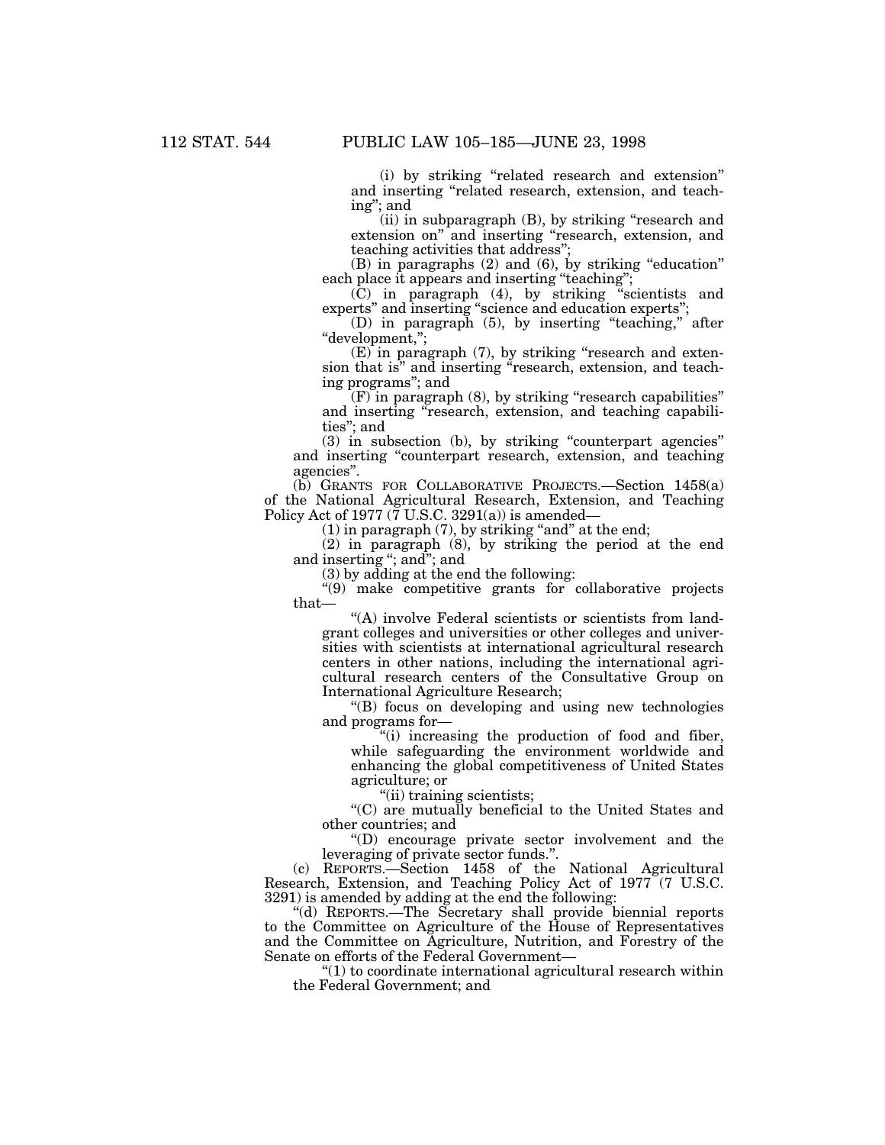(i) by striking ''related research and extension'' and inserting ''related research, extension, and teaching''; and

(ii) in subparagraph (B), by striking "research and extension on" and inserting "research, extension, and teaching activities that address'';

 $(B)$  in paragraphs  $(2)$  and  $(6)$ , by striking "education" each place it appears and inserting "teaching";

(C) in paragraph (4), by striking ''scientists and experts'' and inserting ''science and education experts'';

(D) in paragraph (5), by inserting ''teaching,'' after ''development,'';

 $(E)$  in paragraph  $(7)$ , by striking "research and extension that is" and inserting "research, extension, and teaching programs''; and

(F) in paragraph (8), by striking ''research capabilities'' and inserting "research, extension, and teaching capabilities''; and

(3) in subsection (b), by striking ''counterpart agencies'' and inserting ''counterpart research, extension, and teaching agencies''.

(b) GRANTS FOR COLLABORATIVE PROJECTS.—Section 1458(a) of the National Agricultural Research, Extension, and Teaching Policy Act of 1977 ( $\bar{7}$  U.S.C. 3291(a)) is amended–

 $(1)$  in paragraph  $(7)$ , by striking "and" at the end;

(2) in paragraph (8), by striking the period at the end and inserting "; and "; and

(3) by adding at the end the following:

''(9) make competitive grants for collaborative projects that—

''(A) involve Federal scientists or scientists from landgrant colleges and universities or other colleges and universities with scientists at international agricultural research centers in other nations, including the international agricultural research centers of the Consultative Group on International Agriculture Research;

''(B) focus on developing and using new technologies and programs for—

''(i) increasing the production of food and fiber, while safeguarding the environment worldwide and enhancing the global competitiveness of United States agriculture; or

''(ii) training scientists;

''(C) are mutually beneficial to the United States and other countries; and

''(D) encourage private sector involvement and the leveraging of private sector funds.''.

(c) REPORTS.—Section 1458 of the National Agricultural Research, Extension, and Teaching Policy Act of 1977 (7 U.S.C. 3291) is amended by adding at the end the following:

''(d) REPORTS.—The Secretary shall provide biennial reports to the Committee on Agriculture of the House of Representatives and the Committee on Agriculture, Nutrition, and Forestry of the Senate on efforts of the Federal Government—

 $''(1)$  to coordinate international agricultural research within the Federal Government; and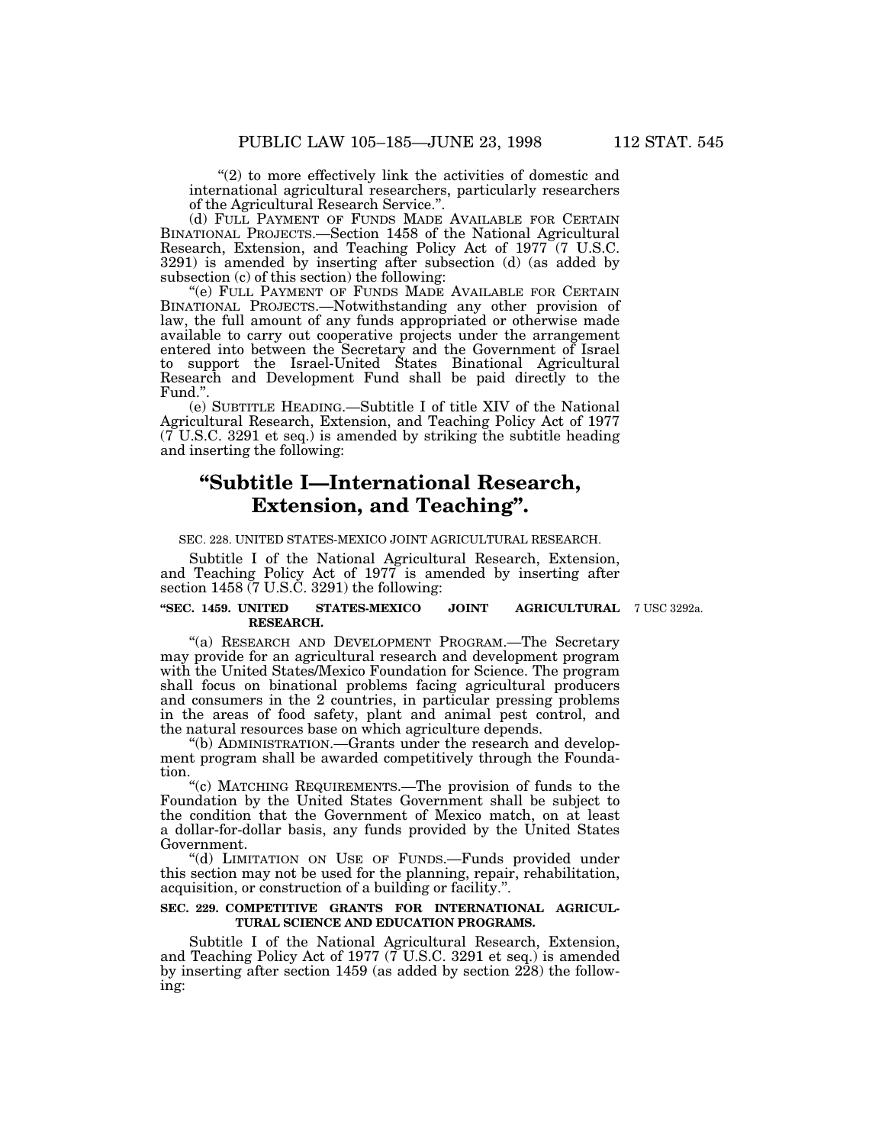"(2) to more effectively link the activities of domestic and international agricultural researchers, particularly researchers of the Agricultural Research Service.''.

(d) FULL PAYMENT OF FUNDS MADE AVAILABLE FOR CERTAIN BINATIONAL PROJECTS.—Section 1458 of the National Agricultural Research, Extension, and Teaching Policy Act of 1977 (7 U.S.C. 3291) is amended by inserting after subsection (d) (as added by subsection (c) of this section) the following:

''(e) FULL PAYMENT OF FUNDS MADE AVAILABLE FOR CERTAIN BINATIONAL PROJECTS.—Notwithstanding any other provision of law, the full amount of any funds appropriated or otherwise made available to carry out cooperative projects under the arrangement entered into between the Secretary and the Government of Israel to support the Israel-United States Binational Agricultural Research and Development Fund shall be paid directly to the Fund.''.

(e) SUBTITLE HEADING.—Subtitle I of title XIV of the National Agricultural Research, Extension, and Teaching Policy Act of 1977  $(7 \text{ U.S.C. } 3291 \text{ et seq.})$  is amended by striking the subtitle heading and inserting the following:

# **''Subtitle I—International Research, Extension, and Teaching''.**

#### SEC. 228. UNITED STATES-MEXICO JOINT AGRICULTURAL RESEARCH.

Subtitle I of the National Agricultural Research, Extension, and Teaching Policy Act of 1977 is amended by inserting after section 1458 (7 U.S.C. 3291) the following:

# **''SEC. 1459. UNITED STATES-MEXICO JOINT AGRICULTURAL** 7 USC 3292a. **RESEARCH.**

"(a) RESEARCH AND DEVELOPMENT PROGRAM.-The Secretary may provide for an agricultural research and development program with the United States/Mexico Foundation for Science. The program shall focus on binational problems facing agricultural producers and consumers in the 2 countries, in particular pressing problems in the areas of food safety, plant and animal pest control, and the natural resources base on which agriculture depends.

''(b) ADMINISTRATION.—Grants under the research and development program shall be awarded competitively through the Foundation.

'(c) MATCHING REQUIREMENTS.—The provision of funds to the Foundation by the United States Government shall be subject to the condition that the Government of Mexico match, on at least a dollar-for-dollar basis, any funds provided by the United States Government.

''(d) LIMITATION ON USE OF FUNDS.—Funds provided under this section may not be used for the planning, repair, rehabilitation, acquisition, or construction of a building or facility.''.

# **SEC. 229. COMPETITIVE GRANTS FOR INTERNATIONAL AGRICUL-TURAL SCIENCE AND EDUCATION PROGRAMS.**

Subtitle I of the National Agricultural Research, Extension, and Teaching Policy Act of 1977  $(\bar{7} \text{ U.S.C. } 3291 \text{ et seq.})$  is amended by inserting after section 1459 (as added by section 228) the following: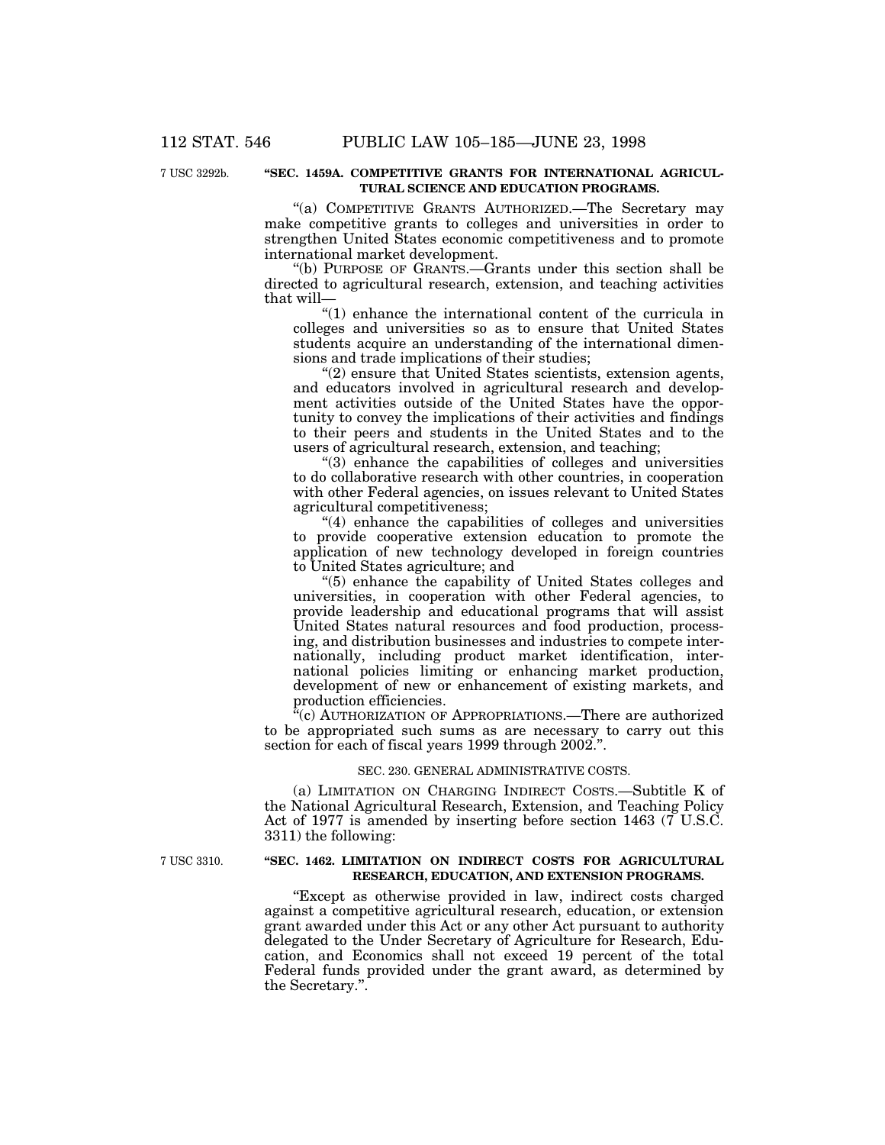# 7 USC 3292b.

# **''SEC. 1459A. COMPETITIVE GRANTS FOR INTERNATIONAL AGRICUL-TURAL SCIENCE AND EDUCATION PROGRAMS.**

"(a) COMPETITIVE GRANTS AUTHORIZED.—The Secretary may make competitive grants to colleges and universities in order to strengthen United States economic competitiveness and to promote international market development.

''(b) PURPOSE OF GRANTS.—Grants under this section shall be directed to agricultural research, extension, and teaching activities that will—

 $(1)$  enhance the international content of the curricula in colleges and universities so as to ensure that United States students acquire an understanding of the international dimensions and trade implications of their studies;

"(2) ensure that United States scientists, extension agents, and educators involved in agricultural research and development activities outside of the United States have the opportunity to convey the implications of their activities and findings to their peers and students in the United States and to the users of agricultural research, extension, and teaching;

''(3) enhance the capabilities of colleges and universities to do collaborative research with other countries, in cooperation with other Federal agencies, on issues relevant to United States agricultural competitiveness;

''(4) enhance the capabilities of colleges and universities to provide cooperative extension education to promote the application of new technology developed in foreign countries to United States agriculture; and

''(5) enhance the capability of United States colleges and universities, in cooperation with other Federal agencies, to provide leadership and educational programs that will assist United States natural resources and food production, processing, and distribution businesses and industries to compete internationally, including product market identification, international policies limiting or enhancing market production, development of new or enhancement of existing markets, and production efficiencies.

<sup>"</sup>(c) AUTHORIZATION OF APPROPRIATIONS.—There are authorized to be appropriated such sums as are necessary to carry out this section for each of fiscal years 1999 through 2002.''.

#### SEC. 230. GENERAL ADMINISTRATIVE COSTS.

(a) LIMITATION ON CHARGING INDIRECT COSTS.—Subtitle K of the National Agricultural Research, Extension, and Teaching Policy Act of 1977 is amended by inserting before section 1463 (7 U.S.C. 3311) the following:

# **''SEC. 1462. LIMITATION ON INDIRECT COSTS FOR AGRICULTURAL RESEARCH, EDUCATION, AND EXTENSION PROGRAMS.**

''Except as otherwise provided in law, indirect costs charged against a competitive agricultural research, education, or extension grant awarded under this Act or any other Act pursuant to authority delegated to the Under Secretary of Agriculture for Research, Education, and Economics shall not exceed 19 percent of the total Federal funds provided under the grant award, as determined by the Secretary.''.

7 USC 3310.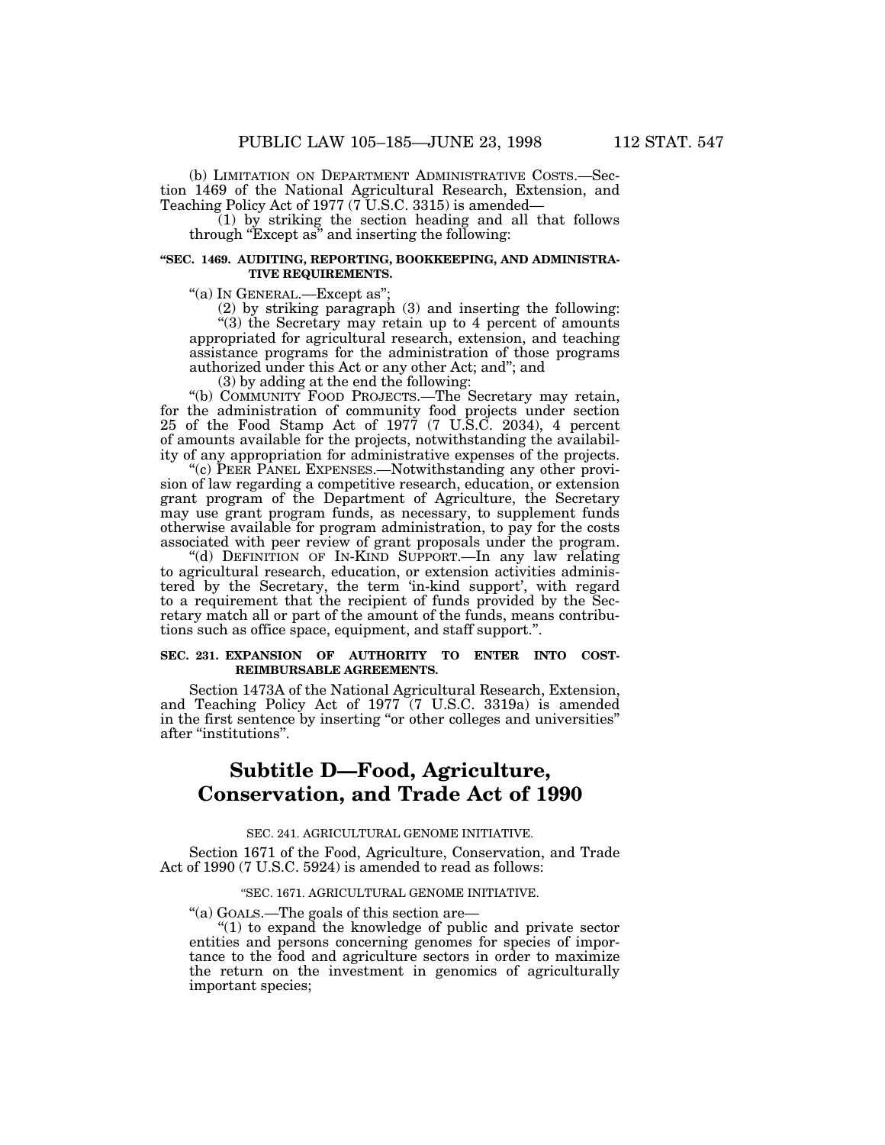(b) LIMITATION ON DEPARTMENT ADMINISTRATIVE COSTS.—Section 1469 of the National Agricultural Research, Extension, and Teaching Policy Act of 1977 (7 U.S.C. 3315) is amended—

(1) by striking the section heading and all that follows through "Except as" and inserting the following:

# **''SEC. 1469. AUDITING, REPORTING, BOOKKEEPING, AND ADMINISTRA-TIVE REQUIREMENTS.**

''(a) IN GENERAL.—Except as'';

(2) by striking paragraph (3) and inserting the following: ''(3) the Secretary may retain up to 4 percent of amounts appropriated for agricultural research, extension, and teaching assistance programs for the administration of those programs authorized under this Act or any other Act; and''; and

(3) by adding at the end the following:

''(b) COMMUNITY FOOD PROJECTS.—The Secretary may retain, for the administration of community food projects under section 25 of the Food Stamp Act of 1977 (7 U.S.C. 2034), 4 percent of amounts available for the projects, notwithstanding the availability of any appropriation for administrative expenses of the projects.

''(c) PEER PANEL EXPENSES.—Notwithstanding any other provision of law regarding a competitive research, education, or extension grant program of the Department of Agriculture, the Secretary may use grant program funds, as necessary, to supplement funds otherwise available for program administration, to pay for the costs associated with peer review of grant proposals under the program.

''(d) DEFINITION OF IN-KIND SUPPORT.—In any law relating to agricultural research, education, or extension activities administered by the Secretary, the term 'in-kind support', with regard to a requirement that the recipient of funds provided by the Secretary match all or part of the amount of the funds, means contributions such as office space, equipment, and staff support.''.

# **SEC. 231. EXPANSION OF AUTHORITY TO ENTER INTO COST-REIMBURSABLE AGREEMENTS.**

Section 1473A of the National Agricultural Research, Extension, and Teaching Policy Act of 1977 (7 U.S.C. 3319a) is amended in the first sentence by inserting "or other colleges and universities" after ''institutions''.

# **Subtitle D—Food, Agriculture, Conservation, and Trade Act of 1990**

### SEC. 241. AGRICULTURAL GENOME INITIATIVE.

Section 1671 of the Food, Agriculture, Conservation, and Trade Act of 1990 (7 U.S.C. 5924) is amended to read as follows:

#### ''SEC. 1671. AGRICULTURAL GENOME INITIATIVE.

''(a) GOALS.—The goals of this section are—

''(1) to expand the knowledge of public and private sector tance to the food and agriculture sectors in order to maximize the return on the investment in genomics of agriculturally important species;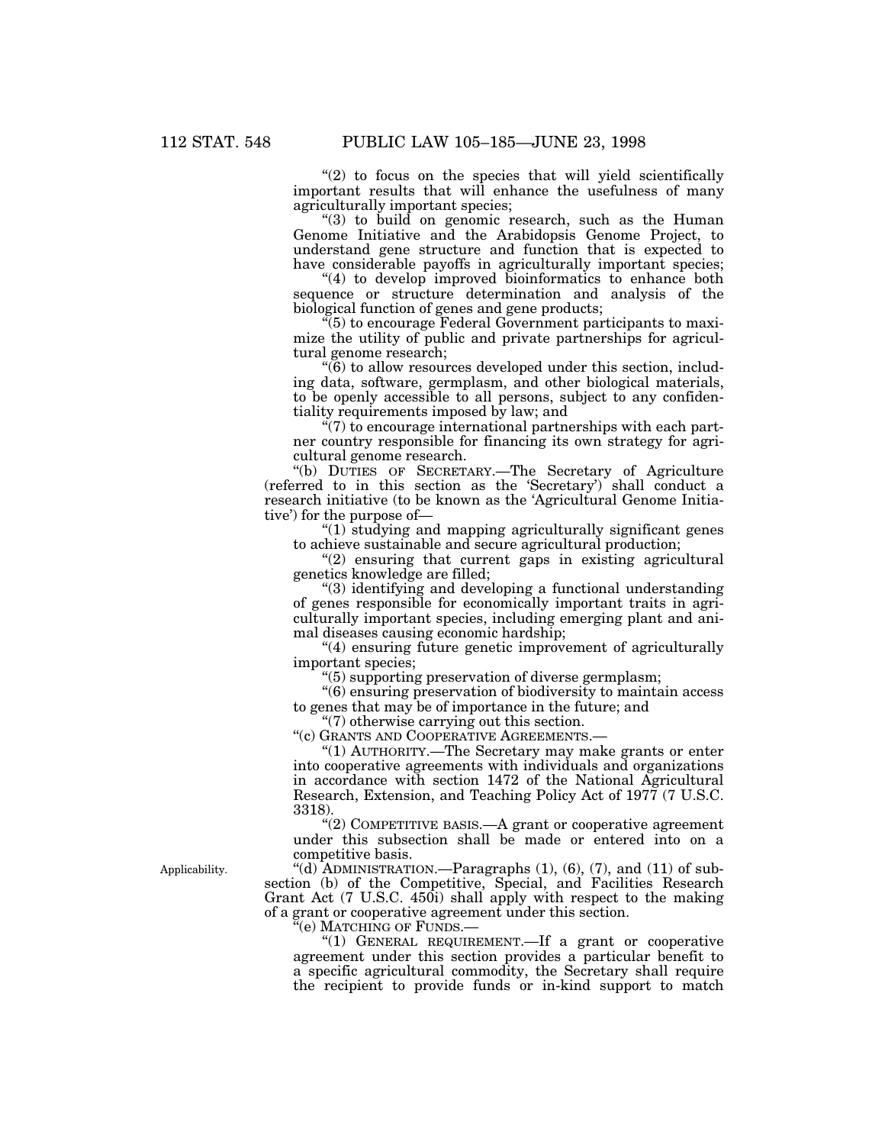"(2) to focus on the species that will yield scientifically important results that will enhance the usefulness of many agriculturally important species;

''(3) to build on genomic research, such as the Human Genome Initiative and the Arabidopsis Genome Project, to understand gene structure and function that is expected to have considerable payoffs in agriculturally important species;

"(4) to develop improved bioinformatics to enhance both sequence or structure determination and analysis of the biological function of genes and gene products;

''(5) to encourage Federal Government participants to maximize the utility of public and private partnerships for agricultural genome research;

 $\mathcal{F}(6)$  to allow resources developed under this section, including data, software, germplasm, and other biological materials, to be openly accessible to all persons, subject to any confidentiality requirements imposed by law; and

 $\sqrt{\frac{7}{2}}$  to encourage international partnerships with each partner country responsible for financing its own strategy for agricultural genome research.

"(b) DUTIES OF SECRETARY.—The Secretary of Agriculture (referred to in this section as the 'Secretary') shall conduct a research initiative (to be known as the 'Agricultural Genome Initiative') for the purpose of—

''(1) studying and mapping agriculturally significant genes to achieve sustainable and secure agricultural production;

 $''(2)$  ensuring that current gaps in existing agricultural genetics knowledge are filled;

''(3) identifying and developing a functional understanding of genes responsible for economically important traits in agriculturally important species, including emerging plant and animal diseases causing economic hardship;

''(4) ensuring future genetic improvement of agriculturally important species;

''(5) supporting preservation of diverse germplasm;

''(6) ensuring preservation of biodiversity to maintain access to genes that may be of importance in the future; and

''(7) otherwise carrying out this section.

''(c) GRANTS AND COOPERATIVE AGREEMENTS.—

''(1) AUTHORITY.—The Secretary may make grants or enter into cooperative agreements with individuals and organizations in accordance with section 1472 of the National Agricultural Research, Extension, and Teaching Policy Act of 1977 (7 U.S.C. 3318).

''(2) COMPETITIVE BASIS.—A grant or cooperative agreement under this subsection shall be made or entered into on a competitive basis.

Applicability. "(d) ADMINISTRATION.—Paragraphs  $(1)$ ,  $(6)$ ,  $(7)$ , and  $(11)$  of subsection (b) of the Competitive, Special, and Facilities Research Grant Act (7 U.S.C. 450i) shall apply with respect to the making of a grant or cooperative agreement under this section.

'(e) Matching of Funds.—

"(1) GENERAL REQUIREMENT.—If a grant or cooperative agreement under this section provides a particular benefit to a specific agricultural commodity, the Secretary shall require the recipient to provide funds or in-kind support to match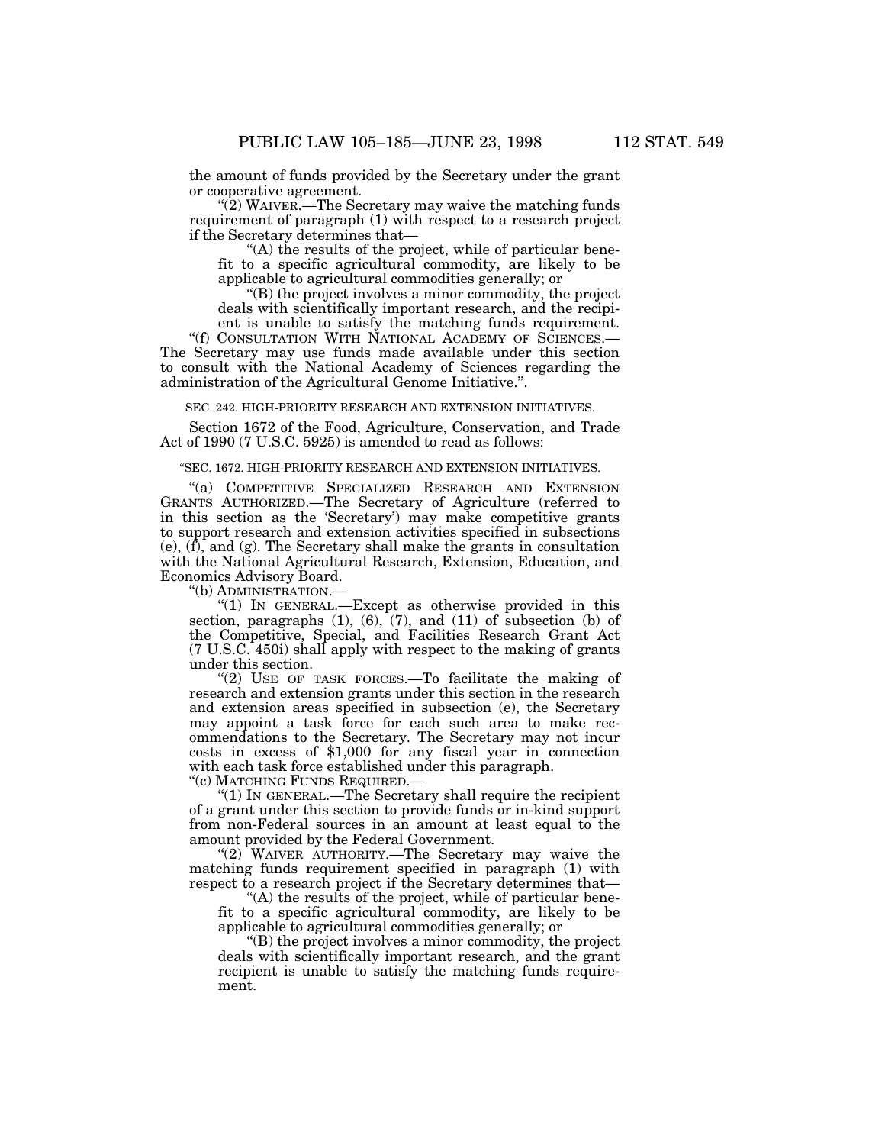the amount of funds provided by the Secretary under the grant or cooperative agreement.

" $(2)$  WAIVER.—The Secretary may waive the matching funds requirement of paragraph (1) with respect to a research project if the Secretary determines that—

''(A) the results of the project, while of particular benefit to a specific agricultural commodity, are likely to be applicable to agricultural commodities generally; or

''(B) the project involves a minor commodity, the project deals with scientifically important research, and the recipient is unable to satisfy the matching funds requirement.

"(f) CONSULTATION WITH NATIONAL ACADEMY OF SCIENCES.-The Secretary may use funds made available under this section to consult with the National Academy of Sciences regarding the administration of the Agricultural Genome Initiative.''.

SEC. 242. HIGH-PRIORITY RESEARCH AND EXTENSION INITIATIVES.

Section 1672 of the Food, Agriculture, Conservation, and Trade Act of 1990 (7 U.S.C. 5925) is amended to read as follows:

#### ''SEC. 1672. HIGH-PRIORITY RESEARCH AND EXTENSION INITIATIVES.

''(a) COMPETITIVE SPECIALIZED RESEARCH AND EXTENSION GRANTS AUTHORIZED.—The Secretary of Agriculture (referred to in this section as the 'Secretary') may make competitive grants to support research and extension activities specified in subsections  $(e)$ ,  $(f)$ , and  $(g)$ . The Secretary shall make the grants in consultation with the National Agricultural Research, Extension, Education, and Economics Advisory Board.

''(b) ADMINISTRATION.—

"(1) IN GENERAL.—Except as otherwise provided in this section, paragraphs  $(1)$ ,  $(6)$ ,  $(7)$ , and  $(11)$  of subsection  $(b)$  of the Competitive, Special, and Facilities Research Grant Act (7 U.S.C. 450i) shall apply with respect to the making of grants under this section.

"(2) USE OF TASK FORCES.—To facilitate the making of research and extension grants under this section in the research and extension areas specified in subsection (e), the Secretary may appoint a task force for each such area to make recommendations to the Secretary. The Secretary may not incur costs in excess of \$1,000 for any fiscal year in connection with each task force established under this paragraph. ''(c) MATCHING FUNDS REQUIRED.—

" $(1)$  In GENERAL.—The Secretary shall require the recipient of a grant under this section to provide funds or in-kind support from non-Federal sources in an amount at least equal to the

amount provided by the Federal Government. "(2) WAIVER AUTHORITY.—The Secretary may waive the matching funds requirement specified in paragraph (1) with respect to a research project if the Secretary determines that—

''(A) the results of the project, while of particular benefit to a specific agricultural commodity, are likely to be applicable to agricultural commodities generally; or

''(B) the project involves a minor commodity, the project deals with scientifically important research, and the grant recipient is unable to satisfy the matching funds requirement.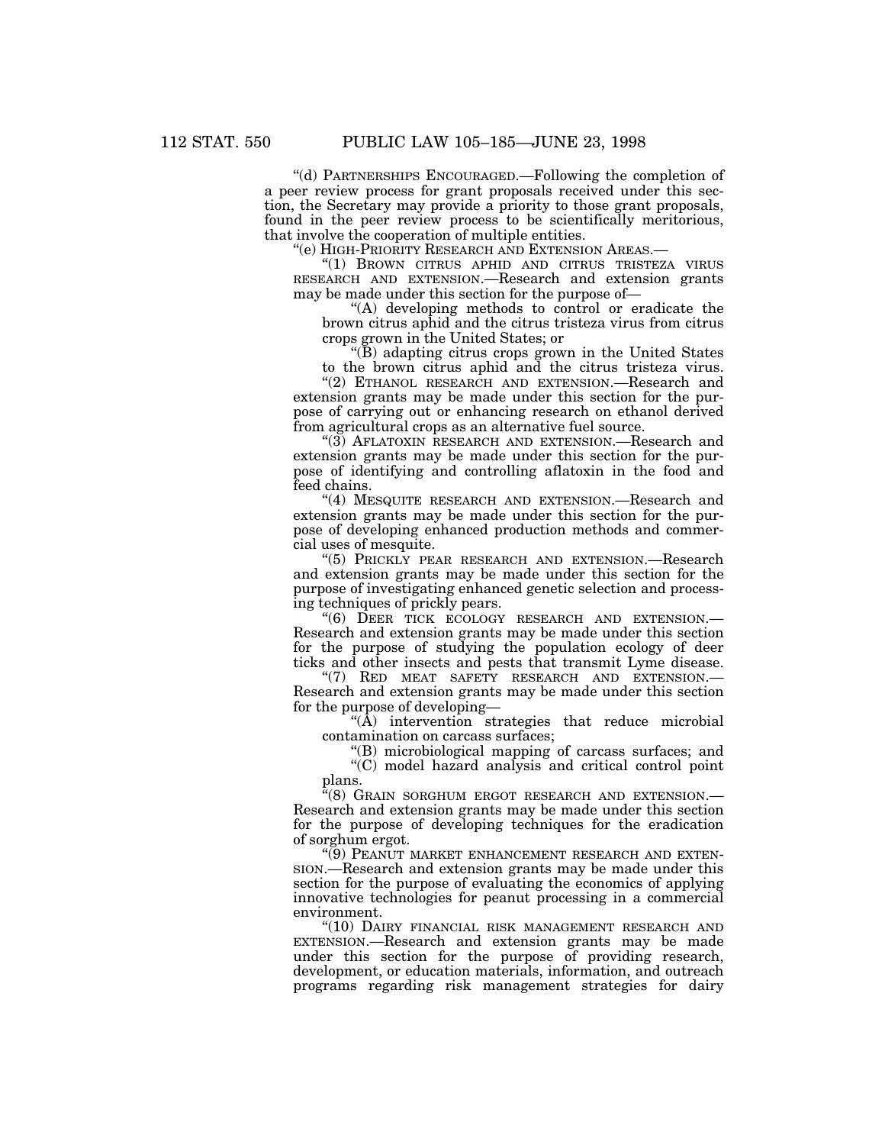''(d) PARTNERSHIPS ENCOURAGED.—Following the completion of a peer review process for grant proposals received under this section, the Secretary may provide a priority to those grant proposals, found in the peer review process to be scientifically meritorious, that involve the cooperation of multiple entities.

''(e) HIGH-PRIORITY RESEARCH AND EXTENSION AREAS.—

''(1) BROWN CITRUS APHID AND CITRUS TRISTEZA VIRUS RESEARCH AND EXTENSION.—Research and extension grants may be made under this section for the purpose of—

''(A) developing methods to control or eradicate the brown citrus aphid and the citrus tristeza virus from citrus crops grown in the United States; or

''(B) adapting citrus crops grown in the United States to the brown citrus aphid and the citrus tristeza virus.

''(2) ETHANOL RESEARCH AND EXTENSION.—Research and extension grants may be made under this section for the purpose of carrying out or enhancing research on ethanol derived from agricultural crops as an alternative fuel source.

''(3) AFLATOXIN RESEARCH AND EXTENSION.—Research and extension grants may be made under this section for the purpose of identifying and controlling aflatoxin in the food and feed chains.

"(4) MESQUITE RESEARCH AND EXTENSION.—Research and extension grants may be made under this section for the purpose of developing enhanced production methods and commercial uses of mesquite.

''(5) PRICKLY PEAR RESEARCH AND EXTENSION.—Research and extension grants may be made under this section for the purpose of investigating enhanced genetic selection and processing techniques of prickly pears.

''(6) DEER TICK ECOLOGY RESEARCH AND EXTENSION.— Research and extension grants may be made under this section for the purpose of studying the population ecology of deer ticks and other insects and pests that transmit Lyme disease.

"(7) RED MEAT SAFETY RESEARCH AND EXTENSION.-Research and extension grants may be made under this section for the purpose of developing—

" $(\overrightarrow{A})$  intervention strategies that reduce microbial contamination on carcass surfaces;

''(B) microbiological mapping of carcass surfaces; and

''(C) model hazard analysis and critical control point plans.

''(8) GRAIN SORGHUM ERGOT RESEARCH AND EXTENSION.— Research and extension grants may be made under this section for the purpose of developing techniques for the eradication of sorghum ergot.

''(9) PEANUT MARKET ENHANCEMENT RESEARCH AND EXTEN-SION.—Research and extension grants may be made under this section for the purpose of evaluating the economics of applying innovative technologies for peanut processing in a commercial environment.

"(10) DAIRY FINANCIAL RISK MANAGEMENT RESEARCH AND EXTENSION.—Research and extension grants may be made under this section for the purpose of providing research, development, or education materials, information, and outreach programs regarding risk management strategies for dairy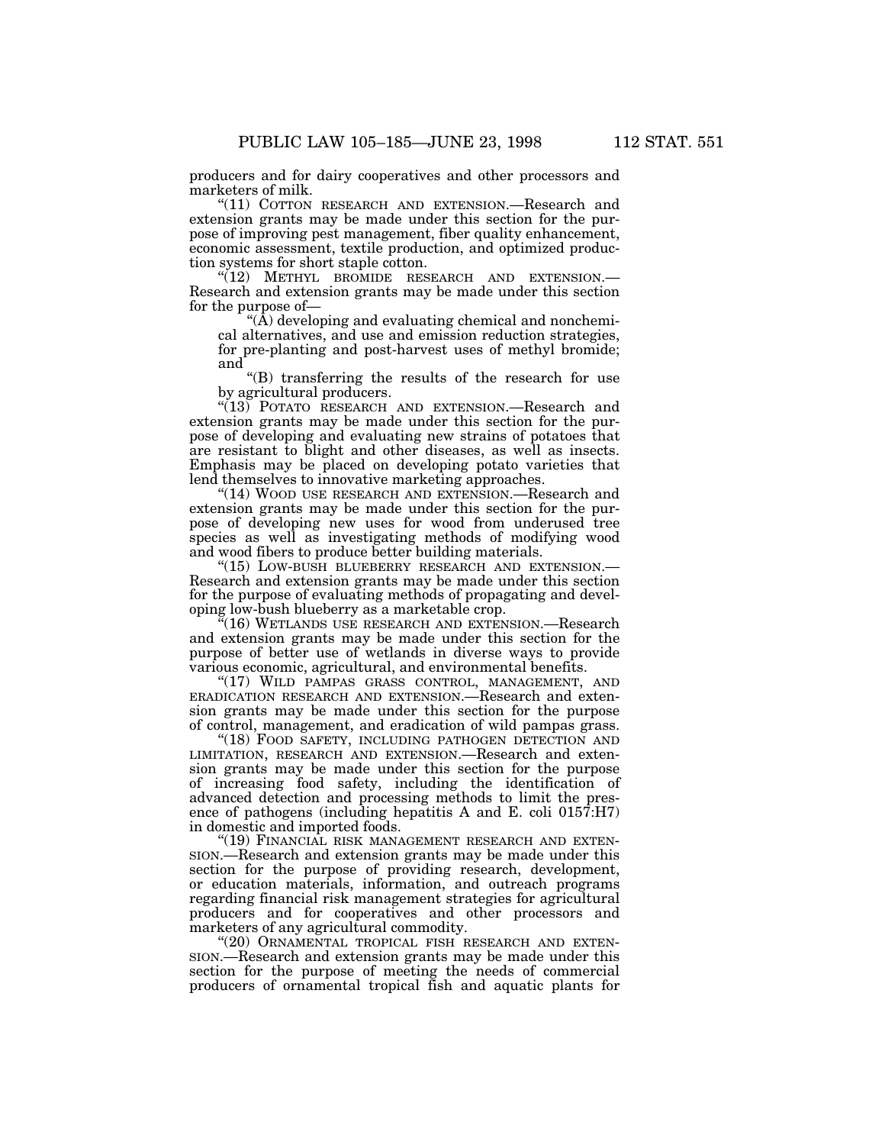producers and for dairy cooperatives and other processors and marketers of milk.

''(11) COTTON RESEARCH AND EXTENSION.—Research and extension grants may be made under this section for the purpose of improving pest management, fiber quality enhancement, economic assessment, textile production, and optimized production systems for short staple cotton.

''(12) METHYL BROMIDE RESEARCH AND EXTENSION.— Research and extension grants may be made under this section for the purpose of—

 $\hat{A}$ ) developing and evaluating chemical and nonchemical alternatives, and use and emission reduction strategies, for pre-planting and post-harvest uses of methyl bromide; and

''(B) transferring the results of the research for use by agricultural producers.

"(13) POTATO RESEARCH AND EXTENSION.—Research and extension grants may be made under this section for the purpose of developing and evaluating new strains of potatoes that are resistant to blight and other diseases, as well as insects. Emphasis may be placed on developing potato varieties that lend themselves to innovative marketing approaches.

"(14) WOOD USE RESEARCH AND EXTENSION.—Research and extension grants may be made under this section for the purpose of developing new uses for wood from underused tree species as well as investigating methods of modifying wood and wood fibers to produce better building materials.

''(15) LOW-BUSH BLUEBERRY RESEARCH AND EXTENSION.— Research and extension grants may be made under this section for the purpose of evaluating methods of propagating and developing low-bush blueberry as a marketable crop.

 $\mathbb{F}(16)$  WETLANDS USE RESEARCH AND EXTENSION.—Research and extension grants may be made under this section for the purpose of better use of wetlands in diverse ways to provide various economic, agricultural, and environmental benefits.

"(17) WILD PAMPAS GRASS CONTROL, MANAGEMENT, AND ERADICATION RESEARCH AND EXTENSION.—Research and extension grants may be made under this section for the purpose of control, management, and eradication of wild pampas grass.

''(18) FOOD SAFETY, INCLUDING PATHOGEN DETECTION AND LIMITATION, RESEARCH AND EXTENSION.—Research and extension grants may be made under this section for the purpose of increasing food safety, including the identification of advanced detection and processing methods to limit the presence of pathogens (including hepatitis A and E. coli 0157:H7) in domestic and imported foods.

"(19) FINANCIAL RISK MANAGEMENT RESEARCH AND EXTEN-SION.—Research and extension grants may be made under this section for the purpose of providing research, development, or education materials, information, and outreach programs regarding financial risk management strategies for agricultural producers and for cooperatives and other processors and marketers of any agricultural commodity.

"(20) ORNAMENTAL TROPICAL FISH RESEARCH AND EXTEN-SION.—Research and extension grants may be made under this section for the purpose of meeting the needs of commercial producers of ornamental tropical fish and aquatic plants for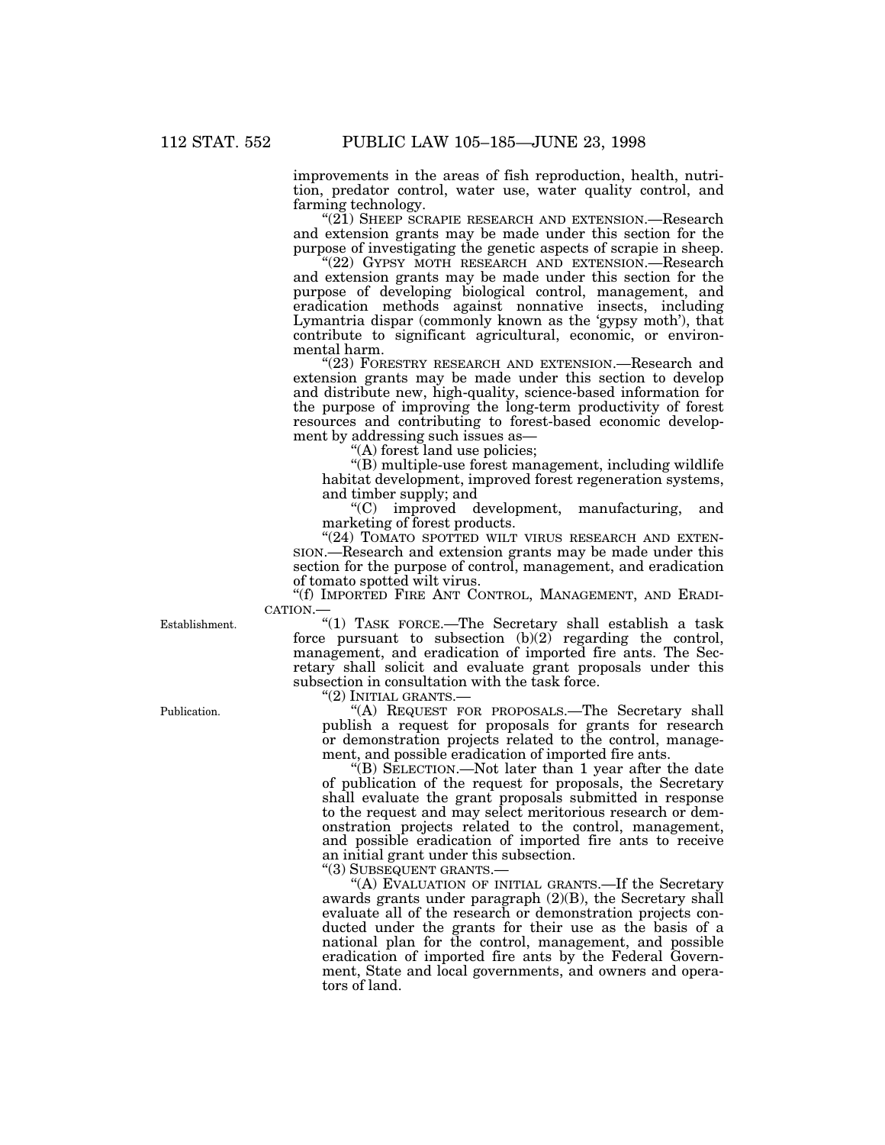improvements in the areas of fish reproduction, health, nutri- tion, predator control, water use, water quality control, and farming technology.

"(21) SHEEP SCRAPIE RESEARCH AND EXTENSION.—Research and extension grants may be made under this section for the purpose of investigating the genetic aspects of scrapie in sheep.

"(22) GYPSY MOTH RESEARCH AND EXTENSION.—Research and extension grants may be made under this section for the purpose of developing biological control, management, and eradication methods against nonnative insects, including Lymantria dispar (commonly known as the 'gypsy moth'), that contribute to significant agricultural, economic, or environmental harm.

"(23) FORESTRY RESEARCH AND EXTENSION.—Research and extension grants may be made under this section to develop and distribute new, high-quality, science-based information for the purpose of improving the long-term productivity of forest resources and contributing to forest-based economic development by addressing such issues as—

(A) forest land use policies;

 $\mathcal{L}(B)$  multiple-use forest management, including wildlife habitat development, improved forest regeneration systems, and timber supply; and

''(C) improved development, manufacturing, and marketing of forest products.

"(24) TOMATO SPOTTED WILT VIRUS RESEARCH AND EXTEN-SION.—Research and extension grants may be made under this section for the purpose of control, management, and eradication of tomato spotted wilt virus.

''(f) IMPORTED FIRE ANT CONTROL, MANAGEMENT, AND ERADI-CATION.—

Establishment. "(1) TASK FORCE.—The Secretary shall establish a task force pursuant to subsection  $(b)(2)$  regarding the control, management, and eradication of imported fire ants. The Secretary shall solicit and evaluate grant proposals under this subsection in consultation with the task force.

''(2) INITIAL GRANTS.—

Publication. "(A) REQUEST FOR PROPOSALS.—The Secretary shall publish a request for proposals for grants for research or demonstration projects related to the control, management, and possible eradication of imported fire ants.

''(B) SELECTION.—Not later than 1 year after the date of publication of the request for proposals, the Secretary shall evaluate the grant proposals submitted in response to the request and may select meritorious research or demonstration projects related to the control, management, and possible eradication of imported fire ants to receive an initial grant under this subsection.

''(3) SUBSEQUENT GRANTS.—

"(A) EVALUATION OF INITIAL GRANTS.—If the Secretary awards grants under paragraph (2)(B), the Secretary shall evaluate all of the research or demonstration projects conducted under the grants for their use as the basis of a national plan for the control, management, and possible eradication of imported fire ants by the Federal Government, State and local governments, and owners and operators of land.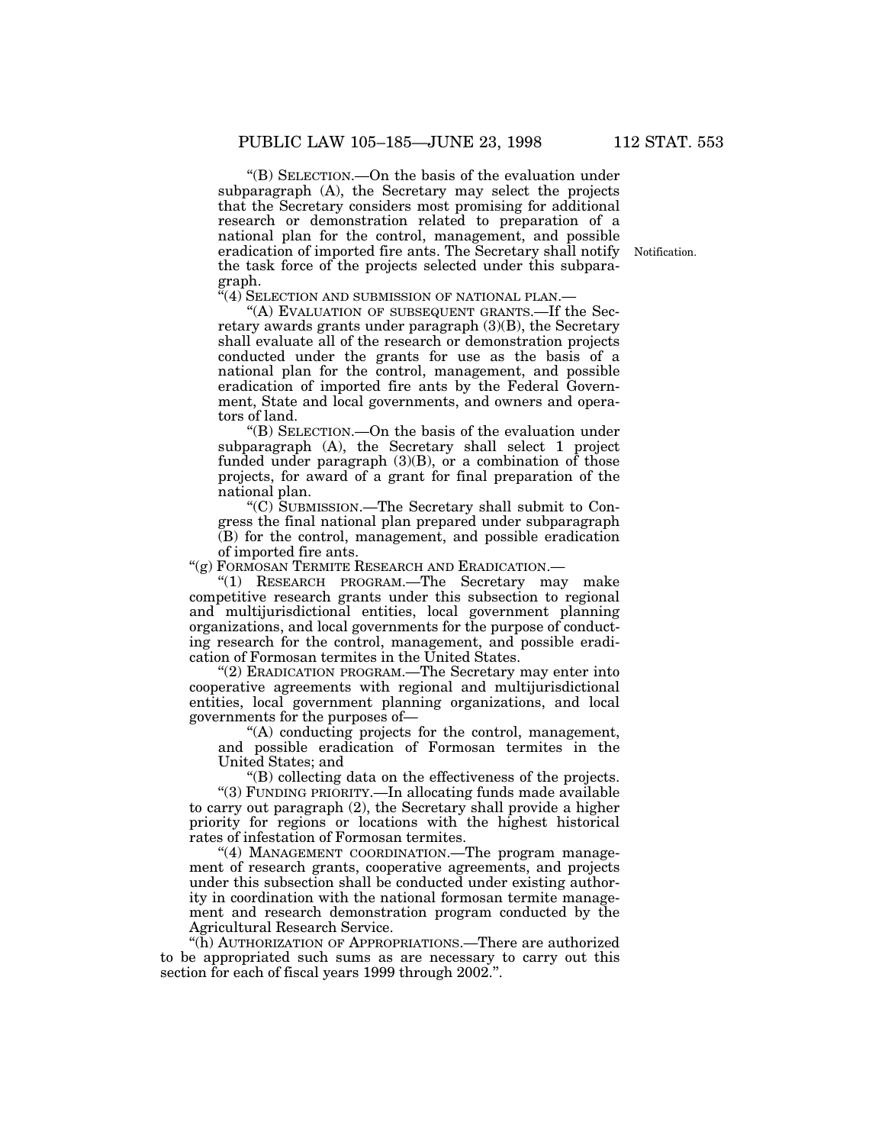''(B) SELECTION.—On the basis of the evaluation under subparagraph (A), the Secretary may select the projects that the Secretary considers most promising for additional research or demonstration related to preparation of a national plan for the control, management, and possible eradication of imported fire ants. The Secretary shall notify Notification. the task force of the projects selected under this subpara- $\operatorname*{graph.}_{\alpha_{\ell} \wedge \alpha}$ 

'(4) SELECTION AND SUBMISSION OF NATIONAL PLAN.-

"(A) EVALUATION OF SUBSEQUENT GRANTS.—If the Secretary awards grants under paragraph (3)(B), the Secretary shall evaluate all of the research or demonstration projects conducted under the grants for use as the basis of a national plan for the control, management, and possible eradication of imported fire ants by the Federal Government, State and local governments, and owners and operators of land.

''(B) SELECTION.—On the basis of the evaluation under subparagraph (A), the Secretary shall select 1 project funded under paragraph  $(3)(B)$ , or a combination of those projects, for award of a grant for final preparation of the national plan.

''(C) SUBMISSION.—The Secretary shall submit to Congress the final national plan prepared under subparagraph (B) for the control, management, and possible eradication of imported fire ants.

''(g) FORMOSAN TERMITE RESEARCH AND ERADICATION.—

''(1) RESEARCH PROGRAM.—The Secretary may make competitive research grants under this subsection to regional and multijurisdictional entities, local government planning organizations, and local governments for the purpose of conducting research for the control, management, and possible eradication of Formosan termites in the United States.

''(2) ERADICATION PROGRAM.—The Secretary may enter into cooperative agreements with regional and multijurisdictional entities, local government planning organizations, and local governments for the purposes of—

''(A) conducting projects for the control, management, and possible eradication of Formosan termites in the United States; and

''(B) collecting data on the effectiveness of the projects.

''(3) FUNDING PRIORITY.—In allocating funds made available to carry out paragraph (2), the Secretary shall provide a higher priority for regions or locations with the highest historical rates of infestation of Formosan termites.

"(4) MANAGEMENT COORDINATION.—The program management of research grants, cooperative agreements, and projects under this subsection shall be conducted under existing authority in coordination with the national formosan termite management and research demonstration program conducted by the Agricultural Research Service.

''(h) AUTHORIZATION OF APPROPRIATIONS.—There are authorized to be appropriated such sums as are necessary to carry out this section for each of fiscal years 1999 through 2002.''.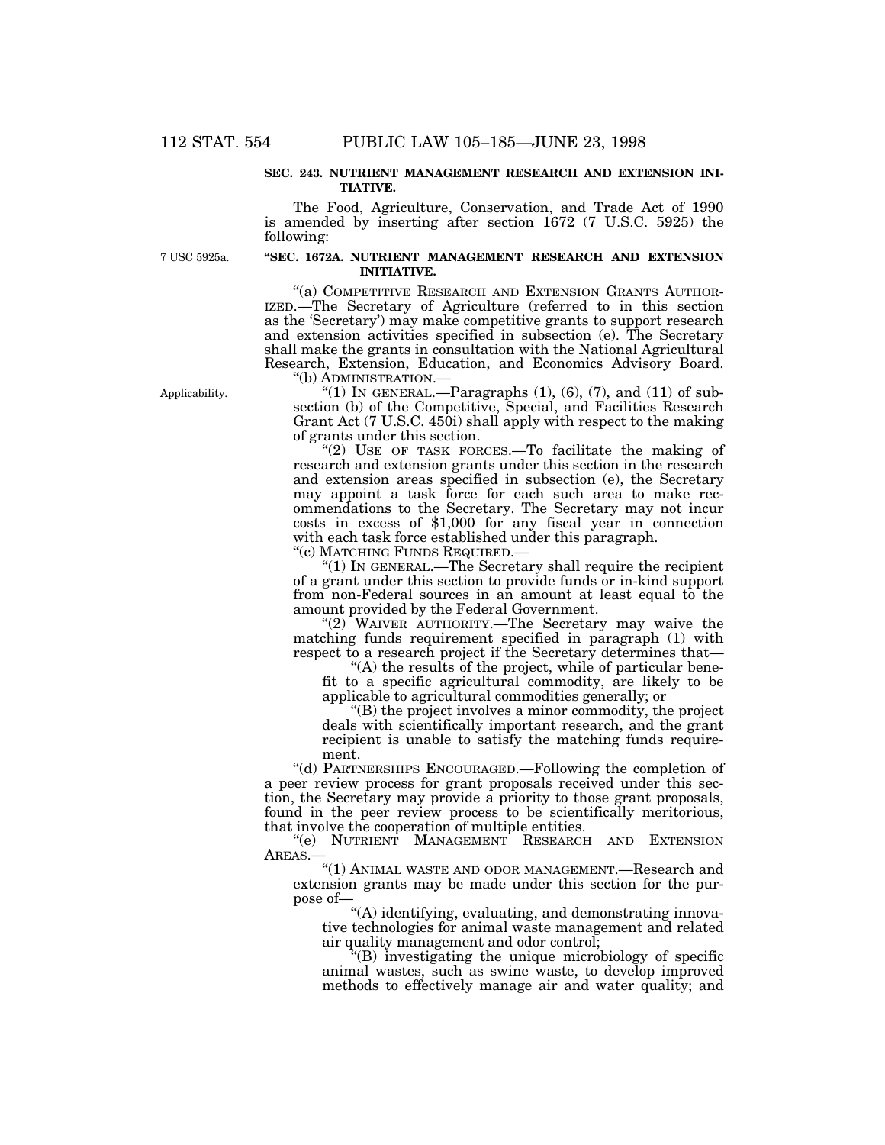#### **SEC. 243. NUTRIENT MANAGEMENT RESEARCH AND EXTENSION INI-TIATIVE.**

The Food, Agriculture, Conservation, and Trade Act of 1990 is amended by inserting after section 1672 (7 U.S.C. 5925) the following:

7 USC 5925a.

# **''SEC. 1672A. NUTRIENT MANAGEMENT RESEARCH AND EXTENSION INITIATIVE.**

"(a) COMPETITIVE RESEARCH AND EXTENSION GRANTS AUTHOR-IZED.—The Secretary of Agriculture (referred to in this section as the 'Secretary') may make competitive grants to support research and extension activities specified in subsection (e). The Secretary shall make the grants in consultation with the National Agricultural Research, Extension, Education, and Economics Advisory Board.

Applicability.

''(b) ADMINISTRATION.—

"(1) IN GENERAL.—Paragraphs  $(1)$ ,  $(6)$ ,  $(7)$ , and  $(11)$  of subsection (b) of the Competitive, Special, and Facilities Research Grant Act (7 U.S.C. 450i) shall apply with respect to the making of grants under this section.

"(2) USE OF TASK FORCES.—To facilitate the making of research and extension grants under this section in the research and extension areas specified in subsection (e), the Secretary may appoint a task force for each such area to make recommendations to the Secretary. The Secretary may not incur costs in excess of \$1,000 for any fiscal year in connection with each task force established under this paragraph.

''(c) MATCHING FUNDS REQUIRED.—

''(1) IN GENERAL.—The Secretary shall require the recipient of a grant under this section to provide funds or in-kind support from non-Federal sources in an amount at least equal to the amount provided by the Federal Government.

" $(2)$  WAIVER AUTHORITY.—The Secretary may waive the matching funds requirement specified in paragraph (1) with respect to a research project if the Secretary determines that—

''(A) the results of the project, while of particular benefit to a specific agricultural commodity, are likely to be applicable to agricultural commodities generally; or

''(B) the project involves a minor commodity, the project deals with scientifically important research, and the grant recipient is unable to satisfy the matching funds requirement.

''(d) PARTNERSHIPS ENCOURAGED.—Following the completion of a peer review process for grant proposals received under this section, the Secretary may provide a priority to those grant proposals, found in the peer review process to be scientifically meritorious, that involve the cooperation of multiple entities.

''(e) NUTRIENT MANAGEMENT RESEARCH AND EXTENSION AREAS.—

''(1) ANIMAL WASTE AND ODOR MANAGEMENT.—Research and extension grants may be made under this section for the purpose of—

''(A) identifying, evaluating, and demonstrating innovative technologies for animal waste management and related air quality management and odor control;

''(B) investigating the unique microbiology of specific animal wastes, such as swine waste, to develop improved methods to effectively manage air and water quality; and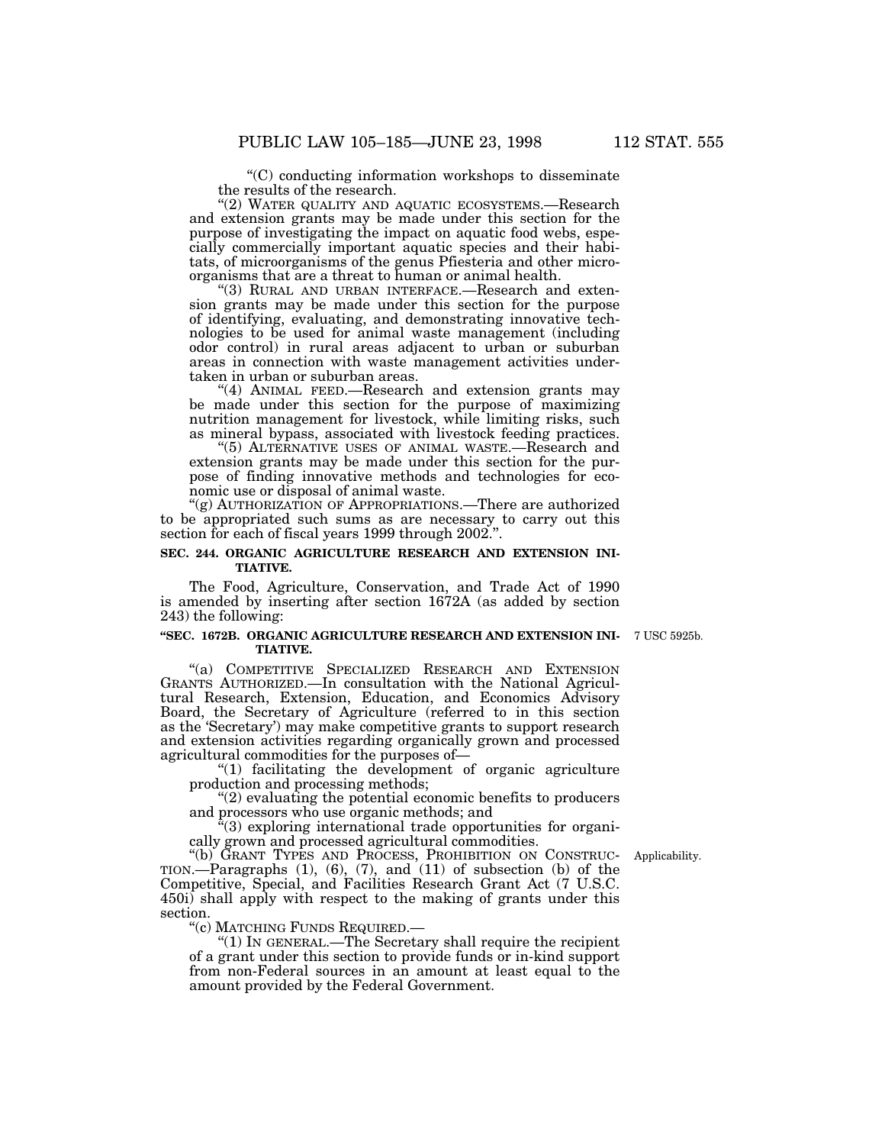''(C) conducting information workshops to disseminate

the results of the research.

"(2) WATER QUALITY AND AQUATIC ECOSYSTEMS.—Research and extension grants may be made under this section for the cially commercially important aquatic species and their habitats, of microorganisms of the genus Pfiesteria and other microorganisms that are a threat to human or animal health.

"(3) RURAL AND URBAN INTERFACE.—Research and extension grants may be made under this section for the purpose of identifying, evaluating, and demonstrating innovative technologies to be used for animal waste management (including odor control) in rural areas adjacent to urban or suburban areas in connection with waste management activities under- taken in urban or suburban areas.

"(4) ANIMAL FEED.-Research and extension grants may be made under this section for the purpose of maximizing nutrition management for livestock, while limiting risks, such as mineral bypass, associated with livestock feeding practices.

''(5) ALTERNATIVE USES OF ANIMAL WASTE.—Research and pose of finding innovative methods and technologies for eco-<br>nomic use or disposal of animal waste.

"(g) AUTHORIZATION OF APPROPRIATIONS.—There are authorized to be appropriated such sums as are necessary to carry out this section for each of fiscal years 1999 through 2002.''.

#### **SEC. 244. ORGANIC AGRICULTURE RESEARCH AND EXTENSION INI-TIATIVE.**

The Food, Agriculture, Conservation, and Trade Act of 1990 is amended by inserting after section 1672A (as added by section 243) the following:

# **''SEC. 1672B. ORGANIC AGRICULTURE RESEARCH AND EXTENSION INI-** 7 USC 5925b. **TIATIVE.**

"(a) COMPETITIVE SPECIALIZED RESEARCH AND EXTENSION GRANTS AUTHORIZED.—In consultation with the National Agricultural Research, Extension, Education, and Economics Advisory Board, the Secretary of Agriculture (referred to in this section as the 'Secretary') may make competitive grants to support research and extension activities regarding organically grown and processed agricultural commodities for the purposes of—

''(1) facilitating the development of organic agriculture production and processing methods;

''(2) evaluating the potential economic benefits to producers and processors who use organic methods; and

''(3) exploring international trade opportunities for organi- cally grown and processed agricultural commodities.

''(b) GRANT TYPES AND PROCESS, PROHIBITION ON CONSTRUC- Applicability. TION.—Paragraphs (1), (6), (7), and (11) of subsection (b) of the Competitive, Special, and Facilities Research Grant Act (7 U.S.C. 450i) shall apply with respect to the making of grants under this section.<br>"(c) MATCHING FUNDS REQUIRED.—

" $(1)$  In GENERAL.—The Secretary shall require the recipient of a grant under this section to provide funds or in-kind support from non-Federal sources in an amount at least equal to the amount provided by the Federal Government.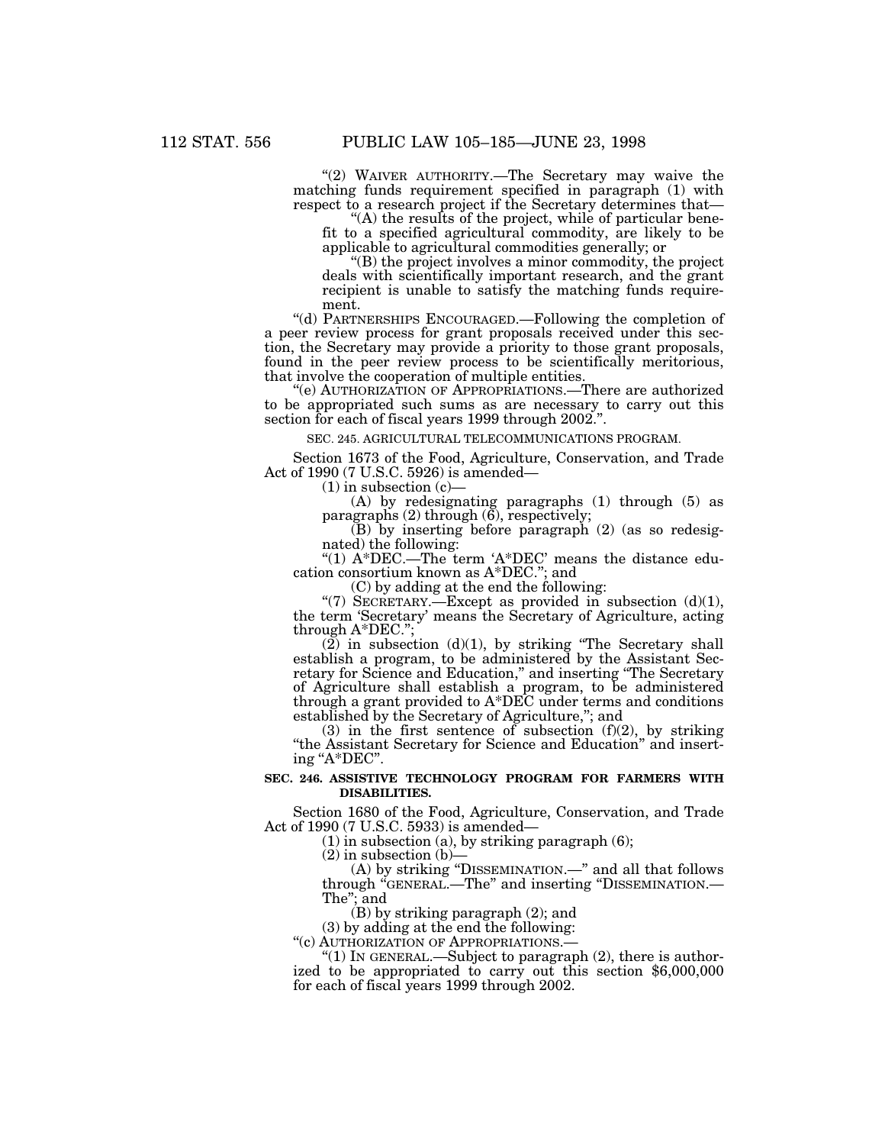"(2) WAIVER AUTHORITY.—The Secretary may waive the matching funds requirement specified in paragraph (1) with respect to a research project if the Secretary determines that—<br>"(A) the results of the project, while of particular bene-

fit to a specified agricultural commodity, are likely to be applicable to agricultural commodities generally; or

''(B) the project involves a minor commodity, the project deals with scientifically important research, and the grant recipient is unable to satisfy the matching funds require- ment.

''(d) PARTNERSHIPS ENCOURAGED.—Following the completion of tion, the Secretary may provide a priority to those grant proposals, found in the peer review process to be scientifically meritorious, that involve the cooperation of multiple entities.

''(e) AUTHORIZATION OF APPROPRIATIONS.—There are authorized to be appropriated such sums as are necessary to carry out this section for each of fiscal years 1999 through 2002.''.

SEC. 245. AGRICULTURAL TELECOMMUNICATIONS PROGRAM.

Section 1673 of the Food, Agriculture, Conservation, and Trade Act of 1990 (7 U.S.C. 5926) is amended—

 $(1)$  in subsection  $(c)$ 

(A) by redesignating paragraphs (1) through (5) as paragraphs  $(2)$  through  $(6)$ , respectively;

(B) by inserting before paragraph (2) (as so redesig- nated) the following:

"(1) A\*DEC.—The term 'A\*DEC' means the distance edu-<br>cation consortium known as  $A*DEC$ ."; and

(C) by adding at the end the following:

"(7) SECRETARY.—Except as provided in subsection  $(d)(1)$ , the term 'Secretary' means the Secretary of Agriculture, acting through A\*DEC.'';

 $(2)$  in subsection (d)(1), by striking "The Secretary shall establish a program, to be administered by the Assistant Secestablish a program, to be administered by the Assistant Sec- retary for Science and Education,'' and inserting ''The Secretary of Agriculture shall establish a program, to be administered through a grant provided to A\*DEC under terms and conditions established by the Secretary of Agriculture,''; and

 $(3)$  in the first sentence of subsection  $(f)(2)$ , by striking ''the Assistant Secretary for Science and Education'' and insert- ing ''A\*DEC''.

### **SEC. 246. ASSISTIVE TECHNOLOGY PROGRAM FOR FARMERS WITH DISABILITIES.**

Section 1680 of the Food, Agriculture, Conservation, and Trade Act of 1990 (7 U.S.C. 5933) is amended—

(1) in subsection (a), by striking paragraph (6);

 $(2)$  in subsection  $(b)$ -

(A) by striking ''DISSEMINATION.—'' and all that follows through ''GENERAL.—The'' and inserting ''DISSEMINATION.— The''; and

(B) by striking paragraph (2); and

(3) by adding at the end the following:<br>"(c) AUTHORIZATION OF APPROPRIATIONS.

"(1) In GENERAL.—Subject to paragraph  $(2)$ , there is authorized to be appropriated to carry out this section \$6,000,000 for each of fiscal years 1999 through 2002.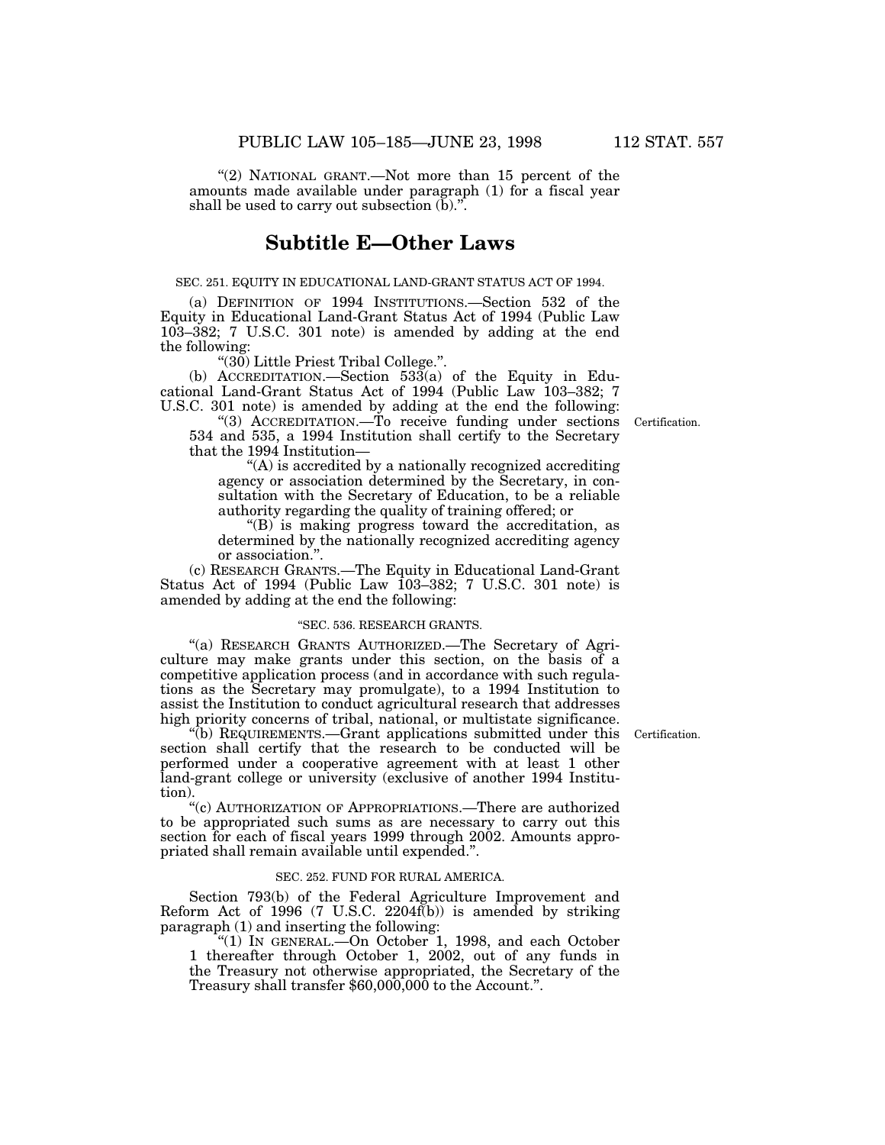"(2) NATIONAL GRANT.—Not more than 15 percent of the amounts made available under paragraph (1) for a fiscal year shall be used to carry out subsection  $(b)$ .".

# **Subtitle E—Other Laws**

#### SEC. 251. EQUITY IN EDUCATIONAL LAND-GRANT STATUS ACT OF 1994.

(a) DEFINITION OF 1994 INSTITUTIONS.—Section 532 of the Equity in Educational Land-Grant Status Act of 1994 (Public Law 103–382; 7 U.S.C. 301 note) is amended by adding at the end the following:

''(30) Little Priest Tribal College.''.

(b) ACCREDITATION.—Section 533(a) of the Equity in Educational Land-Grant Status Act of 1994 (Public Law 103-382; 7 U.S.C. 301 note) is amended by adding at the end the following:

"(3) ACCREDITATION.—To receive funding under sections Certification. 534 and 535, a 1994 Institution shall certify to the Secretary that the 1994 Institution—

''(A) is accredited by a nationally recognized accrediting agency or association determined by the Secretary, in consultation with the Secretary of Education, to be a reliable authority regarding the quality of training offered; or

''(B) is making progress toward the accreditation, as determined by the nationally recognized accrediting agency or association.''.

(c) RESEARCH GRANTS.—The Equity in Educational Land-Grant Status Act of 1994 (Public Law 103–382; 7 U.S.C. 301 note) is amended by adding at the end the following:

#### ''SEC. 536. RESEARCH GRANTS.

''(a) RESEARCH GRANTS AUTHORIZED.—The Secretary of Agriculture may make grants under this section, on the basis of a competitive application process (and in accordance with such regulations as the Secretary may promulgate), to a 1994 Institution to assist the Institution to conduct agricultural research that addresses high priority concerns of tribal, national, or multistate significance.

''(b) REQUIREMENTS.—Grant applications submitted under this Certification. section shall certify that the research to be conducted will be performed under a cooperative agreement with at least 1 other land-grant college or university (exclusive of another 1994 Institution).

''(c) AUTHORIZATION OF APPROPRIATIONS.—There are authorized to be appropriated such sums as are necessary to carry out this section for each of fiscal years 1999 through 2002. Amounts appropriated shall remain available until expended.''.

#### SEC. 252. FUND FOR RURAL AMERICA.

Section 793(b) of the Federal Agriculture Improvement and Reform Act of 1996 (7 U.S.C.  $2204f(b)$ ) is amended by striking paragraph (1) and inserting the following:

''(1) IN GENERAL.—On October 1, 1998, and each October 1 thereafter through October 1, 2002, out of any funds in the Treasury not otherwise appropriated, the Secretary of the Treasury shall transfer \$60,000,000 to the Account.".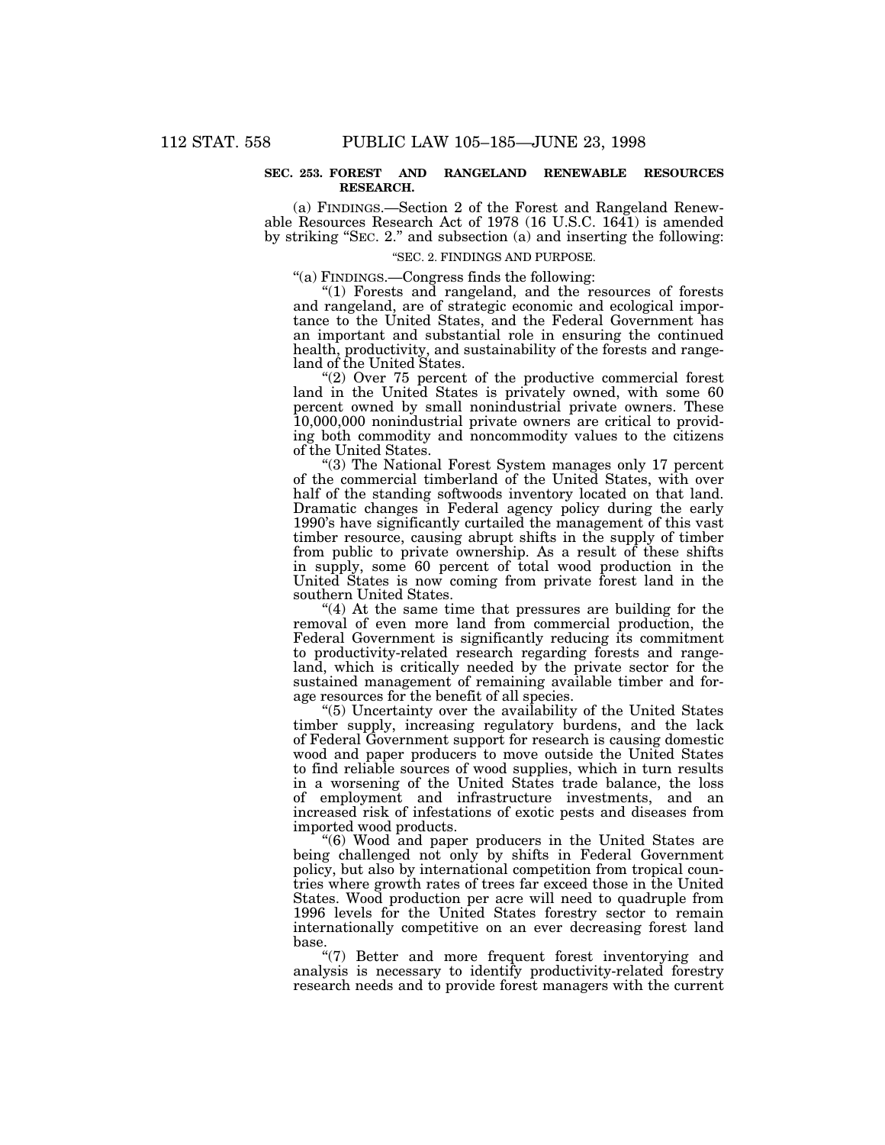### **SEC. 253. FOREST AND RANGELAND RENEWABLE RESOURCES RESEARCH.**

(a) FINDINGS.—Section 2 of the Forest and Rangeland Renewable Resources Research Act of 1978 (16 U.S.C. 1641) is amended by striking ''SEC. 2.'' and subsection (a) and inserting the following:

## ''SEC. 2. FINDINGS AND PURPOSE.

''(a) FINDINGS.—Congress finds the following:

''(1) Forests and rangeland, and the resources of forests and rangeland, are of strategic economic and ecological importance to the United States, and the Federal Government has an important and substantial role in ensuring the continued health, productivity, and sustainability of the forests and rangeland of the United States.

" $(2)$  Over 75 percent of the productive commercial forest land in the United States is privately owned, with some 60 percent owned by small nonindustrial private owners. These 10,000,000 nonindustrial private owners are critical to providing both commodity and noncommodity values to the citizens of the United States.

''(3) The National Forest System manages only 17 percent of the commercial timberland of the United States, with over half of the standing softwoods inventory located on that land. Dramatic changes in Federal agency policy during the early 1990's have significantly curtailed the management of this vast timber resource, causing abrupt shifts in the supply of timber from public to private ownership. As a result of these shifts in supply, some 60 percent of total wood production in the United States is now coming from private forest land in the southern United States.

"(4) At the same time that pressures are building for the removal of even more land from commercial production, the Federal Government is significantly reducing its commitment to productivity-related research regarding forests and rangeland, which is critically needed by the private sector for the sustained management of remaining available timber and forage resources for the benefit of all species.

''(5) Uncertainty over the availability of the United States timber supply, increasing regulatory burdens, and the lack of Federal Government support for research is causing domestic wood and paper producers to move outside the United States to find reliable sources of wood supplies, which in turn results in a worsening of the United States trade balance, the loss of employment and infrastructure investments, and an increased risk of infestations of exotic pests and diseases from imported wood products.

''(6) Wood and paper producers in the United States are being challenged not only by shifts in Federal Government policy, but also by international competition from tropical countries where growth rates of trees far exceed those in the United States. Wood production per acre will need to quadruple from 1996 levels for the United States forestry sector to remain internationally competitive on an ever decreasing forest land base.

"(7) Better and more frequent forest inventorying and analysis is necessary to identify productivity-related forestry research needs and to provide forest managers with the current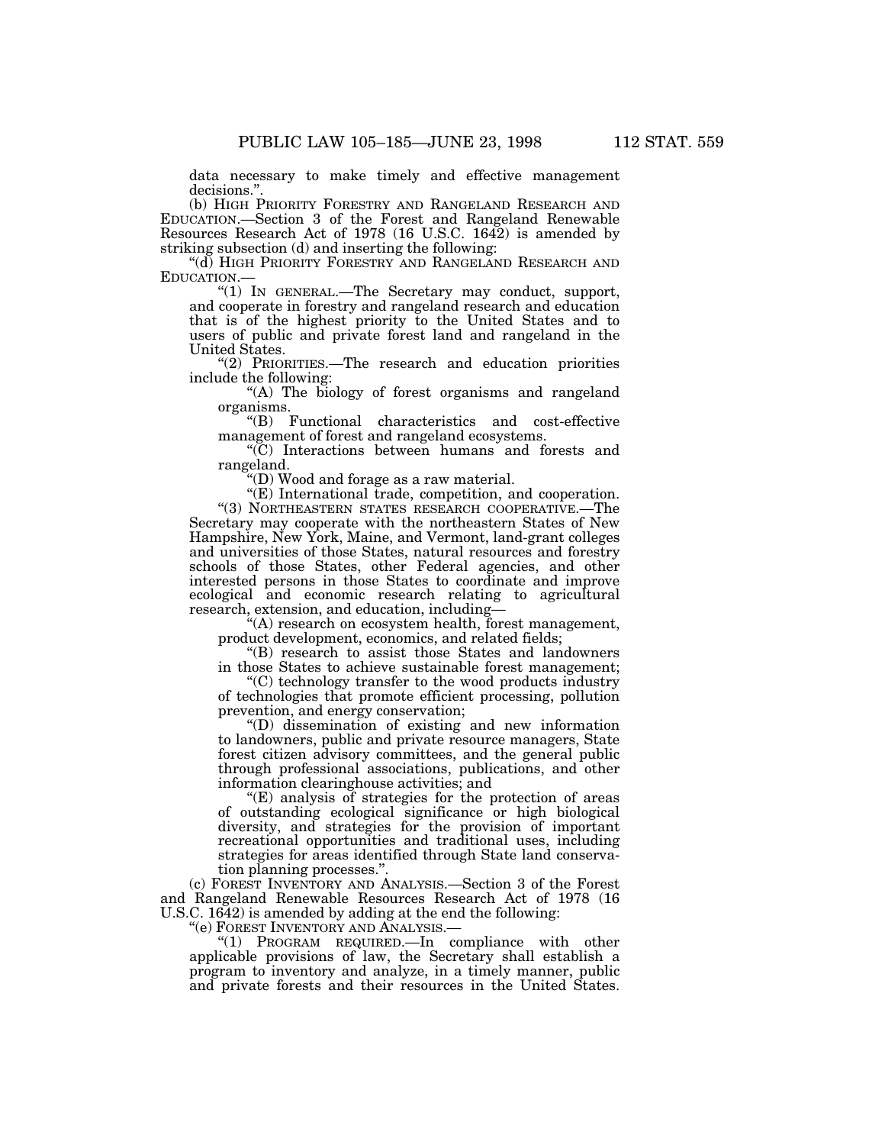data necessary to make timely and effective management decisions.''.

(b) HIGH PRIORITY FORESTRY AND RANGELAND RESEARCH AND EDUCATION.—Section 3 of the Forest and Rangeland Renewable Resources Research Act of 1978 (16 U.S.C. 1642) is amended by striking subsection (d) and inserting the following:

''(d) HIGH PRIORITY FORESTRY AND RANGELAND RESEARCH AND EDUCATION.—

''(1) IN GENERAL.—The Secretary may conduct, support, and cooperate in forestry and rangeland research and education that is of the highest priority to the United States and to users of public and private forest land and rangeland in the United States.

''(2) PRIORITIES.—The research and education priorities include the following:

''(A) The biology of forest organisms and rangeland organisms.

''(B) Functional characteristics and cost-effective management of forest and rangeland ecosystems.

''(C) Interactions between humans and forests and rangeland.

''(D) Wood and forage as a raw material.

"(E) International trade, competition, and cooperation. ''(3) NORTHEASTERN STATES RESEARCH COOPERATIVE.—The Secretary may cooperate with the northeastern States of New Hampshire, New York, Maine, and Vermont, land-grant colleges and universities of those States, natural resources and forestry schools of those States, other Federal agencies, and other interested persons in those States to coordinate and improve ecological and economic research relating to agricultural research, extension, and education, including—

''(A) research on ecosystem health, forest management, product development, economics, and related fields;

''(B) research to assist those States and landowners in those States to achieve sustainable forest management;

''(C) technology transfer to the wood products industry of technologies that promote efficient processing, pollution prevention, and energy conservation;

''(D) dissemination of existing and new information to landowners, public and private resource managers, State forest citizen advisory committees, and the general public through professional associations, publications, and other information clearinghouse activities; and

''(E) analysis of strategies for the protection of areas of outstanding ecological significance or high biological diversity, and strategies for the provision of important recreational opportunities and traditional uses, including strategies for areas identified through State land conservation planning processes.''.

(c) FOREST INVENTORY AND ANALYSIS.—Section 3 of the Forest and Rangeland Renewable Resources Research Act of 1978 (16 U.S.C. 1642) is amended by adding at the end the following:

''(e) FOREST INVENTORY AND ANALYSIS.—

''(1) PROGRAM REQUIRED.—In compliance with other applicable provisions of law, the Secretary shall establish a program to inventory and analyze, in a timely manner, public and private forests and their resources in the United States.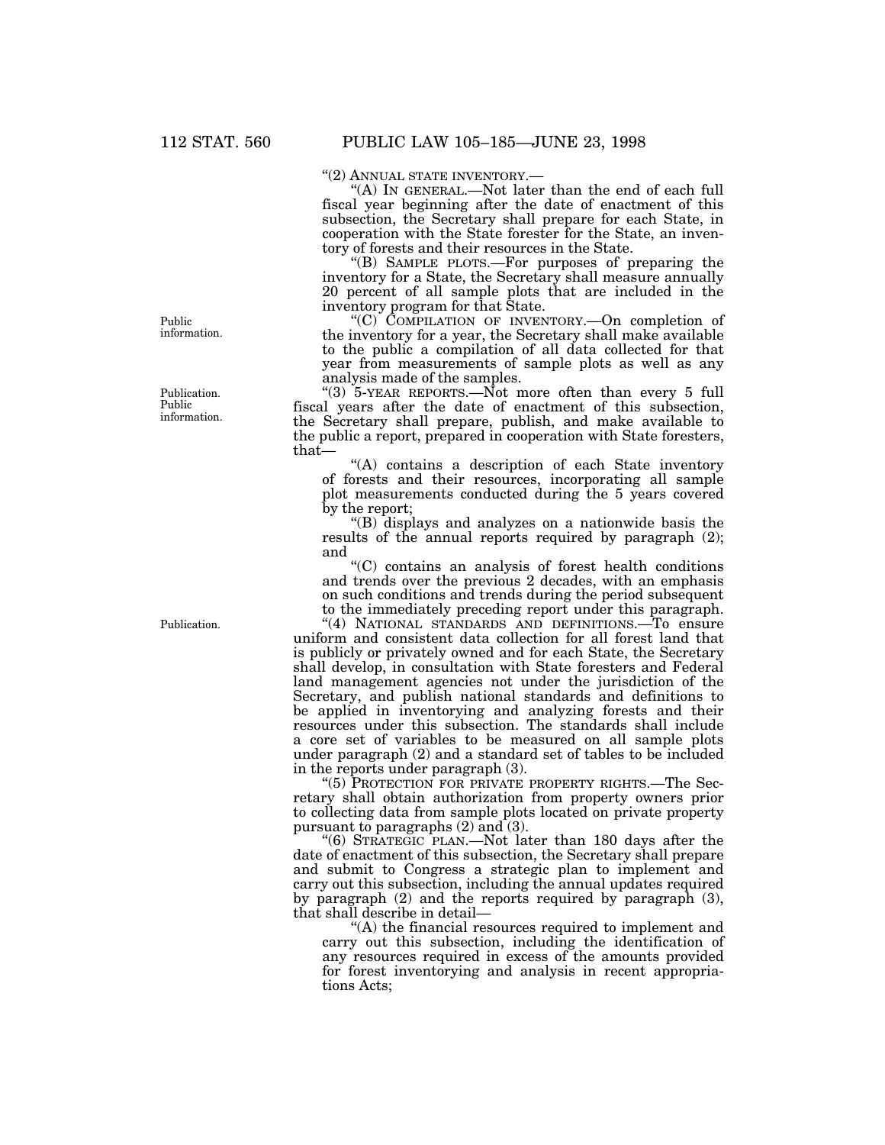''(2) ANNUAL STATE INVENTORY.— ''(A) IN GENERAL.—Not later than the end of each full fiscal year beginning after the date of enactment of this subsection, the Secretary shall prepare for each State, in cooperation with the State forester for the State, an inventory of forests and their resources in the State.

''(B) SAMPLE PLOTS.—For purposes of preparing the inventory for a State, the Secretary shall measure annually 20 percent of all sample plots that are included in the inventory program for that State.

''(C) COMPILATION OF INVENTORY.—On completion of the inventory for a year, the Secretary shall make available to the public a compilation of all data collected for that year from measurements of sample plots as well as any analysis made of the samples.

"(3)  $5$ -YEAR REPORTS.—Not more often than every 5 full fiscal years after the date of enactment of this subsection, the Secretary shall prepare, publish, and make available to the public a report, prepared in cooperation with State foresters, that—

''(A) contains a description of each State inventory of forests and their resources, incorporating all sample plot measurements conducted during the 5 years covered by the report;

''(B) displays and analyzes on a nationwide basis the results of the annual reports required by paragraph (2); and

''(C) contains an analysis of forest health conditions and trends over the previous 2 decades, with an emphasis on such conditions and trends during the period subsequent to the immediately preceding report under this paragraph.

"(4) NATIONAL STANDARDS AND DEFINITIONS.<sup>To</sup> ensure uniform and consistent data collection for all forest land that is publicly or privately owned and for each State, the Secretary shall develop, in consultation with State foresters and Federal land management agencies not under the jurisdiction of the Secretary, and publish national standards and definitions to be applied in inventorying and analyzing forests and their resources under this subsection. The standards shall include a core set of variables to be measured on all sample plots under paragraph (2) and a standard set of tables to be included in the reports under paragraph (3).

''(5) PROTECTION FOR PRIVATE PROPERTY RIGHTS.—The Secretary shall obtain authorization from property owners prior to collecting data from sample plots located on private property pursuant to paragraphs (2) and (3).

''(6) STRATEGIC PLAN.—Not later than 180 days after the date of enactment of this subsection, the Secretary shall prepare and submit to Congress a strategic plan to implement and carry out this subsection, including the annual updates required by paragraph (2) and the reports required by paragraph (3), that shall describe in detail—

''(A) the financial resources required to implement and carry out this subsection, including the identification of any resources required in excess of the amounts provided for forest inventorying and analysis in recent appropriations Acts;

Public information.

Publication. Public information.

Publication.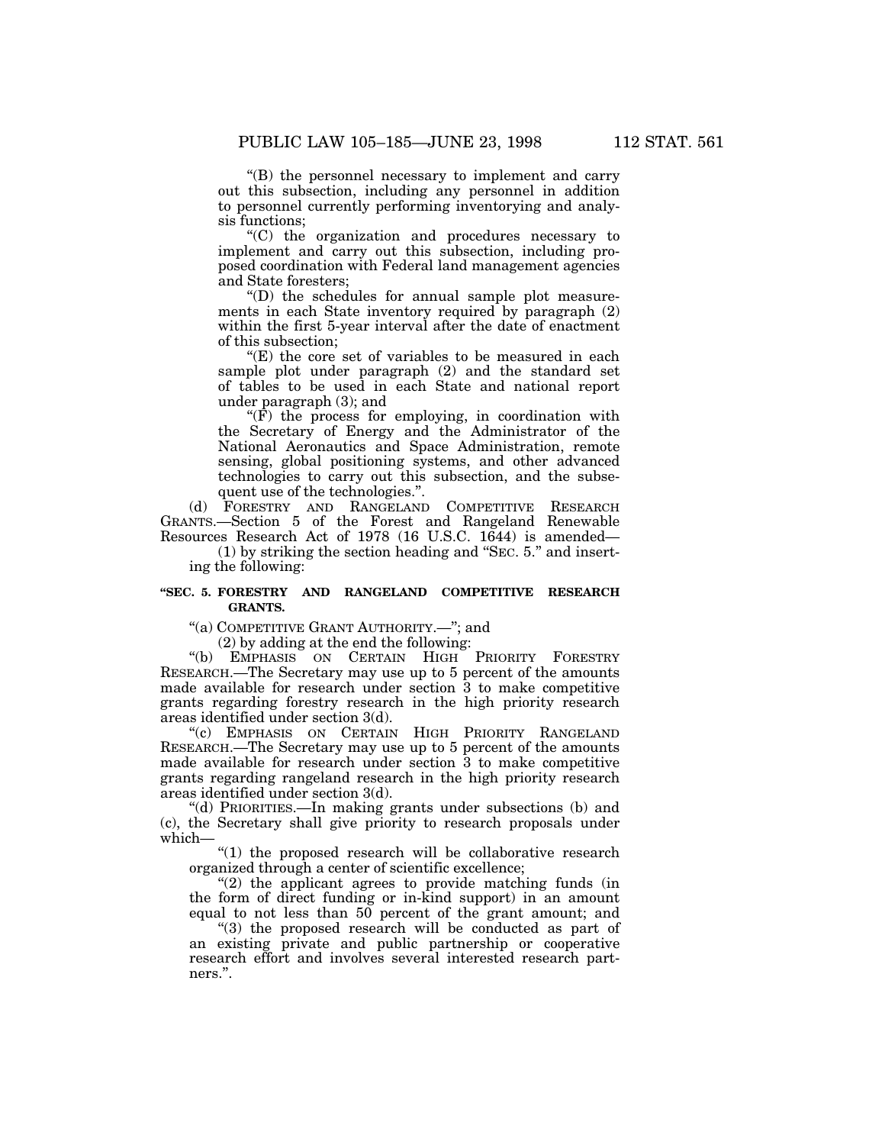''(B) the personnel necessary to implement and carry out this subsection, including any personnel in addition to personnel currently performing inventorying and analysis functions;

''(C) the organization and procedures necessary to implement and carry out this subsection, including proposed coordination with Federal land management agencies and State foresters;

''(D) the schedules for annual sample plot measurements in each State inventory required by paragraph (2) within the first 5-year interval after the date of enactment of this subsection;

''(E) the core set of variables to be measured in each sample plot under paragraph (2) and the standard set of tables to be used in each State and national report under paragraph (3); and

" $(\hat{F})$  the process for employing, in coordination with the Secretary of Energy and the Administrator of the National Aeronautics and Space Administration, remote sensing, global positioning systems, and other advanced technologies to carry out this subsection, and the subsequent use of the technologies.''.

(d) FORESTRY AND RANGELAND COMPETITIVE RESEARCH GRANTS.—Section 5 of the Forest and Rangeland Renewable Resources Research Act of 1978 (16 U.S.C. 1644) is amended—

(1) by striking the section heading and ''SEC. 5.'' and inserting the following:

### **''SEC. 5. FORESTRY AND RANGELAND COMPETITIVE RESEARCH GRANTS.**

"(a) COMPETITIVE GRANT AUTHORITY.-"; and

(2) by adding at the end the following:

"(b) EMPHASIS ON CERTAIN HIGH PRIORITY FORESTRY RESEARCH.—The Secretary may use up to 5 percent of the amounts made available for research under section 3 to make competitive grants regarding forestry research in the high priority research areas identified under section 3(d).

''(c) EMPHASIS ON CERTAIN HIGH PRIORITY RANGELAND RESEARCH.—The Secretary may use up to 5 percent of the amounts made available for research under section 3 to make competitive grants regarding rangeland research in the high priority research areas identified under section 3(d).

''(d) PRIORITIES.—In making grants under subsections (b) and (c), the Secretary shall give priority to research proposals under which—

" $(1)$  the proposed research will be collaborative research organized through a center of scientific excellence;

"(2) the applicant agrees to provide matching funds (in the form of direct funding or in-kind support) in an amount equal to not less than 50 percent of the grant amount; and

"(3) the proposed research will be conducted as part of an existing private and public partnership or cooperative research effort and involves several interested research partners.''.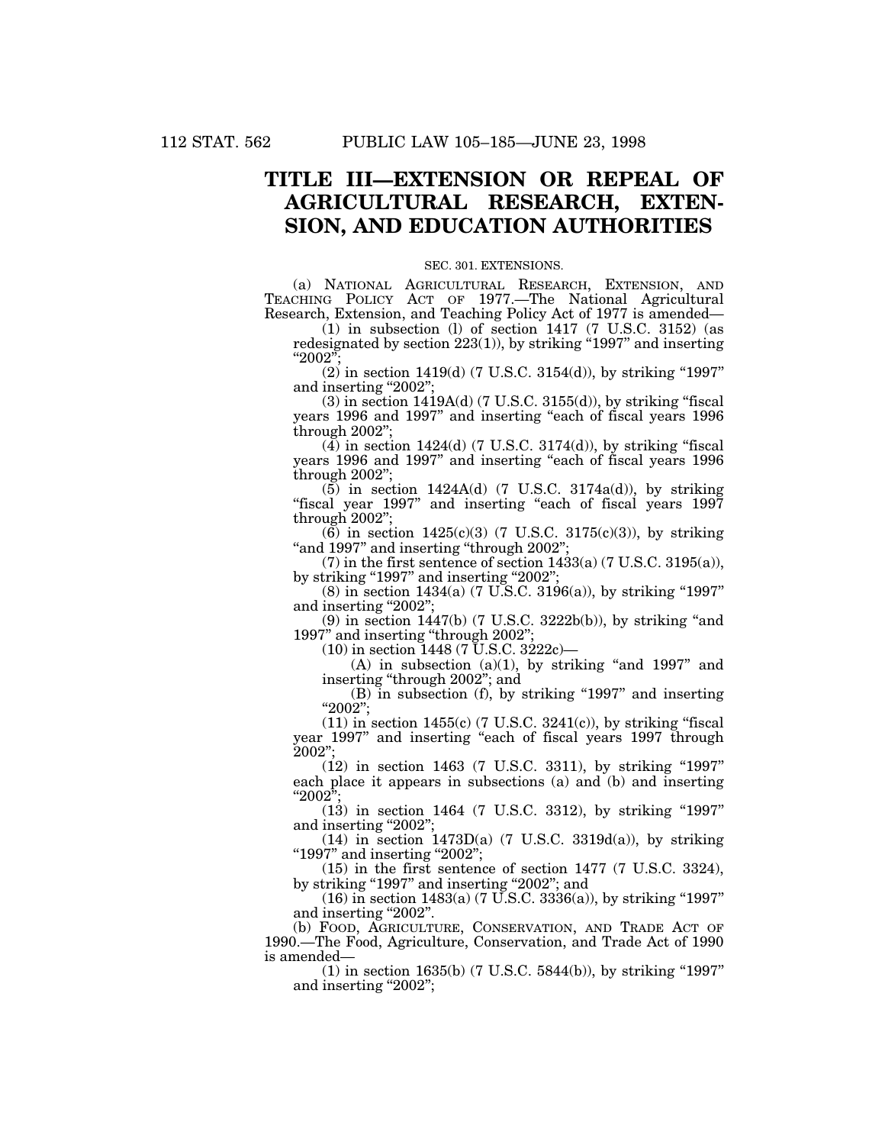## **TITLE III—EXTENSION OR REPEAL OF AGRICULTURAL RESEARCH, EXTEN-SION, AND EDUCATION AUTHORITIES**

### SEC. 301. EXTENSIONS.

(a) NATIONAL AGRICULTURAL RESEARCH, EXTENSION, AND TEACHING POLICY ACT OF 1977.—The National Agricultural Research, Extension, and Teaching Policy Act of 1977 is amended—

(1) in subsection (l) of section 1417 (7 U.S.C. 3152) (as redesignated by section 223(1)), by striking ''1997'' and inserting  $"2002"$ 

 $(2)$  in section 1419(d) (7 U.S.C. 3154(d)), by striking "1997" and inserting "2002"

 $(3)$  in section 1419A(d) (7 U.S.C. 3155(d)), by striking "fiscal years 1996 and 1997" and inserting "each of fiscal years 1996 through 2002'';

 $(\overline{4})$  in section 1424(d) (7 U.S.C. 3174(d)), by striking "fiscal years 1996 and 1997" and inserting "each of fiscal years 1996 through 2002'';

 $(5)$  in section 1424A(d) (7 U.S.C. 3174a(d)), by striking "fiscal year 1997" and inserting "each of fiscal years 1997 through 2002'';

 $(6)$  in section 1425(c)(3) (7 U.S.C. 3175(c)(3)), by striking "and 1997" and inserting "through 2002";

(7) in the first sentence of section  $1433(a)$  (7 U.S.C. 3195(a)), by striking "1997" and inserting "2002";

 $(8)$  in section 1434(a) (7 U.S.C. 3196(a)), by striking "1997" and inserting "2002";

 $(9)$  in section 1447(b) (7 U.S.C. 3222b(b)), by striking "and 1997'' and inserting ''through 2002'';

(10) in section 1448 (7 U.S.C. 3222c)—

 $(A)$  in subsection  $(a)(1)$ , by striking "and 1997" and inserting ''through 2002''; and

(B) in subsection (f), by striking ''1997'' and inserting ''2002'';

 $(11)$  in section 1455(c) (7 U.S.C. 3241(c)), by striking "fiscal year 1997" and inserting "each of fiscal years 1997 through 2002'';

(12) in section 1463 (7 U.S.C. 3311), by striking "1997" each place it appears in subsections (a) and (b) and inserting " $2002$ ";

(13) in section 1464 (7 U.S.C. 3312), by striking "1997" and inserting "2002";

 $(14)$  in section 1473D(a) (7 U.S.C. 3319d(a)), by striking ''1997'' and inserting ''2002'';

(15) in the first sentence of section 1477 (7 U.S.C. 3324), by striking "1997" and inserting "2002"; and

 $(16)$  in section 1483(a) (7 U.S.C. 3336(a)), by striking "1997" and inserting "2002".

(b) FOOD, AGRICULTURE, CONSERVATION, AND TRADE ACT OF 1990.—The Food, Agriculture, Conservation, and Trade Act of 1990 is amended—

 $(1)$  in section 1635(b) (7 U.S.C. 5844(b)), by striking "1997" and inserting "2002";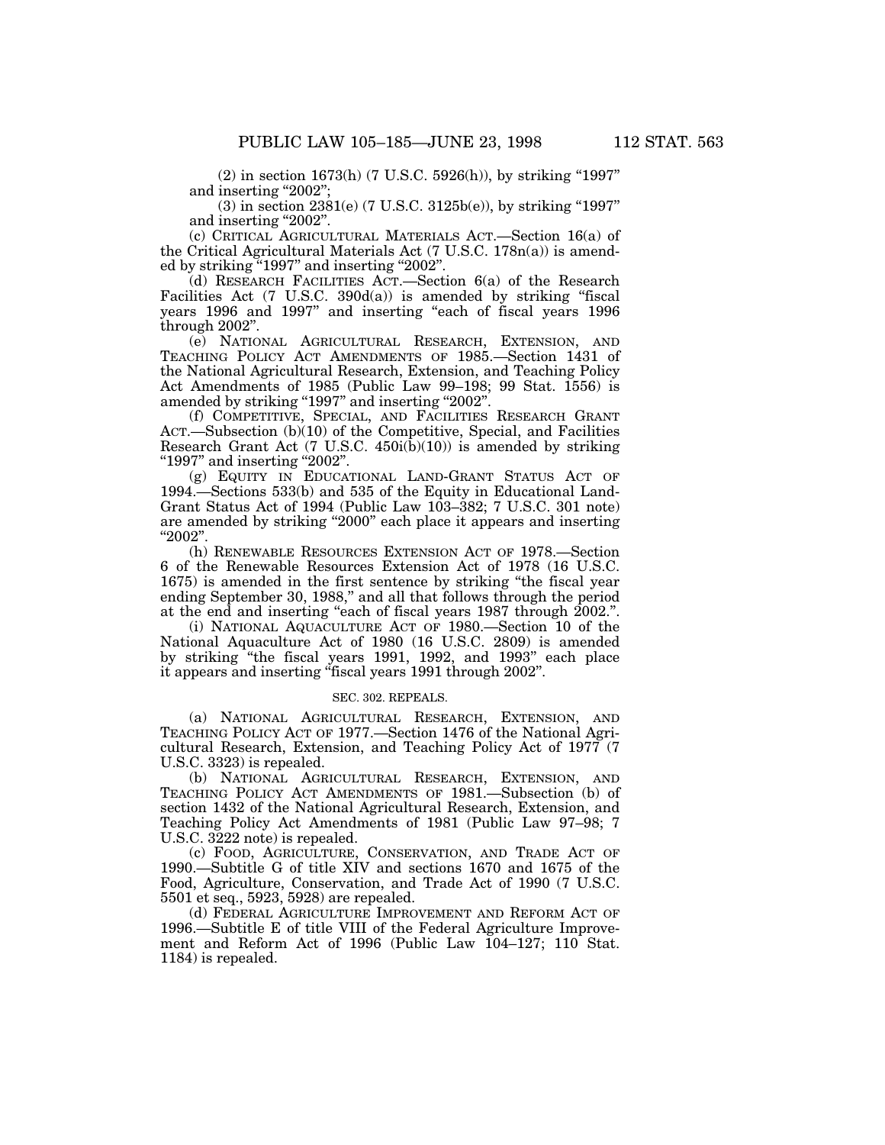$(2)$  in section 1673(h) (7 U.S.C. 5926(h)), by striking "1997" and inserting "2002";

(3) in section 2381(e) (7 U.S.C. 3125b(e)), by striking ''1997'' and inserting "2002".

(c) CRITICAL AGRICULTURAL MATERIALS ACT.—Section 16(a) of the Critical Agricultural Materials Act (7 U.S.C. 178n(a)) is amended by striking "1997" and inserting "2002".

(d) RESEARCH FACILITIES ACT.—Section 6(a) of the Research Facilities Act (7 U.S.C. 390d(a)) is amended by striking "fiscal years 1996 and 1997'' and inserting ''each of fiscal years 1996 through 2002''.

(e) NATIONAL AGRICULTURAL RESEARCH, EXTENSION, AND TEACHING POLICY ACT AMENDMENTS OF 1985.—Section 1431 of the National Agricultural Research, Extension, and Teaching Policy Act Amendments of 1985 (Public Law 99–198; 99 Stat. 1556) is amended by striking "1997" and inserting "2002".

(f) COMPETITIVE, SPECIAL, AND FACILITIES RESEARCH GRANT ACT.—Subsection (b)(10) of the Competitive, Special, and Facilities Research Grant Act (7 U.S.C.  $450i(\bar{b})(10)$ ) is amended by striking "1997" and inserting "2002".

(g) EQUITY IN EDUCATIONAL LAND-GRANT STATUS ACT OF 1994.—Sections 533(b) and 535 of the Equity in Educational Land-Grant Status Act of 1994 (Public Law 103–382; 7 U.S.C. 301 note) are amended by striking ''2000'' each place it appears and inserting ''2002''.

(h) RENEWABLE RESOURCES EXTENSION ACT OF 1978.—Section 6 of the Renewable Resources Extension Act of 1978 (16 U.S.C. 1675) is amended in the first sentence by striking ''the fiscal year ending September 30, 1988,'' and all that follows through the period at the end and inserting "each of fiscal years 1987 through 2002.".

(i) NATIONAL AQUACULTURE ACT OF 1980.—Section 10 of the National Aquaculture Act of 1980 (16 U.S.C. 2809) is amended by striking ''the fiscal years 1991, 1992, and 1993'' each place it appears and inserting "fiscal years 1991 through 2002".

### SEC. 302. REPEALS.

(a) NATIONAL AGRICULTURAL RESEARCH, EXTENSION, AND TEACHING POLICY ACT OF 1977.—Section 1476 of the National Agricultural Research, Extension, and Teaching Policy Act of 1977 (7 U.S.C. 3323) is repealed.

(b) NATIONAL AGRICULTURAL RESEARCH, EXTENSION, AND TEACHING POLICY ACT AMENDMENTS OF 1981.—Subsection (b) of section 1432 of the National Agricultural Research, Extension, and Teaching Policy Act Amendments of 1981 (Public Law 97–98; 7 U.S.C. 3222 note) is repealed.

(c) FOOD, AGRICULTURE, CONSERVATION, AND TRADE ACT OF 1990.—Subtitle G of title XIV and sections 1670 and 1675 of the Food, Agriculture, Conservation, and Trade Act of 1990 (7 U.S.C. 5501 et seq., 5923, 5928) are repealed.

(d) FEDERAL AGRICULTURE IMPROVEMENT AND REFORM ACT OF 1996.—Subtitle E of title VIII of the Federal Agriculture Improvement and Reform Act of 1996 (Public Law 104–127; 110 Stat. 1184) is repealed.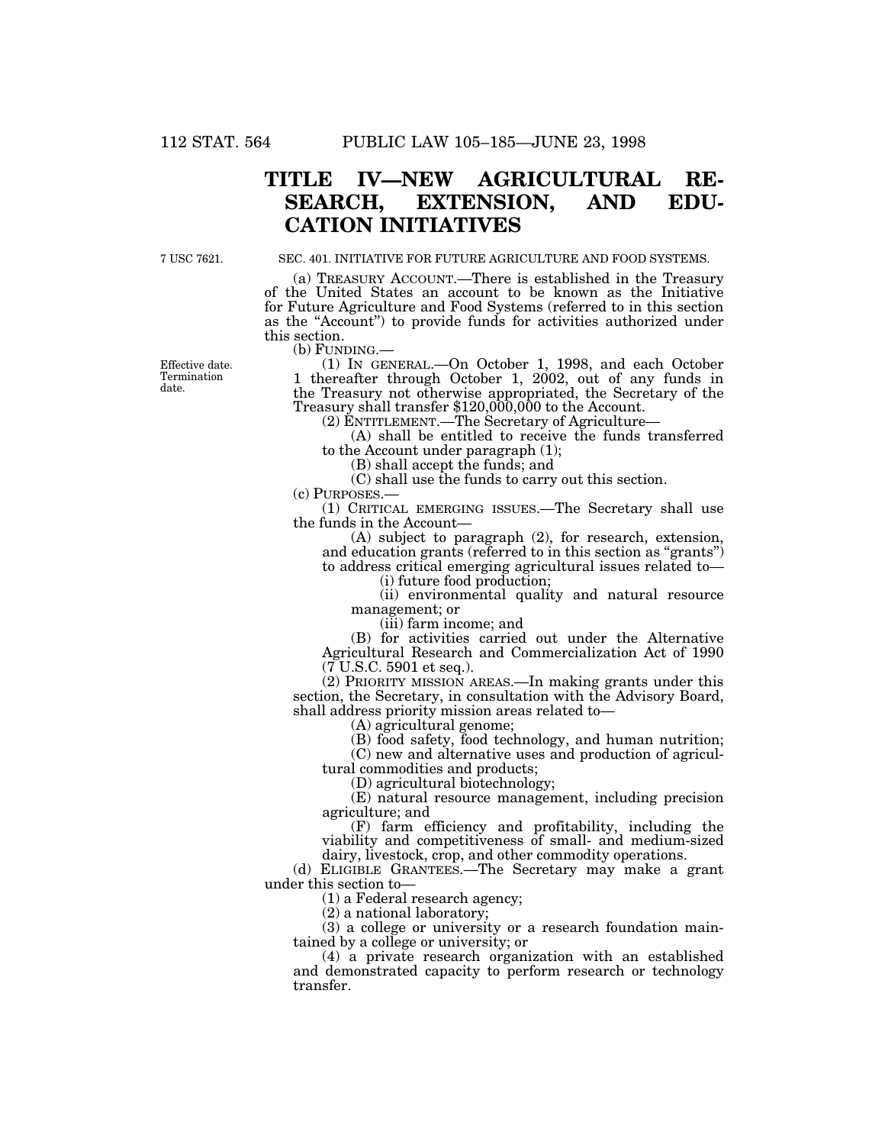# **TITLE IV—NEW AGRICULTURAL RE-SEARCH, EXTENSION, AND EDU-CATION INITIATIVES**

7 USC 7621.

### SEC. 401. INITIATIVE FOR FUTURE AGRICULTURE AND FOOD SYSTEMS.

(a) TREASURY ACCOUNT.—There is established in the Treasury of the United States an account to be known as the Initiative for Future Agriculture and Food Systems (referred to in this section as the ''Account'') to provide funds for activities authorized under this section.<br>(b) FUNDING.

(1) IN GENERAL.—On October 1, 1998, and each October 1 thereafter through October 1, 2002, out of any funds in the Treasury not otherwise appropriated, the Secretary of the Treasury shall transfer \$120,000,000 to the Account.

(2) ENTITLEMENT.—The Secretary of Agriculture—

(A) shall be entitled to receive the funds transferred to the Account under paragraph (1);

(B) shall accept the funds; and

(C) shall use the funds to carry out this section.

(c) PURPOSES.—

(1) CRITICAL EMERGING ISSUES.—The Secretary shall use the funds in the Account—

(A) subject to paragraph (2), for research, extension, and education grants (referred to in this section as ''grants'') to address critical emerging agricultural issues related to—

(i) future food production;

(ii) environmental quality and natural resource management; or

(iii) farm income; and

(B) for activities carried out under the Alternative Agricultural Research and Commercialization Act of 1990  $(7 \text{ U.S.C. } 5901 \text{ et seq.}).$ 

(2) PRIORITY MISSION AREAS.—In making grants under this section, the Secretary, in consultation with the Advisory Board, shall address priority mission areas related to—

(A) agricultural genome;

(B) food safety, food technology, and human nutrition;

(C) new and alternative uses and production of agricultural commodities and products;

(D) agricultural biotechnology;

(E) natural resource management, including precision agriculture; and

(F) farm efficiency and profitability, including the viability and competitiveness of small- and medium-sized dairy, livestock, crop, and other commodity operations.

(d) ELIGIBLE GRANTEES.—The Secretary may make a grant under this section to—

(1) a Federal research agency;

(2) a national laboratory;

(3) a college or university or a research foundation maintained by a college or university; or

(4) a private research organization with an established and demonstrated capacity to perform research or technology transfer.

Effective date. Termination date.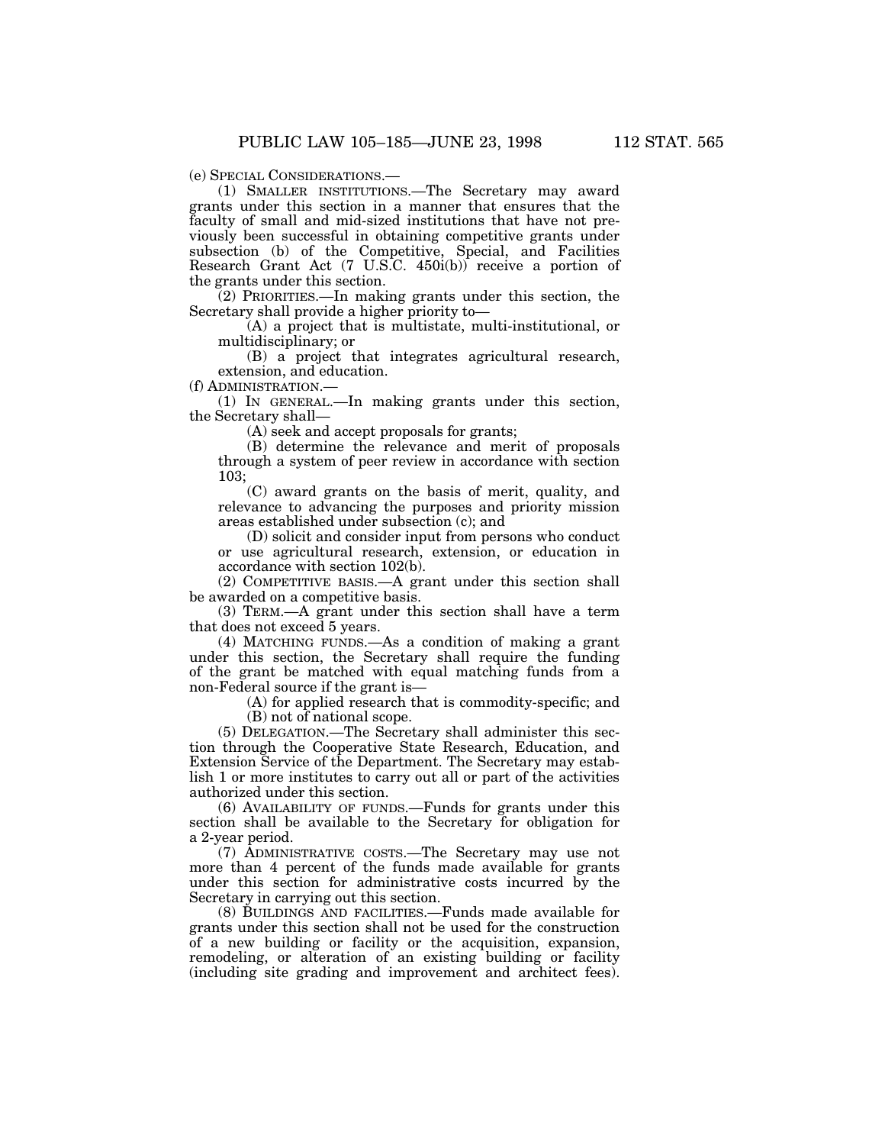(1) SMALLER INSTITUTIONS.—The Secretary may award grants under this section in a manner that ensures that the faculty of small and mid-sized institutions that have not previously been successful in obtaining competitive grants under subsection (b) of the Competitive, Special, and Facilities Research Grant Act (7 U.S.C. 450i(b)) receive a portion of the grants under this section.

(2) PRIORITIES.—In making grants under this section, the Secretary shall provide a higher priority to—

(A) a project that is multistate, multi-institutional, or multidisciplinary; or

(B) a project that integrates agricultural research, extension, and education.

(f) ADMINISTRATION.—

(1) IN GENERAL.—In making grants under this section, the Secretary shall—

(A) seek and accept proposals for grants;

(B) determine the relevance and merit of proposals through a system of peer review in accordance with section 103;

(C) award grants on the basis of merit, quality, and relevance to advancing the purposes and priority mission areas established under subsection (c); and

(D) solicit and consider input from persons who conduct or use agricultural research, extension, or education in accordance with section 102(b).

(2) COMPETITIVE BASIS.—A grant under this section shall be awarded on a competitive basis.

(3) TERM.—A grant under this section shall have a term that does not exceed 5 years.

(4) MATCHING FUNDS.—As a condition of making a grant under this section, the Secretary shall require the funding of the grant be matched with equal matching funds from a non-Federal source if the grant is—

> (A) for applied research that is commodity-specific; and (B) not of national scope.

(5) DELEGATION.—The Secretary shall administer this section through the Cooperative State Research, Education, and Extension Service of the Department. The Secretary may establish 1 or more institutes to carry out all or part of the activities authorized under this section.

(6) AVAILABILITY OF FUNDS.—Funds for grants under this section shall be available to the Secretary for obligation for a 2-year period.

(7) ADMINISTRATIVE COSTS.—The Secretary may use not more than 4 percent of the funds made available for grants under this section for administrative costs incurred by the Secretary in carrying out this section.

(8) BUILDINGS AND FACILITIES.—Funds made available for grants under this section shall not be used for the construction of a new building or facility or the acquisition, expansion, remodeling, or alteration of an existing building or facility (including site grading and improvement and architect fees).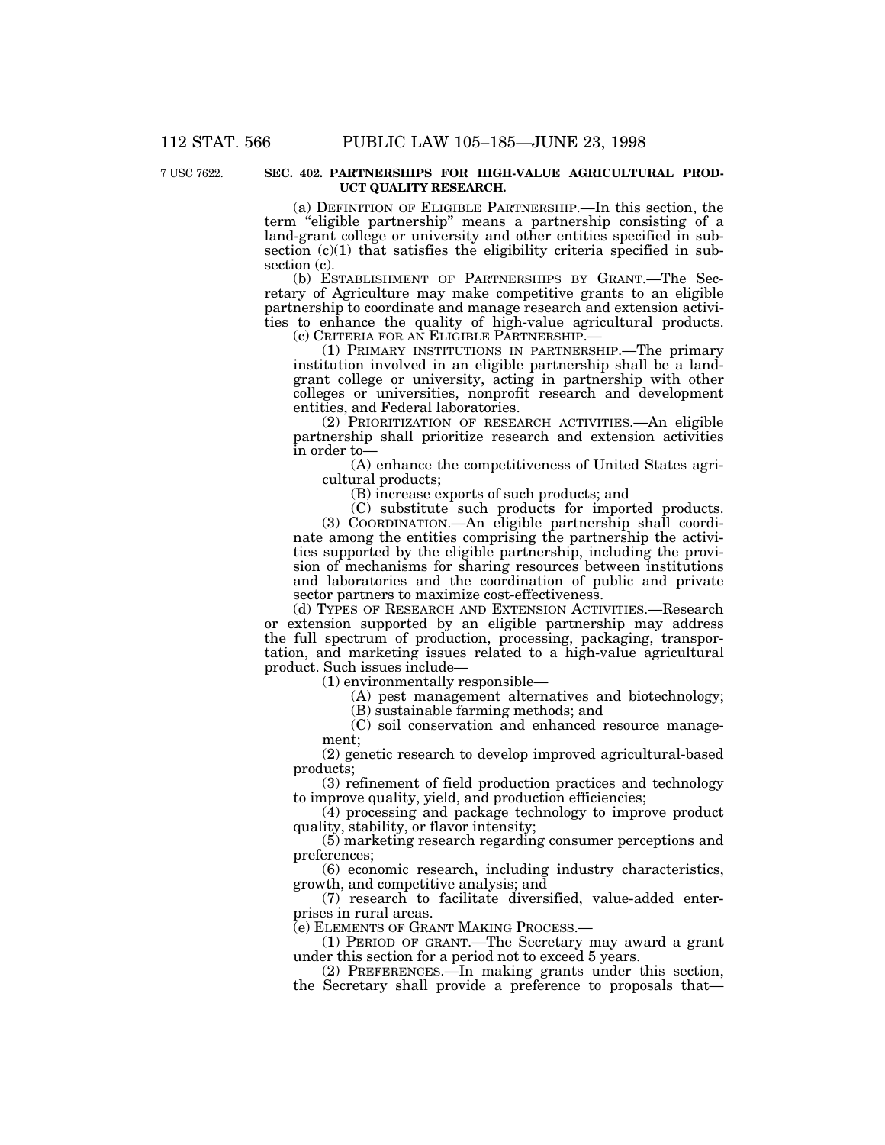### 7 USC 7622. **SEC. 402. PARTNERSHIPS FOR HIGH-VALUE AGRICULTURAL PROD-UCT QUALITY RESEARCH.**

(a) DEFINITION OF ELIGIBLE PARTNERSHIP.—In this section, the term "eligible partnership" means a partnership consisting of a land-grant college or university and other entities specified in subsection (c)(1) that satisfies the eligibility criteria specified in subsection (c).<br>(b) ESTABLISHMENT OF PARTNERSHIPS BY GRANT.—The Sec-

retary of Agriculture may make competitive grants to an eligible partnership to coordinate and manage research and extension activities to enhance the quality of high-value agricultural products.<br>(c) CRITERIA FOR AN ELIGIBLE PARTNERSHIP.—

(1) PRIMARY INSTITUTIONS IN PARTNERSHIP.— The primary institution involved in an eligible partnership shall be a landgrant college or university, acting in partnership with other colleges or universities, nonprofit research and development entities, and Federal laboratories.

(2) PRIORITIZATION OF RESEARCH ACTIVITIES.—An eligible partnership shall prioritize research and extension activities in order to—

(A) enhance the competitiveness of United States agricultural products;

(B) increase exports of such products; and

(C) substitute such products for imported products.

(3) COORDINATION.—An eligible partnership shall coordinate among the entities comprising the partnership the activities supported by the eligible partnership, including the provision of mechanisms for sharing resources between institutions and laboratories and the coordination of public and private sector partners to maximize cost-effectiveness.

(d) TYPES OF RESEARCH AND EXTENSION ACTIVITIES.—Research or extension supported by an eligible partnership may address the full spectrum of production, processing, packaging, transportation, and marketing issues related to a high-value agricultural product. Such issues include—

(1) environmentally responsible—

(A) pest management alternatives and biotechnology;

(B) sustainable farming methods; and

(C) soil conservation and enhanced resource manage- ment;

(2) genetic research to develop improved agricultural-based products;

(3) refinement of field production practices and technology to improve quality, yield, and production efficiencies;

(4) processing and package technology to improve product quality, stability, or flavor intensity;

(5) marketing research regarding consumer perceptions and preferences;

(6) economic research, including industry characteristics, growth, and competitive analysis; and

(7) research to facilitate diversified, value-added enter-<br>prises in rural areas.<br>(e) ELEMENTS OF GRANT MAKING PROCESS.—

(1) PERIOD OF GRANT.—The Secretary may award a grant under this section for a period not to exceed 5 years.

(2) PREFERENCES.—In making grants under this section, the Secretary shall provide a preference to proposals that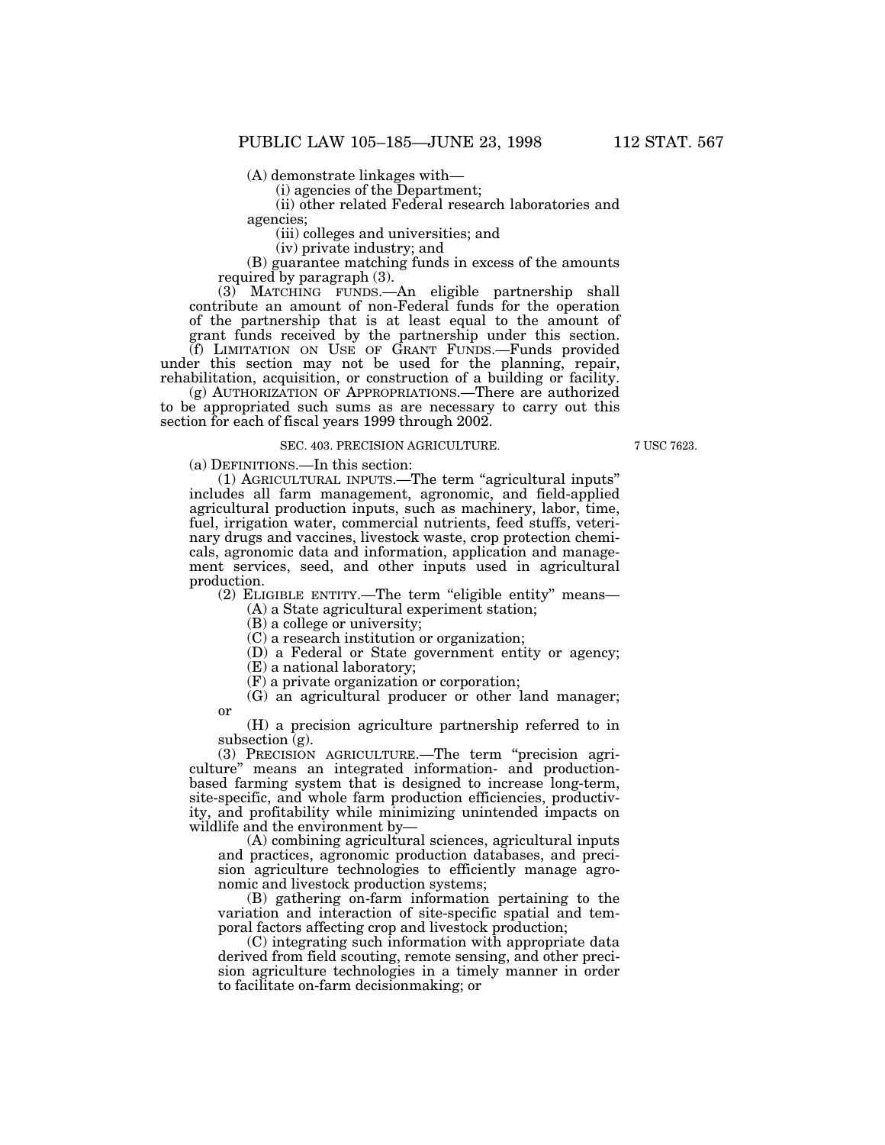(A) demonstrate linkages with—

(i) agencies of the Department;

(ii) other related Federal research laboratories and agencies;

(iii) colleges and universities; and

(iv) private industry; and

(B) guarantee matching funds in excess of the amounts required by paragraph (3).

(3) MATCHING FUNDS.—An eligible partnership shall contribute an amount of non-Federal funds for the operation of the partnership that is at least equal to the amount of grant funds received by the partnership under this section.

(f) LIMITATION ON USE OF GRANT FUNDS.—Funds provided under this section may not be used for the planning, repair, rehabilitation, acquisition, or construction of a building or facility.

(g) AUTHORIZATION OF APPROPRIATIONS.—There are authorized to be appropriated such sums as are necessary to carry out this section for each of fiscal years 1999 through 2002.

#### SEC. 403. PRECISION AGRICULTURE.

7 USC 7623.

(a) DEFINITIONS.—In this section:

(1) AGRICULTURAL INPUTS.—The term ''agricultural inputs'' includes all farm management, agronomic, and field-applied agricultural production inputs, such as machinery, labor, time, fuel, irrigation water, commercial nutrients, feed stuffs, veterinary drugs and vaccines, livestock waste, crop protection chemicals, agronomic data and information, application and management services, seed, and other inputs used in agricultural production.

(2) ELIGIBLE ENTITY.—The term ''eligible entity'' means— (A) a State agricultural experiment station;

(B) a college or university;

(C) a research institution or organization;

(D) a Federal or State government entity or agency;

(E) a national laboratory;

(F) a private organization or corporation;

(G) an agricultural producer or other land manager; or

(H) a precision agriculture partnership referred to in subsection  $\bar{g}$ ).

(3) PRECISION AGRICULTURE.—The term ''precision agriculture'' means an integrated information- and productionbased farming system that is designed to increase long-term, site-specific, and whole farm production efficiencies, productivity, and profitability while minimizing unintended impacts on wildlife and the environment by—

(A) combining agricultural sciences, agricultural inputs and practices, agronomic production databases, and precision agriculture technologies to efficiently manage agronomic and livestock production systems;

(B) gathering on-farm information pertaining to the variation and interaction of site-specific spatial and temporal factors affecting crop and livestock production;

(C) integrating such information with appropriate data derived from field scouting, remote sensing, and other precision agriculture technologies in a timely manner in order to facilitate on-farm decisionmaking; or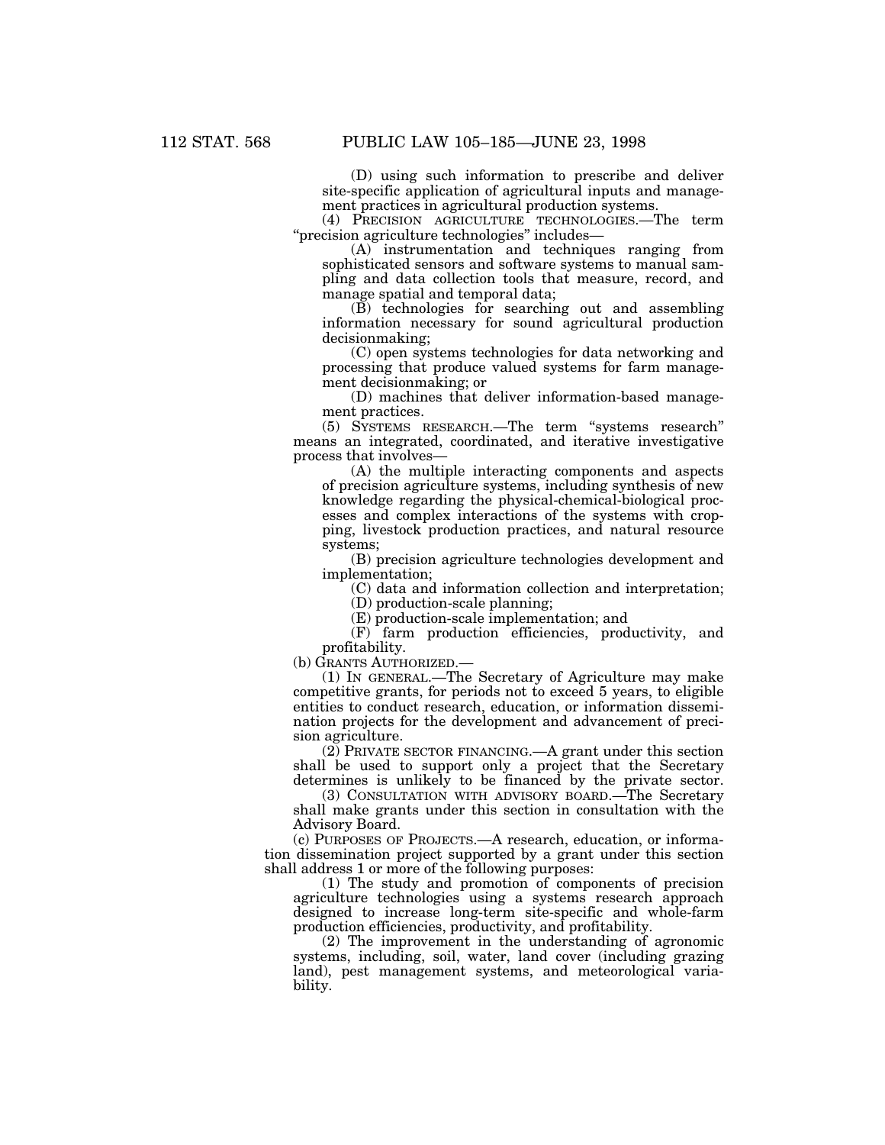(D) using such information to prescribe and deliver site-specific application of agricultural inputs and management practices in agricultural production systems.

(4) PRECISION AGRICULTURE TECHNOLOGIES.—The term ''precision agriculture technologies'' includes—

(A) instrumentation and techniques ranging from sophisticated sensors and software systems to manual sampling and data collection tools that measure, record, and manage spatial and temporal data;

(B) technologies for searching out and assembling information necessary for sound agricultural production decisionmaking;

(C) open systems technologies for data networking and processing that produce valued systems for farm management decisionmaking; or

(D) machines that deliver information-based management practices.

(5) SYSTEMS RESEARCH.—The term ''systems research'' means an integrated, coordinated, and iterative investigative process that involves—

(A) the multiple interacting components and aspects of precision agriculture systems, including synthesis of new knowledge regarding the physical-chemical-biological processes and complex interactions of the systems with cropping, livestock production practices, and natural resource systems;

(B) precision agriculture technologies development and implementation;

(C) data and information collection and interpretation;

(D) production-scale planning;

(E) production-scale implementation; and

(F) farm production efficiencies, productivity, and profitability.

(b) GRANTS AUTHORIZED.—

(1) IN GENERAL.—The Secretary of Agriculture may make competitive grants, for periods not to exceed 5 years, to eligible entities to conduct research, education, or information dissemination projects for the development and advancement of precision agriculture.

(2) PRIVATE SECTOR FINANCING.—A grant under this section shall be used to support only a project that the Secretary determines is unlikely to be financed by the private sector.

(3) CONSULTATION WITH ADVISORY BOARD.—The Secretary shall make grants under this section in consultation with the Advisory Board.

(c) PURPOSES OF PROJECTS.—A research, education, or information dissemination project supported by a grant under this section shall address 1 or more of the following purposes:

(1) The study and promotion of components of precision agriculture technologies using a systems research approach designed to increase long-term site-specific and whole-farm production efficiencies, productivity, and profitability.

(2) The improvement in the understanding of agronomic systems, including, soil, water, land cover (including grazing land), pest management systems, and meteorological variability.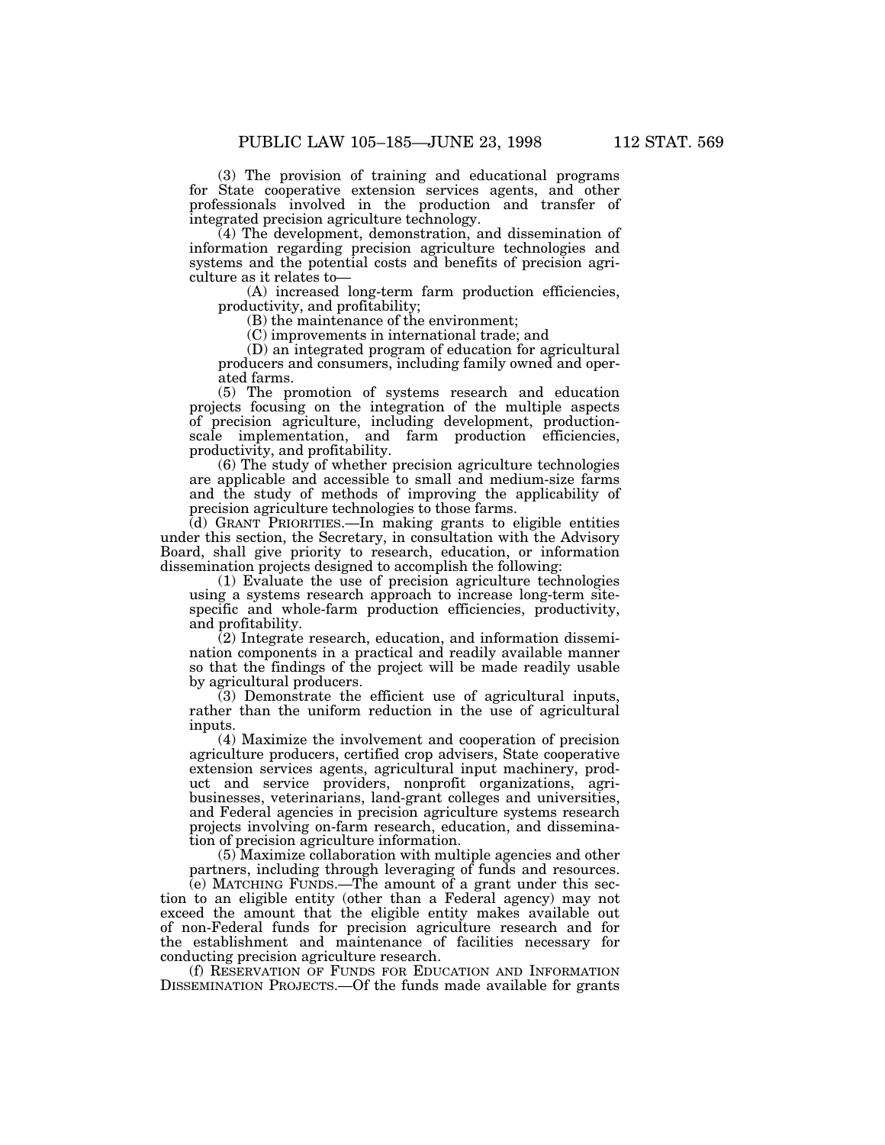(3) The provision of training and educational programs for State cooperative extension services agents, and other professionals involved in the production and transfer of integrated precision agriculture technology.

(4) The development, demonstration, and dissemination of information regarding precision agriculture technologies and systems and the potential costs and benefits of precision agriculture as it relates to—

(A) increased long-term farm production efficiencies, productivity, and profitability;

(B) the maintenance of the environment;

(C) improvements in international trade; and

(D) an integrated program of education for agricultural producers and consumers, including family owned and operated farms.

(5) The promotion of systems research and education projects focusing on the integration of the multiple aspects of precision agriculture, including development, productionscale implementation, and farm production efficiencies, productivity, and profitability.

(6) The study of whether precision agriculture technologies are applicable and accessible to small and medium-size farms and the study of methods of improving the applicability of precision agriculture technologies to those farms.

(d) GRANT PRIORITIES.—In making grants to eligible entities under this section, the Secretary, in consultation with the Advisory Board, shall give priority to research, education, or information dissemination projects designed to accomplish the following:

(1) Evaluate the use of precision agriculture technologies using a systems research approach to increase long-term sitespecific and whole-farm production efficiencies, productivity, and profitability.

(2) Integrate research, education, and information dissemination components in a practical and readily available manner so that the findings of the project will be made readily usable by agricultural producers.

(3) Demonstrate the efficient use of agricultural inputs, rather than the uniform reduction in the use of agricultural inputs.

(4) Maximize the involvement and cooperation of precision agriculture producers, certified crop advisers, State cooperative extension services agents, agricultural input machinery, product and service providers, nonprofit organizations, agribusinesses, veterinarians, land-grant colleges and universities, and Federal agencies in precision agriculture systems research projects involving on-farm research, education, and dissemination of precision agriculture information.

(5) Maximize collaboration with multiple agencies and other partners, including through leveraging of funds and resources.

(e) MATCHING FUNDS.—The amount of a grant under this section to an eligible entity (other than a Federal agency) may not exceed the amount that the eligible entity makes available out of non-Federal funds for precision agriculture research and for the establishment and maintenance of facilities necessary for conducting precision agriculture research.

(f) RESERVATION OF FUNDS FOR EDUCATION AND INFORMATION DISSEMINATION PROJECTS.—Of the funds made available for grants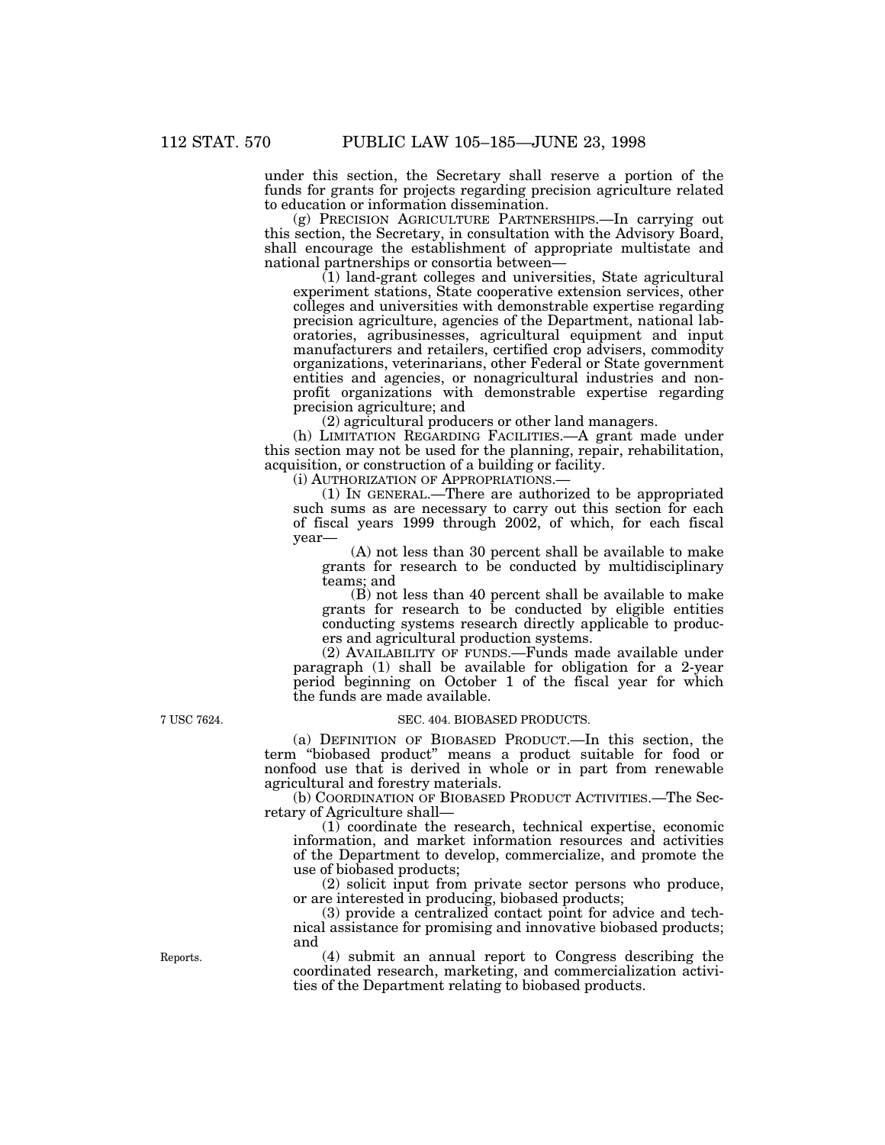under this section, the Secretary shall reserve a portion of the funds for grants for projects regarding precision agriculture related to education or information dissemination.

(g) PRECISION AGRICULTURE PARTNERSHIPS.—In carrying out this section, the Secretary, in consultation with the Advisory Board, shall encourage the establishment of appropriate multistate and national partnerships or consortia between—

(1) land-grant colleges and universities, State agricultural experiment stations, State cooperative extension services, other colleges and universities with demonstrable expertise regarding precision agriculture, agencies of the Department, national laboratories, agribusinesses, agricultural equipment and input manufacturers and retailers, certified crop advisers, commodity organizations, veterinarians, other Federal or State government entities and agencies, or nonagricultural industries and nonprofit organizations with demonstrable expertise regarding precision agriculture; and

(2) agricultural producers or other land managers.

(h) LIMITATION REGARDING FACILITIES.—A grant made under this section may not be used for the planning, repair, rehabilitation, acquisition, or construction of a building or facility.

(i) AUTHORIZATION OF APPROPRIATIONS.—

(1) IN GENERAL.—There are authorized to be appropriated such sums as are necessary to carry out this section for each of fiscal years 1999 through 2002, of which, for each fiscal year—

(A) not less than 30 percent shall be available to make grants for research to be conducted by multidisciplinary teams; and

(B) not less than 40 percent shall be available to make grants for research to be conducted by eligible entities conducting systems research directly applicable to producers and agricultural production systems.

(2) AVAILABILITY OF FUNDS.—Funds made available under paragraph (1) shall be available for obligation for a 2-year period beginning on October 1 of the fiscal year for which the funds are made available.

7 USC 7624. SEC. 404. BIOBASED PRODUCTS.

(a) DEFINITION OF BIOBASED PRODUCT.—In this section, the term ''biobased product'' means a product suitable for food or nonfood use that is derived in whole or in part from renewable agricultural and forestry materials.

(b) COORDINATION OF BIOBASED PRODUCT ACTIVITIES.—The Secretary of Agriculture shall—

(1) coordinate the research, technical expertise, economic information, and market information resources and activities of the Department to develop, commercialize, and promote the use of biobased products;

(2) solicit input from private sector persons who produce, or are interested in producing, biobased products;

(3) provide a centralized contact point for advice and technical assistance for promising and innovative biobased products; and

Reports. (4) submit an annual report to Congress describing the coordinated research, marketing, and commercialization activities of the Department relating to biobased products.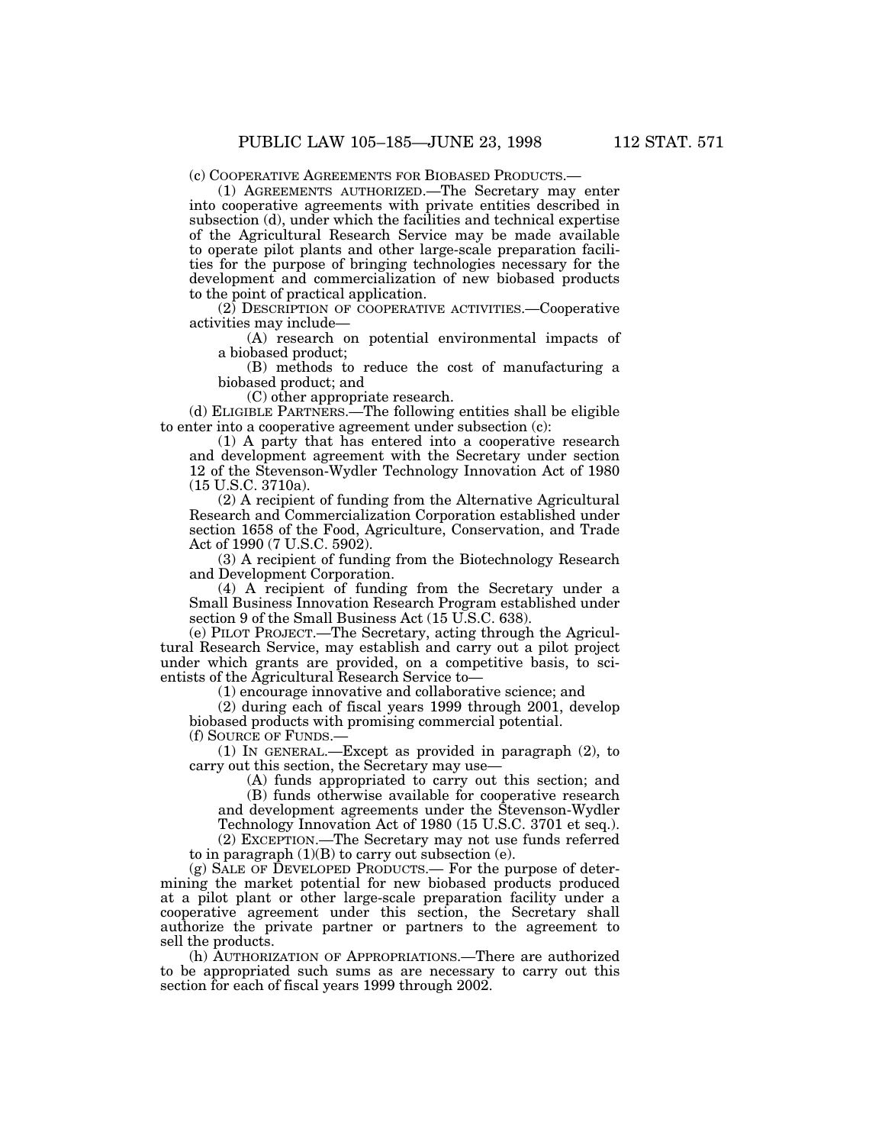(c) COOPERATIVE AGREEMENTS FOR BIOBASED PRODUCTS.—

(1) AGREEMENTS AUTHORIZED.—The Secretary may enter into cooperative agreements with private entities described in subsection (d), under which the facilities and technical expertise of the Agricultural Research Service may be made available to operate pilot plants and other large-scale preparation facilities for the purpose of bringing technologies necessary for the development and commercialization of new biobased products to the point of practical application.

(2) DESCRIPTION OF COOPERATIVE ACTIVITIES.—Cooperative activities may include—

(A) research on potential environmental impacts of a biobased product;

(B) methods to reduce the cost of manufacturing a biobased product; and

(C) other appropriate research.

(d) ELIGIBLE PARTNERS.—The following entities shall be eligible to enter into a cooperative agreement under subsection (c):

(1) A party that has entered into a cooperative research and development agreement with the Secretary under section 12 of the Stevenson-Wydler Technology Innovation Act of 1980 (15 U.S.C. 3710a).

(2) A recipient of funding from the Alternative Agricultural Research and Commercialization Corporation established under section 1658 of the Food, Agriculture, Conservation, and Trade Act of 1990 (7 U.S.C. 5902).

(3) A recipient of funding from the Biotechnology Research and Development Corporation.

(4) A recipient of funding from the Secretary under a Small Business Innovation Research Program established under section 9 of the Small Business Act (15 U.S.C. 638).

(e) PILOT PROJECT.—The Secretary, acting through the Agricultural Research Service, may establish and carry out a pilot project under which grants are provided, on a competitive basis, to scientists of the Agricultural Research Service to—

(1) encourage innovative and collaborative science; and

(2) during each of fiscal years 1999 through 2001, develop biobased products with promising commercial potential.

(f) SOURCE OF FUNDS.—

(1) IN GENERAL.—Except as provided in paragraph (2), to carry out this section, the Secretary may use—

(A) funds appropriated to carry out this section; and

(B) funds otherwise available for cooperative research and development agreements under the Stevenson-Wydler Technology Innovation Act of 1980 (15 U.S.C. 3701 et seq.). (2) EXCEPTION.—The Secretary may not use funds referred

to in paragraph  $(1)(B)$  to carry out subsection (e).

(g) SALE OF DEVELOPED PRODUCTS.— For the purpose of determining the market potential for new biobased products produced at a pilot plant or other large-scale preparation facility under a cooperative agreement under this section, the Secretary shall authorize the private partner or partners to the agreement to sell the products.

(h) AUTHORIZATION OF APPROPRIATIONS.—There are authorized to be appropriated such sums as are necessary to carry out this section for each of fiscal years 1999 through 2002.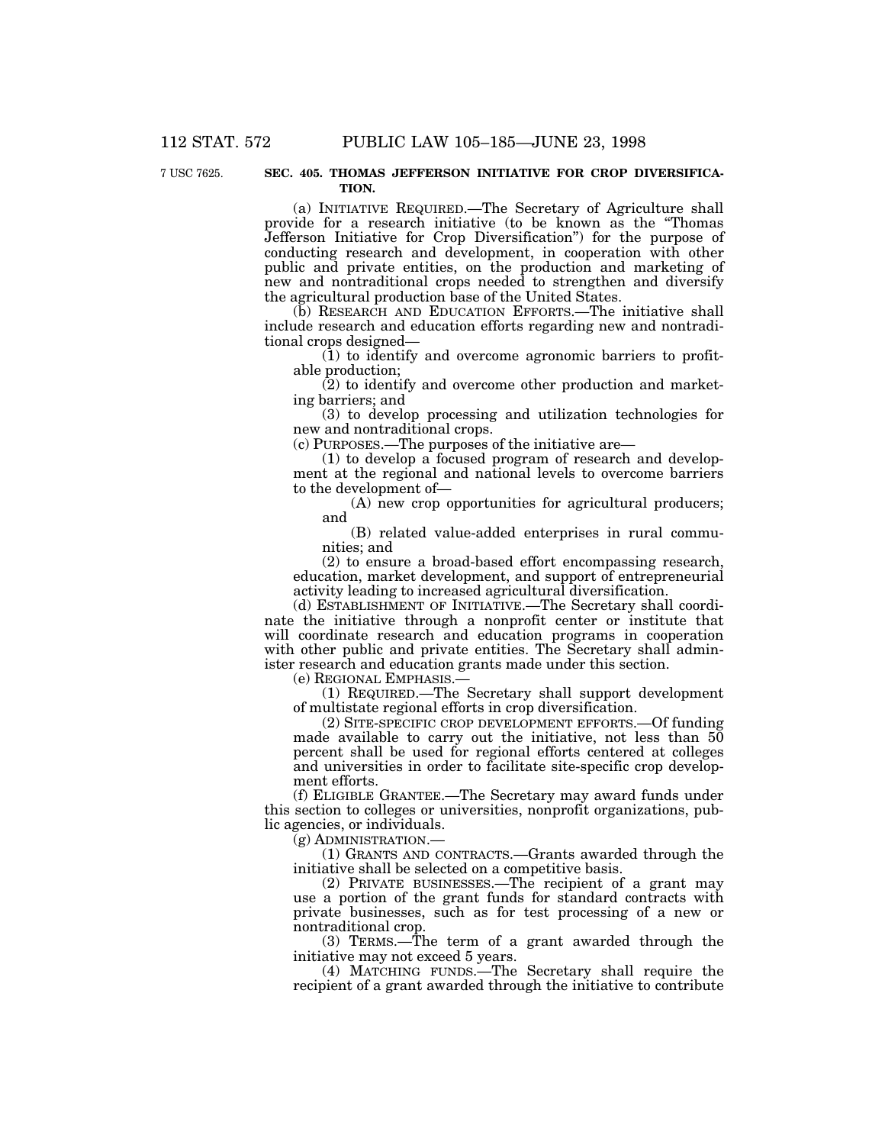### 7 USC 7625. **SEC. 405. THOMAS JEFFERSON INITIATIVE FOR CROP DIVERSIFICA-TION.**

(a) INITIATIVE REQUIRED.—The Secretary of Agriculture shall provide for a research initiative (to be known as the ''Thomas Jefferson Initiative for Crop Diversification'') for the purpose of conducting research and development, in cooperation with other public and private entities, on the production and marketing of new and nontraditional crops needed to strengthen and diversify the agricultural production base of the United States.

(b) RESEARCH AND EDUCATION EFFORTS.—The initiative shall include research and education efforts regarding new and nontraditional crops designed—

(1) to identify and overcome agronomic barriers to profitable production;

(2) to identify and overcome other production and marketing barriers; and

(3) to develop processing and utilization technologies for new and nontraditional crops.

(c) PURPOSES.—The purposes of the initiative are—

(1) to develop a focused program of research and development at the regional and national levels to overcome barriers to the development of—

(A) new crop opportunities for agricultural producers; and

(B) related value-added enterprises in rural communities; and

(2) to ensure a broad-based effort encompassing research, education, market development, and support of entrepreneurial activity leading to increased agricultural diversification.

(d) ESTABLISHMENT OF INITIATIVE.—The Secretary shall coordinate the initiative through a nonprofit center or institute that will coordinate research and education programs in cooperation with other public and private entities. The Secretary shall administer research and education grants made under this section.

(e) REGIONAL EMPHASIS.—

(1) REQUIRED.—The Secretary shall support development of multistate regional efforts in crop diversification.

(2) SITE-SPECIFIC CROP DEVELOPMENT EFFORTS.—Of funding made available to carry out the initiative, not less than  $5\overline{0}$ percent shall be used for regional efforts centered at colleges and universities in order to facilitate site-specific crop development efforts.

(f) ELIGIBLE GRANTEE.—The Secretary may award funds under this section to colleges or universities, nonprofit organizations, public agencies, or individuals.

(g) ADMINISTRATION.—

(1) GRANTS AND CONTRACTS.—Grants awarded through the initiative shall be selected on a competitive basis.

(2) PRIVATE BUSINESSES.—The recipient of a grant may use a portion of the grant funds for standard contracts with private businesses, such as for test processing of a new or nontraditional crop.

(3) TERMS.—The term of a grant awarded through the initiative may not exceed 5 years.

(4) MATCHING FUNDS.—The Secretary shall require the recipient of a grant awarded through the initiative to contribute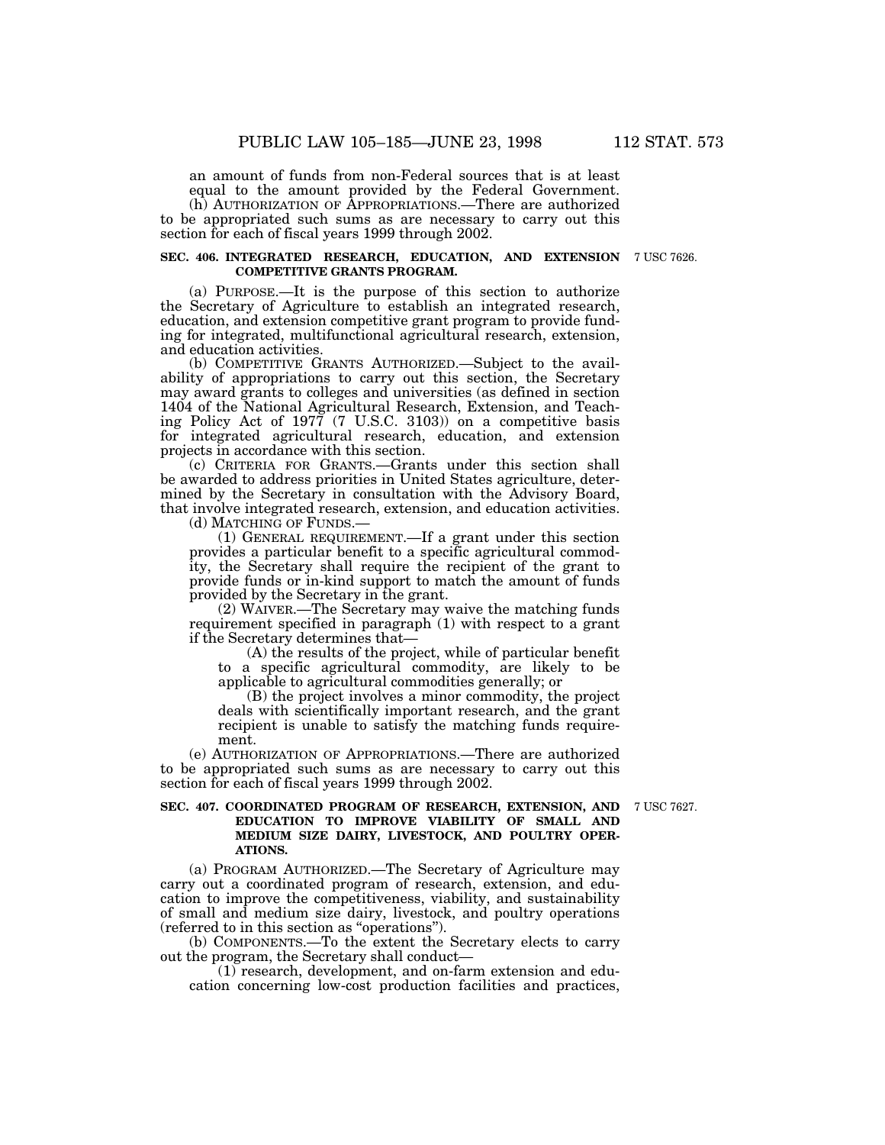an amount of funds from non-Federal sources that is at least equal to the amount provided by the Federal Government.

(h) AUTHORIZATION OF APPROPRIATIONS.—There are authorized to be appropriated such sums as are necessary to carry out this section for each of fiscal years 1999 through 2002.

### **SEC. 406. INTEGRATED RESEARCH, EDUCATION, AND EXTENSION** 7 USC 7626. **COMPETITIVE GRANTS PROGRAM.**

(a) PURPOSE.—It is the purpose of this section to authorize the Secretary of Agriculture to establish an integrated research, education, and extension competitive grant program to provide funding for integrated, multifunctional agricultural research, extension, and education activities.

(b) COMPETITIVE GRANTS AUTHORIZED.—Subject to the availability of appropriations to carry out this section, the Secretary may award grants to colleges and universities (as defined in section 1404 of the National Agricultural Research, Extension, and Teaching Policy Act of 1977 (7 U.S.C. 3103)) on a competitive basis for integrated agricultural research, education, and extension projects in accordance with this section.

(c) CRITERIA FOR GRANTS.—Grants under this section shall be awarded to address priorities in United States agriculture, determined by the Secretary in consultation with the Advisory Board, that involve integrated research, extension, and education activities. (d) MATCHING OF FUNDS.—

(1) GENERAL REQUIREMENT.—If a grant under this section provides a particular benefit to a specific agricultural commodity, the Secretary shall require the recipient of the grant to provide funds or in-kind support to match the amount of funds provided by the Secretary in the grant.

(2) WAIVER.—The Secretary may waive the matching funds requirement specified in paragraph (1) with respect to a grant if the Secretary determines that—

(A) the results of the project, while of particular benefit to a specific agricultural commodity, are likely to be applicable to agricultural commodities generally; or

(B) the project involves a minor commodity, the project deals with scientifically important research, and the grant recipient is unable to satisfy the matching funds requirement.

(e) AUTHORIZATION OF APPROPRIATIONS.—There are authorized to be appropriated such sums as are necessary to carry out this section for each of fiscal years 1999 through 2002.

### **SEC. 407. COORDINATED PROGRAM OF RESEARCH, EXTENSION, AND** 7 USC 7627. **EDUCATION TO IMPROVE VIABILITY OF SMALL AND MEDIUM SIZE DAIRY, LIVESTOCK, AND POULTRY OPER-ATIONS.**

(a) PROGRAM AUTHORIZED.—The Secretary of Agriculture may carry out a coordinated program of research, extension, and education to improve the competitiveness, viability, and sustainability of small and medium size dairy, livestock, and poultry operations (referred to in this section as ''operations'').

(b) COMPONENTS.—To the extent the Secretary elects to carry out the program, the Secretary shall conduct—

(1) research, development, and on-farm extension and education concerning low-cost production facilities and practices,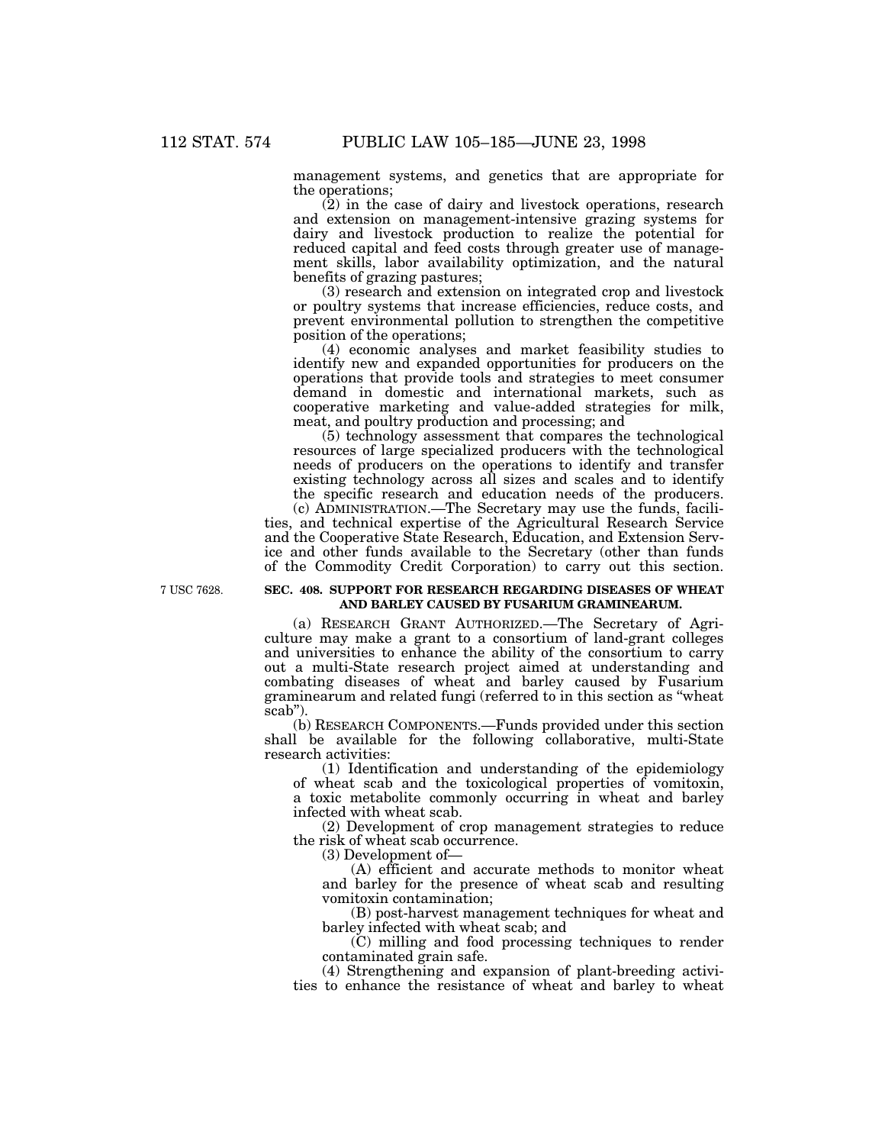management systems, and genetics that are appropriate for the operations;

(2) in the case of dairy and livestock operations, research and extension on management-intensive grazing systems for dairy and livestock production to realize the potential for reduced capital and feed costs through greater use of management skills, labor availability optimization, and the natural benefits of grazing pastures;

(3) research and extension on integrated crop and livestock or poultry systems that increase efficiencies, reduce costs, and prevent environmental pollution to strengthen the competitive position of the operations;

(4) economic analyses and market feasibility studies to identify new and expanded opportunities for producers on the operations that provide tools and strategies to meet consumer demand in domestic and international markets, such as cooperative marketing and value-added strategies for milk, meat, and poultry production and processing; and

(5) technology assessment that compares the technological resources of large specialized producers with the technological needs of producers on the operations to identify and transfer existing technology across all sizes and scales and to identify the specific research and education needs of the producers.

(c) ADMINISTRATION.—The Secretary may use the funds, facilities, and technical expertise of the Agricultural Research Service and the Cooperative State Research, Education, and Extension Service and other funds available to the Secretary (other than funds of the Commodity Credit Corporation) to carry out this section.

### 7 USC 7628. **SEC. 408. SUPPORT FOR RESEARCH REGARDING DISEASES OF WHEAT AND BARLEY CAUSED BY FUSARIUM GRAMINEARUM.**

(a) RESEARCH GRANT AUTHORIZED.—The Secretary of Agriculture may make a grant to a consortium of land-grant colleges and universities to enhance the ability of the consortium to carry out a multi-State research project aimed at understanding and combating diseases of wheat and barley caused by Fusarium graminearum and related fungi (referred to in this section as ''wheat scab").

(b) RESEARCH COMPONENTS.—Funds provided under this section shall be available for the following collaborative, multi-State research activities:

(1) Identification and understanding of the epidemiology of wheat scab and the toxicological properties of vomitoxin, a toxic metabolite commonly occurring in wheat and barley infected with wheat scab.

(2) Development of crop management strategies to reduce the risk of wheat scab occurrence.

(3) Development of—

(A) efficient and accurate methods to monitor wheat and barley for the presence of wheat scab and resulting vomitoxin contamination;

(B) post-harvest management techniques for wheat and barley infected with wheat scab; and

(C) milling and food processing techniques to render contaminated grain safe.

(4) Strengthening and expansion of plant-breeding activities to enhance the resistance of wheat and barley to wheat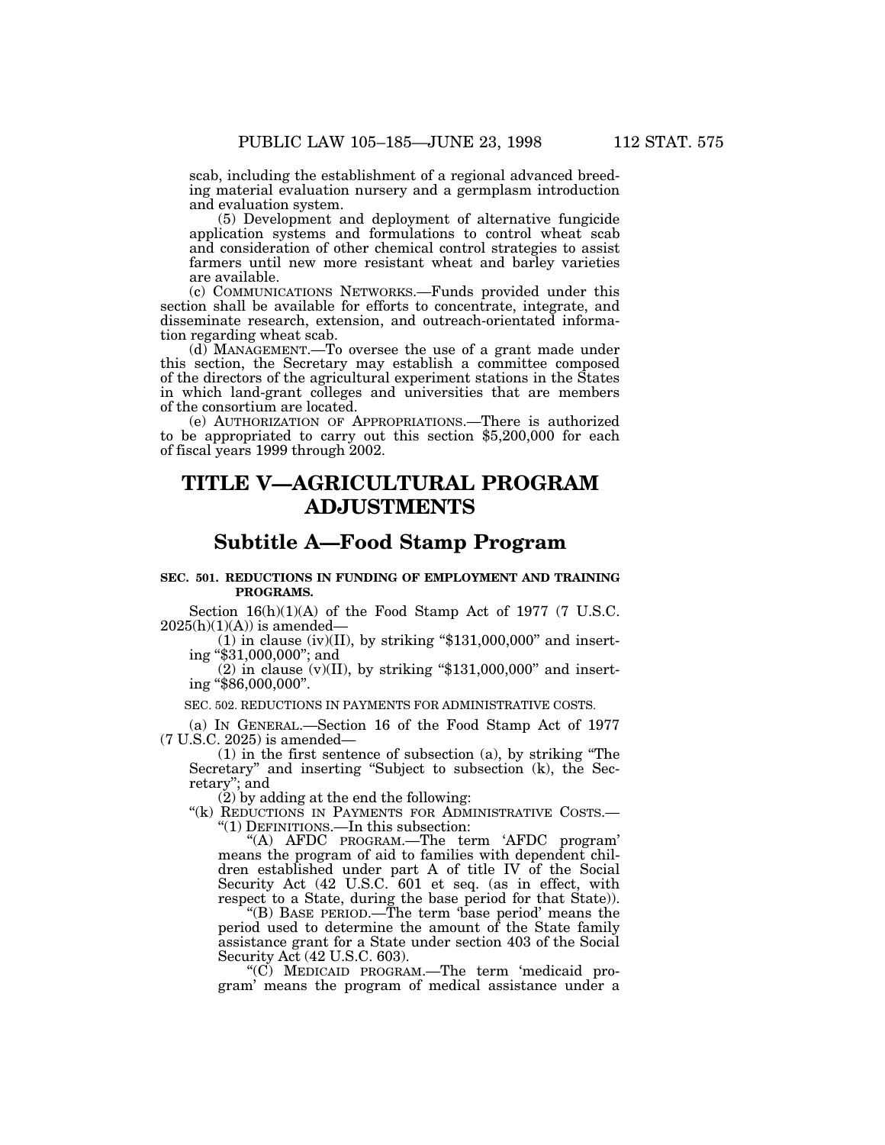scab, including the establishment of a regional advanced breed- ing material evaluation nursery and a germplasm introduction and evaluation system.

(5) Development and deployment of alternative fungicide application systems and formulations to control wheat scab and consideration of other chemical control strategies to assist farmers until new more resistant wheat and barley varieties are available.

(c) COMMUNICATIONS NETWORKS.—Funds provided under this section shall be available for efforts to concentrate, integrate, and disseminate research, extension, and outreach-orientated information regarding wheat scab.

(d) MANAGEMENT.—To oversee the use of a grant made under this section, the Secretary may establish a committee composed of the directors of the agricultural experiment stations in the States in which land-grant colleges and universities that are members of the consortium are located.

(e) AUTHORIZATION OF APPROPRIATIONS.—There is authorized to be appropriated to carry out this section \$5,200,000 for each of fiscal years 1999 through 2002.

# **TITLE V—AGRICULTURAL PROGRAM ADJUSTMENTS**

### **Subtitle A—Food Stamp Program**

### **SEC. 501. REDUCTIONS IN FUNDING OF EMPLOYMENT AND TRAINING PROGRAMS.**

Section 16(h)(1)(A) of the Food Stamp Act of 1977 (7 U.S.C.  $2025(h)(1)(A)$  is amended-

 $(1)$  in clause  $(iv)(II)$ , by striking "\$131,000,000" and inserting ''\$31,000,000''; and

(2) in clause (v)(II), by striking "\$131,000,000" and insert-<br>ing "\$86,000,000".

SEC. 502. REDUCTIONS IN PAYMENTS FOR ADMINISTRATIVE COSTS.

(a) IN GENERAL.—Section 16 of the Food Stamp Act of 1977 (7 U.S.C. 2025) is amended—

(1) in the first sentence of subsection (a), by striking ''The Secretary" and inserting "Subject to subsection (k), the Secretary''; and

 $(2)$  by adding at the end the following:

"(k) REDUCTIONS IN PAYMENTS FOR ADMINISTRATIVE COSTS.-''(1) DEFINITIONS.—In this subsection:

''(A) AFDC PROGRAM.—The term 'AFDC program' means the program of aid to families with dependent children established under part A of title IV of the Social Security Act (42 U.S.C. 601 et seq. (as in effect, with respect to a State, during the base period for that State)).

''(B) BASE PERIOD.—The term 'base period' means the period used to determine the amount of the State family assistance grant for a State under section 403 of the Social Security Act (42 U.S.C. 603).

"(C) MEDICAID PROGRAM.—The term 'medicaid program' means the program of medical assistance under a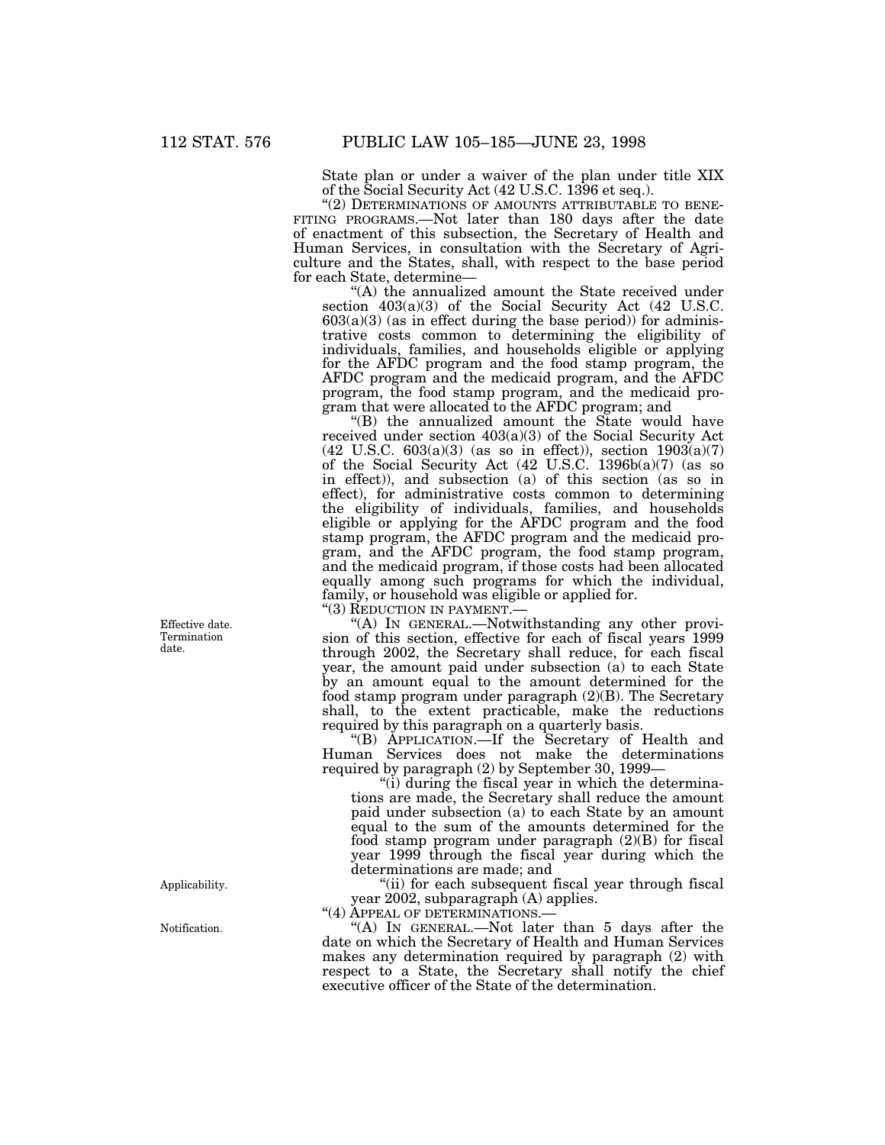State plan or under a waiver of the plan under title XIX

of the Social Security Act (42 U.S.C. 1396 et seq.). FITING PROGRAMS.—Not later than 180 days after the date of enactment of this subsection, the Secretary of Health and Human Services, in consultation with the Secretary of Agriculture and the States, shall, with respect to the base period for each State, determine—

"(A) the annualized amount the State received under section 403(a)(3) of the Social Security Act (42 U.S.C.  $603(a)(3)$  (as in effect during the base period)) for administrative costs common to determining the eligibility of individuals, families, and households eligible or applying for the AFDC program and the food stamp program, the AFDC program and the medicaid program, and the AFDC program, the food stamp program, and the medicaid program that were allocated to the AFDC program; and

"(B) the annualized amount the State would have received under section 403(a)(3) of the Social Security Act  $(42 \text{ U.S.C. } 603(a)(3)$  (as so in effect)), section  $1903(a)(7)$ of the Social Security Act (42 U.S.C. 1396b(a)(7) (as so in effect)), and subsection (a) of this section (as so in effect), for administrative costs common to determining the eligibility of individuals, families, and households eligible or applying for the AFDC program and the food stamp program, the AFDC program and the medicaid program, and the AFDC program, the food stamp program, and the medicaid program, if those costs had been allocated equally among such programs for which the individual, family, or household was eligible or applied for.

"(3) REDUCTION IN PAYMENT.-

''(A) IN GENERAL.—Notwithstanding any other provision of this section, effective for each of fiscal years 1999 through 2002, the Secretary shall reduce, for each fiscal year, the amount paid under subsection (a) to each State by an amount equal to the amount determined for the food stamp program under paragraph (2)(B). The Secretary shall, to the extent practicable, make the reductions required by this paragraph on a quarterly basis.

''(B) APPLICATION.—If the Secretary of Health and Human Services does not make the determinations required by paragraph (2) by September 30, 1999—

"(i) during the fiscal year in which the determinations are made, the Secretary shall reduce the amount paid under subsection (a) to each State by an amount equal to the sum of the amounts determined for the food stamp program under paragraph (2)(B) for fiscal year 1999 through the fiscal year during which the determinations are made; and

"(ii) for each subsequent fiscal year through fiscal year 2002, subparagraph (A) applies.

"(4) APPEAL OF DETERMINATIONS.

"(A) In GENERAL.—Not later than 5 days after the date on which the Secretary of Health and Human Services makes any determination required by paragraph (2) with respect to a State, the Secretary shall notify the chief executive officer of the State of the determination.

Effective date. Termination date.

Applicability.

Notification.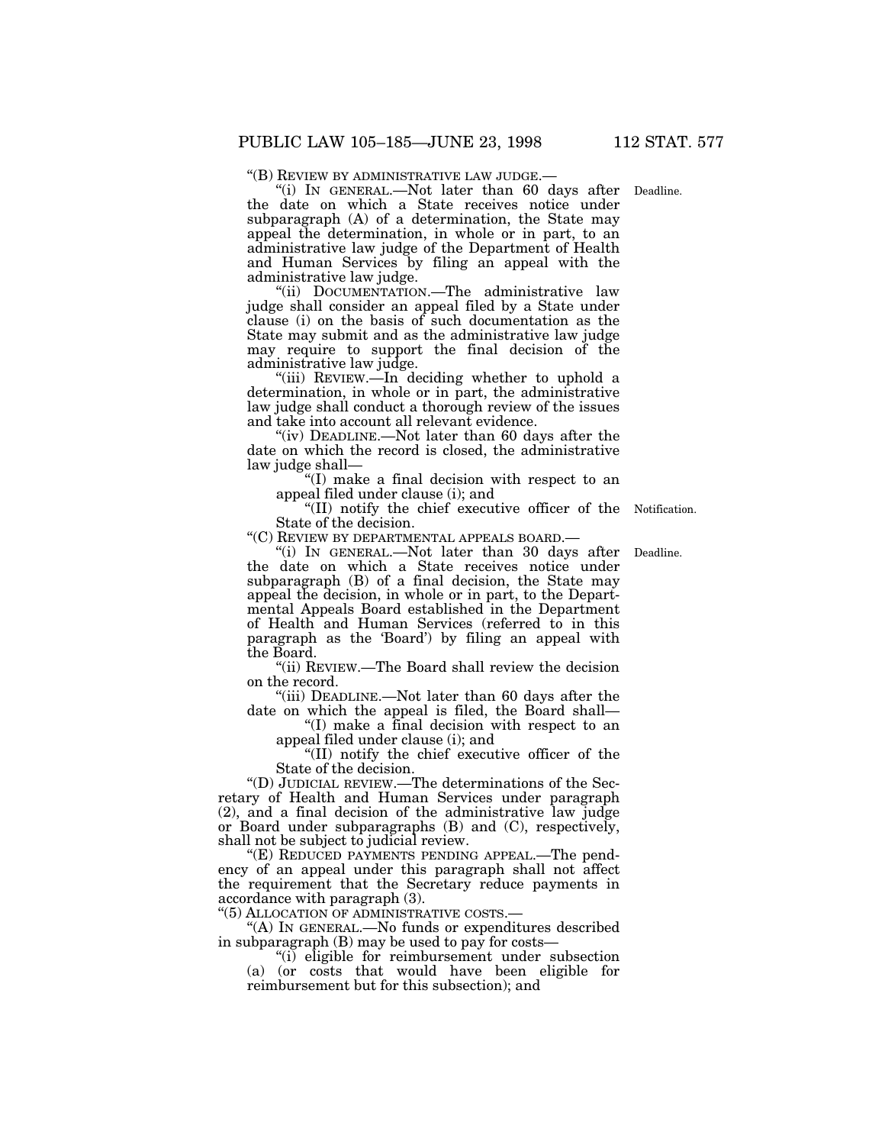''(B) REVIEW BY ADMINISTRATIVE LAW JUDGE.— ''(i) IN GENERAL.—Not later than 60 days after Deadline.

the date on which a State receives notice under subparagraph (A) of a determination, the State may appeal the determination, in whole or in part, to an administrative law judge of the Department of Health and Human Services by filing an appeal with the administrative law judge.

''(ii) DOCUMENTATION.—The administrative law judge shall consider an appeal filed by a State under clause (i) on the basis of such documentation as the State may submit and as the administrative law judge may require to support the final decision of the administrative law judge.

''(iii) REVIEW.—In deciding whether to uphold a determination, in whole or in part, the administrative law judge shall conduct a thorough review of the issues and take into account all relevant evidence.

"(iv) DEADLINE.—Not later than 60 days after the date on which the record is closed, the administrative law judge shall—

''(I) make a final decision with respect to an appeal filed under clause (i); and

"(II) notify the chief executive officer of the Notification. State of the decision.

''(C) REVIEW BY DEPARTMENTAL APPEALS BOARD.—

"(i) IN GENERAL.—Not later than 30 days after Deadline. the date on which a State receives notice under subparagraph (B) of a final decision, the State may appeal the decision, in whole or in part, to the Departmental Appeals Board established in the Department of Health and Human Services (referred to in this paragraph as the 'Board') by filing an appeal with the Board.

''(ii) REVIEW.—The Board shall review the decision on the record.

''(iii) DEADLINE.—Not later than 60 days after the date on which the appeal is filed, the Board shall—

''(I) make a final decision with respect to an appeal filed under clause (i); and

''(II) notify the chief executive officer of the State of the decision.

''(D) JUDICIAL REVIEW.—The determinations of the Secretary of Health and Human Services under paragraph (2), and a final decision of the administrative law judge or Board under subparagraphs (B) and (C), respectively, shall not be subject to judicial review.

"(E) REDUCED PAYMENTS PENDING APPEAL.—The pendency of an appeal under this paragraph shall not affect the requirement that the Secretary reduce payments in accordance with paragraph (3).

''(5) ALLOCATION OF ADMINISTRATIVE COSTS.—

''(A) IN GENERAL.—No funds or expenditures described in subparagraph (B) may be used to pay for costs—

''(i) eligible for reimbursement under subsection (a) (or costs that would have been eligible for reimbursement but for this subsection); and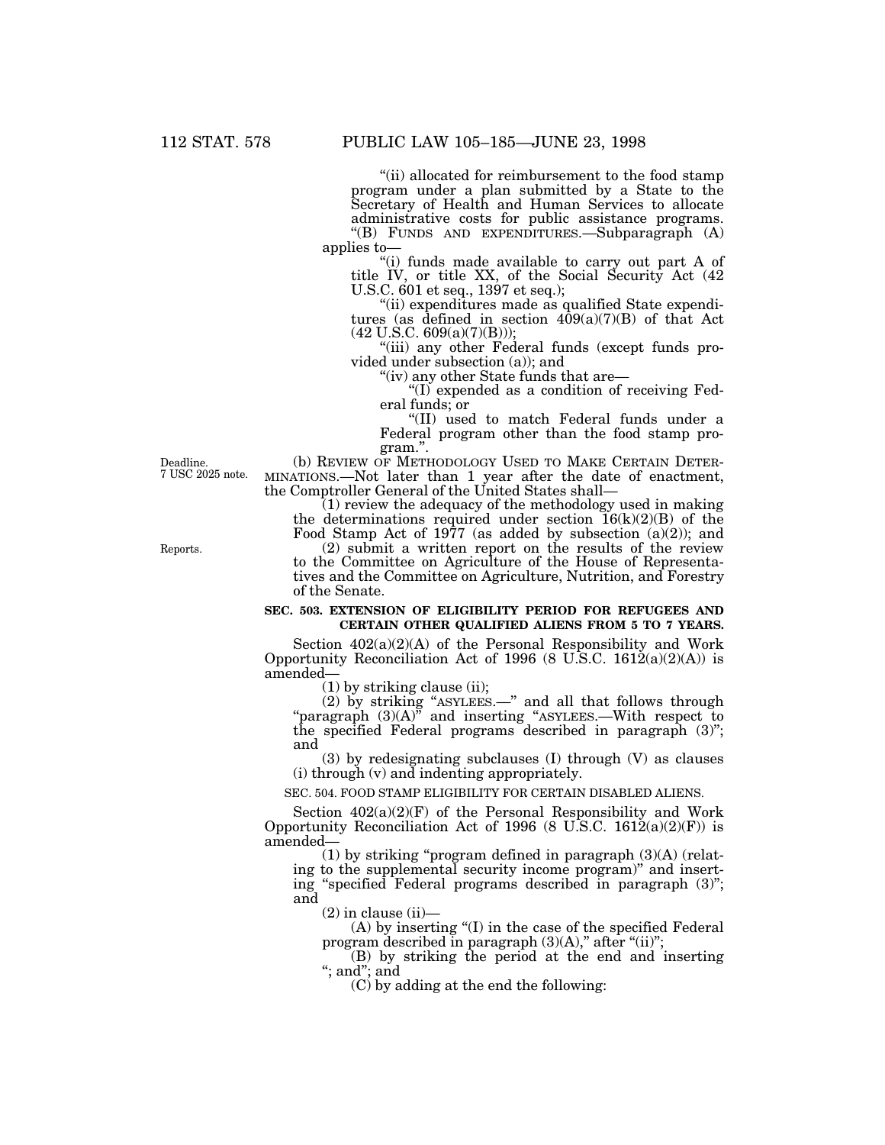''(ii) allocated for reimbursement to the food stamp program under a plan submitted by a State to the Secretary of Health and Human Services to allocate administrative costs for public assistance programs. ''(B) FUNDS AND EXPENDITURES.—Subparagraph (A) applies to—

"(i) funds made available to carry out part A of title IV, or title XX, of the Social Security Act (42 U.S.C. 601 et seq., 1397 et seq.);<br>"(ii) expenditures made as qualified State expendi-

tures (as defined in section  $409(a)(7)(B)$  of that Act (42 U.S.C. 609(a)(7)(B)));

''(iii) any other Federal funds (except funds pro- vided under subsection (a)); and

''(iv) any other State funds that are—

''(I) expended as a condition of receiving Fed- eral funds; or

''(II) used to match Federal funds under a Federal program other than the food stamp program.".<br>(b) REVIEW OF METHODOLOGY USED TO MAKE CERTAIN DETER-

Deadline. (b) REVIEW OF METHODOLOGY USED TO MAKE CERTAIN DETER-<br>7 USC 2025 note. MINATIONS.—Not later than 1 year after the date of enactment, the Comptroller General of the United States shall—

(1) review the adequacy of the methodology used in making the determinations required under section  $\widetilde{16}(k)(2)(B)$  of the Food Stamp Act of 1977 (as added by subsection  $(a)(2)$ ); and

Reports. (2) submit a written report on the results of the review to the Committee on Agriculture of the House of Representa- tives and the Committee on Agriculture, Nutrition, and Forestry of the Senate.

### **SEC. 503. EXTENSION OF ELIGIBILITY PERIOD FOR REFUGEES AND CERTAIN OTHER QUALIFIED ALIENS FROM 5 TO 7 YEARS.**

Section 402(a)(2)(A) of the Personal Responsibility and Work Opportunity Reconciliation Act of 1996 (8 U.S.C. 1612(a)(2)(A)) is amended—

 $(1)$  by striking clause (ii);

(2) by striking ''ASYLEES.—'' and all that follows through "paragraph  $(3)(A)$ " and inserting "ASYLEES.—With respect to the specified Federal programs described in paragraph (3)''; and

(3) by redesignating subclauses (I) through (V) as clauses (i) through (v) and indenting appropriately.

SEC. 504. FOOD STAMP ELIGIBILITY FOR CERTAIN DISABLED ALIENS.

Section  $402(a)(2)(F)$  of the Personal Responsibility and Work Opportunity Reconciliation Act of 1996 (8 U.S.C.  $1612(a)(2)(F)$ ) is amended—<br>(1) by striking "program defined in paragraph (3)(A) (relat-

ing to the supplemental security income program)" and insert-<br>ing "specified Federal programs described in paragraph (3)"; and

 $(2)$  in clause  $(ii)$ —

(A) by inserting ''(I) in the case of the specified Federal program described in paragraph  $(3)(A)$ ," after " $(ii)$ ";

(B) by striking the period at the end and inserting ''; and''; and

 $(C)$  by adding at the end the following: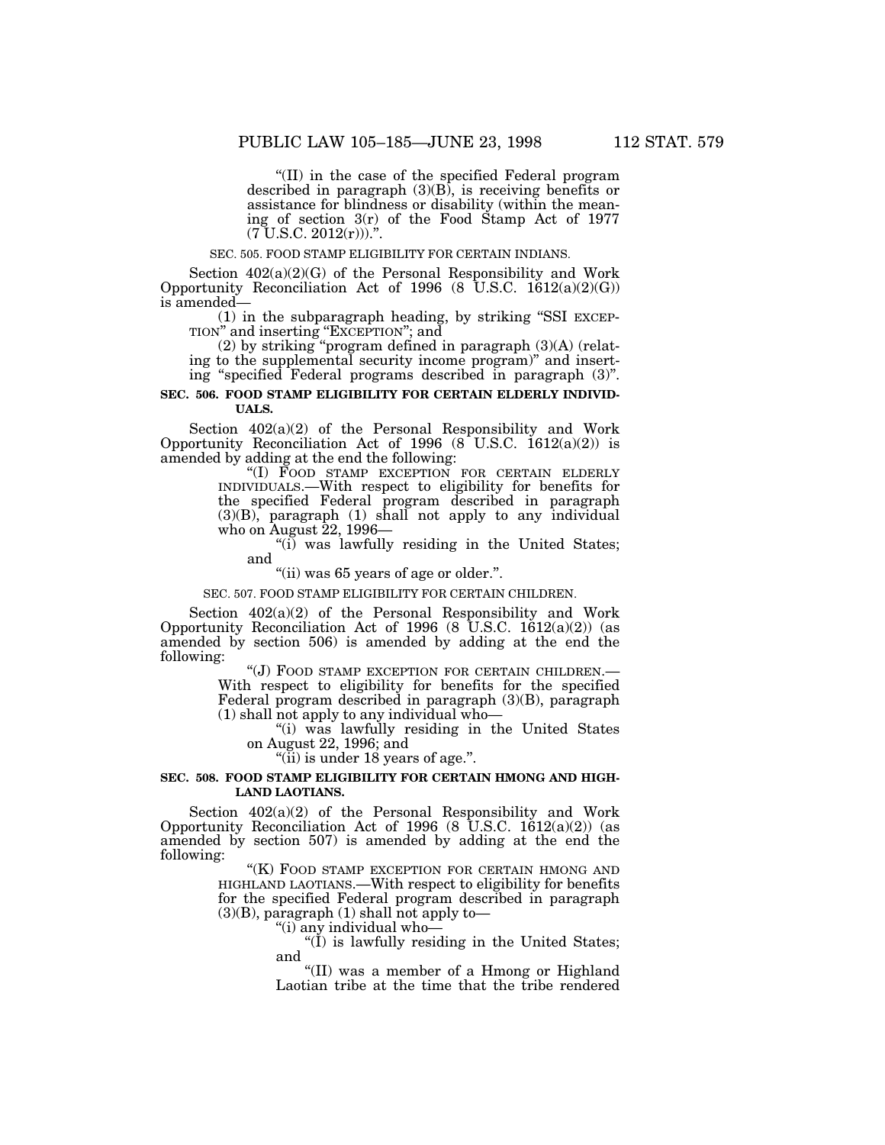''(II) in the case of the specified Federal program described in paragraph  $(3)(B)$ , is receiving benefits or assistance for blindness or disability (within the mean- ing of section 3(r) of the Food Stamp Act of 1977 (7 U.S.C. 2012(r))).''.

### SEC. 505. FOOD STAMP ELIGIBILITY FOR CERTAIN INDIANS.

Section  $402(a)(2)(G)$  of the Personal Responsibility and Work Opportunity Reconciliation Act of 1996 (8 U.S.C. 1612(a)(2)(G)) is amended—

(1) in the subparagraph heading, by striking ''SSI EXCEP-TION'' and inserting ''EXCEPTION''; and

(2) by striking ''program defined in paragraph (3)(A) (relating to the supplemental security income program)'' and inserting ''specified Federal programs described in paragraph (3)''.

### **SEC. 506. FOOD STAMP ELIGIBILITY FOR CERTAIN ELDERLY INDIVID-UALS.**

Section 402(a)(2) of the Personal Responsibility and Work Opportunity Reconciliation Act of 1996  $(8$  U.S.C. 1612 $(a)(2)$  is amended by adding at the end the following:

> ''(I) FOOD STAMP EXCEPTION FOR CERTAIN ELDERLY INDIVIDUALS.—With respect to eligibility for benefits for the specified Federal program described in paragraph  $(3)(B)$ , paragraph  $(1)$  shall not apply to any individual who on August 22, 1996—

"(i) was lawfully residing in the United States; and

"(ii) was 65 years of age or older.".

SEC. 507. FOOD STAMP ELIGIBILITY FOR CERTAIN CHILDREN.

Section 402(a)(2) of the Personal Responsibility and Work Opportunity Reconciliation Act of 1996  $(8 \text{ U.S.C. } 1612(a)(2))$   $(as$ amended by section 506) is amended by adding at the end the following:

''(J) FOOD STAMP EXCEPTION FOR CERTAIN CHILDREN.— With respect to eligibility for benefits for the specified Federal program described in paragraph (3)(B), paragraph (1) shall not apply to any individual who—

''(i) was lawfully residing in the United States on August 22, 1996; and

 $\lq$ <sup>"(ii)</sup> is under 18 years of age.".

### **SEC. 508. FOOD STAMP ELIGIBILITY FOR CERTAIN HMONG AND HIGH-LAND LAOTIANS.**

Section  $402(a)(2)$  of the Personal Responsibility and Work Opportunity Reconciliation Act of 1996 (8 U.S.C. 1612(a)(2)) (as amended by section 507) is amended by adding at the end the following:

> "(K) FOOD STAMP EXCEPTION FOR CERTAIN HMONG AND HIGHLAND LAOTIANS.—With respect to eligibility for benefits for the specified Federal program described in paragraph (3)(B), paragraph (1) shall not apply to—

''(i) any individual who—

"(I) is lawfully residing in the United States; and

''(II) was a member of a Hmong or Highland Laotian tribe at the time that the tribe rendered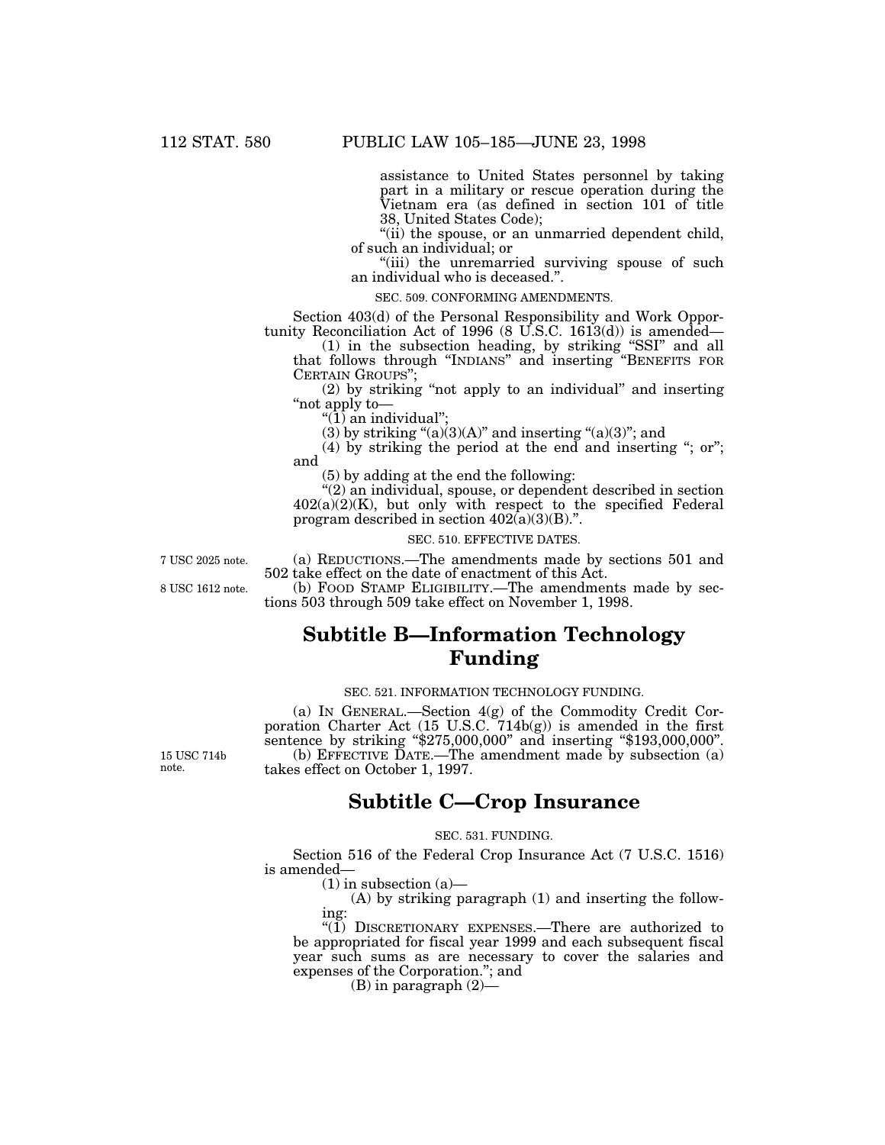assistance to United States personnel by taking part in a military or rescue operation during the Vietnam era (as defined in section 101 of title 38, United States Code);

"(ii) the spouse, or an unmarried dependent child, of such an individual; or

"(iii) the unremarried surviving spouse of such an individual who is deceased.''.

#### SEC. 509. CONFORMING AMENDMENTS.

Section 403(d) of the Personal Responsibility and Work Opportunity Reconciliation Act of 1996 (8 U.S.C. 1613(d)) is amended—

(1) in the subsection heading, by striking ''SSI'' and all that follows through ''INDIANS'' and inserting ''BENEFITS FOR CERTAIN GROUPS'';

(2) by striking ''not apply to an individual'' and inserting ''not apply to—

" $(1)$  an individual";

(3) by striking " $(a)(3)(A)$ " and inserting " $(a)(3)$ "; and

(4) by striking the period at the end and inserting "; or"; and

(5) by adding at the end the following:

''(2) an individual, spouse, or dependent described in section  $402(a)(2)(K)$ , but only with respect to the specified Federal program described in section  $402(a)(3)(B)$ .".

### SEC. 510. EFFECTIVE DATES.

7 USC 2025 note. (a) REDUCTIONS.—The amendments made by sections 501 and 502 take effect on the date of enactment of this Act.

8 USC 1612 note. (b) FOOD STAMP ELIGIBILITY.—The amendments made by sections 503 through 509 take effect on November 1, 1998.

## **Subtitle B—Information Technology Funding**

### SEC. 521. INFORMATION TECHNOLOGY FUNDING.

(a) IN GENERAL.—Section 4(g) of the Commodity Credit Corporation Charter Act (15 U.S.C. 714b(g)) is amended in the first sentence by striking "\$275,000,000" and inserting "\$193,000,000". 15 USC 714b (b) EFFECTIVE DATE.—The amendment made by subsection (a) note. takes effect on October 1, 1997.

### **Subtitle C—Crop Insurance**

### SEC. 531. FUNDING.

Section 516 of the Federal Crop Insurance Act (7 U.S.C. 1516) is amended—

 $(1)$  in subsection  $(a)$ —

(A) by striking paragraph (1) and inserting the following:

" $(1)$  DISCRETIONARY EXPENSES.—There are authorized to be appropriated for fiscal year 1999 and each subsequent fiscal year such sums as are necessary to cover the salaries and expenses of the Corporation.''; and

 $(B)$  in paragraph  $(2)$ —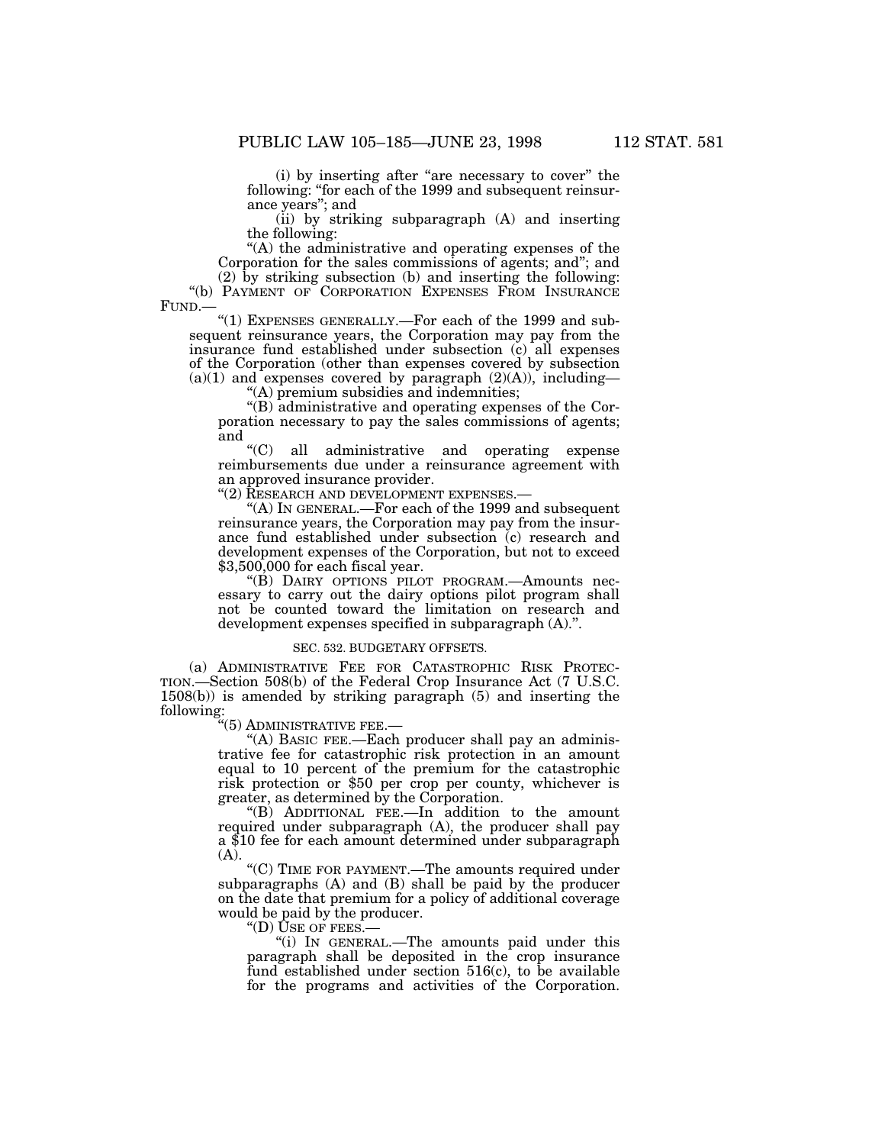(i) by inserting after "are necessary to cover" the following: ''for each of the 1999 and subsequent reinsur- ance years''; and

(ii) by striking subparagraph (A) and inserting the following:

''(A) the administrative and operating expenses of the Corporation for the sales commissions of agents; and''; and

(2) by striking subsection (b) and inserting the following: ''(b) PAYMENT OF CORPORATION EXPENSES FROM INSURANCE FUND.—

''(1) EXPENSES GENERALLY.—For each of the 1999 and subsequent reinsurance years, the Corporation may pay from the insurance fund established under subsection (c) all expenses of the Corporation (other than expenses covered by subsection  $(a)(1)$  and expenses covered by paragraph  $(2)(A)$ , including—

''(A) premium subsidies and indemnities;

''(B) administrative and operating expenses of the Corporation necessary to pay the sales commissions of agents; and  $C$ <sup>"</sup>(C)

all administrative and operating expense reimbursements due under a reinsurance agreement with an approved insurance provider.

"(2) RESEARCH AND DEVELOPMENT EXPENSES.-

''(A) IN GENERAL.—For each of the 1999 and subsequent reinsurance years, the Corporation may pay from the insurance fund established under subsection (c) research and development expenses of the Corporation, but not to exceed \$3,500,000 for each fiscal year.

''(B) DAIRY OPTIONS PILOT PROGRAM.—Amounts necessary to carry out the dairy options pilot program shall not be counted toward the limitation on research and development expenses specified in subparagraph (A).''.

#### SEC. 532. BUDGETARY OFFSETS.

(a) ADMINISTRATIVE FEE FOR CATASTROPHIC RISK PROTEC-TION.—Section 508(b) of the Federal Crop Insurance Act (7 U.S.C. 1508(b)) is amended by striking paragraph (5) and inserting the following:

''(5) ADMINISTRATIVE FEE.—

"(A) BASIC FEE.—Each producer shall pay an administrative fee for catastrophic risk protection in an amount equal to 10 percent of the premium for the catastrophic risk protection or \$50 per crop per county, whichever is greater, as determined by the Corporation.

''(B) ADDITIONAL FEE.—In addition to the amount required under subparagraph (A), the producer shall pay a \$10 fee for each amount determined under subparagraph (A).

''(C) TIME FOR PAYMENT.—The amounts required under subparagraphs (A) and (B) shall be paid by the producer on the date that premium for a policy of additional coverage would be paid by the producer.

''(D) USE OF FEES.—

''(i) IN GENERAL.—The amounts paid under this paragraph shall be deposited in the crop insurance fund established under section 516(c), to be available for the programs and activities of the Corporation.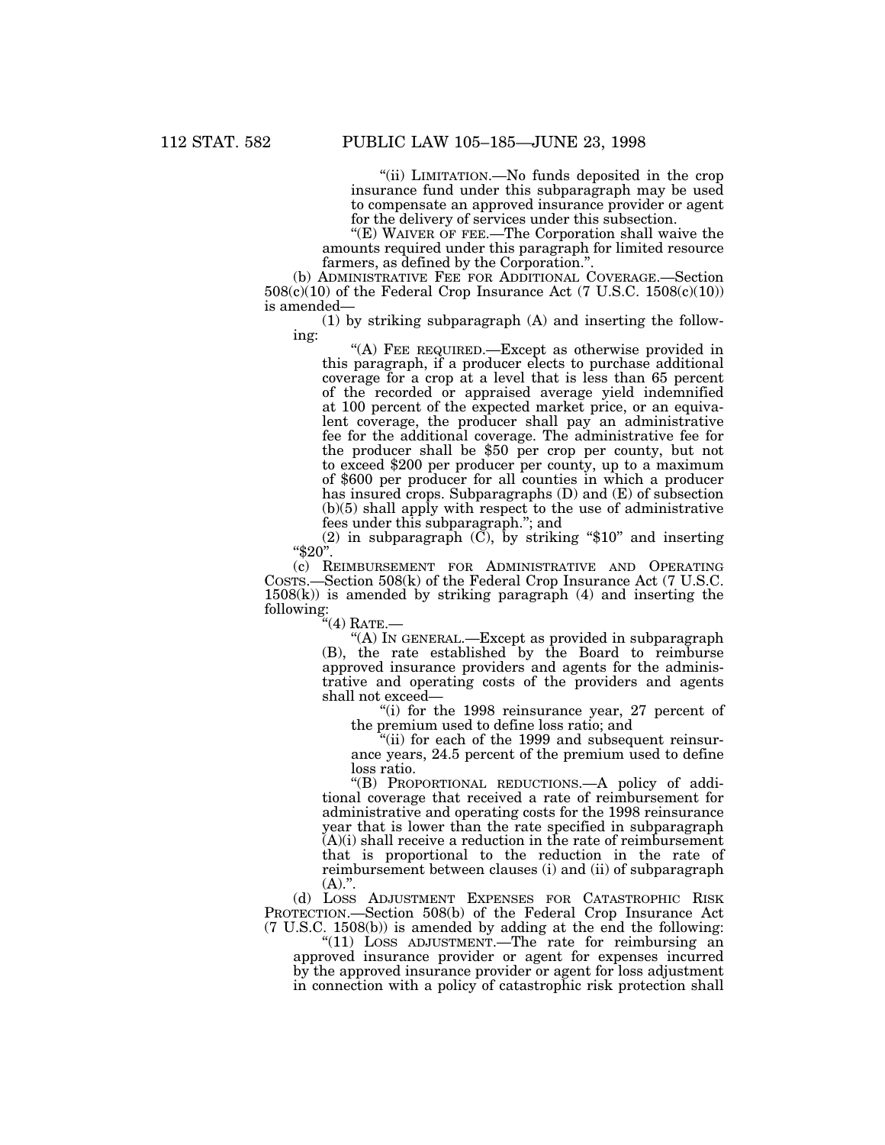''(ii) LIMITATION.—No funds deposited in the crop insurance fund under this subparagraph may be used to compensate an approved insurance provider or agent for the delivery of services under this subsection.

"(E) WAIVER OF FEE.—The Corporation shall waive the amounts required under this paragraph for limited resource farmers, as defined by the Corporation.''.

(b) ADMINISTRATIVE FEE FOR ADDITIONAL COVERAGE.—Section  $508(c)(10)$  of the Federal Crop Insurance Act (7 U.S.C.  $1508(c)(10)$ ) is amended—

(1) by striking subparagraph (A) and inserting the following:

''(A) FEE REQUIRED.—Except as otherwise provided in this paragraph, if a producer elects to purchase additional coverage for a crop at a level that is less than 65 percent of the recorded or appraised average yield indemnified at 100 percent of the expected market price, or an equivalent coverage, the producer shall pay an administrative fee for the additional coverage. The administrative fee for the producer shall be \$50 per crop per county, but not to exceed \$200 per producer per county, up to a maximum of \$600 per producer for all counties in which a producer has insured crops. Subparagraphs (D) and (E) of subsection (b)(5) shall apply with respect to the use of administrative fees under this subparagraph.''; and

(2) in subparagraph  $(\check{C})$ , by striking "\$10" and inserting  $"\$20"$ .

(c) REIMBURSEMENT FOR ADMINISTRATIVE AND OPERATING COSTS.—Section 508(k) of the Federal Crop Insurance Act (7 U.S.C.  $1508(k)$ ) is amended by striking paragraph  $(4)$  and inserting the following:

''(4) RATE.—

''(A) IN GENERAL.—Except as provided in subparagraph (B), the rate established by the Board to reimburse approved insurance providers and agents for the administrative and operating costs of the providers and agents shall not exceed—

"(i) for the 1998 reinsurance year, 27 percent of the premium used to define loss ratio; and

''(ii) for each of the 1999 and subsequent reinsurance years, 24.5 percent of the premium used to define loss ratio.

''(B) PROPORTIONAL REDUCTIONS.—A policy of additional coverage that received a rate of reimbursement for administrative and operating costs for the 1998 reinsurance year that is lower than the rate specified in subparagraph (A)(i) shall receive a reduction in the rate of reimbursement that is proportional to the reduction in the rate of reimbursement between clauses (i) and (ii) of subparagraph  $(A).$ ".

(d) LOSS ADJUSTMENT EXPENSES FOR CATASTROPHIC RISK PROTECTION.—Section 508(b) of the Federal Crop Insurance Act (7 U.S.C. 1508(b)) is amended by adding at the end the following:

" $(11)$  LOSS ADJUSTMENT.—The rate for reimbursing an approved insurance provider or agent for expenses incurred by the approved insurance provider or agent for loss adjustment in connection with a policy of catastrophic risk protection shall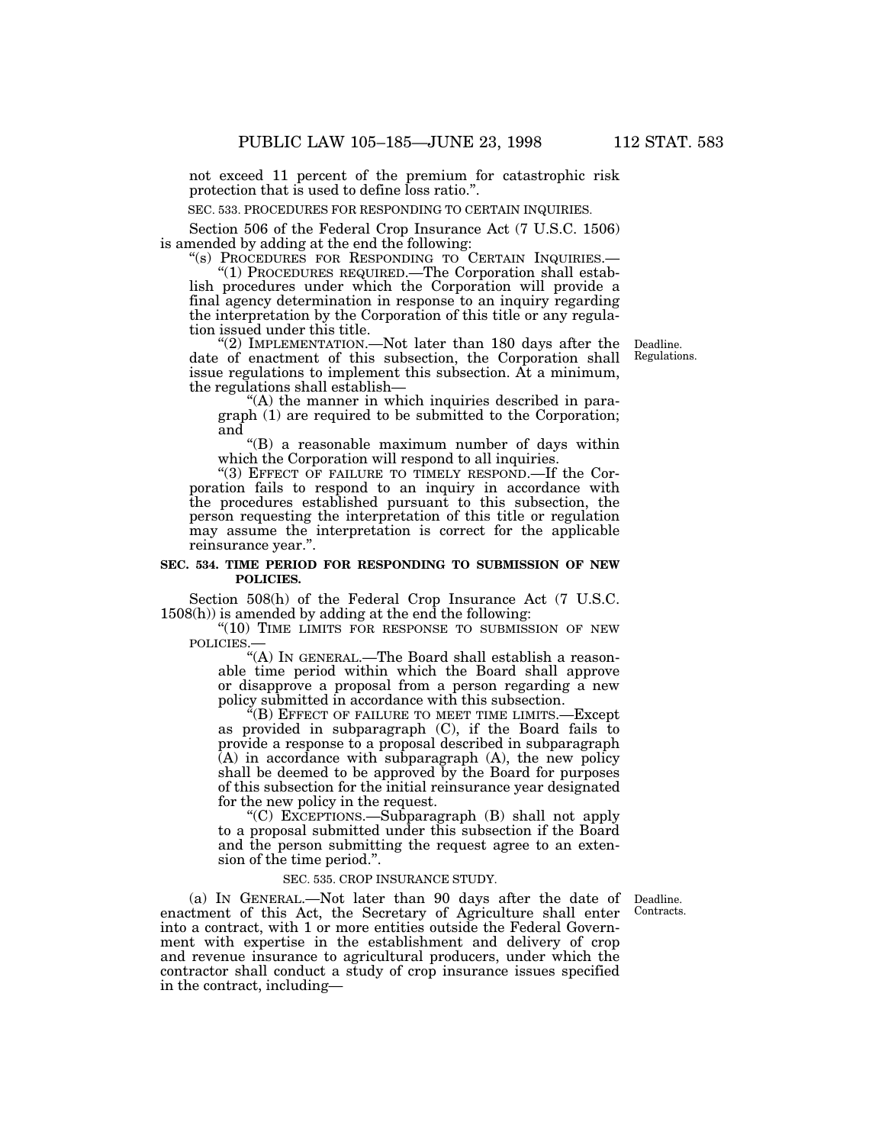not exceed 11 percent of the premium for catastrophic risk protection that is used to define loss ratio.''.

SEC. 533. PROCEDURES FOR RESPONDING TO CERTAIN INQUIRIES.

Section 506 of the Federal Crop Insurance Act (7 U.S.C. 1506) is amended by adding at the end the following:<br>"(s) PROCEDURES FOR RESPONDING TO CERTAIN INQUIRIES.—

"(1) PROCEDURES REQUIRED.—The Corporation shall estab-<br>lish procedures under which the Corporation will provide a final agency determination in response to an inquiry regarding

the interpretation by the Corporation of this title or any regula- tion issued under this title.

''(2) IMPLEMENTATION.—Not later than 180 days after the date of enactment of this subsection, the Corporation shall issue regulations to implement this subsection. At a minimum, the regulations shall establish—<br>"(A) the manner in which inquiries described in para-

Deadline. Regulations.

graph (1) are required to be submitted to the Corporation; and

''(B) a reasonable maximum number of days within which the Corporation will respond to all inquiries.

"(3) EFFECT OF FAILURE TO TIMELY RESPOND.—If the Corporation fails to respond to an inquiry in accordance with the procedures established pursuant to this subsection, the person requesting the interpretation of this title or regulation may assume the interpretation is correct for the applicable reinsurance year.''.

### **SEC. 534. TIME PERIOD FOR RESPONDING TO SUBMISSION OF NEW POLICIES.**

Section 508(h) of the Federal Crop Insurance Act (7 U.S.C. 1508(h)) is amended by adding at the end the following:

"(10) TIME LIMITS FOR RESPONSE TO SUBMISSION OF NEW

POLICIES.—<br>"(A) IN GENERAL.—The Board shall establish a reason-''(A) IN GENERAL.—The Board shall establish a reason- able time period within which the Board shall approve or disapprove a proposal from a person regarding a new policy submitted in accordance with this subsection.

 $E(E)$  EFFECT OF FAILURE TO MEET TIME LIMITS.—Except as provided in subparagraph (C), if the Board fails to provide a response to a proposal described in subparagraph  $(A)$  in accordance with subparagraph  $(A)$ , the new policy shall be deemed to be approved by the Board for purposes of this subsection for the initial reinsurance year designated for the new policy in the request.

''(C) EXCEPTIONS.—Subparagraph (B) shall not apply to a proposal submitted under this subsection if the Board and the person submitting the request agree to an extension of the time period.''.

### SEC. 535. CROP INSURANCE STUDY.

Contracts.

(a) IN GENERAL.—Not later than 90 days after the date of Deadline. enactment of this Act, the Secretary of Agriculture shall enter into a contract, with 1 or more entities outside the Federal Government with expertise in the establishment and delivery of crop and revenue insurance to agricultural producers, under which the contractor shall conduct a study of crop insurance issues specified in the contract, including—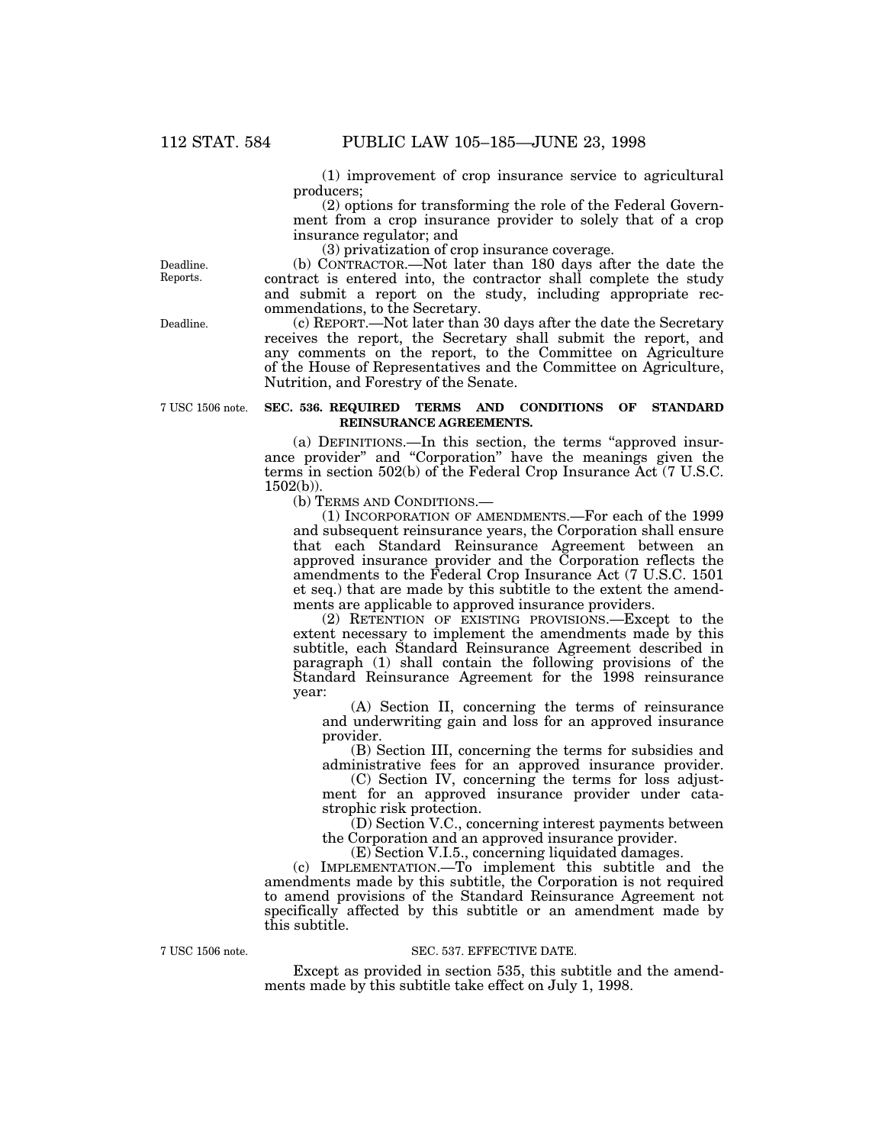(1) improvement of crop insurance service to agricultural producers;

(2) options for transforming the role of the Federal Government from a crop insurance provider to solely that of a crop insurance regulator; and

(3) privatization of crop insurance coverage.

(b) CONTRACTOR.—Not later than 180 days after the date the contract is entered into, the contractor shall complete the study and submit a report on the study, including appropriate recommendations, to the Secretary.

(c) REPORT.—Not later than 30 days after the date the Secretary receives the report, the Secretary shall submit the report, and any comments on the report, to the Committee on Agriculture of the House of Representatives and the Committee on Agriculture, Nutrition, and Forestry of the Senate.

### **SEC. 536. REQUIRED TERMS AND CONDITIONS OF STANDARD REINSURANCE AGREEMENTS.**

(a) DEFINITIONS.—In this section, the terms ''approved insurance provider'' and ''Corporation'' have the meanings given the terms in section 502(b) of the Federal Crop Insurance Act (7 U.S.C.  $1502(b)$ ).

(b) TERMS AND CONDITIONS.—

(1) INCORPORATION OF AMENDMENTS.—For each of the 1999 and subsequent reinsurance years, the Corporation shall ensure that each Standard Reinsurance Agreement between an approved insurance provider and the Corporation reflects the amendments to the Federal Crop Insurance Act (7 U.S.C. 1501 et seq.) that are made by this subtitle to the extent the amendments are applicable to approved insurance providers.

(2) RETENTION OF EXISTING PROVISIONS.—Except to the extent necessary to implement the amendments made by this subtitle, each Standard Reinsurance Agreement described in paragraph (1) shall contain the following provisions of the Standard Reinsurance Agreement for the 1998 reinsurance year:

(A) Section II, concerning the terms of reinsurance and underwriting gain and loss for an approved insurance provider.

(B) Section III, concerning the terms for subsidies and administrative fees for an approved insurance provider.

(C) Section IV, concerning the terms for loss adjustment for an approved insurance provider under catastrophic risk protection.

(D) Section V.C., concerning interest payments between the Corporation and an approved insurance provider.

(E) Section V.I.5., concerning liquidated damages.

 $(c)$  IMPLEMENTATION.—To implement this subtitle and the amendments made by this subtitle, the Corporation is not required to amend provisions of the Standard Reinsurance Agreement not specifically affected by this subtitle or an amendment made by this subtitle.

7 USC 1506 note.

### SEC. 537. EFFECTIVE DATE.

Except as provided in section 535, this subtitle and the amendments made by this subtitle take effect on July 1, 1998.

Deadline. Reports.

Deadline.

7 USC 1506 note.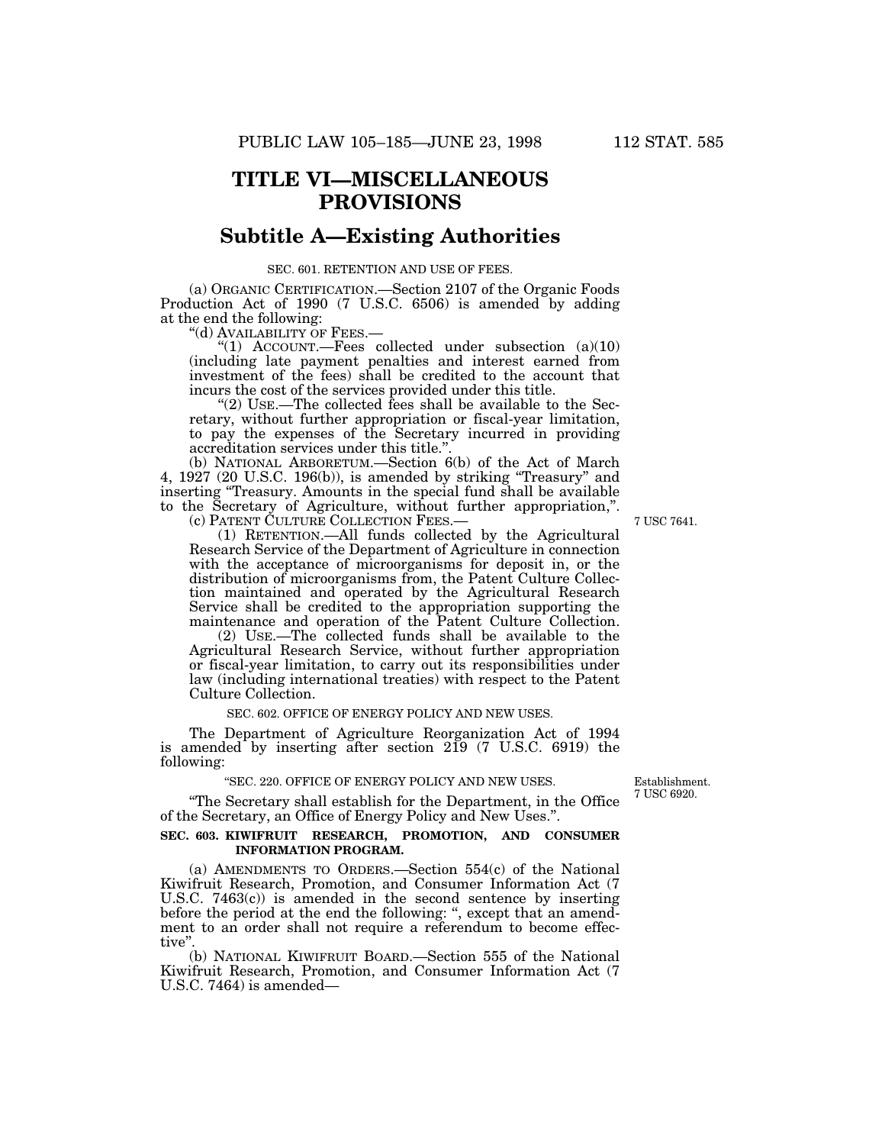### **TITLE VI—MISCELLANEOUS PROVISIONS**

### **Subtitle A—Existing Authorities**

### SEC. 601. RETENTION AND USE OF FEES.

(a) ORGANIC CERTIFICATION.—Section 2107 of the Organic Foods Production Act of 1990 (7 U.S.C. 6506) is amended by adding at the end the following:

"(d) AVAILABILITY OF FEES.—

"(1)  $\text{ACCOUNT.}$ -Fees collected under subsection (a)(10) (including late payment penalties and interest earned from investment of the fees) shall be credited to the account that incurs the cost of the services provided under this title.

"(2) USE.—The collected fees shall be available to the Secretary, without further appropriation or fiscal-year limitation, to pay the expenses of the Secretary incurred in providing accreditation services under this title.''.

(b) NATIONAL ARBORETUM.—Section 6(b) of the Act of March 4, 1927 (20 U.S.C. 196(b)), is amended by striking ''Treasury'' and inserting ''Treasury. Amounts in the special fund shall be available to the Secretary of Agriculture, without further appropriation,''.

(c) PATENT CULTURE COLLECTION FEES.— 7 USC 7641.

(1) RETENTION.—All funds collected by the Agricultural Research Service of the Department of Agriculture in connection with the acceptance of microorganisms for deposit in, or the distribution of microorganisms from, the Patent Culture Collection maintained and operated by the Agricultural Research Service shall be credited to the appropriation supporting the maintenance and operation of the Patent Culture Collection.

(2) USE.—The collected funds shall be available to the Agricultural Research Service, without further appropriation or fiscal-year limitation, to carry out its responsibilities under law (including international treaties) with respect to the Patent Culture Collection.

### SEC. 602. OFFICE OF ENERGY POLICY AND NEW USES.

The Department of Agriculture Reorganization Act of 1994 is amended by inserting after section 219 (7 U.S.C. 6919) the following:

# ''SEC. 220. OFFICE OF ENERGY POLICY AND NEW USES. Establishment.

"The Secretary shall establish for the Department, in the Office of the Secretary, an Office of Energy Policy and New Uses.''.

### **SEC. 603. KIWIFRUIT RESEARCH, PROMOTION, AND CONSUMER INFORMATION PROGRAM.**

(a) AMENDMENTS TO ORDERS.—Section 554(c) of the National Kiwifruit Research, Promotion, and Consumer Information Act (7 U.S.C. 7463(c)) is amended in the second sentence by inserting before the period at the end the following: '', except that an amendment to an order shall not require a referendum to become effective''.

(b) NATIONAL KIWIFRUIT BOARD.—Section 555 of the National Kiwifruit Research, Promotion, and Consumer Information Act (7 U.S.C. 7464) is amended—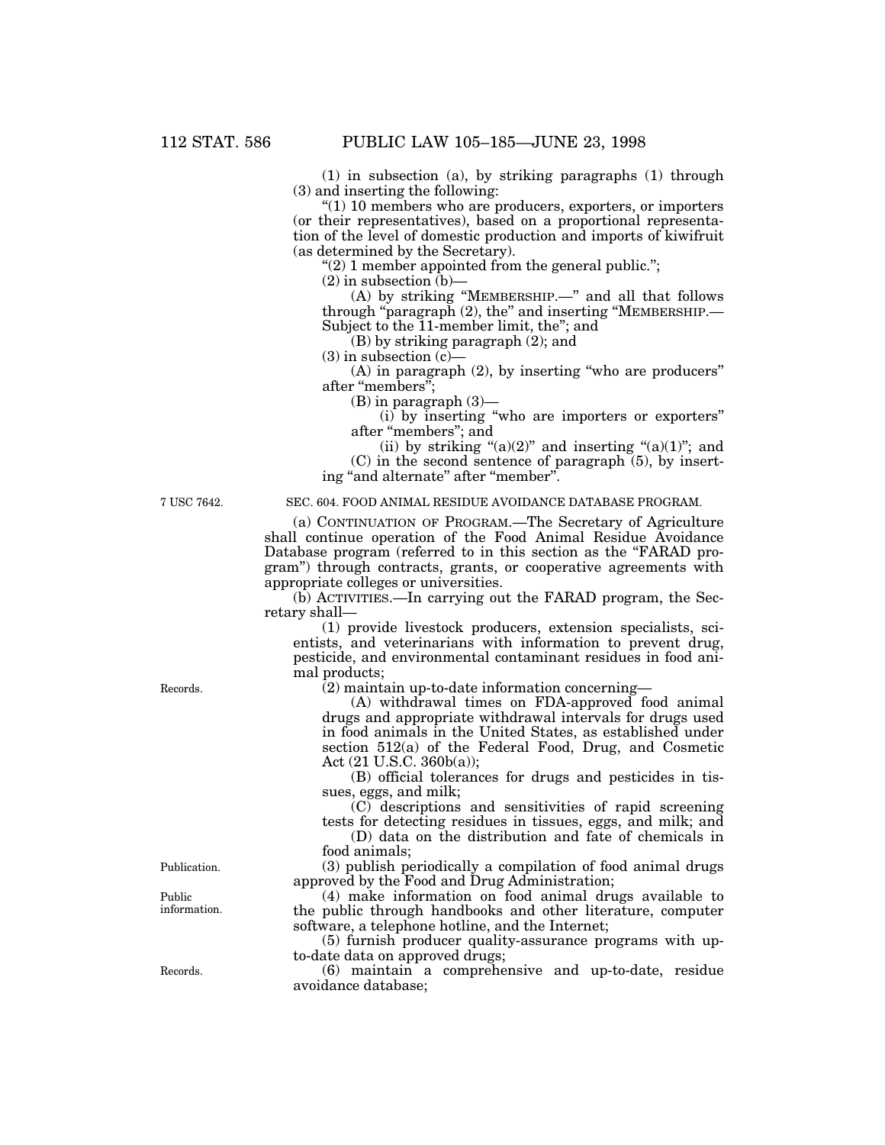(1) in subsection (a), by striking paragraphs (1) through (3) and inserting the following:

 $(1)$  10 members who are producers, exporters, or importers (or their representatives), based on a proportional representation of the level of domestic production and imports of kiwifruit (as determined by the Secretary).

" $(2)$  1 member appointed from the general public.";

 $(2)$  in subsection  $(b)$ —

(A) by striking ''MEMBERSHIP.—'' and all that follows through ''paragraph (2), the'' and inserting ''MEMBERSHIP.— Subject to the 11-member limit, the"; and

(B) by striking paragraph (2); and

 $(3)$  in subsection  $(c)$ —

(A) in paragraph (2), by inserting ''who are producers'' after "members";

(B) in paragraph (3)—

(i) by inserting ''who are importers or exporters'' after ''members''; and

(ii) by striking " $(a)(2)$ " and inserting " $(a)(1)$ "; and

 $(C)$  in the second sentence of paragraph  $(5)$ , by inserting "and alternate" after "member".

### 7 USC 7642. SEC. 604. FOOD ANIMAL RESIDUE AVOIDANCE DATABASE PROGRAM.

(a) CONTINUATION OF PROGRAM.—The Secretary of Agriculture shall continue operation of the Food Animal Residue Avoidance Database program (referred to in this section as the "FARAD program'') through contracts, grants, or cooperative agreements with appropriate colleges or universities.

(b) ACTIVITIES.—In carrying out the FARAD program, the Secretary shall—

(1) provide livestock producers, extension specialists, scientists, and veterinarians with information to prevent drug, pesticide, and environmental contaminant residues in food animal products;

Records. (2) maintain up-to-date information concerning—

(A) withdrawal times on FDA-approved food animal drugs and appropriate withdrawal intervals for drugs used in food animals in the United States, as established under section 512(a) of the Federal Food, Drug, and Cosmetic Act (21 U.S.C. 360b(a));

(B) official tolerances for drugs and pesticides in tissues, eggs, and milk;

(C) descriptions and sensitivities of rapid screening tests for detecting residues in tissues, eggs, and milk; and

(D) data on the distribution and fate of chemicals in food animals;

Publication. (3) publish periodically a compilation of food animal drugs approved by the Food and Drug Administration;

Public (4) make information on food animal drugs available to<br>information. The public through handbooks and other literature computer the public through handbooks and other literature, computer software, a telephone hotline, and the Internet;

> (5) furnish producer quality-assurance programs with upto-date data on approved drugs;

Records. (6) maintain a comprehensive and up-to-date, residue avoidance database;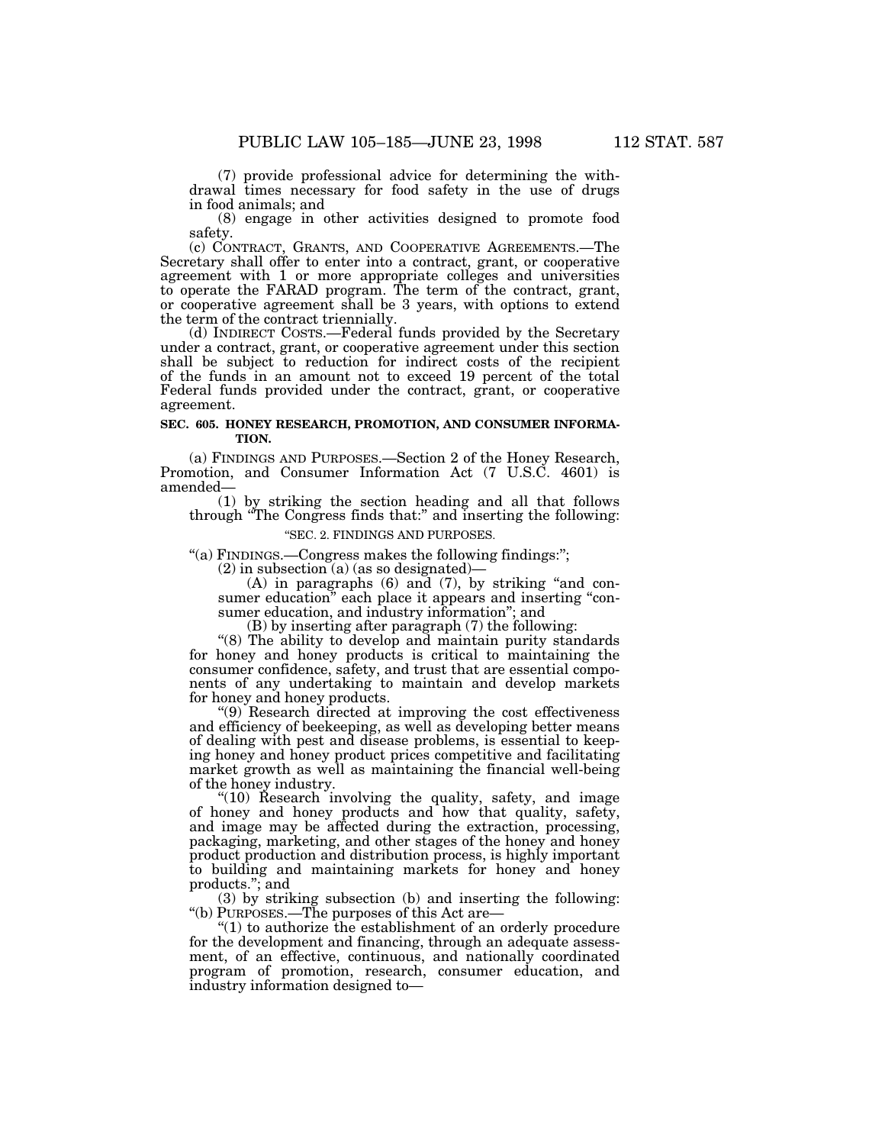(7) provide professional advice for determining the with- drawal times necessary for food safety in the use of drugs in food animals; and

(8) engage in other activities designed to promote food safety.

(c) CONTRACT, GRANTS, AND COOPERATIVE AGREEMENTS.—The Secretary shall offer to enter into a contract, grant, or cooperative agreement with 1 or more appropriate colleges and universities to operate the FARAD program. The term of the contract, grant, or cooperative agreement shall be 3 years, with options to extend the term of the contract triennially.

(d) INDIRECT COSTS.—Federal funds provided by the Secretary under a contract, grant, or cooperative agreement under this section shall be subject to reduction for indirect costs of the recipient of the funds in an amount not to exceed 19 percent of the total Federal funds provided under the contract, grant, or cooperative agreement.

### **SEC. 605. HONEY RESEARCH, PROMOTION, AND CONSUMER INFORMA-TION.**

(a) FINDINGS AND PURPOSES.—Section 2 of the Honey Research, Promotion, and Consumer Information Act (7 U.S.C. 4601) is amended—

(1) by striking the section heading and all that follows through "The Congress finds that:" and inserting the following:

### ''SEC. 2. FINDINGS AND PURPOSES.

''(a) FINDINGS.—Congress makes the following findings:'';

(2) in subsection (a) (as so designated)—<br>(A) in paragraphs (6) and (7), by striking "and consumer education" each place it appears and inserting "con-<br>sumer education, and industry information"; and

(B) by inserting after paragraph (7) the following:

''(8) The ability to develop and maintain purity standards for honey and honey products is critical to maintaining the consumer confidence, safety, and trust that are essential components of any undertaking to maintain and develop markets for honey and honey products.

''(9) Research directed at improving the cost effectiveness and efficiency of beekeeping, as well as developing better means of dealing with pest and disease problems, is essential to keepof dealing with pest and disease problems, is essential to keep- ing honey and honey product prices competitive and facilitating market growth as well as maintaining the financial well-being of the honey industry.

"(10) Research involving the quality, safety, and image of honey and honey products and how that quality, safety, and image may be affected during the extraction, processing, packaging, marketing, and other stages of the honey and honey product production and distribution process, is highly important to building and maintaining markets for honey and honey products.''; and

(3) by striking subsection (b) and inserting the following: ''(b) PURPOSES.—The purposes of this Act are—

 $(1)$  to authorize the establishment of an orderly procedure for the development and financing, through an adequate assess- ment, of an effective, continuous, and nationally coordinated program of promotion, research, consumer education, and industry information designed to—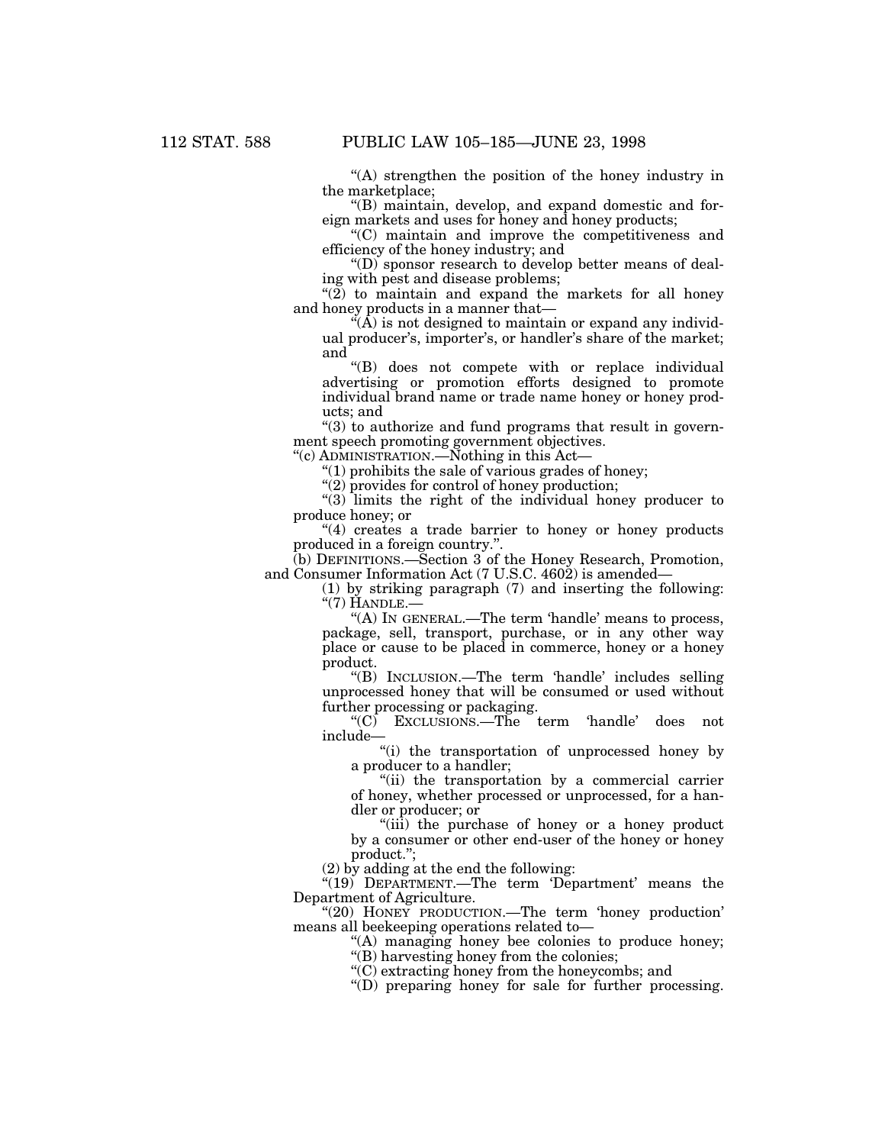''(A) strengthen the position of the honey industry in the marketplace;

''(B) maintain, develop, and expand domestic and foreign markets and uses for honey and honey products;

''(C) maintain and improve the competitiveness and efficiency of the honey industry; and

''(D) sponsor research to develop better means of dealing with pest and disease problems;

" $(2)$  to maintain and expand the markets for all honey and honey products in a manner that—

 $(A)$  is not designed to maintain or expand any individual producer's, importer's, or handler's share of the market; and

''(B) does not compete with or replace individual advertising or promotion efforts designed to promote individual brand name or trade name honey or honey products; and

 $"(3)$  to authorize and fund programs that result in government speech promoting government objectives.

''(c) ADMINISTRATION.—Nothing in this Act—

''(1) prohibits the sale of various grades of honey;

"(2) provides for control of honey production;

''(3) limits the right of the individual honey producer to produce honey; or

"(4) creates a trade barrier to honey or honey products" produced in a foreign country.''.

(b) DEFINITIONS.—Section 3 of the Honey Research, Promotion, and Consumer Information Act (7 U.S.C. 4602) is amended—

(1) by striking paragraph (7) and inserting the following:  $\mathrm{``(7)}$  Handle. $-$ 

"(A) In GENERAL.—The term 'handle' means to process, package, sell, transport, purchase, or in any other way place or cause to be placed in commerce, honey or a honey product.

''(B) INCLUSION.—The term 'handle' includes selling unprocessed honey that will be consumed or used without further processing or packaging.

''(C) EXCLUSIONS.—The term 'handle' does not include—

"(i) the transportation of unprocessed honey by a producer to a handler;

"(ii) the transportation by a commercial carrier of honey, whether processed or unprocessed, for a handler or producer; or

''(iii) the purchase of honey or a honey product by a consumer or other end-user of the honey or honey product.'';

(2) by adding at the end the following:

 $*(19)$  DEPARTMENT.—The term 'Department' means the Department of Agriculture.

"(20) HONEY PRODUCTION.—The term 'honey production' means all beekeeping operations related to—

> ''(A) managing honey bee colonies to produce honey; ''(B) harvesting honey from the colonies;

''(C) extracting honey from the honeycombs; and

''(D) preparing honey for sale for further processing.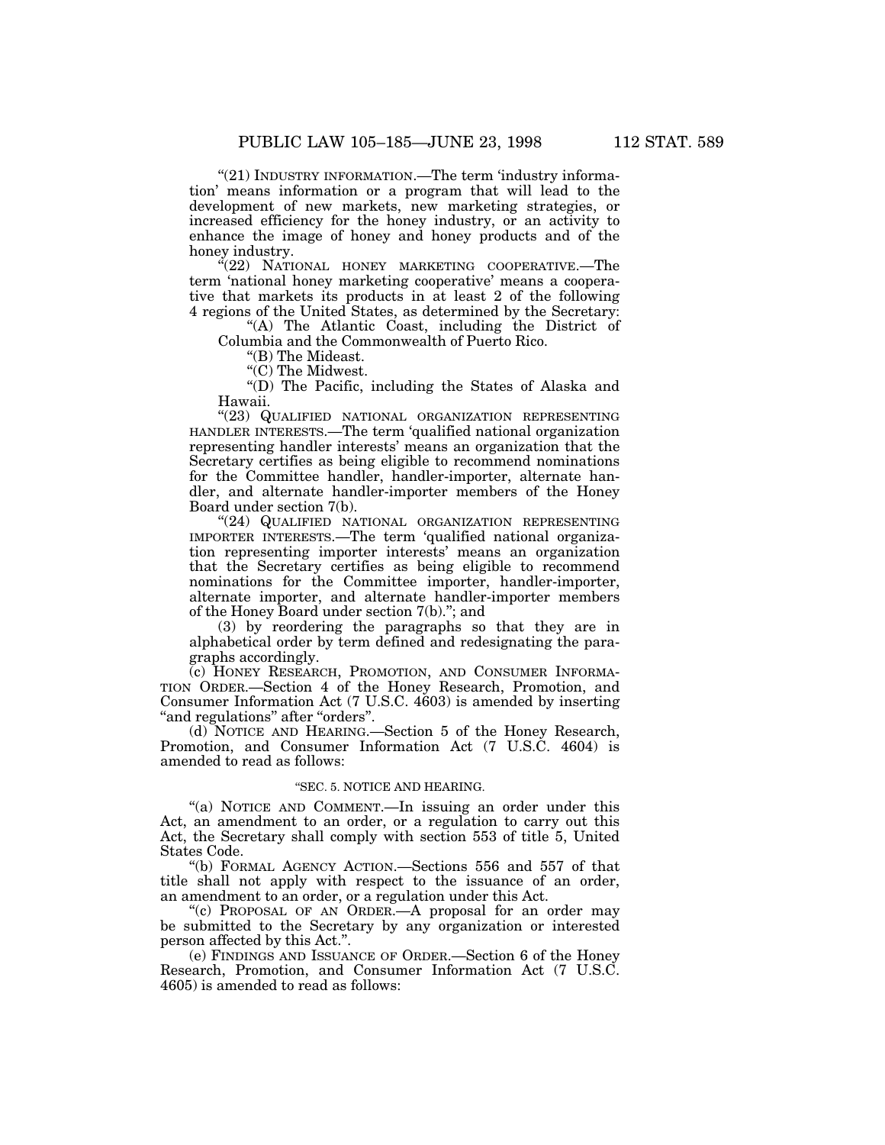"(21) INDUSTRY INFORMATION.—The term 'industry information' means information or a program that will lead to the development of new markets, new marketing strategies, or increased efficiency for the honey industry, or an activity to

enhance the image of honey and honey products and of the honey industry. "(22) NATIONAL HONEY MARKETING COOPERATIVE.—The

term 'national honey marketing cooperative' means a cooperative that markets its products in at least 2 of the following 4 regions of the United States, as determined by the Secretary:

"(A) The Atlantic Coast, including the District of Columbia and the Commonwealth of Puerto Rico.

''(B) The Mideast.

''(C) The Midwest.

''(D) The Pacific, including the States of Alaska and Hawaii.

"(23) QUALIFIED NATIONAL ORGANIZATION REPRESENTING HANDLER INTERESTS.—The term 'qualified national organization representing handler interests' means an organization that the Secretary certifies as being eligible to recommend nominations for the Committee handler, handler-importer, alternate handler, and alternate handler-importer members of the Honey Board under section 7(b).

"(24) QUALIFIED NATIONAL ORGANIZATION REPRESENTING IMPORTER INTERESTS.—The term 'qualified national organization representing importer interests' means an organization that the Secretary certifies as being eligible to recommend nominations for the Committee importer, handler-importer, alternate importer, and alternate handler-importer members of the Honey Board under section 7(b).''; and

(3) by reordering the paragraphs so that they are in alphabetical order by term defined and redesignating the paragraphs accordingly.

(c) HONEY RESEARCH, PROMOTION, AND CONSUMER INFORMA-TION ORDER.—Section 4 of the Honey Research, Promotion, and Consumer Information Act (7 U.S.C. 4603) is amended by inserting "and regulations" after "orders".

(d) NOTICE AND HEARING.—Section 5 of the Honey Research, Promotion, and Consumer Information Act (7 U.S.C. 4604) is amended to read as follows:

### ''SEC. 5. NOTICE AND HEARING.

"(a) NOTICE AND COMMENT.—In issuing an order under this Act, an amendment to an order, or a regulation to carry out this Act, the Secretary shall comply with section 553 of title 5, United States Code.

''(b) FORMAL AGENCY ACTION.—Sections 556 and 557 of that title shall not apply with respect to the issuance of an order, an amendment to an order, or a regulation under this Act.

''(c) PROPOSAL OF AN ORDER.—A proposal for an order may be submitted to the Secretary by any organization or interested person affected by this Act.''.

(e) FINDINGS AND ISSUANCE OF ORDER.—Section 6 of the Honey Research, Promotion, and Consumer Information Act (7 U.S.C. 4605) is amended to read as follows: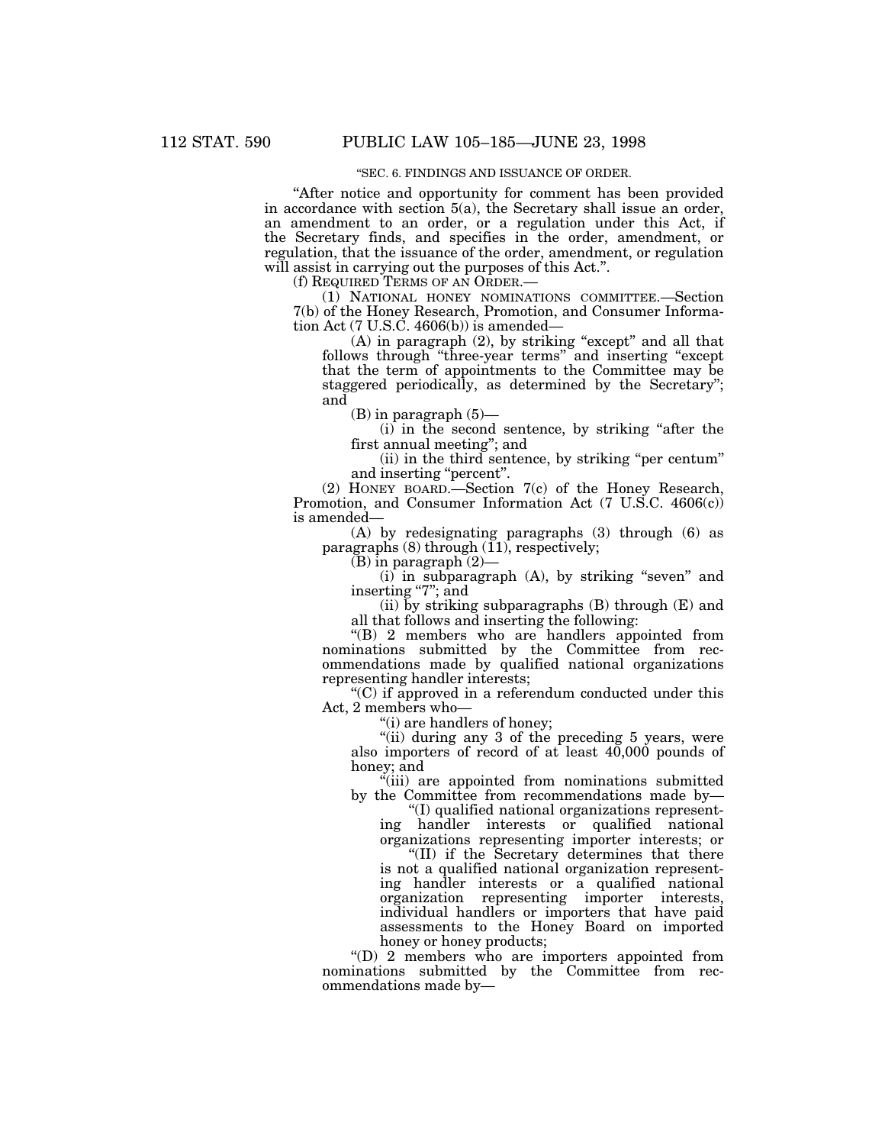### ''SEC. 6. FINDINGS AND ISSUANCE OF ORDER.

''After notice and opportunity for comment has been provided in accordance with section 5(a), the Secretary shall issue an order, an amendment to an order, or a regulation under this Act, if the Secretary finds, and specifies in the order, amendment, or regulation, that the issuance of the order, amendment, or regulation will assist in carrying out the purposes of this Act.".

(f) REQUIRED TERMS OF AN ORDER.—

(1) NATIONAL HONEY NOMINATIONS COMMITTEE.—Section 7(b) of the Honey Research, Promotion, and Consumer Information Act (7 U.S.C. 4606(b)) is amended—

 $(A)$  in paragraph  $(2)$ , by striking "except" and all that follows through ''three-year terms'' and inserting ''except that the term of appointments to the Committee may be staggered periodically, as determined by the Secretary''; and

(B) in paragraph (5)—

(i) in the second sentence, by striking ''after the first annual meeting''; and

(ii) in the third sentence, by striking ''per centum'' and inserting "percent".

(2) HONEY BOARD.—Section 7(c) of the Honey Research, Promotion, and Consumer Information Act (7 U.S.C. 4606(c)) is amended—

(A) by redesignating paragraphs (3) through (6) as paragraphs  $(8)$  through  $(11)$ , respectively;

(B) in paragraph (2)—

 $(i)$  in subparagraph  $(A)$ , by striking "seven" and inserting "7"; and

(ii) by striking subparagraphs  $(B)$  through  $(E)$  and all that follows and inserting the following:

''(B) 2 members who are handlers appointed from nominations submitted by the Committee from recommendations made by qualified national organizations representing handler interests;

''(C) if approved in a referendum conducted under this Act, 2 members who—

''(i) are handlers of honey;

"(ii) during any 3 of the preceding 5 years, were also importers of record of at least 40,000 pounds of honey; and

''(iii) are appointed from nominations submitted by the Committee from recommendations made by—

''(I) qualified national organizations representing handler interests or qualified national organizations representing importer interests; or

''(II) if the Secretary determines that there is not a qualified national organization representing handler interests or a qualified national organization representing importer interests, individual handlers or importers that have paid assessments to the Honey Board on imported honey or honey products;

''(D) 2 members who are importers appointed from nominations submitted by the Committee from recommendations made by—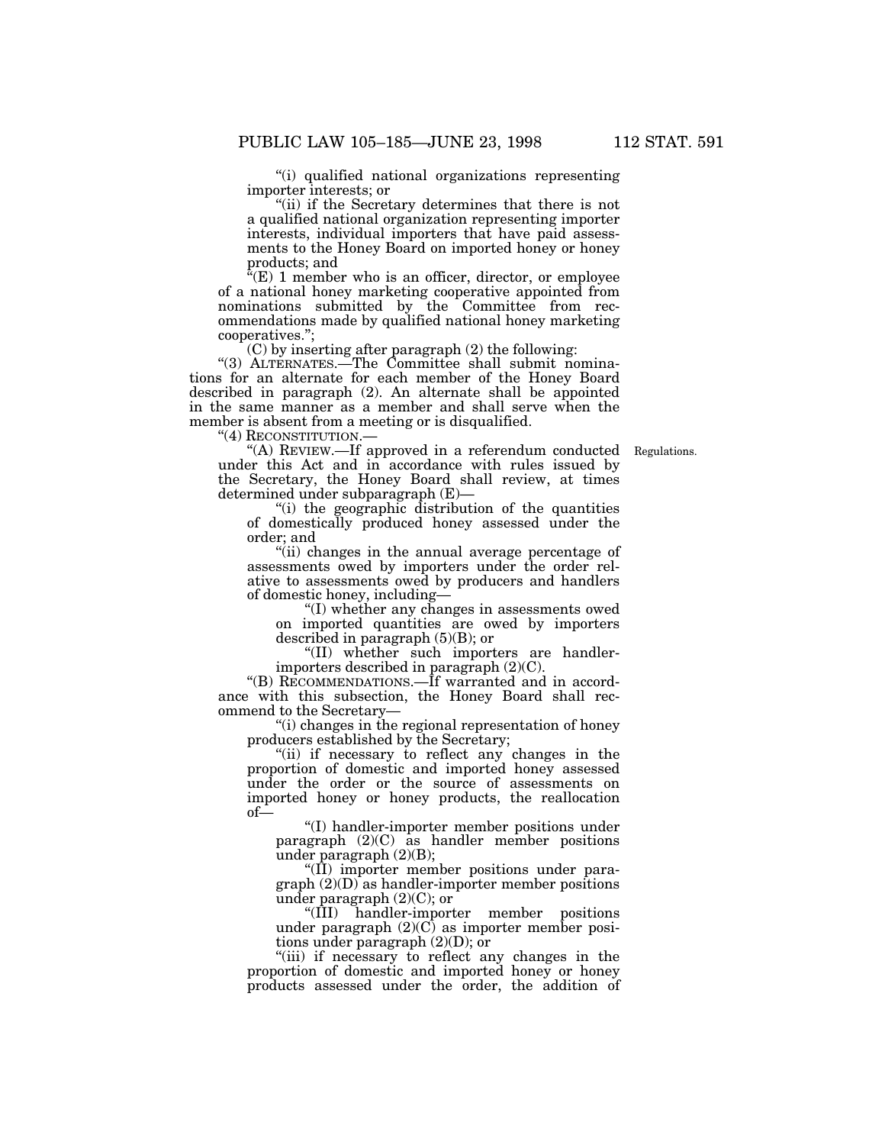''(i) qualified national organizations representing importer interests; or

"(ii) if the Secretary determines that there is not a qualified national organization representing importer interests, individual importers that have paid assessments to the Honey Board on imported honey or honey products; and

" $(E)$  1 member who is an officer, director, or employee of a national honey marketing cooperative appointed from nominations submitted by the Committee from recommendations made by qualified national honey marketing cooperatives.'';

(C) by inserting after paragraph (2) the following:

''(3) ALTERNATES.—The Committee shall submit nominations for an alternate for each member of the Honey Board described in paragraph (2). An alternate shall be appointed in the same manner as a member and shall serve when the member is absent from a meeting or is disqualified.

''(4) RECONSTITUTION.—

"(A) REVIEW.—If approved in a referendum conducted Regulations. under this Act and in accordance with rules issued by the Secretary, the Honey Board shall review, at times determined under subparagraph (E)—

''(i) the geographic distribution of the quantities of domestically produced honey assessed under the order; and

''(ii) changes in the annual average percentage of assessments owed by importers under the order relative to assessments owed by producers and handlers of domestic honey, including—

''(I) whether any changes in assessments owed on imported quantities are owed by importers described in paragraph (5)(B); or

"(II) whether such importers are handlerimporters described in paragraph (2)(C).

''(B) RECOMMENDATIONS.—If warranted and in accordance with this subsection, the Honey Board shall recommend to the Secretary—

''(i) changes in the regional representation of honey producers established by the Secretary;

"(ii) if necessary to reflect any changes in the proportion of domestic and imported honey assessed under the order or the source of assessments on imported honey or honey products, the reallocation of—

''(I) handler-importer member positions under paragraph (2)(C) as handler member positions under paragraph (2)(B);

''(II) importer member positions under para $graph (2)(D)$  as handler-importer member positions under paragraph (2)(C); or

''(III) handler-importer member positions under paragraph  $(2)(C)$  as importer member positions under paragraph (2)(D); or

"(iii) if necessary to reflect any changes in the proportion of domestic and imported honey or honey products assessed under the order, the addition of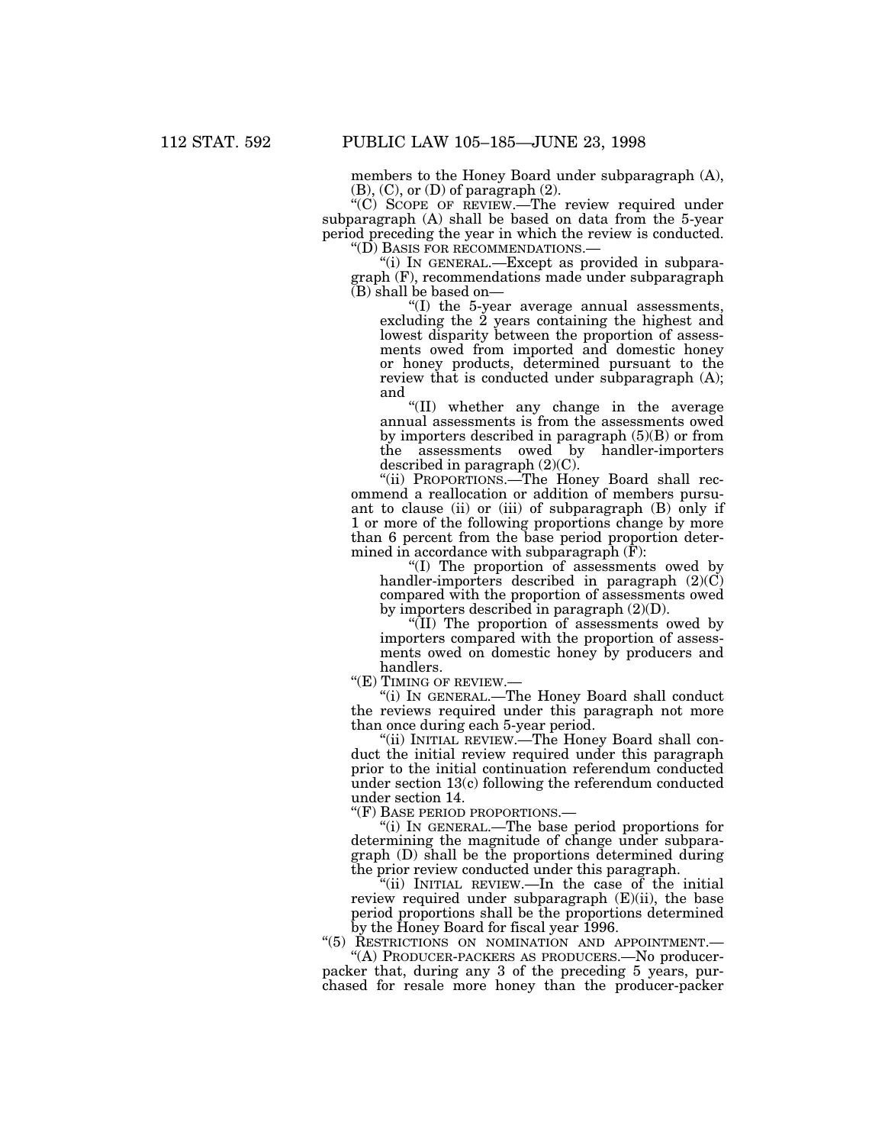members to the Honey Board under subparagraph (A),  $(B)$ ,  $(C)$ , or  $(D)$  of paragraph  $(2)$ .

 $\cdot(C)$  SCOPE OF REVIEW.—The review required under subparagraph (A) shall be based on data from the 5-year period preceding the year in which the review is conducted. ''(D) BASIS FOR RECOMMENDATIONS.—

''(i) IN GENERAL.—Except as provided in subparagraph (F), recommendations made under subparagraph (B) shall be based on—

''(I) the 5-year average annual assessments, excluding the 2 years containing the highest and lowest disparity between the proportion of assessments owed from imported and domestic honey or honey products, determined pursuant to the review that is conducted under subparagraph (A); and

''(II) whether any change in the average annual assessments is from the assessments owed by importers described in paragraph (5)(B) or from the assessments owed by handler-importers described in paragraph (2)(C).

"(ii) PROPORTIONS.—The Honey Board shall recommend a reallocation or addition of members pursuant to clause (ii) or (iii) of subparagraph (B) only if 1 or more of the following proportions change by more than 6 percent from the base period proportion determined in accordance with subparagraph (F):

''(I) The proportion of assessments owed by handler-importers described in paragraph (2)(C) compared with the proportion of assessments owed by importers described in paragraph (2)(D).

''(II) The proportion of assessments owed by importers compared with the proportion of assessments owed on domestic honey by producers and handlers.

''(E) TIMING OF REVIEW.—

''(i) IN GENERAL.—The Honey Board shall conduct the reviews required under this paragraph not more than once during each 5-year period.

''(ii) INITIAL REVIEW.—The Honey Board shall conduct the initial review required under this paragraph prior to the initial continuation referendum conducted under section 13(c) following the referendum conducted under section 14.

''(F) BASE PERIOD PROPORTIONS.—

''(i) IN GENERAL.—The base period proportions for determining the magnitude of change under subparagraph (D) shall be the proportions determined during the prior review conducted under this paragraph.

''(ii) INITIAL REVIEW.—In the case of the initial review required under subparagraph (E)(ii), the base period proportions shall be the proportions determined by the Honey Board for fiscal year 1996.

"(5) RESTRICTIONS ON NOMINATION AND APPOINTMENT.

''(A) PRODUCER-PACKERS AS PRODUCERS.—No producerpacker that, during any 3 of the preceding 5 years, purchased for resale more honey than the producer-packer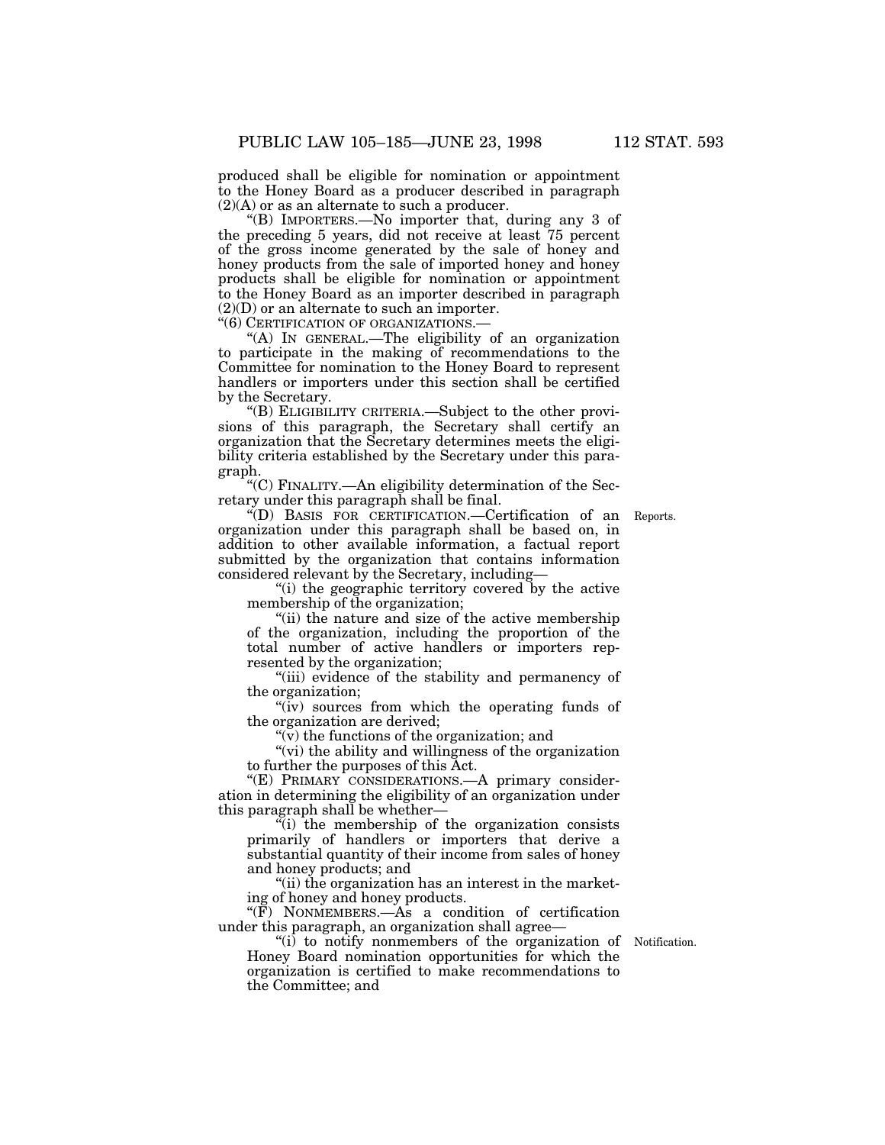produced shall be eligible for nomination or appointment to the Honey Board as a producer described in paragraph (2)(A) or as an alternate to such a producer.

''(B) IMPORTERS.—No importer that, during any 3 of the preceding 5 years, did not receive at least 75 percent of the gross income generated by the sale of honey and honey products from the sale of imported honey and honey products shall be eligible for nomination or appointment to the Honey Board as an importer described in paragraph (2)(D) or an alternate to such an importer.

''(6) CERTIFICATION OF ORGANIZATIONS.—

''(A) IN GENERAL.—The eligibility of an organization to participate in the making of recommendations to the Committee for nomination to the Honey Board to represent handlers or importers under this section shall be certified by the Secretary.

''(B) ELIGIBILITY CRITERIA.—Subject to the other provisions of this paragraph, the Secretary shall certify an organization that the Secretary determines meets the eligibility criteria established by the Secretary under this paragraph.

''(C) FINALITY.—An eligibility determination of the Secretary under this paragraph shall be final.

''(D) BASIS FOR CERTIFICATION.—Certification of an Reports. organization under this paragraph shall be based on, in addition to other available information, a factual report submitted by the organization that contains information considered relevant by the Secretary, including—

"(i) the geographic territory covered by the active membership of the organization;

"(ii) the nature and size of the active membership of the organization, including the proportion of the total number of active handlers or importers represented by the organization;

"(iii) evidence of the stability and permanency of the organization;

"(iv) sources from which the operating funds of the organization are derived;

 $\sqrt{\rm v}$  the functions of the organization; and

"(vi) the ability and willingness of the organization to further the purposes of this Act.

"(E) PRIMARY CONSIDERATIONS.—A primary consideration in determining the eligibility of an organization under this paragraph shall be whether—

''(i) the membership of the organization consists primarily of handlers or importers that derive a substantial quantity of their income from sales of honey and honey products; and

"(ii) the organization has an interest in the marketing of honey and honey products.

 $\sqrt[\infty]{F}$  NONMEMBERS.—As a condition of certification under this paragraph, an organization shall agree—

 $(ii)$  to notify nonmembers of the organization of Notification. Honey Board nomination opportunities for which the organization is certified to make recommendations to the Committee; and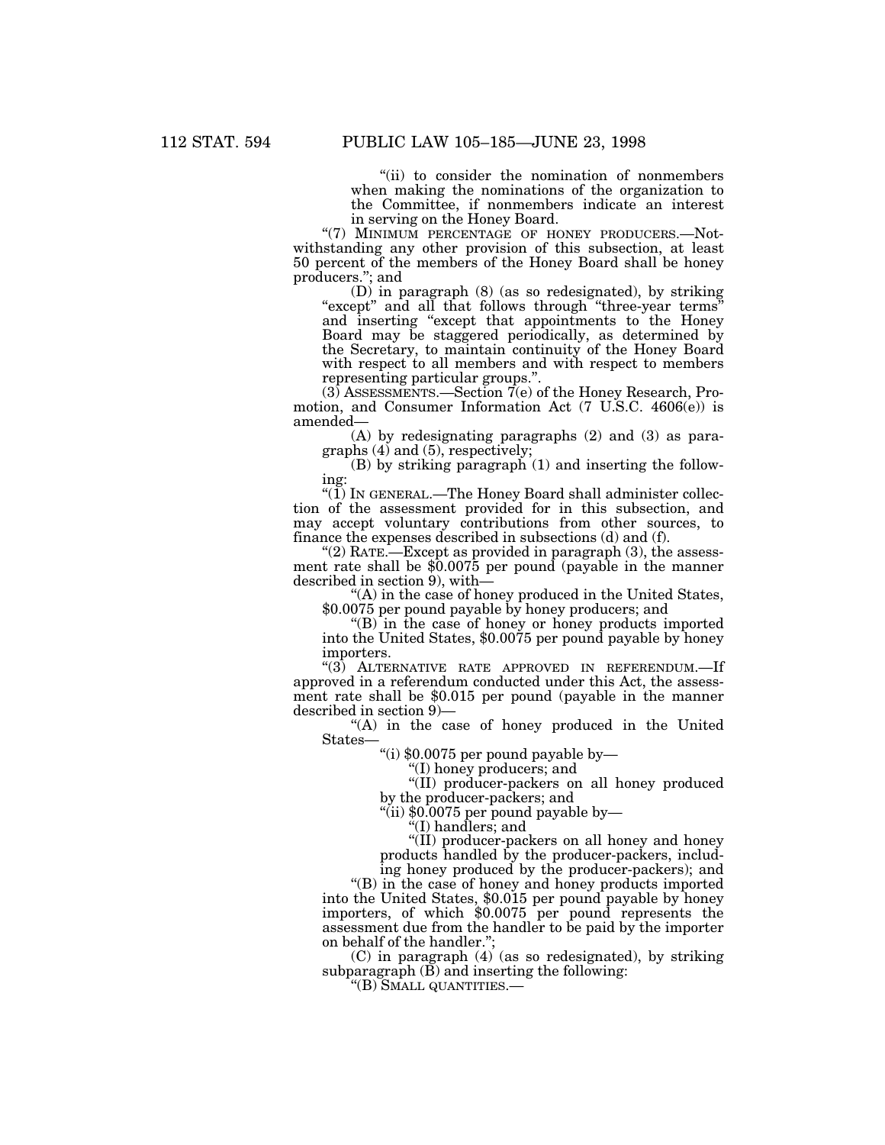''(ii) to consider the nomination of nonmembers when making the nominations of the organization to the Committee, if nonmembers indicate an interest in serving on the Honey Board.

"(7) MINIMUM PERCENTAGE OF HONEY PRODUCERS.- Notwithstanding any other provision of this subsection, at least 50 percent of the members of the Honey Board shall be honey producers.''; and

(D) in paragraph (8) (as so redesignated), by striking "except" and all that follows through "three-year terms" and inserting ''except that appointments to the Honey Board may be staggered periodically, as determined by the Secretary, to maintain continuity of the Honey Board with respect to all members and with respect to members representing particular groups.''.

 $(3)$  ASSESSMENTS.—Section  $7(e)$  of the Honey Research, Promotion, and Consumer Information Act (7 U.S.C. 4606(e)) is amended—

(A) by redesignating paragraphs (2) and (3) as paragraphs (4) and (5), respectively;

(B) by striking paragraph (1) and inserting the following:

" $(1)$  In GENERAL.—The Honey Board shall administer collection of the assessment provided for in this subsection, and may accept voluntary contributions from other sources, to finance the expenses described in subsections (d) and (f).

"(2) RATE.—Except as provided in paragraph  $(3)$ , the assessment rate shall be \$0.0075 per pound (payable in the manner described in section 9), with—

''(A) in the case of honey produced in the United States, \$0.0075 per pound payable by honey producers; and

''(B) in the case of honey or honey products imported into the United States, \$0.0075 per pound payable by honey importers.

''(3) ALTERNATIVE RATE APPROVED IN REFERENDUM.—If approved in a referendum conducted under this Act, the assessment rate shall be \$0.015 per pound (payable in the manner described in section 9)—

''(A) in the case of honey produced in the United States—

''(i) \$0.0075 per pound payable by—

''(I) honey producers; and

''(II) producer-packers on all honey produced by the producer-packers; and

''(ii) \$0.0075 per pound payable by—

''(I) handlers; and

''(II) producer-packers on all honey and honey products handled by the producer-packers, including honey produced by the producer-packers); and

''(B) in the case of honey and honey products imported into the United States, \$0.015 per pound payable by honey importers, of which \$0.0075 per pound represents the assessment due from the handler to be paid by the importer on behalf of the handler.'';

(C) in paragraph (4) (as so redesignated), by striking subparagraph  $(\overline{B})$  and inserting the following:

''(B) SMALL QUANTITIES.—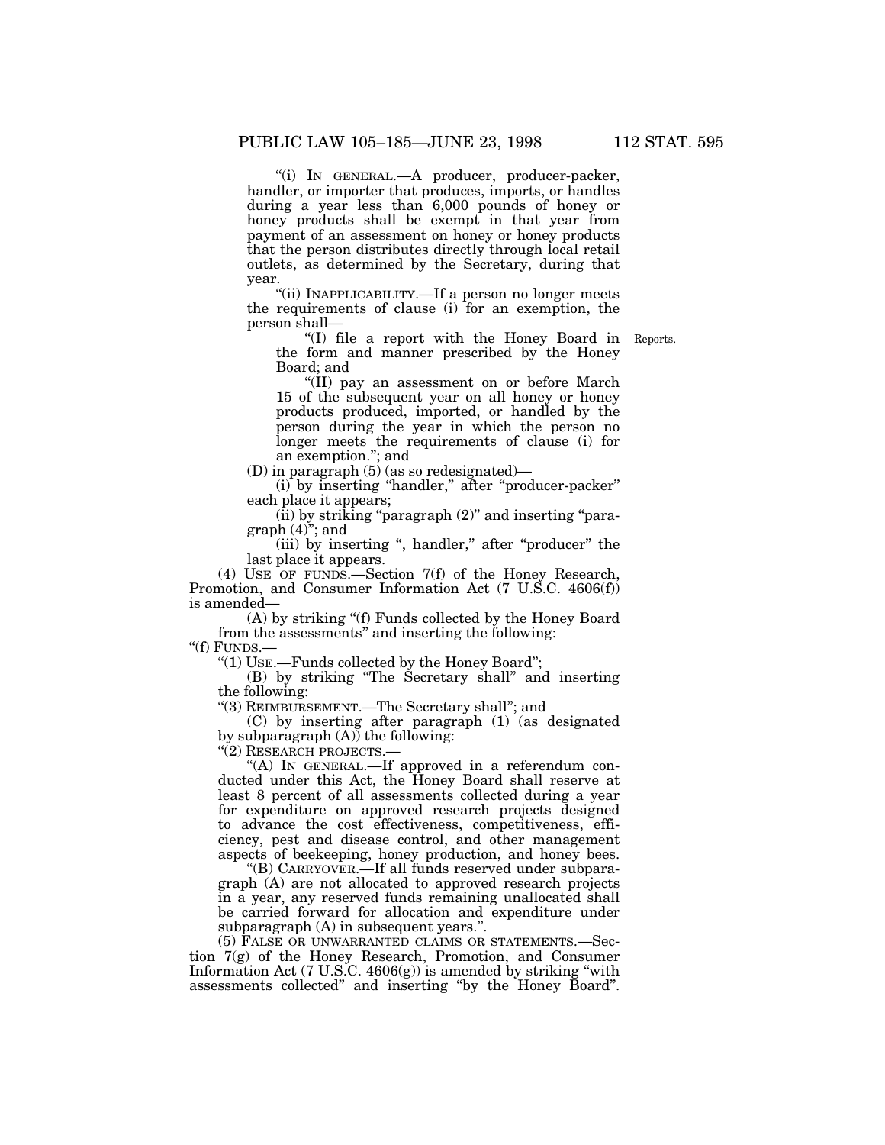''(i) IN GENERAL.—A producer, producer-packer, handler, or importer that produces, imports, or handles during a year less than 6,000 pounds of honey or honey products shall be exempt in that year from payment of an assessment on honey or honey products that the person distributes directly through local retail outlets, as determined by the Secretary, during that year.

''(ii) INAPPLICABILITY.—If a person no longer meets the requirements of clause (i) for an exemption, the person shall—

''(I) file a report with the Honey Board in Reports. the form and manner prescribed by the Honey Board; and

''(II) pay an assessment on or before March 15 of the subsequent year on all honey or honey products produced, imported, or handled by the person during the year in which the person no longer meets the requirements of clause (i) for an exemption.''; and

(D) in paragraph (5) (as so redesignated)—

(i) by inserting "handler," after "producer-packer" each place it appears;

 $(iii)$  by striking "paragraph  $(2)$ " and inserting "paragraph  $(4)$ "; and

(iii) by inserting ", handler," after "producer" the last place it appears.

(4) USE OF FUNDS.—Section 7(f) of the Honey Research, Promotion, and Consumer Information Act (7 U.S.C. 4606(f)) is amended—

(A) by striking ''(f) Funds collected by the Honey Board from the assessments'' and inserting the following: ''(f) FUNDS.—

''(1) USE.—Funds collected by the Honey Board'';

(B) by striking ''The Secretary shall'' and inserting the following:

''(3) REIMBURSEMENT.—The Secretary shall''; and

(C) by inserting after paragraph (1) (as designated by subparagraph  $(A)$ ) the following:

"(2) RESEARCH PROJECTS.-

"(A) IN GENERAL.—If approved in a referendum conducted under this Act, the Honey Board shall reserve at least 8 percent of all assessments collected during a year for expenditure on approved research projects designed to advance the cost effectiveness, competitiveness, efficiency, pest and disease control, and other management aspects of beekeeping, honey production, and honey bees.

''(B) CARRYOVER.—If all funds reserved under subparagraph (A) are not allocated to approved research projects in a year, any reserved funds remaining unallocated shall be carried forward for allocation and expenditure under subparagraph (A) in subsequent years.''.

(5) FALSE OR UNWARRANTED CLAIMS OR STATEMENTS.—Section 7(g) of the Honey Research, Promotion, and Consumer Information Act  $(7 \text{ U.S.C. } 4606(g))$  is amended by striking "with assessments collected'' and inserting ''by the Honey Board''.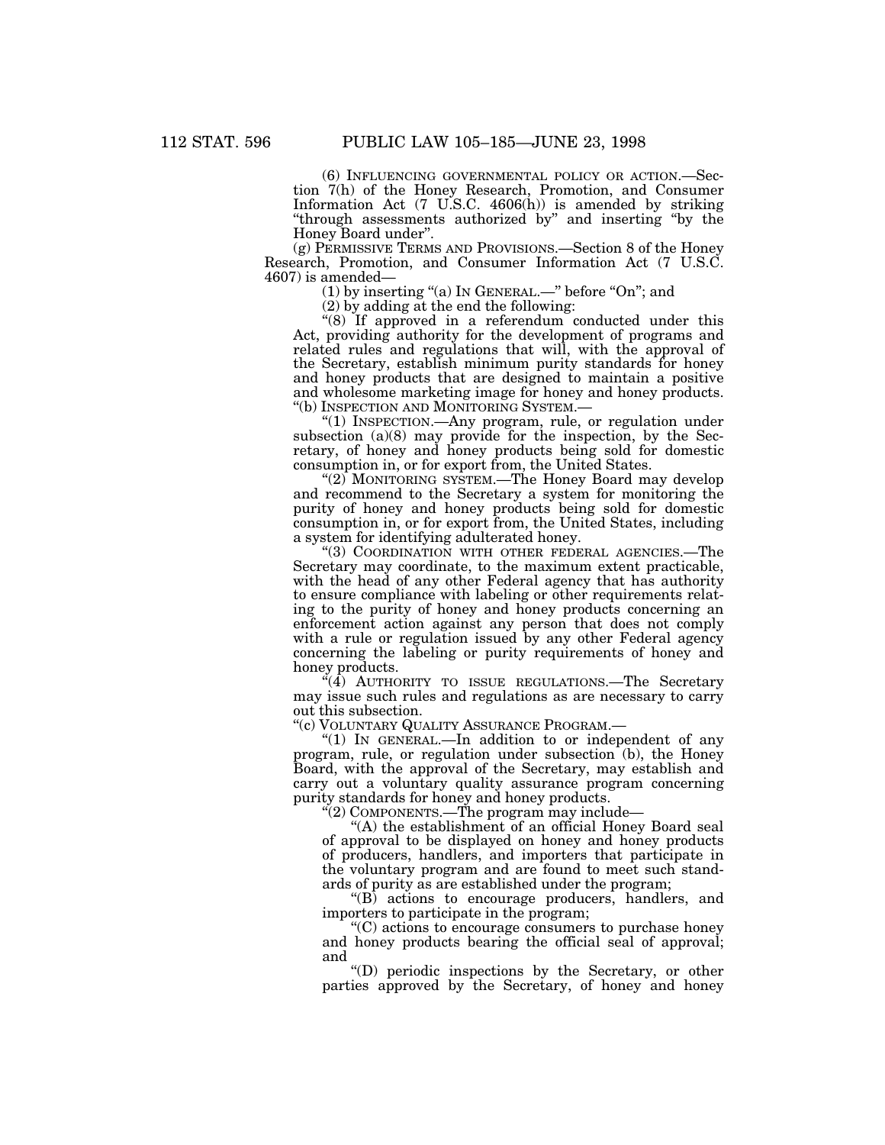(6) INFLUENCING GOVERNMENTAL POLICY OR ACTION.—Sec- tion 7(h) of the Honey Research, Promotion, and Consumer Information Act (7 U.S.C. 4606(h)) is amended by striking "through assessments authorized by" and inserting "by the Honey Board under''.

(g) PERMISSIVE TERMS AND PROVISIONS.—Section 8 of the Honey Research, Promotion, and Consumer Information Act (7 U.S.C. 4607) is amended—

(1) by inserting "(a) In GENERAL.—" before "On"; and

(2) by adding at the end the following:

''(8) If approved in a referendum conducted under this Act, providing authority for the development of programs and related rules and regulations that will, with the approval of the Secretary, establish minimum purity standards for honey and honey products that are designed to maintain a positive and wholesome marketing image for honey and honey products. ''(b) INSPECTION AND MONITORING SYSTEM.—

''(1) INSPECTION.—Any program, rule, or regulation under subsection (a)(8) may provide for the inspection, by the Secretary, of honey and honey products being sold for domestic consumption in, or for export from, the United States.

"(2) MONITORING SYSTEM.—The Honey Board may develop and recommend to the Secretary a system for monitoring the purity of honey and honey products being sold for domestic consumption in, or for export from, the United States, including a system for identifying adulterated honey.

"(3) COORDINATION WITH OTHER FEDERAL AGENCIES.—The Secretary may coordinate, to the maximum extent practicable, with the head of any other Federal agency that has authority to ensure compliance with labeling or other requirements relating to the purity of honey and honey products concerning an enforcement action against any person that does not comply with a rule or regulation issued by any other Federal agency concerning the labeling or purity requirements of honey and honey products.

"(4) AUTHORITY TO ISSUE REGULATIONS.—The Secretary may issue such rules and regulations as are necessary to carry out this subsection.

''(c) VOLUNTARY QUALITY ASSURANCE PROGRAM.—

"(1) IN GENERAL.—In addition to or independent of any program, rule, or regulation under subsection (b), the Honey Board, with the approval of the Secretary, may establish and carry out a voluntary quality assurance program concerning purity standards for honey and honey products.

''(2) COMPONENTS.—The program may include—

"(A) the establishment of an official Honey Board seal of approval to be displayed on honey and honey products of producers, handlers, and importers that participate in the voluntary program and are found to meet such standards of purity as are established under the program;

''(B) actions to encourage producers, handlers, and importers to participate in the program;

''(C) actions to encourage consumers to purchase honey and honey products bearing the official seal of approval; and

''(D) periodic inspections by the Secretary, or other parties approved by the Secretary, of honey and honey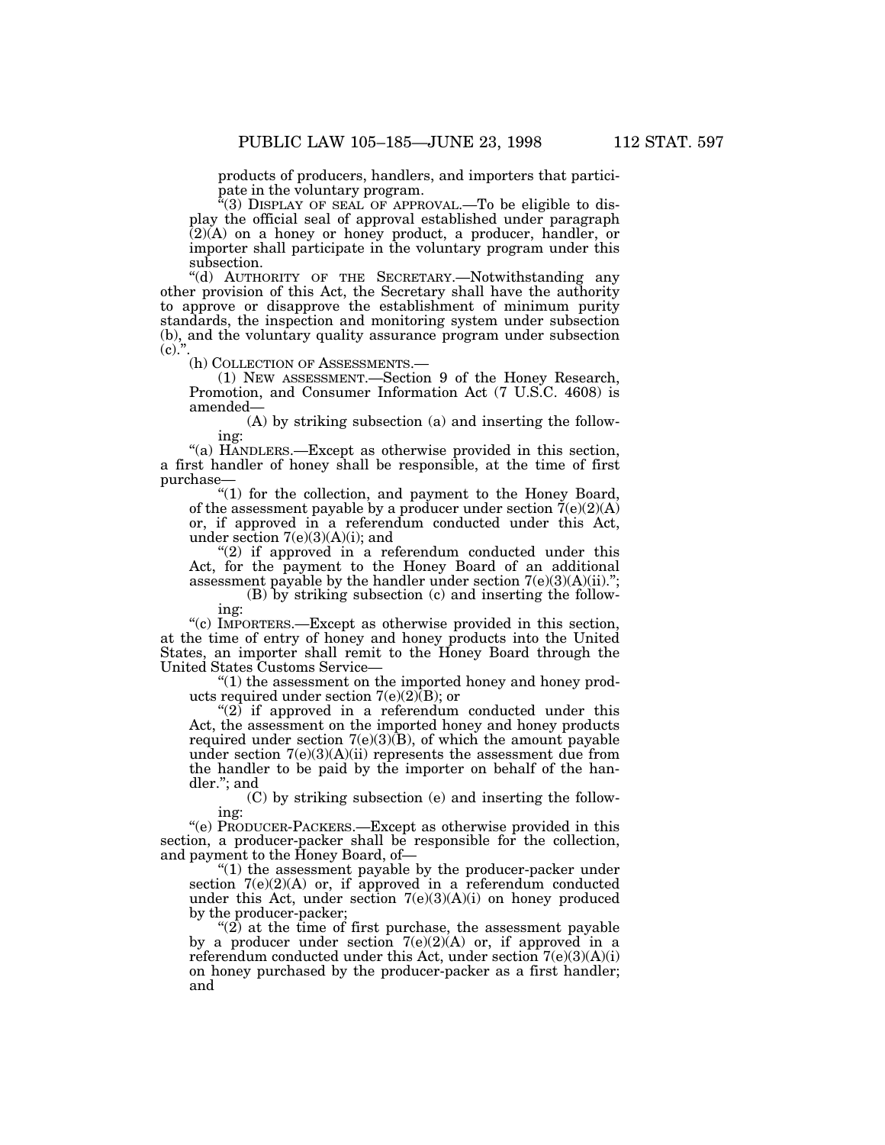products of producers, handlers, and importers that partici-<br>pate in the voluntary program.<br>"(3) DISPLAY OF SEAL OF APPROVAL.—To be eligible to dis-

play the official seal of approval established under paragraph (2)(A) on a honey or honey product, a producer, handler, or importer shall participate in the voluntary program under this subsection.

''(d) AUTHORITY OF THE SECRETARY.—Notwithstanding any other provision of this Act, the Secretary shall have the authority to approve or disapprove the establishment of minimum purity standards, the inspection and monitoring system under subsection (b), and the voluntary quality assurance program under subsection  $(c).$ 

(h) COLLECTION OF ASSESSMENTS.—

(1) NEW ASSESSMENT.—Section 9 of the Honey Research, Promotion, and Consumer Information Act (7 U.S.C. 4608) is amended—

(A) by striking subsection (a) and inserting the following:

''(a) HANDLERS.—Except as otherwise provided in this section, a first handler of honey shall be responsible, at the time of first purchase—

''(1) for the collection, and payment to the Honey Board, of the assessment payable by a producer under section  $\tilde{7}(e)(2)(A)$ or, if approved in a referendum conducted under this Act, under section  $7(e)(3)(A)(i)$ ; and

" $(2)$  if approved in a referendum conducted under this Act, for the payment to the Honey Board of an additional assessment payable by the handler under section 7(e)(3)(A)(ii).'';

(B) by striking subsection (c) and inserting the following:

''(c) IMPORTERS.—Except as otherwise provided in this section, at the time of entry of honey and honey products into the United States, an importer shall remit to the Honey Board through the United States Customs Service—

''(1) the assessment on the imported honey and honey products required under section  $7(e)(2)$ (B); or

" $(2)$  if approved in a referendum conducted under this Act, the assessment on the imported honey and honey products required under section  $7(e)(3)(B)$ , of which the amount payable under section  $7(e)(3)(A)(ii)$  represents the assessment due from the handler to be paid by the importer on behalf of the handler.''; and

(C) by striking subsection (e) and inserting the following:

''(e) PRODUCER-PACKERS.—Except as otherwise provided in this section, a producer-packer shall be responsible for the collection, and payment to the Honey Board, of—

" $(1)$  the assessment payable by the producer-packer under section  $7(e)(2)(A)$  or, if approved in a referendum conducted under this Act, under section 7(e)(3)(A)(i) on honey produced by the producer-packer;

" $(2)$  at the time of first purchase, the assessment payable by a producer under section  $7(e)(2)(A)$  or, if approved in a referendum conducted under this Act, under section  $7(e)(3)(A)(i)$ on honey purchased by the producer-packer as a first handler; and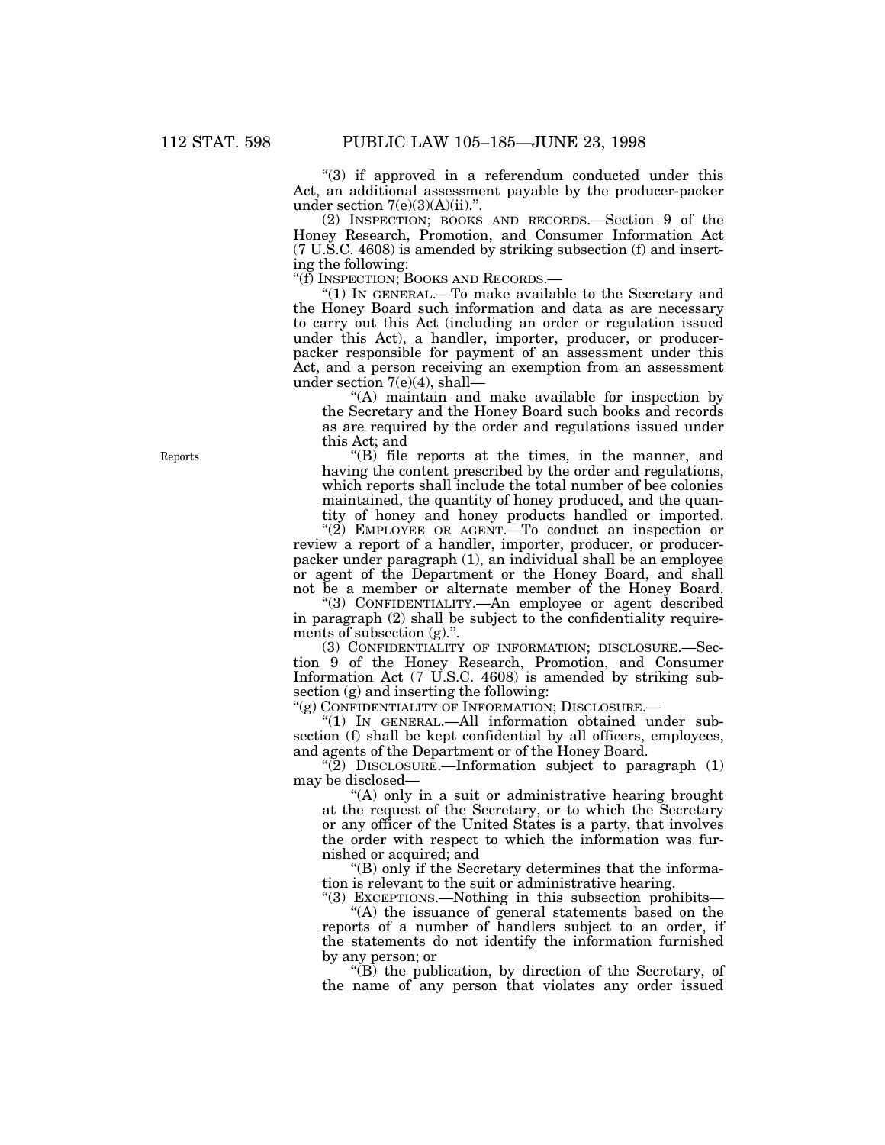"(3) if approved in a referendum conducted under this Act, an additional assessment payable by the producer-packer under section  $7(e)(3)(A)(ii)$ .".

(2) INSPECTION; BOOKS AND RECORDS.—Section 9 of the Honey Research, Promotion, and Consumer Information Act (7 U.S.C. 4608) is amended by striking subsection (f) and inserting the following:

''(f) INSPECTION; BOOKS AND RECORDS.—

''(1) IN GENERAL.—To make available to the Secretary and the Honey Board such information and data as are necessary to carry out this Act (including an order or regulation issued under this Act), a handler, importer, producer, or producerpacker responsible for payment of an assessment under this Act, and a person receiving an exemption from an assessment under section 7(e)(4), shall—

''(A) maintain and make available for inspection by the Secretary and the Honey Board such books and records as are required by the order and regulations issued under this Act; and

Reports.  $^{(1)}$   $(1)$  file reports at the times, in the manner, and having the content prescribed by the order and regulations, which reports shall include the total number of bee colonies maintained, the quantity of honey produced, and the quantity of honey and honey products handled or imported.

" $(2)$  EMPLOYEE OR AGENT. To conduct an inspection or review a report of a handler, importer, producer, or producerpacker under paragraph (1), an individual shall be an employee or agent of the Department or the Honey Board, and shall not be a member or alternate member of the Honey Board.

''(3) CONFIDENTIALITY.—An employee or agent described in paragraph (2) shall be subject to the confidentiality requirements of subsection  $(g)$ .".

(3) CONFIDENTIALITY OF INFORMATION; DISCLOSURE.—Section 9 of the Honey Research, Promotion, and Consumer Information Act (7 U.S.C. 4608) is amended by striking subsection (g) and inserting the following:

"(g) CONFIDENTIALITY OF INFORMATION; DISCLOSURE.

''(1) IN GENERAL.—All information obtained under subsection (f) shall be kept confidential by all officers, employees, and agents of the Department or of the Honey Board.

"(2) DISCLOSURE.—Information subject to paragraph  $(1)$ may be disclosed—

''(A) only in a suit or administrative hearing brought at the request of the Secretary, or to which the Secretary or any officer of the United States is a party, that involves the order with respect to which the information was furnished or acquired; and

''(B) only if the Secretary determines that the information is relevant to the suit or administrative hearing.

"(3) EXCEPTIONS.—Nothing in this subsection prohibits-''(A) the issuance of general statements based on the reports of a number of handlers subject to an order, if the statements do not identify the information furnished by any person; or

''(B) the publication, by direction of the Secretary, of the name of any person that violates any order issued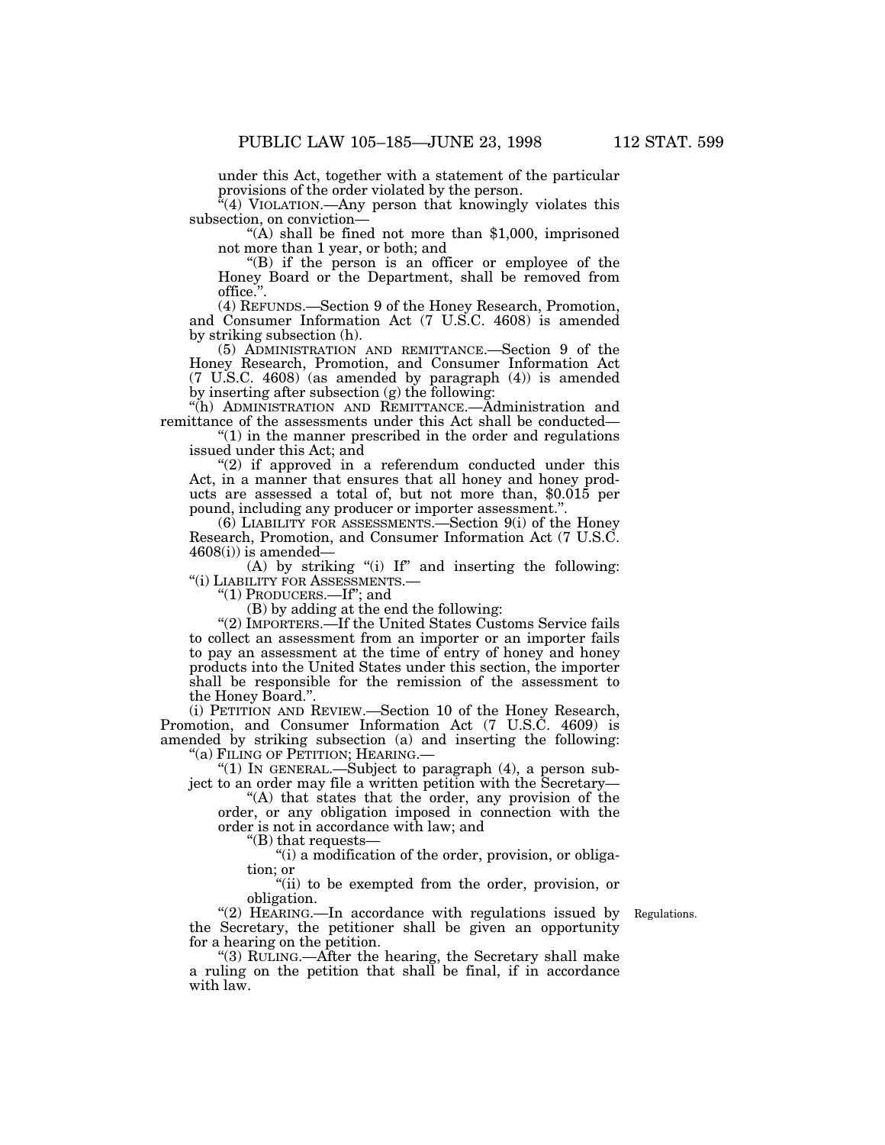under this Act, together with a statement of the particular provisions of the order violated by the person.

 $\sqrt{4}$ (4) VIOLATION.—Any person that knowingly violates this subsection, on conviction—

"(A) shall be fined not more than  $$1,000$ , imprisoned not more than 1 year, or both; and

''(B) if the person is an officer or employee of the Honey Board or the Department, shall be removed from office.''.

(4) REFUNDS.—Section 9 of the Honey Research, Promotion, and Consumer Information Act (7 U.S.C. 4608) is amended by striking subsection (h).

(5) ADMINISTRATION AND REMITTANCE.—Section 9 of the Honey Research, Promotion, and Consumer Information Act (7 U.S.C. 4608) (as amended by paragraph (4)) is amended by inserting after subsection (g) the following:

''(h) ADMINISTRATION AND REMITTANCE.—Administration and remittance of the assessments under this Act shall be conducted—

 $''(1)$  in the manner prescribed in the order and regulations issued under this Act; and

"(2) if approved in a referendum conducted under this Act, in a manner that ensures that all honey and honey products are assessed a total of, but not more than, \$0.015 per pound, including any producer or importer assessment.''.

(6) LIABILITY FOR ASSESSMENTS.—Section 9(i) of the Honey Research, Promotion, and Consumer Information Act (7 U.S.C.  $4608(i)$  is amended—

(A) by striking "(i) If" and inserting the following: ''(i) LIABILITY FOR ASSESSMENTS.—

"(1) PRODUCERS.—If"; and

(B) by adding at the end the following:

''(2) IMPORTERS.—If the United States Customs Service fails to collect an assessment from an importer or an importer fails to pay an assessment at the time of entry of honey and honey products into the United States under this section, the importer shall be responsible for the remission of the assessment to the Honey Board.''.

(i) PETITION AND REVIEW.—Section 10 of the Honey Research, Promotion, and Consumer Information Act (7 U.S.C. 4609) is amended by striking subsection (a) and inserting the following: ''(a) FILING OF PETITION; HEARING.—

"(1) In GENERAL.—Subject to paragraph (4), a person subject to an order may file a written petition with the Secretary—

''(A) that states that the order, any provision of the order, or any obligation imposed in connection with the order is not in accordance with law; and

''(B) that requests—

''(i) a modification of the order, provision, or obligation; or

''(ii) to be exempted from the order, provision, or obligation.

Regulations.

"(2) HEARING.—In accordance with regulations issued by the Secretary, the petitioner shall be given an opportunity for a hearing on the petition.

''(3) RULING.—After the hearing, the Secretary shall make a ruling on the petition that shall be final, if in accordance with law.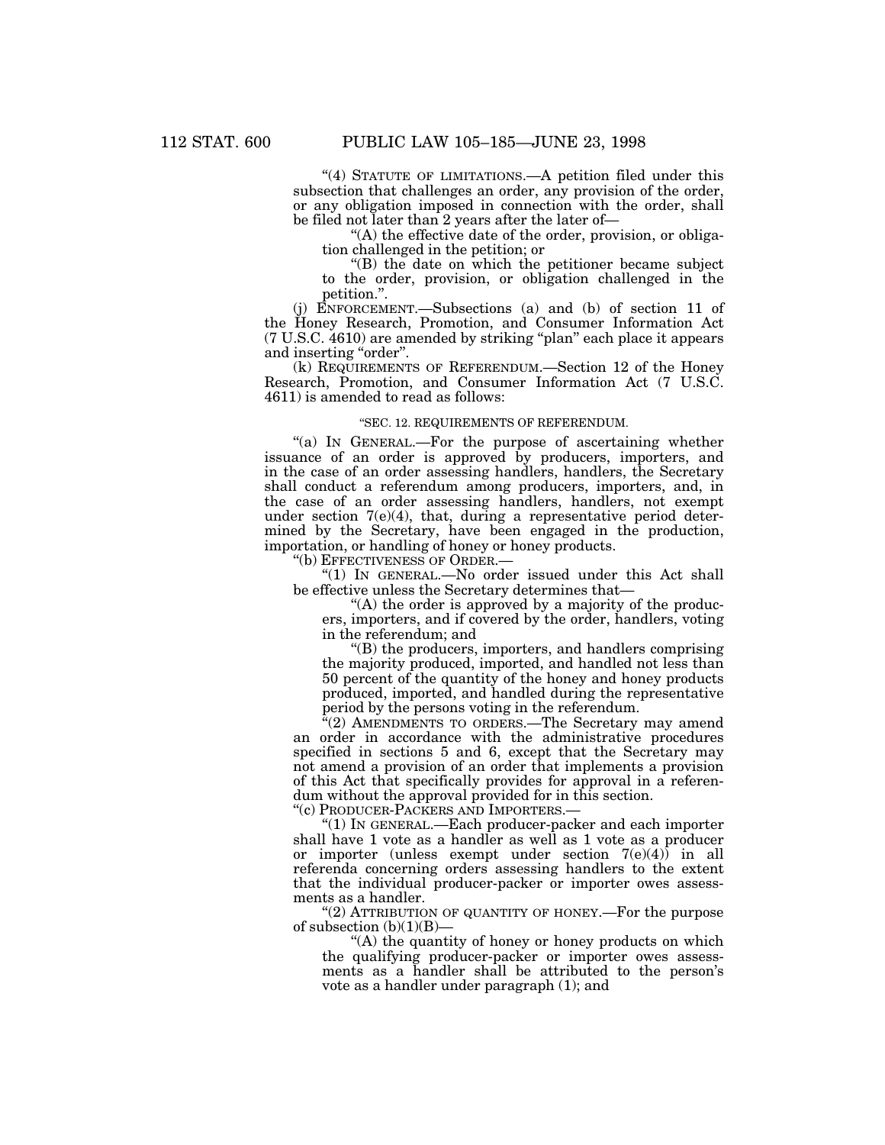"(4) STATUTE OF LIMITATIONS.—A petition filed under this subsection that challenges an order, any provision of the order, or any obligation imposed in connection with the order, shall be filed not later than 2 years after the later of—

''(A) the effective date of the order, provision, or obligation challenged in the petition; or

''(B) the date on which the petitioner became subject to the order, provision, or obligation challenged in the petition.''.

(j) ENFORCEMENT.—Subsections (a) and (b) of section 11 of the Honey Research, Promotion, and Consumer Information Act (7 U.S.C. 4610) are amended by striking ''plan'' each place it appears and inserting "order".

(k) REQUIREMENTS OF REFERENDUM.—Section 12 of the Honey Research, Promotion, and Consumer Information Act (7 U.S.C. 4611) is amended to read as follows:

# ''SEC. 12. REQUIREMENTS OF REFERENDUM.

"(a) In GENERAL.—For the purpose of ascertaining whether issuance of an order is approved by producers, importers, and in the case of an order assessing handlers, handlers, the Secretary shall conduct a referendum among producers, importers, and, in the case of an order assessing handlers, handlers, not exempt under section 7(e)(4), that, during a representative period determined by the Secretary, have been engaged in the production, importation, or handling of honey or honey products.

''(b) EFFECTIVENESS OF ORDER.—

"(1) IN GENERAL.—No order issued under this Act shall be effective unless the Secretary determines that—

"(A) the order is approved by a majority of the producers, importers, and if covered by the order, handlers, voting in the referendum; and

''(B) the producers, importers, and handlers comprising the majority produced, imported, and handled not less than 50 percent of the quantity of the honey and honey products produced, imported, and handled during the representative period by the persons voting in the referendum.

 $E^2(2)$  AMENDMENTS TO ORDERS.—The Secretary may amend an order in accordance with the administrative procedures specified in sections 5 and 6, except that the Secretary may not amend a provision of an order that implements a provision of this Act that specifically provides for approval in a referendum without the approval provided for in this section.

''(c) PRODUCER-PACKERS AND IMPORTERS.—

''(1) IN GENERAL.—Each producer-packer and each importer shall have 1 vote as a handler as well as 1 vote as a producer or importer (unless exempt under section  $7(e)(4)$ ) in all referenda concerning orders assessing handlers to the extent that the individual producer-packer or importer owes assessments as a handler.

" $(2)$  ATTRIBUTION OF QUANTITY OF HONEY.—For the purpose of subsection  $(b)(1)(B)$ —

''(A) the quantity of honey or honey products on which the qualifying producer-packer or importer owes assessments as a handler shall be attributed to the person's vote as a handler under paragraph (1); and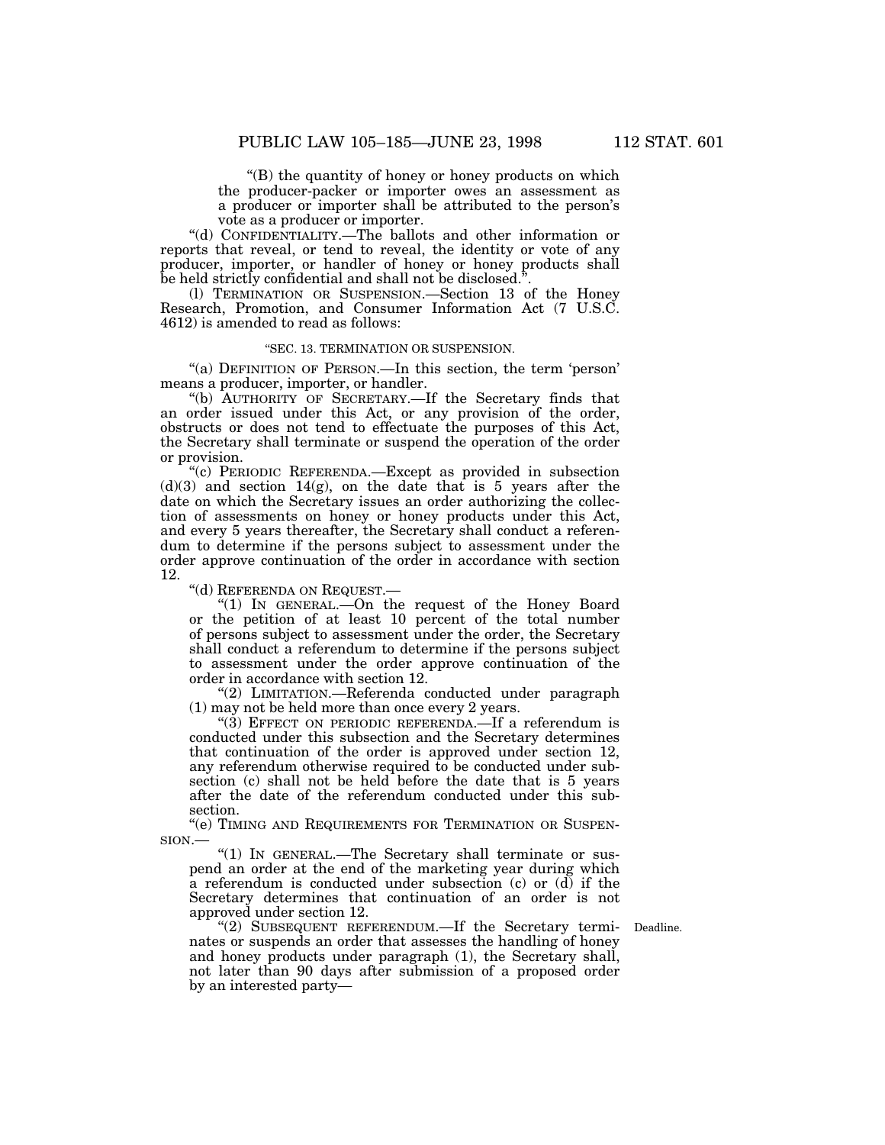''(B) the quantity of honey or honey products on which the producer-packer or importer owes an assessment as a producer or importer shall be attributed to the person's vote as a producer or importer.

''(d) CONFIDENTIALITY.—The ballots and other information or reports that reveal, or tend to reveal, the identity or vote of any producer, importer, or handler of honey or honey products shall be held strictly confidential and shall not be disclosed.".

(l) TERMINATION OR SUSPENSION.—Section 13 of the Honey Research, Promotion, and Consumer Information Act (7 U.S.C. 4612) is amended to read as follows:

# ''SEC. 13. TERMINATION OR SUSPENSION.

"(a) DEFINITION OF PERSON.—In this section, the term 'person' means a producer, importer, or handler.

''(b) AUTHORITY OF SECRETARY.—If the Secretary finds that an order issued under this Act, or any provision of the order, obstructs or does not tend to effectuate the purposes of this Act, the Secretary shall terminate or suspend the operation of the order or provision.

''(c) PERIODIC REFERENDA.—Except as provided in subsection  $(d)(3)$  and section 14(g), on the date that is 5 years after the date on which the Secretary issues an order authorizing the collection of assessments on honey or honey products under this Act, and every 5 years thereafter, the Secretary shall conduct a referendum to determine if the persons subject to assessment under the order approve continuation of the order in accordance with section 12.

''(d) REFERENDA ON REQUEST.—

''(1) IN GENERAL.—On the request of the Honey Board or the petition of at least 10 percent of the total number of persons subject to assessment under the order, the Secretary shall conduct a referendum to determine if the persons subject to assessment under the order approve continuation of the order in accordance with section 12.

''(2) LIMITATION.—Referenda conducted under paragraph (1) may not be held more than once every 2 years.

"(3) EFFECT ON PERIODIC REFERENDA.—If a referendum is conducted under this subsection and the Secretary determines that continuation of the order is approved under section 12, any referendum otherwise required to be conducted under subsection (c) shall not be held before the date that is 5 years after the date of the referendum conducted under this subsection.

''(e) TIMING AND REQUIREMENTS FOR TERMINATION OR SUSPEN-SION.—

"(1) In GENERAL.—The Secretary shall terminate or suspend an order at the end of the marketing year during which a referendum is conducted under subsection (c) or  $(d)$  if the Secretary determines that continuation of an order is not approved under section 12.

''(2) SUBSEQUENT REFERENDUM.—If the Secretary termi- Deadline. nates or suspends an order that assesses the handling of honey and honey products under paragraph (1), the Secretary shall, not later than 90 days after submission of a proposed order by an interested party—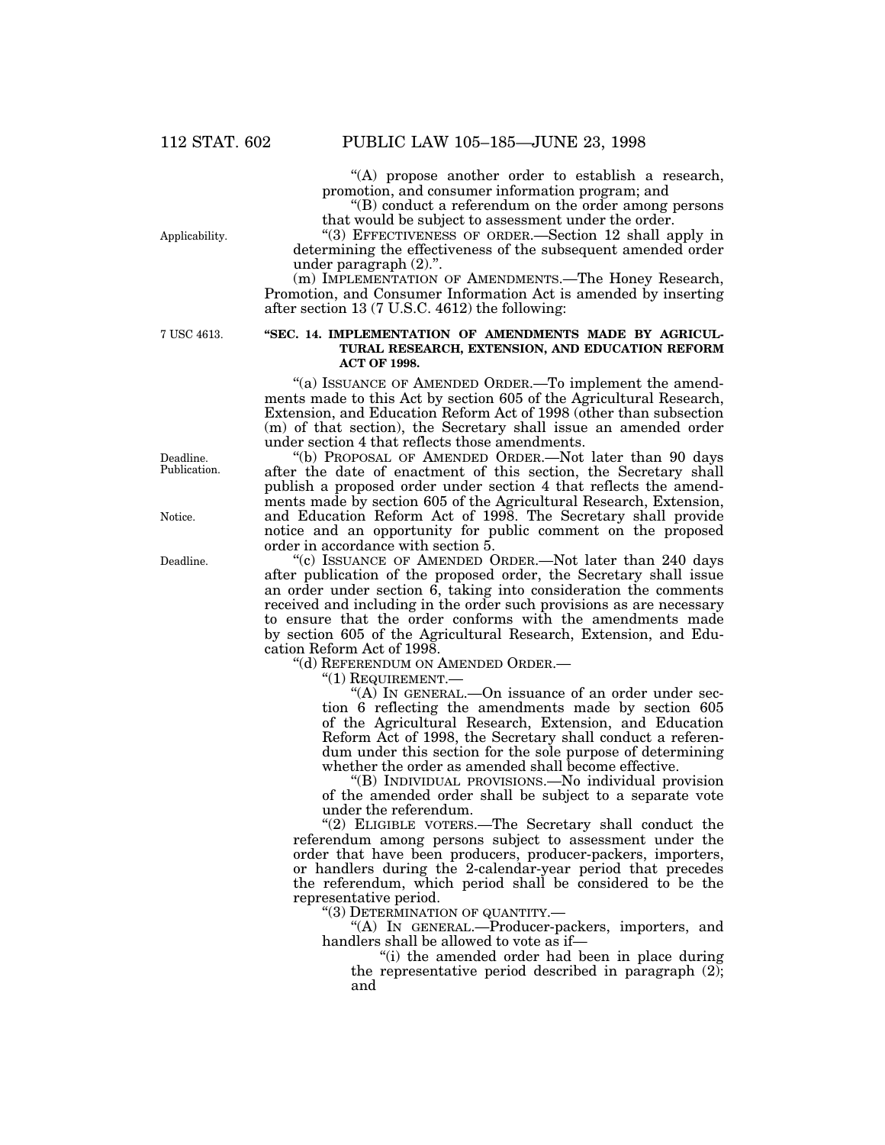''(A) propose another order to establish a research, promotion, and consumer information program; and

''(B) conduct a referendum on the order among persons that would be subject to assessment under the order.

''(3) EFFECTIVENESS OF ORDER.—Section 12 shall apply in determining the effectiveness of the subsequent amended order under paragraph (2).''.

(m) IMPLEMENTATION OF AMENDMENTS.—The Honey Research, Promotion, and Consumer Information Act is amended by inserting after section 13 (7 U.S.C. 4612) the following:

7 USC 4613.

Applicability.

# **''SEC. 14. IMPLEMENTATION OF AMENDMENTS MADE BY AGRICUL-TURAL RESEARCH, EXTENSION, AND EDUCATION REFORM ACT OF 1998.**

"(a) ISSUANCE OF AMENDED ORDER.—To implement the amendments made to this Act by section 605 of the Agricultural Research, Extension, and Education Reform Act of 1998 (other than subsection (m) of that section), the Secretary shall issue an amended order under section 4 that reflects those amendments.

''(b) PROPOSAL OF AMENDED ORDER.—Not later than 90 days after the date of enactment of this section, the Secretary shall publish a proposed order under section 4 that reflects the amendments made by section 605 of the Agricultural Research, Extension, and Education Reform Act of 1998. The Secretary shall provide notice and an opportunity for public comment on the proposed order in accordance with section 5.

''(c) ISSUANCE OF AMENDED ORDER.—Not later than 240 days after publication of the proposed order, the Secretary shall issue an order under section 6, taking into consideration the comments received and including in the order such provisions as are necessary to ensure that the order conforms with the amendments made by section 605 of the Agricultural Research, Extension, and Education Reform Act of 1998.

''(d) REFERENDUM ON AMENDED ORDER.—

''(1) REQUIREMENT.—

''(A) IN GENERAL.—On issuance of an order under section 6 reflecting the amendments made by section 605 of the Agricultural Research, Extension, and Education Reform Act of 1998, the Secretary shall conduct a referendum under this section for the sole purpose of determining whether the order as amended shall become effective.

''(B) INDIVIDUAL PROVISIONS.—No individual provision of the amended order shall be subject to a separate vote under the referendum.

"(2) ELIGIBLE VOTERS.—The Secretary shall conduct the referendum among persons subject to assessment under the order that have been producers, producer-packers, importers, or handlers during the 2-calendar-year period that precedes the referendum, which period shall be considered to be the representative period.

''(3) DETERMINATION OF QUANTITY.—

''(A) IN GENERAL.—Producer-packers, importers, and handlers shall be allowed to vote as if—

''(i) the amended order had been in place during the representative period described in paragraph  $(2)$ ; and

Deadline. Publication.

Notice.

Deadline.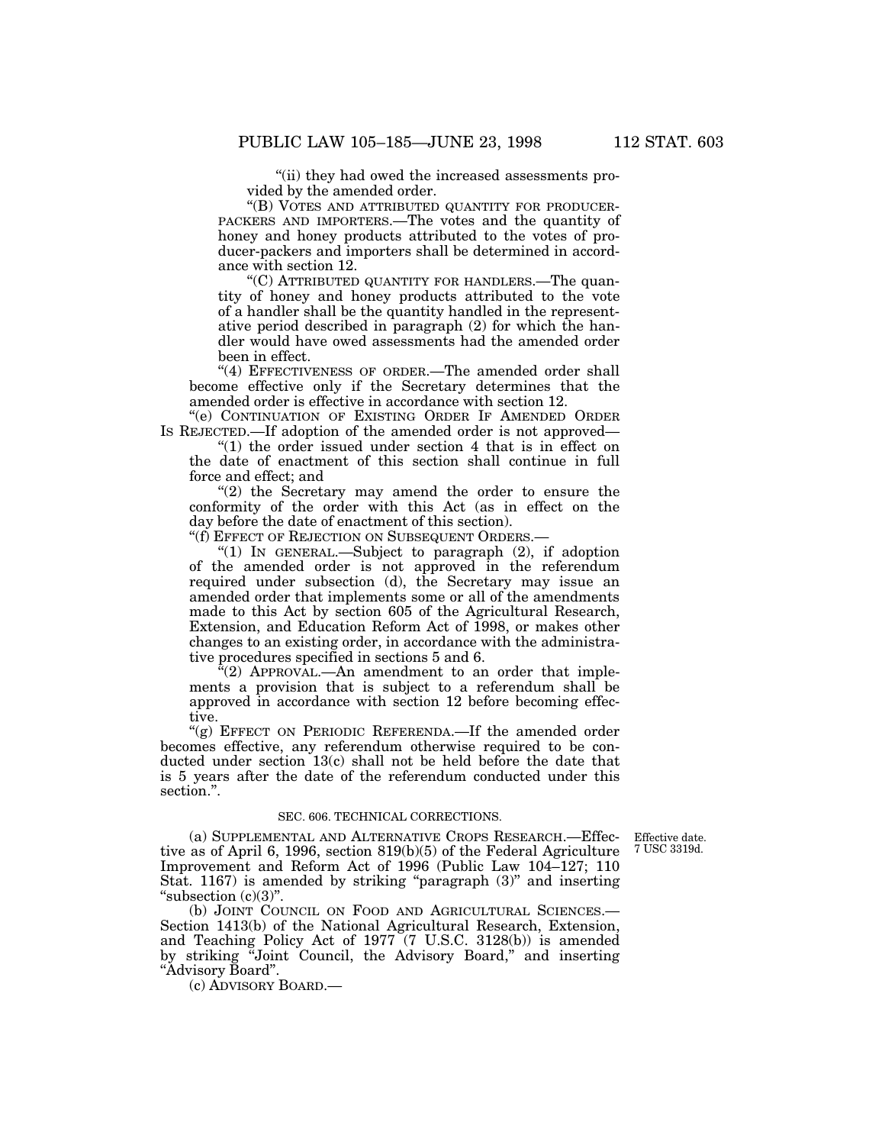''(ii) they had owed the increased assessments provided by the amended order.

"(B) VOTES AND ATTRIBUTED QUANTITY FOR PRODUCER-PACKERS AND IMPORTERS.—The votes and the quantity of honey and honey products attributed to the votes of producer-packers and importers shall be determined in accordance with section 12.

''(C) ATTRIBUTED QUANTITY FOR HANDLERS.—The quantity of honey and honey products attributed to the vote of a handler shall be the quantity handled in the representative period described in paragraph (2) for which the handler would have owed assessments had the amended order been in effect.

"(4) EFFECTIVENESS OF ORDER.—The amended order shall become effective only if the Secretary determines that the amended order is effective in accordance with section 12.

''(e) CONTINUATION OF EXISTING ORDER IF AMENDED ORDER IS REJECTED.—If adoption of the amended order is not approved—

''(1) the order issued under section 4 that is in effect on the date of enactment of this section shall continue in full force and effect; and

" $(2)$  the Secretary may amend the order to ensure the conformity of the order with this Act (as in effect on the day before the date of enactment of this section).

''(f) EFFECT OF REJECTION ON SUBSEQUENT ORDERS.—

"(1) IN GENERAL.—Subject to paragraph (2), if adoption of the amended order is not approved in the referendum required under subsection (d), the Secretary may issue an amended order that implements some or all of the amendments made to this Act by section 605 of the Agricultural Research, Extension, and Education Reform Act of 1998, or makes other changes to an existing order, in accordance with the administrative procedures specified in sections 5 and 6.

 $f(2)$  APPROVAL.—An amendment to an order that implements a provision that is subject to a referendum shall be approved in accordance with section 12 before becoming effective.

"(g) EFFECT ON PERIODIC REFERENDA. If the amended order becomes effective, any referendum otherwise required to be conducted under section 13(c) shall not be held before the date that is 5 years after the date of the referendum conducted under this section.''.

#### SEC. 606. TECHNICAL CORRECTIONS.

Effective date. 7 USC 3319d.

(a) SUPPLEMENTAL AND ALTERNATIVE CROPS RESEARCH.—Effective as of April 6, 1996, section 819(b)(5) of the Federal Agriculture Improvement and Reform Act of 1996 (Public Law 104–127; 110 Stat. 1167) is amended by striking "paragraph  $(3)$ " and inserting "subsection  $(c)(3)$ ".

(b) JOINT COUNCIL ON FOOD AND AGRICULTURAL SCIENCES.— Section 1413(b) of the National Agricultural Research, Extension, and Teaching Policy Act of 1977 (7 U.S.C. 3128(b)) is amended by striking ''Joint Council, the Advisory Board,'' and inserting ''Advisory Board''.

(c) ADVISORY BOARD.—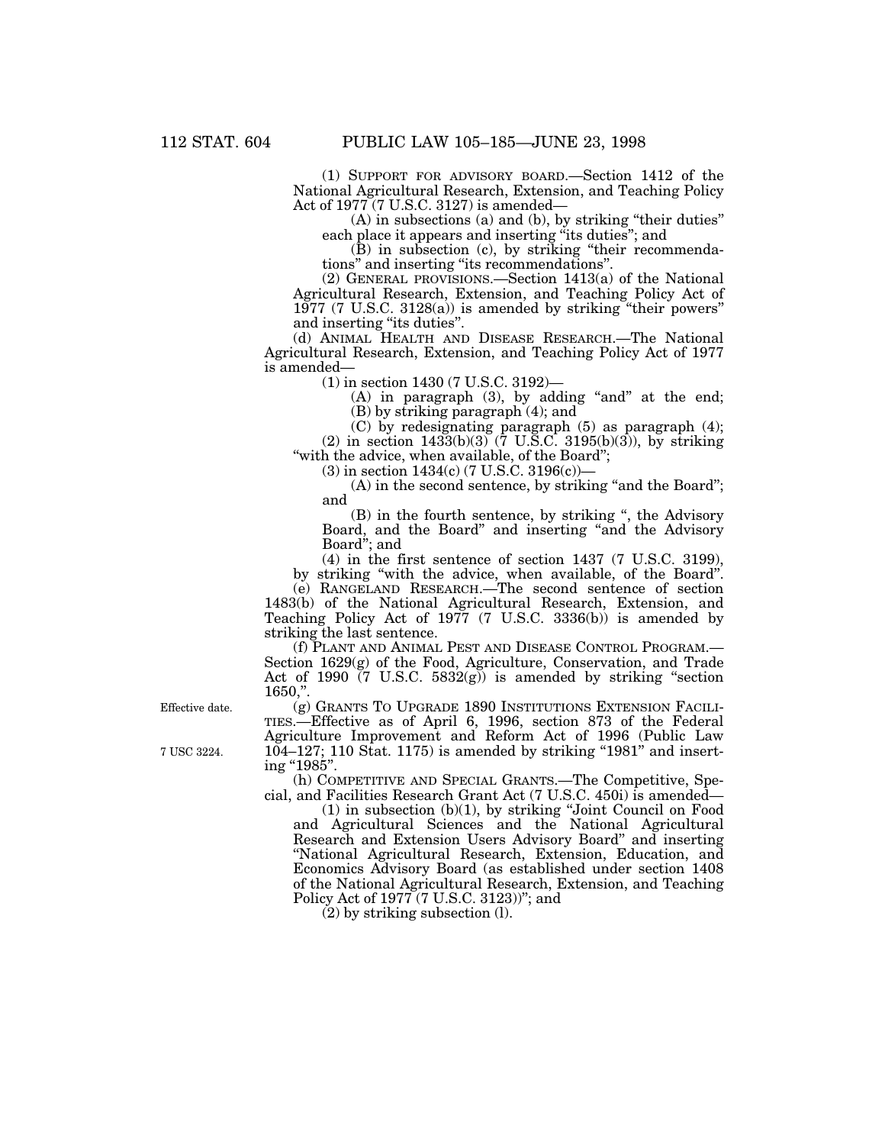(1) SUPPORT FOR ADVISORY BOARD.—Section 1412 of the National Agricultural Research, Extension, and Teaching Policy Act of 1977 (7 U.S.C. 3127) is amended—

(A) in subsections (a) and (b), by striking ''their duties'' each place it appears and inserting ''its duties''; and

(B) in subsection (c), by striking ''their recommendations'' and inserting ''its recommendations''.

(2) GENERAL PROVISIONS.—Section 1413(a) of the National Agricultural Research, Extension, and Teaching Policy Act of 1977 (7 U.S.C. 3128(a)) is amended by striking ''their powers'' and inserting "its duties".

(d) ANIMAL HEALTH AND DISEASE RESEARCH.—The National Agricultural Research, Extension, and Teaching Policy Act of 1977 is amended—

(1) in section 1430 (7 U.S.C. 3192)—

 $(A)$  in paragraph  $(3)$ , by adding "and" at the end; (B) by striking paragraph (4); and

(C) by redesignating paragraph (5) as paragraph (4); (2) in section 1433(b)(3) (7 U.S.C. 3195(b)(3)), by striking "with the advice, when available, of the Board";

(3) in section 1434(c) (7 U.S.C. 3196(c))—

(A) in the second sentence, by striking "and the Board"; and

(B) in the fourth sentence, by striking '', the Advisory Board, and the Board" and inserting "and the Advisory Board''; and

(4) in the first sentence of section 1437 (7 U.S.C. 3199), by striking ''with the advice, when available, of the Board''.

(e) RANGELAND RESEARCH.—The second sentence of section 1483(b) of the National Agricultural Research, Extension, and Teaching Policy Act of 1977 (7 U.S.C. 3336(b)) is amended by striking the last sentence.

(f) PLANT AND ANIMAL PEST AND DISEASE CONTROL PROGRAM.— Section 1629(g) of the Food, Agriculture, Conservation, and Trade Act of 1990  $(7 \text{ U.S.C. } 5832(g))$  is amended by striking "section  $1650,$ "

Effective date. (g) GRANTS TO UPGRADE 1890 INSTITUTIONS EXTENSION FACILI-TIES.—Effective as of April 6, 1996, section 873 of the Federal Agriculture Improvement and Reform Act of 1996 (Public Law 7 USC 3224. 104–127; 110 Stat. 1175) is amended by striking ''1981'' and inserting "1985".

(h) COMPETITIVE AND SPECIAL GRANTS.—The Competitive, Special, and Facilities Research Grant Act (7 U.S.C. 450i) is amended—

(1) in subsection (b)(1), by striking ''Joint Council on Food and Agricultural Sciences and the National Agricultural Research and Extension Users Advisory Board'' and inserting ''National Agricultural Research, Extension, Education, and Economics Advisory Board (as established under section 1408 of the National Agricultural Research, Extension, and Teaching Policy Act of 1977 (7 U.S.C. 3123))"; and

(2) by striking subsection (l).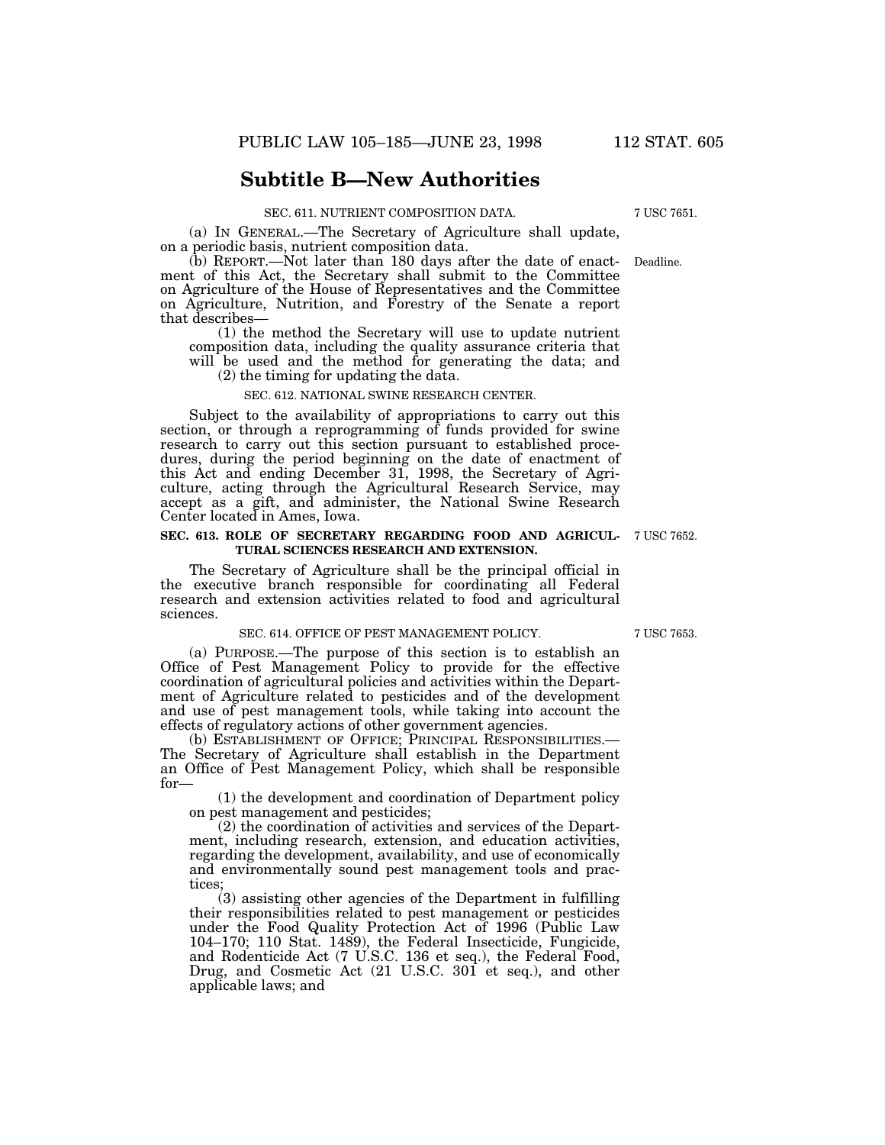# **Subtitle B—New Authorities**

#### SEC. 611. NUTRIENT COMPOSITION DATA. 7 USC 7651.

(a) IN GENERAL.—The Secretary of Agriculture shall update, on a periodic basis, nutrient composition data.

(b) REPORT.—Not later than 180 days after the date of enact- Deadline. ment of this Act, the Secretary shall submit to the Committee on Agriculture of the House of Representatives and the Committee on Agriculture, Nutrition, and Forestry of the Senate a report that describes—

(1) the method the Secretary will use to update nutrient composition data, including the quality assurance criteria that will be used and the method for generating the data; and

(2) the timing for updating the data.

#### SEC. 612. NATIONAL SWINE RESEARCH CENTER.

Subject to the availability of appropriations to carry out this section, or through a reprogramming of funds provided for swine research to carry out this section pursuant to established procedures, during the period beginning on the date of enactment of this Act and ending December 31, 1998, the Secretary of Agriculture, acting through the Agricultural Research Service, may accept as a gift, and administer, the National Swine Research Center located in Ames, Iowa.

#### **SEC. 613. ROLE OF SECRETARY REGARDING FOOD AND AGRICUL-** 7 USC 7652. **TURAL SCIENCES RESEARCH AND EXTENSION.**

The Secretary of Agriculture shall be the principal official in the executive branch responsible for coordinating all Federal research and extension activities related to food and agricultural sciences.

#### SEC. 614. OFFICE OF PEST MANAGEMENT POLICY. 7 USC 7653.

(a) PURPOSE.—The purpose of this section is to establish an Office of Pest Management Policy to provide for the effective coordination of agricultural policies and activities within the Department of Agriculture related to pesticides and of the development and use of pest management tools, while taking into account the effects of regulatory actions of other government agencies.

(b) ESTABLISHMENT OF OFFICE; PRINCIPAL RESPONSIBILITIES.— The Secretary of Agriculture shall establish in the Department an Office of Pest Management Policy, which shall be responsible for—

(1) the development and coordination of Department policy on pest management and pesticides;

(2) the coordination of activities and services of the Department, including research, extension, and education activities, regarding the development, availability, and use of economically and environmentally sound pest management tools and practices

(3) assisting other agencies of the Department in fulfilling their responsibilities related to pest management or pesticides under the Food Quality Protection Act of 1996 (Public Law 104–170; 110 Stat. 1489), the Federal Insecticide, Fungicide, and Rodenticide Act (7 U.S.C. 136 et seq.), the Federal Food, Drug, and Cosmetic Act (21 U.S.C. 301 et seq.), and other applicable laws; and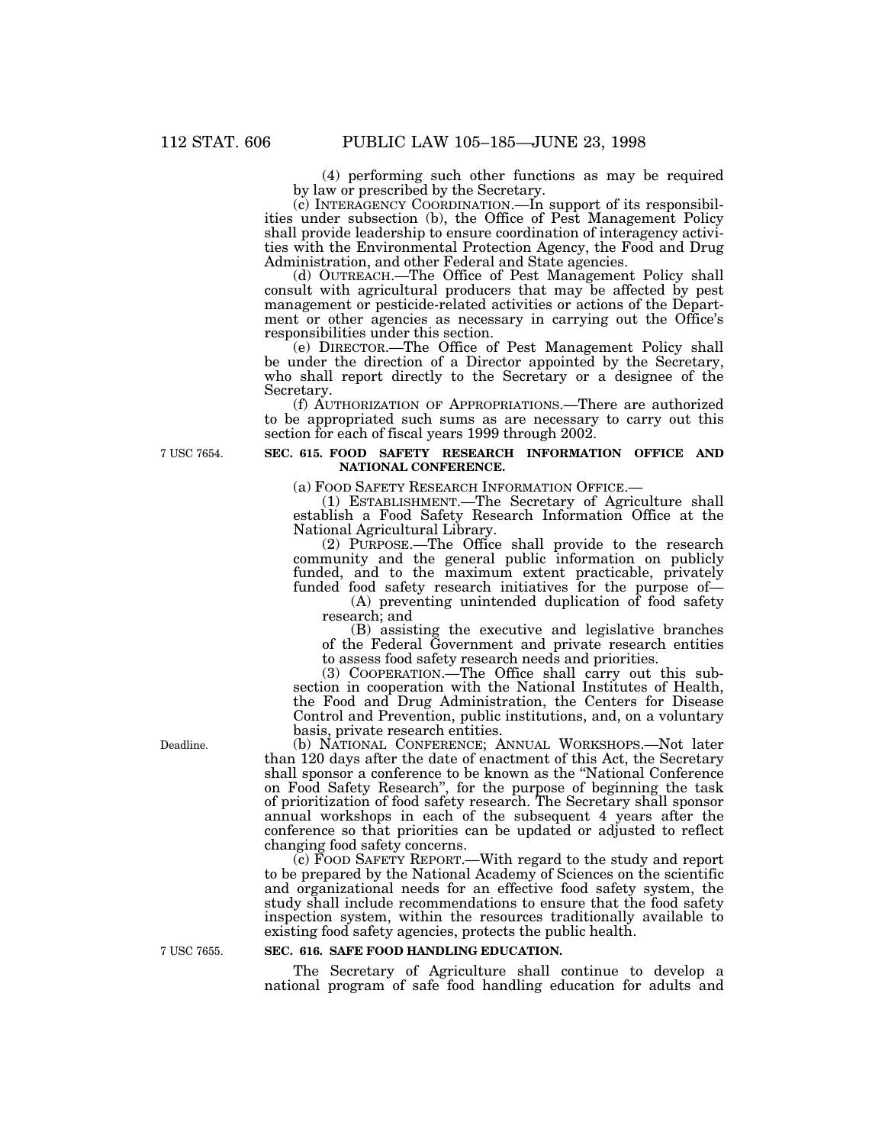(4) performing such other functions as may be required by law or prescribed by the Secretary.<br>(c) INTERAGENCY COORDINATION.—In support of its responsibil-

ities under subsection (b), the Office of Pest Management Policy shall provide leadership to ensure coordination of interagency activities with the Environmental Protection Agency, the Food and Drug Administration, and other Federal and State agencies.

(d) OUTREACH.—The Office of Pest Management Policy shall consult with agricultural producers that may be affected by pest ment or other agencies as necessary in carrying out the Office's responsibilities under this section.

(e) DIRECTOR.—The Office of Pest Management Policy shall be under the direction of a Director appointed by the Secretary, who shall report directly to the Secretary or a designee of the Secretary.

(f) AUTHORIZATION OF APPROPRIATIONS.—There are authorized to be appropriated such sums as are necessary to carry out this section for each of fiscal years 1999 through 2002.

7 USC 7654.

# **SEC. 615. FOOD SAFETY RESEARCH INFORMATION OFFICE AND NATIONAL CONFERENCE.**

(a) FOOD SAFETY RESEARCH INFORMATION OFFICE.— (1) ESTABLISHMENT.—The Secretary of Agriculture shall establish a Food Safety Research Information Office at the National Agricultural Library.

(2) PURPOSE.—The Office shall provide to the research community and the general public information on publicly funded, and to the maximum extent practicable, privately funded food safety research initiatives for the purpose of—

(A) preventing unintended duplication of food safety research; and

(B) assisting the executive and legislative branches of the Federal Government and private research entities to assess food safety research needs and priorities.<br>(3) COOPERATION.—The Office shall carry out this sub-

section in cooperation with the National Institutes of Health, the Food and Drug Administration, the Centers for Disease Control and Prevention, public institutions, and, on a voluntary basis, private research entities.

(b) NATIONAL CONFERENCE; ANNUAL WORKSHOPS.—Not later than 120 days after the date of enactment of this Act, the Secretary shall sponsor a conference to be known as the ''National Conference on Food Safety Research'', for the purpose of beginning the task of prioritization of food safety research. The Secretary shall sponsor annual workshops in each of the subsequent 4 years after the conference so that priorities can be updated or adjusted to reflect changing food safety concerns.

 $(c)$  FOOD SAFETY REPORT.—With regard to the study and report to be prepared by the National Academy of Sciences on the scientific and organizational needs for an effective food safety system, the study shall include recommendations to ensure that the food safety inspection system, within the resources traditionally available to existing food safety agencies, protects the public health.

# **SEC. 616. SAFE FOOD HANDLING EDUCATION.**

The Secretary of Agriculture shall continue to develop a national program of safe food handling education for adults and

Deadline.

7 USC 7655.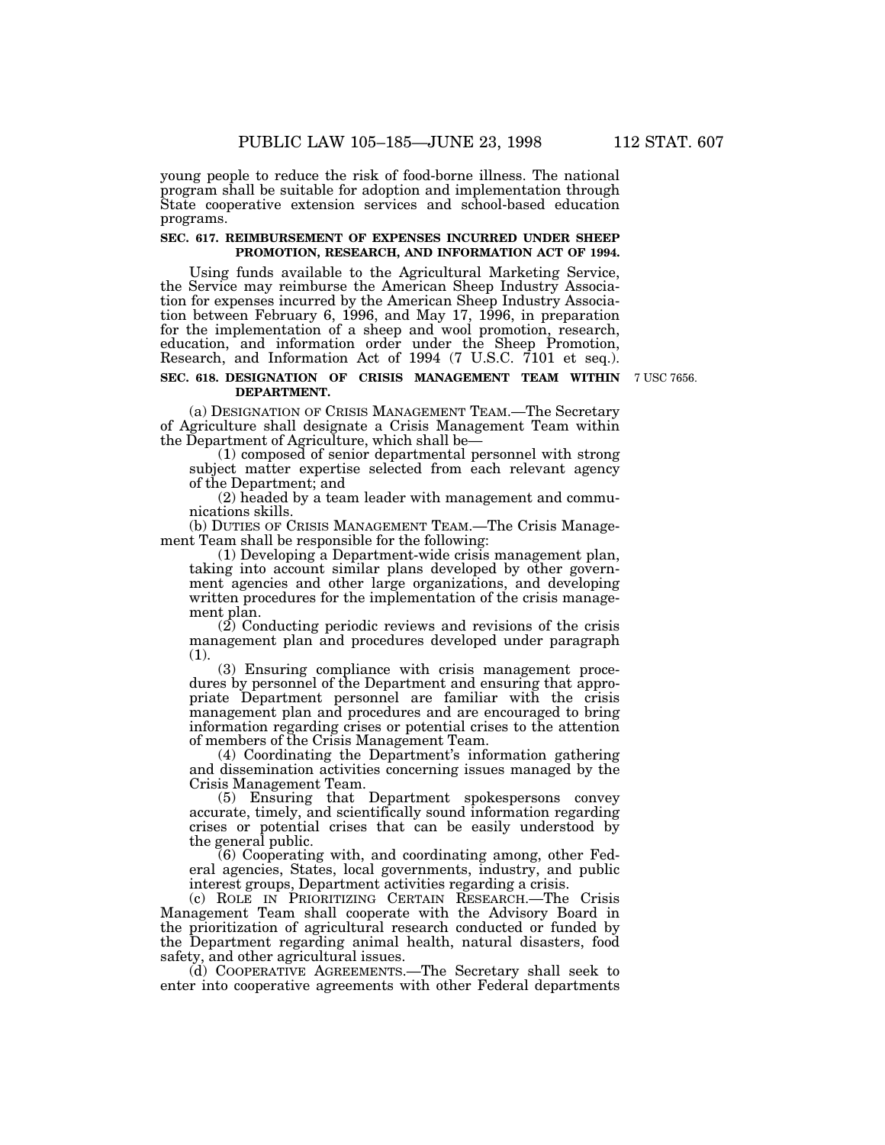young people to reduce the risk of food-borne illness. The national program shall be suitable for adoption and implementation through State cooperative extension services and school-based education programs.

#### **SEC. 617. REIMBURSEMENT OF EXPENSES INCURRED UNDER SHEEP PROMOTION, RESEARCH, AND INFORMATION ACT OF 1994.**

Using funds available to the Agricultural Marketing Service, the Service may reimburse the American Sheep Industry Association for expenses incurred by the American Sheep Industry Association between February 6, 1996, and May 17, 1996, in preparation for the implementation of a sheep and wool promotion, research, education, and information order under the Sheep Promotion, Research, and Information Act of 1994 (7 U.S.C. 7101 et seq.).

## **SEC. 618. DESIGNATION OF CRISIS MANAGEMENT TEAM WITHIN** 7 USC 7656. **DEPARTMENT.**

(a) DESIGNATION OF CRISIS MANAGEMENT TEAM.—The Secretary of Agriculture shall designate a Crisis Management Team within the Department of Agriculture, which shall be—

(1) composed of senior departmental personnel with strong subject matter expertise selected from each relevant agency of the Department; and

(2) headed by a team leader with management and commu- nications skills.

(b) DUTIES OF CRISIS MANAGEMENT TEAM.—The Crisis Manage- ment Team shall be responsible for the following:

(1) Developing a Department-wide crisis management plan, ment agencies and other large organizations, and developing written procedures for the implementation of the crisis manage- ment plan.

(2) Conducting periodic reviews and revisions of the crisis management plan and procedures developed under paragraph (1).

(3) Ensuring compliance with crisis management proce- dures by personnel of the Department and ensuring that appro- priate Department personnel are familiar with the crisis management plan and procedures and are encouraged to bring information regarding crises or potential crises to the attention of members of the Crisis Management Team.

(4) Coordinating the Department's information gathering and dissemination activities concerning issues managed by the Crisis Management Team.

(5) Ensuring that Department spokespersons convey accurate, timely, and scientifically sound information regarding crises or potential crises that can be easily understood by the general public.

(6) Cooperating with, and coordinating among, other Federal agencies, States, local governments, industry, and public interest groups, Department activities regarding a crisis.

(c) ROLE IN PRIORITIZING CERTAIN RESEARCH.—The Crisis Management Team shall cooperate with the Advisory Board in the prioritization of agricultural research conducted or funded by the Department regarding animal health, natural disasters, food safety, and other agricultural issues.

(d) COOPERATIVE AGREEMENTS.—The Secretary shall seek to enter into cooperative agreements with other Federal departments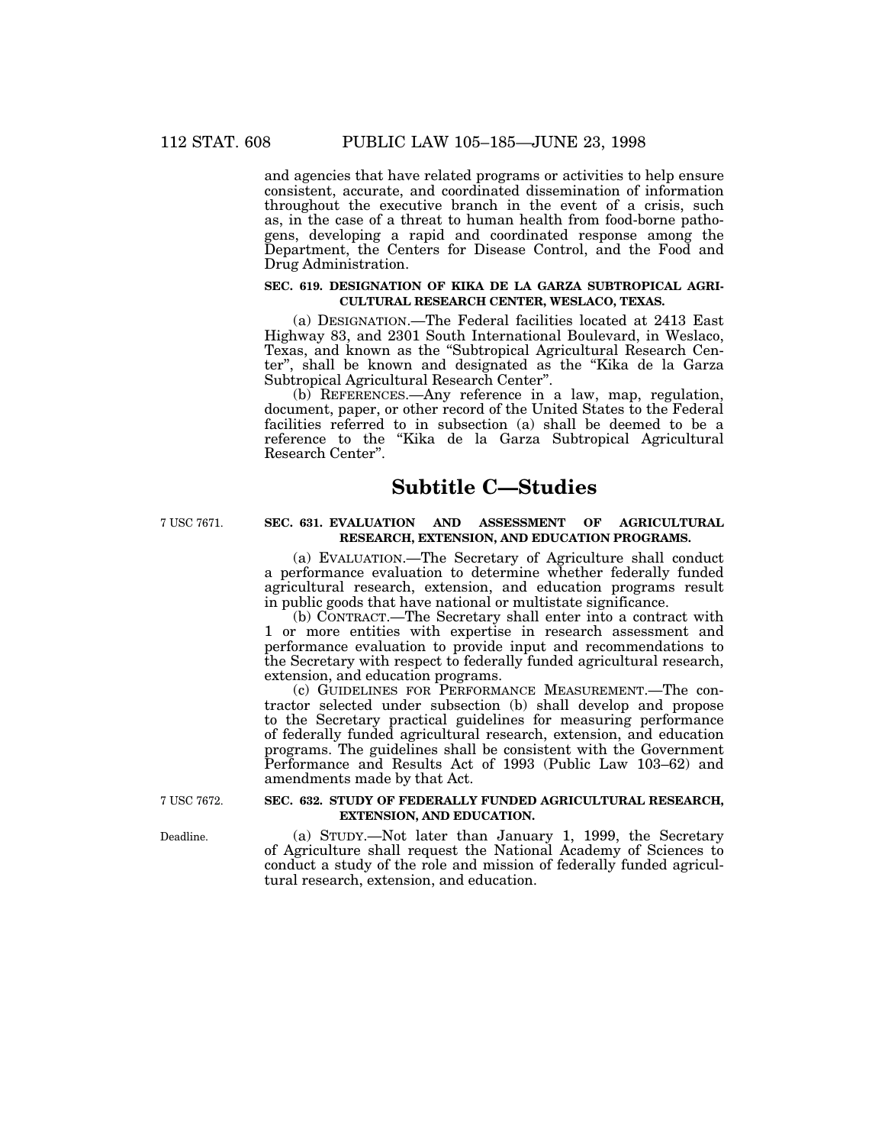and agencies that have related programs or activities to help ensure consistent, accurate, and coordinated dissemination of information throughout the executive branch in the event of a crisis, such as, in the case of a threat to human health from food-borne pathogens, developing a rapid and coordinated response among the Department, the Centers for Disease Control, and the Food and Drug Administration.

#### **SEC. 619. DESIGNATION OF KIKA DE LA GARZA SUBTROPICAL AGRI-CULTURAL RESEARCH CENTER, WESLACO, TEXAS.**

(a) DESIGNATION.—The Federal facilities located at 2413 East Highway 83, and 2301 South International Boulevard, in Weslaco, Texas, and known as the ''Subtropical Agricultural Research Center'', shall be known and designated as the ''Kika de la Garza Subtropical Agricultural Research Center''.

(b) REFERENCES.—Any reference in a law, map, regulation, document, paper, or other record of the United States to the Federal facilities referred to in subsection (a) shall be deemed to be a reference to the ''Kika de la Garza Subtropical Agricultural Research Center''.

# **Subtitle C—Studies**

# 7 USC 7671. **SEC. 631. EVALUATION AND ASSESSMENT OF AGRICULTURAL RESEARCH, EXTENSION, AND EDUCATION PROGRAMS.**

(a) EVALUATION.—The Secretary of Agriculture shall conduct a performance evaluation to determine whether federally funded agricultural research, extension, and education programs result in public goods that have national or multistate significance.

(b) CONTRACT.—The Secretary shall enter into a contract with 1 or more entities with expertise in research assessment and performance evaluation to provide input and recommendations to the Secretary with respect to federally funded agricultural research, extension, and education programs.

(c) GUIDELINES FOR PERFORMANCE MEASUREMENT.—The contractor selected under subsection (b) shall develop and propose to the Secretary practical guidelines for measuring performance of federally funded agricultural research, extension, and education programs. The guidelines shall be consistent with the Government Performance and Results Act of 1993 (Public Law 103–62) and amendments made by that Act.

# 7 USC 7672. **SEC. 632. STUDY OF FEDERALLY FUNDED AGRICULTURAL RESEARCH, EXTENSION, AND EDUCATION.**

Deadline. (a) STUDY.—Not later than January 1, 1999, the Secretary of Agriculture shall request the National Academy of Sciences to conduct a study of the role and mission of federally funded agricultural research, extension, and education.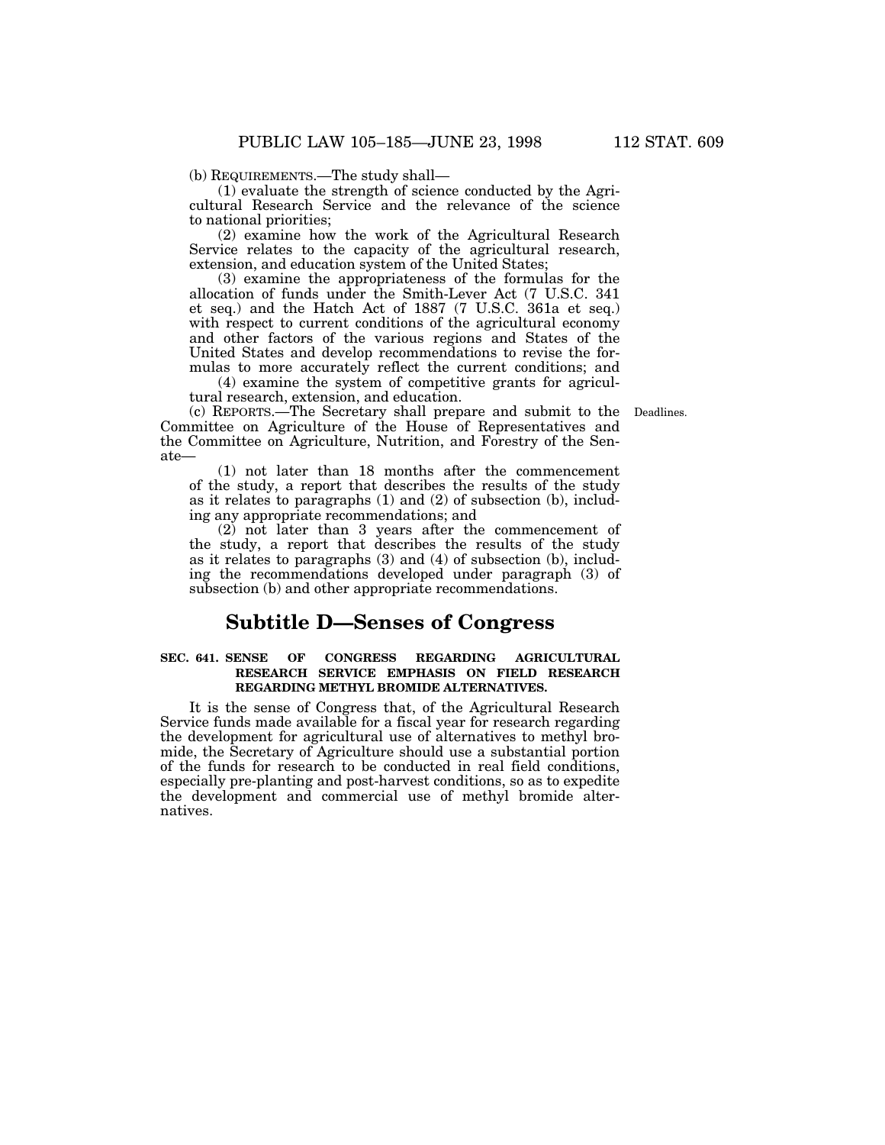(b) REQUIREMENTS.—The study shall—

(1) evaluate the strength of science conducted by the Agricultural Research Service and the relevance of the science to national priorities;

(2) examine how the work of the Agricultural Research Service relates to the capacity of the agricultural research, extension, and education system of the United States;

(3) examine the appropriateness of the formulas for the allocation of funds under the Smith-Lever Act (7 U.S.C. 341 et seq.) and the Hatch Act of 1887 (7 U.S.C. 361a et seq.) with respect to current conditions of the agricultural economy and other factors of the various regions and States of the United States and develop recommendations to revise the formulas to more accurately reflect the current conditions; and

(4) examine the system of competitive grants for agricultural research, extension, and education.

(c) REPORTS.—The Secretary shall prepare and submit to the Deadlines. Committee on Agriculture of the House of Representatives and the Committee on Agriculture, Nutrition, and Forestry of the Senate—

(1) not later than 18 months after the commencement of the study, a report that describes the results of the study as it relates to paragraphs (1) and (2) of subsection (b), including any appropriate recommendations; and

(2) not later than 3 years after the commencement of the study, a report that describes the results of the study as it relates to paragraphs (3) and (4) of subsection (b), including the recommendations developed under paragraph (3) of subsection (b) and other appropriate recommendations.

# **Subtitle D—Senses of Congress**

#### **SEC. 641. SENSE OF CONGRESS REGARDING AGRICULTURAL RESEARCH SERVICE EMPHASIS ON FIELD RESEARCH REGARDING METHYL BROMIDE ALTERNATIVES.**

It is the sense of Congress that, of the Agricultural Research Service funds made available for a fiscal year for research regarding the development for agricultural use of alternatives to methyl bromide, the Secretary of Agriculture should use a substantial portion of the funds for research to be conducted in real field conditions, especially pre-planting and post-harvest conditions, so as to expedite the development and commercial use of methyl bromide alternatives.